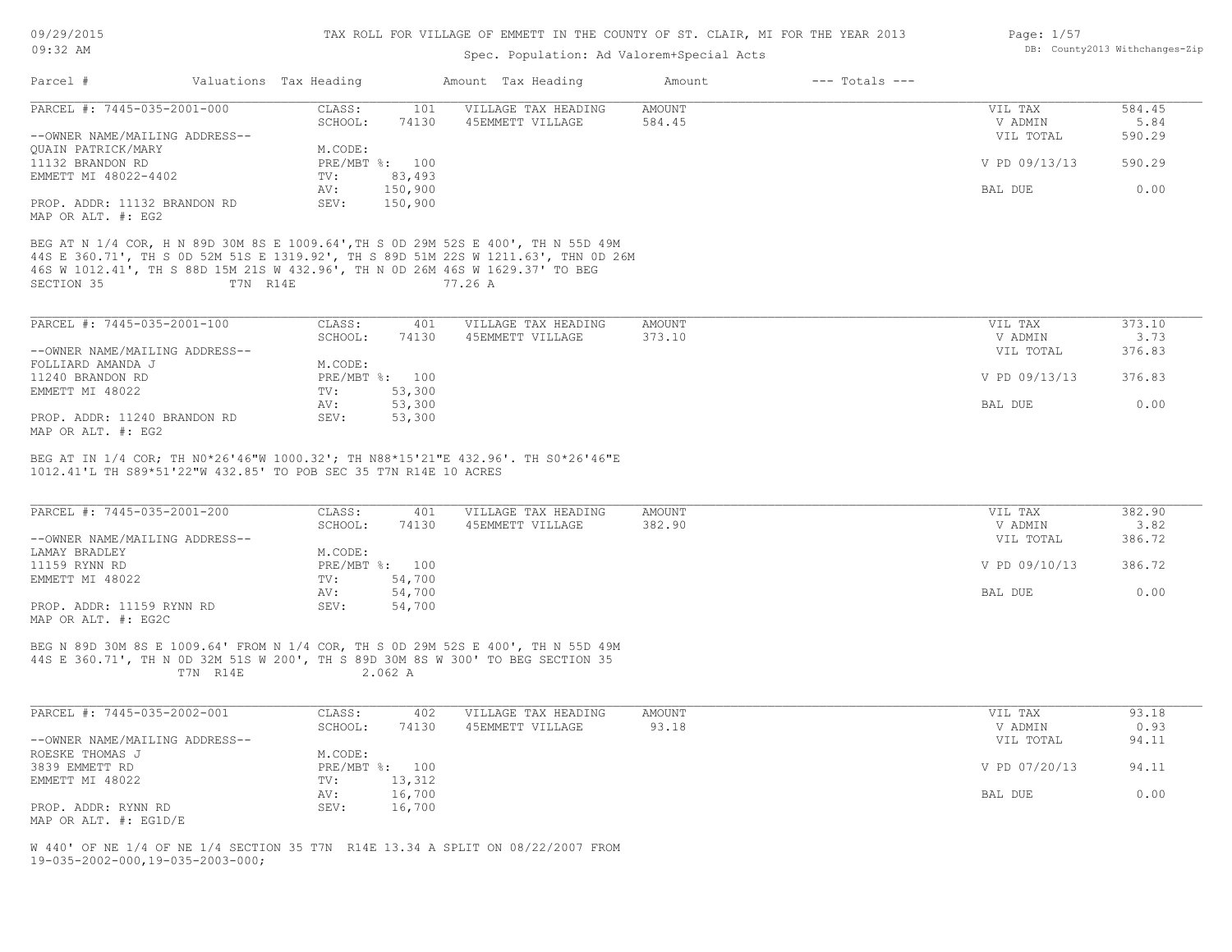# Spec. Population: Ad Valorem+Special Acts

| Page: 1/57 |                                |
|------------|--------------------------------|
|            | DB: County2013 Withchanges-Zip |

| Parcel #                                                                                    |          | Valuations Tax Heading           |                            | Amount Tax Heading                                                                                                                                                                 | Amount                  | $---$ Totals $---$ |                                 |                          |
|---------------------------------------------------------------------------------------------|----------|----------------------------------|----------------------------|------------------------------------------------------------------------------------------------------------------------------------------------------------------------------------|-------------------------|--------------------|---------------------------------|--------------------------|
| PARCEL #: 7445-035-2001-000<br>--OWNER NAME/MAILING ADDRESS--                               |          | CLASS:<br>SCHOOL:                | 101<br>74130               | VILLAGE TAX HEADING<br>45EMMETT VILLAGE                                                                                                                                            | <b>AMOUNT</b><br>584.45 |                    | VIL TAX<br>V ADMIN<br>VIL TOTAL | 584.45<br>5.84<br>590.29 |
| QUAIN PATRICK/MARY<br>11132 BRANDON RD<br>EMMETT MI 48022-4402                              |          | M.CODE:<br>PRE/MBT %: 100<br>TV: | 83,493                     |                                                                                                                                                                                    |                         |                    | V PD 09/13/13                   | 590.29                   |
| PROP. ADDR: 11132 BRANDON RD                                                                |          | AV:<br>SEV:                      | 150,900<br>150,900         |                                                                                                                                                                                    |                         |                    | BAL DUE                         | 0.00                     |
| MAP OR ALT. #: EG2                                                                          |          |                                  |                            |                                                                                                                                                                                    |                         |                    |                                 |                          |
| 46S W 1012.41', TH S 88D 15M 21S W 432.96', TH N OD 26M 46S W 1629.37' TO BEG<br>SECTION 35 | T7N R14E |                                  |                            | BEG AT N 1/4 COR, H N 89D 30M 8S E 1009.64', TH S 0D 29M 52S E 400', TH N 55D 49M<br>44S E 360.71', TH S OD 52M 51S E 1319.92', TH S 89D 51M 22S W 1211.63', THN OD 26M<br>77.26 A |                         |                    |                                 |                          |
| PARCEL #: 7445-035-2001-100                                                                 |          | CLASS:                           | 401                        | VILLAGE TAX HEADING                                                                                                                                                                | <b>AMOUNT</b>           |                    | VIL TAX                         | 373.10                   |
| --OWNER NAME/MAILING ADDRESS--                                                              |          | SCHOOL:                          | 74130                      | 45EMMETT VILLAGE                                                                                                                                                                   | 373.10                  |                    | V ADMIN<br>VIL TOTAL            | 3.73<br>376.83           |
| FOLLIARD AMANDA J<br>11240 BRANDON RD                                                       |          | M.CODE:<br>PRE/MBT %: 100        |                            |                                                                                                                                                                                    |                         |                    | V PD 09/13/13                   | 376.83                   |
| EMMETT MI 48022<br>PROP. ADDR: 11240 BRANDON RD                                             |          | TV:<br>AV:<br>SEV:               | 53,300<br>53,300<br>53,300 |                                                                                                                                                                                    |                         |                    | BAL DUE                         | 0.00                     |
| MAP OR ALT. #: EG2                                                                          |          |                                  |                            |                                                                                                                                                                                    |                         |                    |                                 |                          |
| 1012.41'L TH S89*51'22"W 432.85' TO POB SEC 35 T7N R14E 10 ACRES                            |          |                                  |                            | BEG AT IN 1/4 COR; TH N0*26'46"W 1000.32'; TH N88*15'21"E 432.96'. TH S0*26'46"E                                                                                                   |                         |                    |                                 |                          |
| PARCEL #: 7445-035-2001-200                                                                 |          | CLASS:<br>SCHOOL:                | 401<br>74130               | VILLAGE TAX HEADING<br>45EMMETT VILLAGE                                                                                                                                            | AMOUNT<br>382.90        |                    | VIL TAX<br>V ADMIN              | 382.90<br>3.82           |
| --OWNER NAME/MAILING ADDRESS--<br>LAMAY BRADLEY                                             |          | M.CODE:                          |                            |                                                                                                                                                                                    |                         |                    | VIL TOTAL                       | 386.72                   |
| 11159 RYNN RD<br>EMMETT MI 48022                                                            |          | PRE/MBT %: 100<br>TV:<br>AV:     | 54,700<br>54,700           |                                                                                                                                                                                    |                         |                    | V PD 09/10/13<br>BAL DUE        | 386.72<br>0.00           |
| PROP. ADDR: 11159 RYNN RD<br>MAP OR ALT. #: EG2C                                            |          | SEV:                             | 54,700                     |                                                                                                                                                                                    |                         |                    |                                 |                          |
|                                                                                             | T7N R14E |                                  | 2.062 A                    | BEG N 89D 30M 8S E 1009.64' FROM N 1/4 COR, TH S 0D 29M 52S E 400', TH N 55D 49M<br>44S E 360.71', TH N OD 32M 51S W 200', TH S 89D 30M 8S W 300' TO BEG SECTION 35                |                         |                    |                                 |                          |
| PARCEL #: 7445-035-2002-001                                                                 |          | CLASS:                           | 402                        | VILLAGE TAX HEADING                                                                                                                                                                | <b>AMOUNT</b>           |                    | VIL TAX                         | 93.18                    |
| --OWNER NAME/MAILING ADDRESS--<br>ROESKE THOMAS J                                           |          | SCHOOL:<br>M.CODE:               | 74130                      | 45EMMETT VILLAGE                                                                                                                                                                   | 93.18                   |                    | V ADMIN<br>VIL TOTAL            | 0.93<br>94.11            |
| 3839 EMMETT RD<br>EMMETT MI 48022                                                           |          | PRE/MBT %: 100<br>TV:            | 13,312                     |                                                                                                                                                                                    |                         |                    | V PD 07/20/13                   | 94.11                    |
| PROP. ADDR: RYNN RD                                                                         |          | AV:<br>SEV:                      | 16,700<br>16,700           |                                                                                                                                                                                    |                         |                    | BAL DUE                         | 0.00                     |
| MAP OR ALT. #: EG1D/E                                                                       |          |                                  |                            | W 440' OF NE 1/4 OF NE 1/4 SECTION 35 T7N R14E 13.34 A SPLIT ON 08/22/2007 FROM                                                                                                    |                         |                    |                                 |                          |
| $19 - 035 - 2002 - 000, 19 - 035 - 2003 - 000;$                                             |          |                                  |                            |                                                                                                                                                                                    |                         |                    |                                 |                          |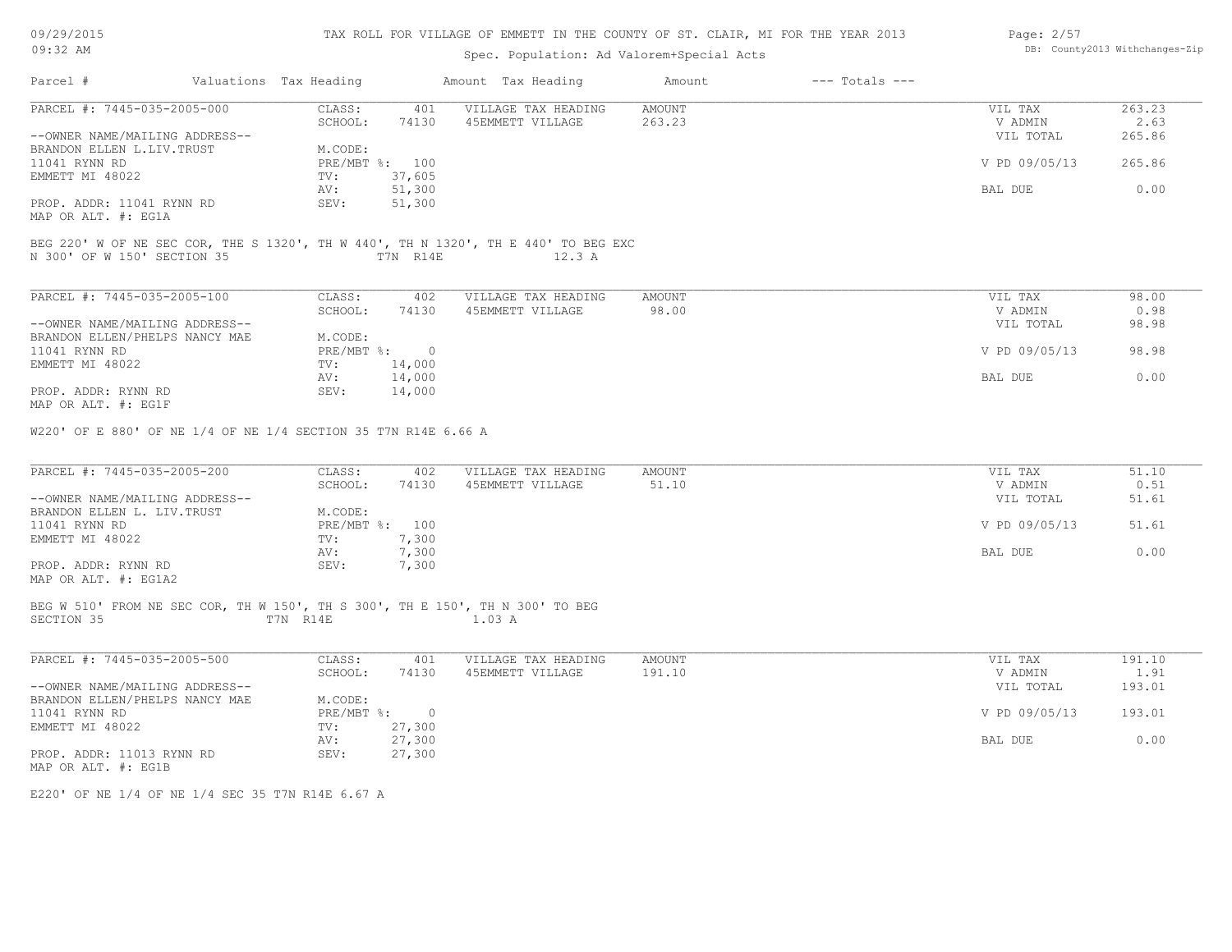| 09/29/2015 |  |
|------------|--|
| $09:32$ AM |  |

# Spec. Population: Ad Valorem+Special Acts

| Page: $2/57$ |                                |
|--------------|--------------------------------|
|              | DB: County2013 Withchanges-Zip |

| Parcel #                                                                                    | Valuations Tax Heading |                           |                  | Amount Tax Heading                                                                           | Amount           | $---$ Totals $---$ |                                 |                          |
|---------------------------------------------------------------------------------------------|------------------------|---------------------------|------------------|----------------------------------------------------------------------------------------------|------------------|--------------------|---------------------------------|--------------------------|
| PARCEL #: 7445-035-2005-000<br>--OWNER NAME/MAILING ADDRESS--                               |                        | CLASS:<br>SCHOOL:         | 401<br>74130     | VILLAGE TAX HEADING<br>45EMMETT VILLAGE                                                      | AMOUNT<br>263.23 |                    | VIL TAX<br>V ADMIN<br>VIL TOTAL | 263.23<br>2.63<br>265.86 |
| BRANDON ELLEN L.LIV.TRUST<br>11041 RYNN RD                                                  |                        | M.CODE:<br>PRE/MBT %: 100 |                  |                                                                                              |                  |                    | V PD 09/05/13                   | 265.86                   |
| EMMETT MI 48022                                                                             |                        | TV:<br>AV:                | 37,605<br>51,300 |                                                                                              |                  |                    | BAL DUE                         | 0.00                     |
| PROP. ADDR: 11041 RYNN RD<br>MAP OR ALT. #: EG1A                                            |                        | SEV:                      | 51,300           |                                                                                              |                  |                    |                                 |                          |
| N 300' OF W 150' SECTION 35                                                                 |                        |                           | T7N R14E         | BEG 220' W OF NE SEC COR, THE S 1320', TH W 440', TH N 1320', TH E 440' TO BEG EXC<br>12.3 A |                  |                    |                                 |                          |
| PARCEL #: 7445-035-2005-100                                                                 |                        | CLASS:                    | 402              | VILLAGE TAX HEADING                                                                          | AMOUNT           |                    | VIL TAX                         | 98.00                    |
| --OWNER NAME/MAILING ADDRESS--                                                              |                        | SCHOOL:                   | 74130            | 45EMMETT VILLAGE                                                                             | 98.00            |                    | V ADMIN<br>VIL TOTAL            | 0.98<br>98.98            |
| BRANDON ELLEN/PHELPS NANCY MAE                                                              |                        | M.CODE:                   |                  |                                                                                              |                  |                    |                                 |                          |
| 11041 RYNN RD                                                                               |                        | $PRE/MBT$ $\div$ 0        |                  |                                                                                              |                  |                    | V PD 09/05/13                   | 98.98                    |
| EMMETT MI 48022                                                                             |                        | TV:<br>AV:                | 14,000<br>14,000 |                                                                                              |                  |                    | BAL DUE                         | 0.00                     |
| PROP. ADDR: RYNN RD<br>MAP OR ALT. #: EG1F                                                  |                        | SEV:                      | 14,000           |                                                                                              |                  |                    |                                 |                          |
| PARCEL #: $7445-035-2005-200$                                                               |                        | CLASS:                    | 402              | VILLAGE TAX HEADING                                                                          | AMOUNT           |                    | VIL TAX                         | 51.10                    |
| --OWNER NAME/MAILING ADDRESS--                                                              |                        | SCHOOL:                   | 74130            | 45EMMETT VILLAGE                                                                             | 51.10            |                    | V ADMIN<br>VIL TOTAL            | 0.51<br>51.61            |
| BRANDON ELLEN L. LIV. TRUST                                                                 |                        | M.CODE:                   |                  |                                                                                              |                  |                    |                                 |                          |
| 11041 RYNN RD<br>EMMETT MI 48022                                                            |                        | PRE/MBT %: 100<br>TV:     | 7,300            |                                                                                              |                  |                    | V PD 09/05/13                   | 51.61                    |
|                                                                                             |                        | AV:                       | 7,300            |                                                                                              |                  |                    | BAL DUE                         | 0.00                     |
| PROP. ADDR: RYNN RD<br>MAP OR ALT. #: EG1A2                                                 |                        | SEV:                      | 7,300            |                                                                                              |                  |                    |                                 |                          |
| BEG W 510' FROM NE SEC COR, TH W 150', TH S 300', TH E 150', TH N 300' TO BEG<br>SECTION 35 |                        | T7N R14E                  |                  | 1.03 A                                                                                       |                  |                    |                                 |                          |
| PARCEL #: 7445-035-2005-500                                                                 |                        | CLASS:                    | 401              | VILLAGE TAX HEADING                                                                          | AMOUNT           |                    | VIL TAX                         | 191.10                   |
|                                                                                             |                        | SCHOOL:                   | 74130            | 45EMMETT VILLAGE                                                                             | 191.10           |                    | V ADMIN                         | 1.91                     |
| --OWNER NAME/MAILING ADDRESS--<br>BRANDON ELLEN/PHELPS NANCY MAE                            |                        | M.CODE:                   |                  |                                                                                              |                  |                    | VIL TOTAL                       | 193.01                   |
| 11041 RYNN RD                                                                               |                        | PRE/MBT %: 0              |                  |                                                                                              |                  |                    | V PD 09/05/13                   | 193.01                   |
| EMMETT MI 48022                                                                             |                        | TV:<br>AV:                | 27,300<br>27,300 |                                                                                              |                  |                    | BAL DUE                         | 0.00                     |
| PROP. ADDR: 11013 RYNN RD<br>MAP OR ALT. #: EG1B                                            |                        | SEV:                      | 27,300           |                                                                                              |                  |                    |                                 |                          |
|                                                                                             |                        |                           |                  |                                                                                              |                  |                    |                                 |                          |

E220' OF NE 1/4 OF NE 1/4 SEC 35 T7N R14E 6.67 A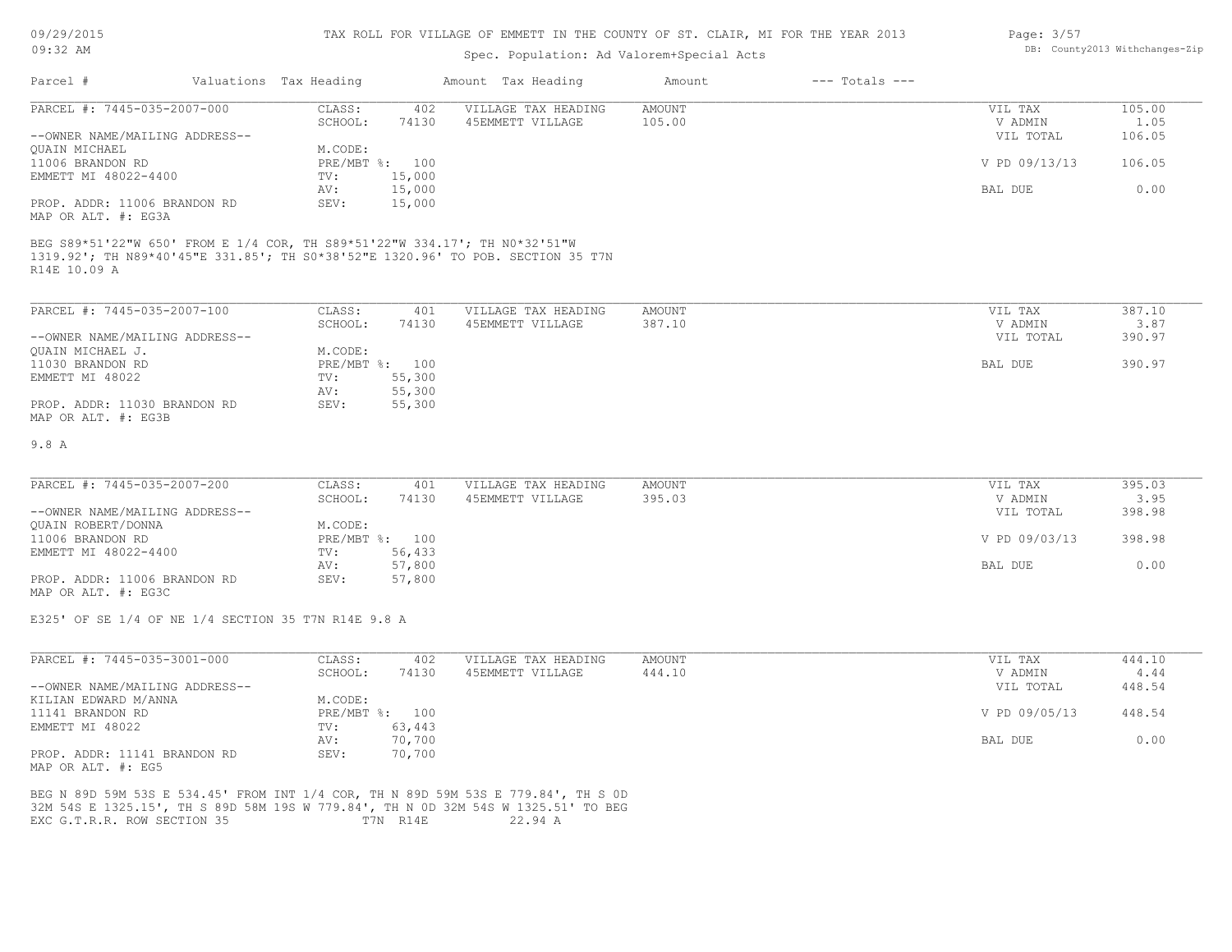| 09/29/2015                                                                                                                                                                                            |                        |                  | TAX ROLL FOR VILLAGE OF EMMETT IN THE COUNTY OF ST. CLAIR, MI FOR THE YEAR 2013 |               |                    | Page: 3/57    |                                |
|-------------------------------------------------------------------------------------------------------------------------------------------------------------------------------------------------------|------------------------|------------------|---------------------------------------------------------------------------------|---------------|--------------------|---------------|--------------------------------|
| $09:32$ AM                                                                                                                                                                                            |                        |                  | Spec. Population: Ad Valorem+Special Acts                                       |               |                    |               | DB: County2013 Withchanges-Zip |
| Parcel #                                                                                                                                                                                              | Valuations Tax Heading |                  | Amount Tax Heading                                                              | Amount        | $---$ Totals $---$ |               |                                |
| PARCEL #: 7445-035-2007-000                                                                                                                                                                           | CLASS:                 | 402              | VILLAGE TAX HEADING                                                             | AMOUNT        |                    | VIL TAX       | 105.00                         |
|                                                                                                                                                                                                       | SCHOOL:                | 74130            | 45EMMETT VILLAGE                                                                | 105.00        |                    | V ADMIN       | 1.05                           |
| --OWNER NAME/MAILING ADDRESS--                                                                                                                                                                        |                        |                  |                                                                                 |               |                    | VIL TOTAL     | 106.05                         |
| QUAIN MICHAEL                                                                                                                                                                                         | M.CODE:                |                  |                                                                                 |               |                    |               |                                |
| 11006 BRANDON RD                                                                                                                                                                                      | PRE/MBT %: 100         |                  |                                                                                 |               |                    | V PD 09/13/13 | 106.05                         |
| EMMETT MI 48022-4400                                                                                                                                                                                  | TV:<br>AV:             | 15,000<br>15,000 |                                                                                 |               |                    | BAL DUE       | 0.00                           |
| PROP. ADDR: 11006 BRANDON RD<br>MAP OR ALT. #: EG3A                                                                                                                                                   | SEV:                   | 15,000           |                                                                                 |               |                    |               |                                |
| BEG S89*51'22"W 650' FROM E 1/4 COR, TH S89*51'22"W 334.17'; TH N0*32'51"W<br>1319.92'; TH N89*40'45"E 331.85'; TH S0*38'52"E 1320.96' TO POB. SECTION 35 T7N<br>R14E 10.09 A                         |                        |                  |                                                                                 |               |                    |               |                                |
| PARCEL #: 7445-035-2007-100                                                                                                                                                                           | CLASS:                 | 401              | VILLAGE TAX HEADING                                                             | AMOUNT        |                    | VIL TAX       | 387.10                         |
|                                                                                                                                                                                                       | SCHOOL:                | 74130            | 45EMMETT VILLAGE                                                                | 387.10        |                    | V ADMIN       | 3.87                           |
| --OWNER NAME/MAILING ADDRESS--                                                                                                                                                                        |                        |                  |                                                                                 |               |                    | VIL TOTAL     | 390.97                         |
| QUAIN MICHAEL J.                                                                                                                                                                                      | M.CODE:                |                  |                                                                                 |               |                    |               |                                |
| 11030 BRANDON RD                                                                                                                                                                                      | PRE/MBT %: 100         |                  |                                                                                 |               |                    | BAL DUE       | 390.97                         |
| EMMETT MI 48022                                                                                                                                                                                       | TV:                    | 55,300           |                                                                                 |               |                    |               |                                |
| PROP. ADDR: 11030 BRANDON RD<br>MAP OR ALT. #: EG3B                                                                                                                                                   | AV:<br>SEV:            | 55,300<br>55,300 |                                                                                 |               |                    |               |                                |
| 9.8 A                                                                                                                                                                                                 |                        |                  |                                                                                 |               |                    |               |                                |
| PARCEL #: 7445-035-2007-200                                                                                                                                                                           | CLASS:                 | 401              | VILLAGE TAX HEADING                                                             | <b>AMOUNT</b> |                    | VIL TAX       | 395.03                         |
|                                                                                                                                                                                                       | SCHOOL:                | 74130            | 45EMMETT VILLAGE                                                                | 395.03        |                    | V ADMIN       | 3.95                           |
| --OWNER NAME/MAILING ADDRESS--                                                                                                                                                                        |                        |                  |                                                                                 |               |                    | VIL TOTAL     | 398.98                         |
| QUAIN ROBERT/DONNA                                                                                                                                                                                    | M.CODE:                |                  |                                                                                 |               |                    |               |                                |
| 11006 BRANDON RD                                                                                                                                                                                      | PRE/MBT %: 100         |                  |                                                                                 |               |                    | V PD 09/03/13 | 398.98                         |
| EMMETT MI 48022-4400                                                                                                                                                                                  | TV:                    | 56,433           |                                                                                 |               |                    |               |                                |
|                                                                                                                                                                                                       | AV:                    | 57,800           |                                                                                 |               |                    | BAL DUE       | 0.00                           |
| PROP. ADDR: 11006 BRANDON RD<br>MAP OR ALT. #: EG3C                                                                                                                                                   | SEV:                   | 57,800           |                                                                                 |               |                    |               |                                |
| E325' OF SE 1/4 OF NE 1/4 SECTION 35 T7N R14E 9.8 A                                                                                                                                                   |                        |                  |                                                                                 |               |                    |               |                                |
| PARCEL #: 7445-035-3001-000                                                                                                                                                                           | CLASS:                 | 402              | VILLAGE TAX HEADING                                                             | <b>AMOUNT</b> |                    | VIL TAX       | 444.10                         |
|                                                                                                                                                                                                       | SCHOOL:                | 74130            | 45EMMETT VILLAGE                                                                | 444.10        |                    | V ADMIN       | 4.44                           |
| --OWNER NAME/MAILING ADDRESS--                                                                                                                                                                        |                        |                  |                                                                                 |               |                    | VIL TOTAL     | 448.54                         |
| KILIAN EDWARD M/ANNA                                                                                                                                                                                  | M.CODE:                |                  |                                                                                 |               |                    |               |                                |
| 11141 BRANDON RD                                                                                                                                                                                      | PRE/MBT %: 100         |                  |                                                                                 |               |                    | V PD 09/05/13 | 448.54                         |
| EMMETT MI 48022                                                                                                                                                                                       | TV: 63,443             |                  |                                                                                 |               |                    |               |                                |
|                                                                                                                                                                                                       | AV:<br>SEV:            | 70,700           |                                                                                 |               |                    | BAL DUE       | 0.00                           |
| PROP. ADDR: 11141 BRANDON RD<br>MAP OR ALT. #: EG5                                                                                                                                                    |                        | 70,700           |                                                                                 |               |                    |               |                                |
| BEG N 89D 59M 53S E 534.45' FROM INT 1/4 COR, TH N 89D 59M 53S E 779.84', TH S OD<br>32M 54S E 1325.15', TH S 89D 58M 19S W 779.84', TH N 0D 32M 54S W 1325.51' TO BEG<br>EXC G.T.R.R. ROW SECTION 35 | T7N R14E               |                  | 22.94 A                                                                         |               |                    |               |                                |
|                                                                                                                                                                                                       |                        |                  |                                                                                 |               |                    |               |                                |
|                                                                                                                                                                                                       |                        |                  |                                                                                 |               |                    |               |                                |
|                                                                                                                                                                                                       |                        |                  |                                                                                 |               |                    |               |                                |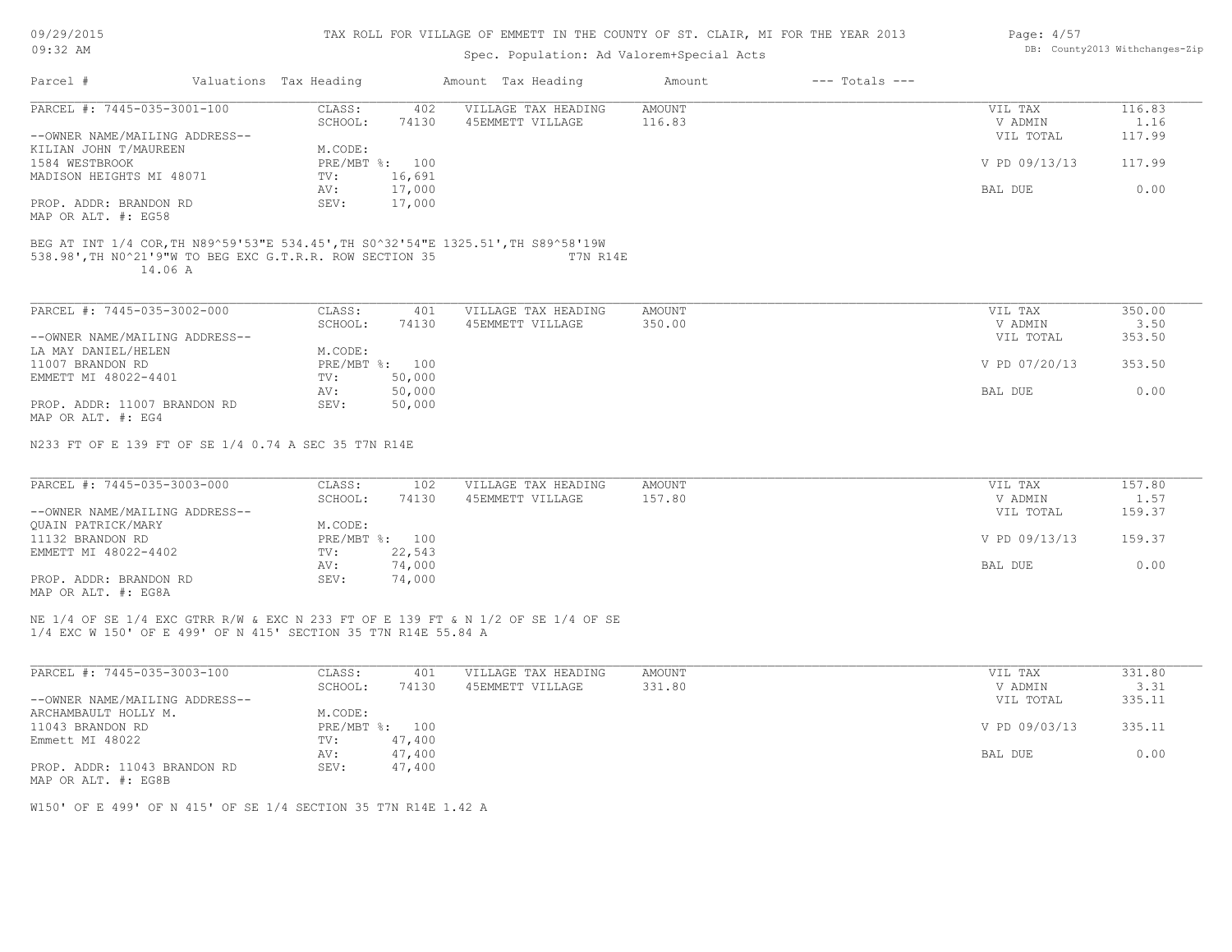| 09/29/2015 |  |
|------------|--|
| $09:32$ AM |  |

# Spec. Population: Ad Valorem+Special Acts

| Page: 4/57 |                                |
|------------|--------------------------------|
|            | DB: County2013 Withchanges-Zip |

|                                                                     |                        |                |                | spec. ropulation. Ad valorem special Acts                                                     |               |                    |                |        |
|---------------------------------------------------------------------|------------------------|----------------|----------------|-----------------------------------------------------------------------------------------------|---------------|--------------------|----------------|--------|
| Parcel #                                                            | Valuations Tax Heading |                |                | Amount Tax Heading                                                                            | Amount        | $---$ Totals $---$ |                |        |
| PARCEL #: 7445-035-3001-100                                         |                        | CLASS:         | 402            | VILLAGE TAX HEADING                                                                           | <b>AMOUNT</b> |                    | VIL TAX        | 116.83 |
|                                                                     |                        | SCHOOL:        | 74130          | 45EMMETT VILLAGE                                                                              | 116.83        |                    | V ADMIN        | 1.16   |
| --OWNER NAME/MAILING ADDRESS--                                      |                        |                |                |                                                                                               |               |                    | VIL TOTAL      | 117.99 |
| KILIAN JOHN T/MAUREEN                                               |                        | M.CODE:        |                |                                                                                               |               |                    |                |        |
| 1584 WESTBROOK                                                      |                        | PRE/MBT %: 100 |                |                                                                                               |               |                    | V PD 09/13/13  | 117.99 |
| MADISON HEIGHTS MI 48071                                            |                        | TV:            | 16,691         |                                                                                               |               |                    |                |        |
|                                                                     |                        | AV:            | 17,000         |                                                                                               |               |                    | BAL DUE        | 0.00   |
| PROP. ADDR: BRANDON RD                                              |                        | SEV:           | 17,000         |                                                                                               |               |                    |                |        |
| MAP OR ALT. #: EG58                                                 |                        |                |                |                                                                                               |               |                    |                |        |
|                                                                     |                        |                |                |                                                                                               |               |                    |                |        |
| 538.98', TH NO^21'9"W TO BEG EXC G.T.R.R. ROW SECTION 35<br>14.06 A |                        |                |                | BEG AT INT 1/4 COR, TH N89^59'53"E 534.45', TH S0^32'54"E 1325.51', TH S89^58'19W<br>T7N R14E |               |                    |                |        |
| PARCEL #: 7445-035-3002-000                                         |                        | CLASS:         | 401            | VILLAGE TAX HEADING                                                                           | AMOUNT        |                    | VIL TAX        | 350.00 |
|                                                                     |                        | SCHOOL:        | 74130          | 45EMMETT VILLAGE                                                                              | 350.00        |                    | V ADMIN        | 3.50   |
| --OWNER NAME/MAILING ADDRESS--                                      |                        |                |                |                                                                                               |               |                    | VIL TOTAL      | 353.50 |
| LA MAY DANIEL/HELEN                                                 |                        | M.CODE:        |                |                                                                                               |               |                    |                |        |
| 11007 BRANDON RD                                                    |                        | PRE/MBT %: 100 |                |                                                                                               |               |                    | V PD 07/20/13  | 353.50 |
|                                                                     |                        |                |                |                                                                                               |               |                    |                |        |
| EMMETT MI 48022-4401                                                |                        | TV:            | 50,000         |                                                                                               |               |                    |                |        |
|                                                                     |                        | AV:            | 50,000         |                                                                                               |               |                    | BAL DUE        | 0.00   |
| PROP. ADDR: 11007 BRANDON RD                                        |                        | SEV:           | 50,000         |                                                                                               |               |                    |                |        |
| MAP OR ALT. #: EG4                                                  |                        |                |                |                                                                                               |               |                    |                |        |
| N233 FT OF E 139 FT OF SE 1/4 0.74 A SEC 35 T7N R14E                |                        |                |                |                                                                                               |               |                    |                |        |
| PARCEL #: 7445-035-3003-000                                         |                        | CLASS:         | 102            | VILLAGE TAX HEADING                                                                           | AMOUNT        |                    | VIL TAX        | 157.80 |
|                                                                     |                        | SCHOOL:        | 74130          | 45EMMETT VILLAGE                                                                              | 157.80        |                    | V ADMIN        | 1.57   |
| --OWNER NAME/MAILING ADDRESS--                                      |                        |                |                |                                                                                               |               |                    | VIL TOTAL      | 159.37 |
| QUAIN PATRICK/MARY                                                  |                        | M.CODE:        |                |                                                                                               |               |                    |                |        |
| 11132 BRANDON RD                                                    |                        | PRE/MBT %: 100 |                |                                                                                               |               |                    | V PD 09/13/13  | 159.37 |
| EMMETT MI 48022-4402                                                |                        | TV:            | 22,543         |                                                                                               |               |                    |                |        |
|                                                                     |                        | AV:            | 74,000         |                                                                                               |               |                    | <b>BAL DUE</b> | 0.00   |
| PROP. ADDR: BRANDON RD                                              |                        | SEV:           | 74,000         |                                                                                               |               |                    |                |        |
| MAP OR ALT. #: EG8A                                                 |                        |                |                |                                                                                               |               |                    |                |        |
|                                                                     |                        |                |                | NE 1/4 OF SE 1/4 EXC GTRR R/W & EXC N 233 FT OF E 139 FT & N 1/2 OF SE 1/4 OF SE              |               |                    |                |        |
| 1/4 EXC W 150' OF E 499' OF N 415' SECTION 35 T7N R14E 55.84 A      |                        |                |                |                                                                                               |               |                    |                |        |
|                                                                     |                        |                |                |                                                                                               |               |                    |                |        |
| PARCEL #: 7445-035-3003-100                                         |                        | CLASS:         | 401            | VILLAGE TAX HEADING                                                                           | AMOUNT        |                    | VIL TAX        | 331.80 |
|                                                                     |                        | SCHOOL:        | 74130          | 45EMMETT VILLAGE                                                                              | 331.80        |                    | V ADMIN        | 3.31   |
| --OWNER NAME/MAILING ADDRESS--                                      |                        |                |                |                                                                                               |               |                    | VIL TOTAL      | 335.11 |
| ARCHAMBAULT HOLLY M.                                                |                        | M.CODE:        |                |                                                                                               |               |                    |                |        |
| 11043 BRANDON RD                                                    |                        |                | PRE/MBT %: 100 |                                                                                               |               |                    | V PD 09/03/13  | 335.11 |
| Emmett MI 48022                                                     |                        | TV:            | 47,400         |                                                                                               |               |                    |                |        |
|                                                                     |                        | AV:            | 47,400         |                                                                                               |               |                    | <b>BAL DUE</b> | 0.00   |

AV: 47,400 and  $\sim$  0.00 and  $\sim$  0.00 and  $\sim$  0.00 and  $\sim$  0.00 and  $\sim$  0.00 and  $\sim$  0.00 and  $\sim$  0.00 and  $\sim$ 

MAP OR ALT. #: EG8B PROP. ADDR: 11043 BRANDON RD SEV: 47,400

W150' OF E 499' OF N 415' OF SE 1/4 SECTION 35 T7N R14E 1.42 A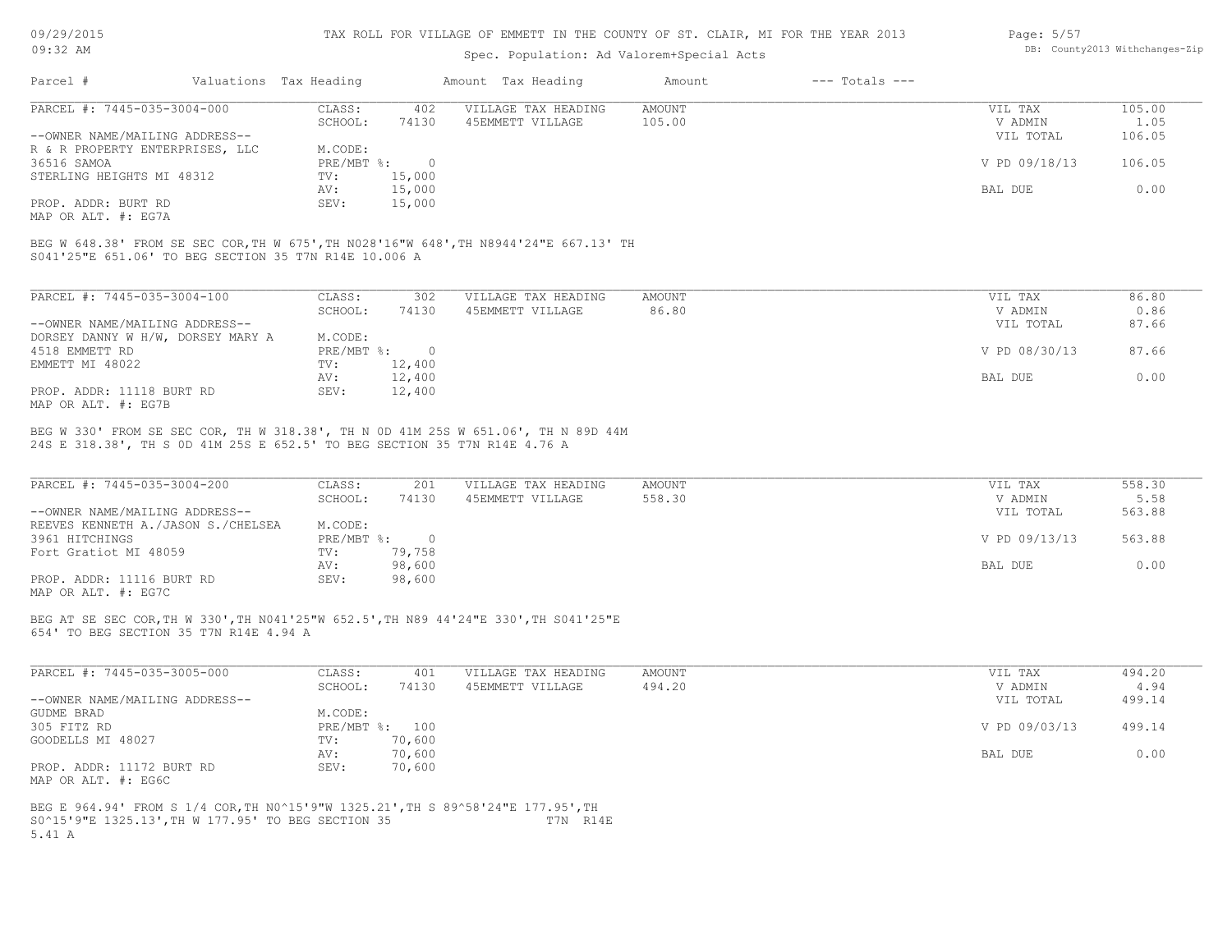09/29/2015 09:32 AM

#### TAX ROLL FOR VILLAGE OF EMMETT IN THE COUNTY OF ST. CLAIR, MI FOR THE YEAR 2013

## Spec. Population: Ad Valorem+Special Acts

| Page: 5/57 |                                |
|------------|--------------------------------|
|            | DB: County2013 Withchanges-Zip |

|                                                        | Valuations Tax Heading |        | Amount Tax Heading  | Amount | $---$ Totals $---$ |               |        |
|--------------------------------------------------------|------------------------|--------|---------------------|--------|--------------------|---------------|--------|
| Parcel #<br>PARCEL #: 7445-035-3004-000<br>36516 SAMOA | CLASS:                 | 402    | VILLAGE TAX HEADING | AMOUNT |                    | VIL TAX       | 105.00 |
|                                                        | SCHOOL:                | 74130  | 45EMMETT VILLAGE    | 105.00 |                    | V ADMIN       | 1.05   |
| --OWNER NAME/MAILING ADDRESS--                         |                        |        |                     |        |                    | VIL TOTAL     | 106.05 |
| R & R PROPERTY ENTERPRISES, LLC                        | M.CODE:                |        |                     |        |                    |               |        |
|                                                        | $PRE/MBT$ %:           |        |                     |        |                    | V PD 09/18/13 | 106.05 |
| STERLING HEIGHTS MI 48312                              | TV:                    | 15,000 |                     |        |                    |               |        |
|                                                        | AV:                    | 15,000 |                     |        |                    | BAL DUE       | 0.00   |
| PROP. ADDR: BURT RD                                    | SEV:                   | 15,000 |                     |        |                    |               |        |
|                                                        |                        |        |                     |        |                    |               |        |

MAP OR ALT. #: EG7A

S041'25"E 651.06' TO BEG SECTION 35 T7N R14E 10.006 A BEG W 648.38' FROM SE SEC COR,TH W 675',TH N028'16"W 648',TH N8944'24"E 667.13' TH

| PARCEL #: 7445-035-3004-100       | CLASS:     | 302      | VILLAGE TAX HEADING | AMOUNT | VIL TAX       | 86.80 |
|-----------------------------------|------------|----------|---------------------|--------|---------------|-------|
|                                   | SCHOOL:    | 74130    | 45EMMETT VILLAGE    | 86.80  | V ADMIN       | 0.86  |
| --OWNER NAME/MAILING ADDRESS--    |            |          |                     |        | VIL TOTAL     | 87.66 |
| DORSEY DANNY W H/W, DORSEY MARY A | M.CODE:    |          |                     |        |               |       |
| 4518 EMMETT RD                    | PRE/MBT %: | $\Omega$ |                     |        | V PD 08/30/13 | 87.66 |
| EMMETT MI 48022                   | TV:        | 12,400   |                     |        |               |       |
|                                   | AV:        | 12,400   |                     |        | BAL DUE       | 0.00  |
| PROP. ADDR: 11118 BURT RD         | SEV:       | 12,400   |                     |        |               |       |
| MAP OR ALT. #: EG7B               |            |          |                     |        |               |       |

24S E 318.38', TH S 0D 41M 25S E 652.5' TO BEG SECTION 35 T7N R14E 4.76 A BEG W 330' FROM SE SEC COR, TH W 318.38', TH N 0D 41M 25S W 651.06', TH N 89D 44M

| PARCEL #: 7445-035-3004-200            | CLASS:     | 201    | VILLAGE TAX HEADING | AMOUNT | VIL TAX       | 558.30 |
|----------------------------------------|------------|--------|---------------------|--------|---------------|--------|
|                                        | SCHOOL:    | 74130  | 45EMMETT VILLAGE    | 558.30 | V ADMIN       | 5.58   |
| --OWNER NAME/MAILING ADDRESS--         |            |        |                     |        | VIL TOTAL     | 563.88 |
| REEVES KENNETH A. / JASON S. / CHELSEA | M.CODE:    |        |                     |        |               |        |
| 3961 HITCHINGS                         | PRE/MBT %: |        |                     |        | V PD 09/13/13 | 563.88 |
| Fort Gratiot MI 48059                  | TV:        | 79,758 |                     |        |               |        |
|                                        | AV:        | 98,600 |                     |        | BAL DUE       | 0.00   |
| PROP. ADDR: 11116 BURT RD              | SEV:       | 98,600 |                     |        |               |        |
|                                        |            |        |                     |        |               |        |

MAP OR ALT. #: EG7C

654' TO BEG SECTION 35 T7N R14E 4.94 A BEG AT SE SEC COR,TH W 330',TH N041'25"W 652.5',TH N89 44'24"E 330',TH S041'25"E

| PARCEL #: 7445-035-3005-000    | CLASS:  | 401            | VILLAGE TAX HEADING | AMOUNT | VIL TAX       | 494.20 |
|--------------------------------|---------|----------------|---------------------|--------|---------------|--------|
|                                | SCHOOL: | 74130          | 45EMMETT VILLAGE    | 494.20 | V ADMIN       | 4.94   |
| --OWNER NAME/MAILING ADDRESS-- |         |                |                     |        | VIL TOTAL     | 499.14 |
| GUDME BRAD                     | M.CODE: |                |                     |        |               |        |
| 305 FITZ RD                    |         | PRE/MBT %: 100 |                     |        | V PD 09/03/13 | 499.14 |
| GOODELLS MI 48027              | TV:     | 70,600         |                     |        |               |        |
|                                | AV:     | 70,600         |                     |        | BAL DUE       | 0.00   |
| PROP. ADDR: 11172 BURT RD      | SEV:    | 70,600         |                     |        |               |        |
| MAP OR ALT. #: EG6C            |         |                |                     |        |               |        |

5.41 A S0^15'9"E 1325.13',TH W 177.95' TO BEG SECTION 35 T7N R14E BEG E 964.94' FROM S 1/4 COR,TH N0^15'9"W 1325.21',TH S 89^58'24"E 177.95',TH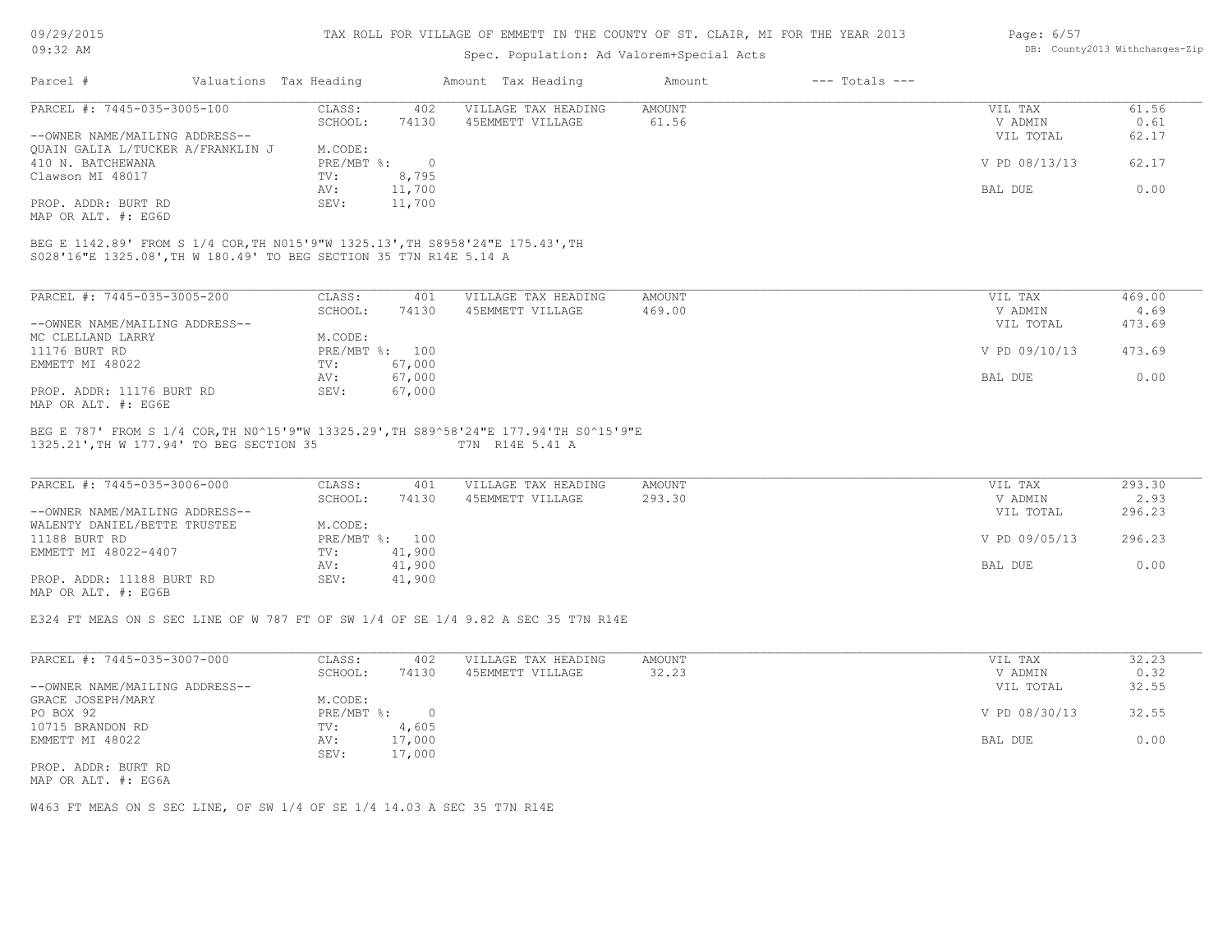# Spec. Population: Ad Valorem+Special Acts

#### Page: 6/57 DB: County2013 Withchanges-Zip

| Parcel #                                                                       | Valuations Tax Heading |                         |                 | Amount Tax Heading                                                                    | Amount                  | $---$ Totals $---$ |                                 |                        |
|--------------------------------------------------------------------------------|------------------------|-------------------------|-----------------|---------------------------------------------------------------------------------------|-------------------------|--------------------|---------------------------------|------------------------|
| PARCEL #: 7445-035-3005-100<br>--OWNER NAME/MAILING ADDRESS--                  |                        | CLASS:<br>SCHOOL:       | 402<br>74130    | VILLAGE TAX HEADING<br>45EMMETT VILLAGE                                               | <b>AMOUNT</b><br>61.56  |                    | VIL TAX<br>V ADMIN<br>VIL TOTAL | 61.56<br>0.61<br>62.17 |
| QUAIN GALIA L/TUCKER A/FRANKLIN J<br>410 N. BATCHEWANA                         |                        | M.CODE:<br>$PRE/MBT$ %: | $\overline{0}$  |                                                                                       |                         |                    | V PD 08/13/13                   | 62.17                  |
| Clawson MI 48017                                                               |                        | TV:<br>AV:              | 8,795<br>11,700 |                                                                                       |                         |                    | BAL DUE                         | 0.00                   |
| PROP. ADDR: BURT RD<br>MAP OR ALT. #: EG6D                                     |                        | SEV:                    | 11,700          |                                                                                       |                         |                    |                                 |                        |
| BEG E 1142.89' FROM S 1/4 COR, TH N015'9"W 1325.13', TH S8958'24"E 175.43', TH |                        |                         |                 |                                                                                       |                         |                    |                                 |                        |
| S028'16"E 1325.08', TH W 180.49' TO BEG SECTION 35 T7N R14E 5.14 A             |                        |                         |                 |                                                                                       |                         |                    |                                 |                        |
| PARCEL #: 7445-035-3005-200                                                    |                        | CLASS:                  | 401             | VILLAGE TAX HEADING                                                                   | <b>AMOUNT</b>           |                    | VIL TAX                         | 469.00                 |
|                                                                                |                        | SCHOOL:                 | 74130           | 45EMMETT VILLAGE                                                                      | 469.00                  |                    | V ADMIN                         | 4.69                   |
| --OWNER NAME/MAILING ADDRESS--                                                 |                        |                         |                 |                                                                                       |                         |                    | VIL TOTAL                       | 473.69                 |
| MC CLELLAND LARRY                                                              |                        | M.CODE:                 |                 |                                                                                       |                         |                    |                                 |                        |
| 11176 BURT RD                                                                  |                        | PRE/MBT %: 100          |                 |                                                                                       |                         |                    | V PD 09/10/13                   | 473.69                 |
| EMMETT MI 48022                                                                |                        | TV:                     | 67,000          |                                                                                       |                         |                    |                                 |                        |
|                                                                                |                        | AV:                     | 67,000          |                                                                                       |                         |                    | BAL DUE                         | 0.00                   |
| PROP. ADDR: 11176 BURT RD<br>MAP OR ALT. #: EG6E                               |                        | SEV:                    | 67,000          |                                                                                       |                         |                    |                                 |                        |
|                                                                                |                        |                         |                 | BEG E 787' FROM S 1/4 COR, TH NO^15'9"W 13325.29', TH S89^58'24"E 177.94'TH SO^15'9"E |                         |                    |                                 |                        |
| 1325.21', TH W 177.94' TO BEG SECTION 35                                       |                        |                         |                 | T7N R14E 5.41 A                                                                       |                         |                    |                                 |                        |
|                                                                                |                        |                         |                 |                                                                                       |                         |                    |                                 |                        |
| PARCEL #: 7445-035-3006-000                                                    |                        | CLASS:                  | 401             | VILLAGE TAX HEADING                                                                   | <b>AMOUNT</b><br>293.30 |                    | VIL TAX                         | 293.30                 |
|                                                                                |                        | SCHOOL:                 | 74130           | 45EMMETT VILLAGE                                                                      |                         |                    | V ADMIN                         | 2.93                   |
|                                                                                |                        |                         |                 |                                                                                       |                         |                    | VIL TOTAL                       | 296.23                 |
| --OWNER NAME/MAILING ADDRESS--                                                 |                        |                         |                 |                                                                                       |                         |                    |                                 |                        |
| WALENTY DANIEL/BETTE TRUSTEE                                                   |                        | M.CODE:                 |                 |                                                                                       |                         |                    |                                 |                        |
| 11188 BURT RD                                                                  |                        | PRE/MBT %: 100          |                 |                                                                                       |                         |                    | V PD 09/05/13                   | 296.23                 |
| EMMETT MI 48022-4407                                                           |                        | TV:                     | 41,900          |                                                                                       |                         |                    |                                 |                        |
|                                                                                |                        | AV:                     | 41,900          |                                                                                       |                         |                    | BAL DUE                         | 0.00                   |
| PROP. ADDR: 11188 BURT RD<br>MAP OR ALT. #: EG6B                               |                        | SEV:                    | 41,900          |                                                                                       |                         |                    |                                 |                        |
|                                                                                |                        |                         |                 |                                                                                       |                         |                    |                                 |                        |
|                                                                                |                        |                         |                 | E324 FT MEAS ON S SEC LINE OF W 787 FT OF SW 1/4 OF SE 1/4 9.82 A SEC 35 T7N R14E     |                         |                    |                                 |                        |

| PARCEL #: 7445-035-3007-000    | CLASS:     | 402    | VILLAGE TAX HEADING | AMOUNT | VIL TAX       | 32.23 |
|--------------------------------|------------|--------|---------------------|--------|---------------|-------|
|                                | SCHOOL:    | 74130  | 45EMMETT VILLAGE    | 32.23  | V ADMIN       | 0.32  |
| --OWNER NAME/MAILING ADDRESS-- |            |        |                     |        | VIL TOTAL     | 32.55 |
| GRACE JOSEPH/MARY              | M.CODE:    |        |                     |        |               |       |
| PO BOX 92                      | PRE/MBT %: |        |                     |        | V PD 08/30/13 | 32.55 |
| 10715 BRANDON RD               | TV:        | 4,605  |                     |        |               |       |
| EMMETT MI 48022                | AV:        | 17,000 |                     |        | BAL DUE       | 0.00  |
|                                | SEV:       | 17,000 |                     |        |               |       |
| PROP. ADDR: BURT RD            |            |        |                     |        |               |       |

MAP OR ALT. #: EG6A

W463 FT MEAS ON S SEC LINE, OF SW 1/4 OF SE 1/4 14.03 A SEC 35 T7N R14E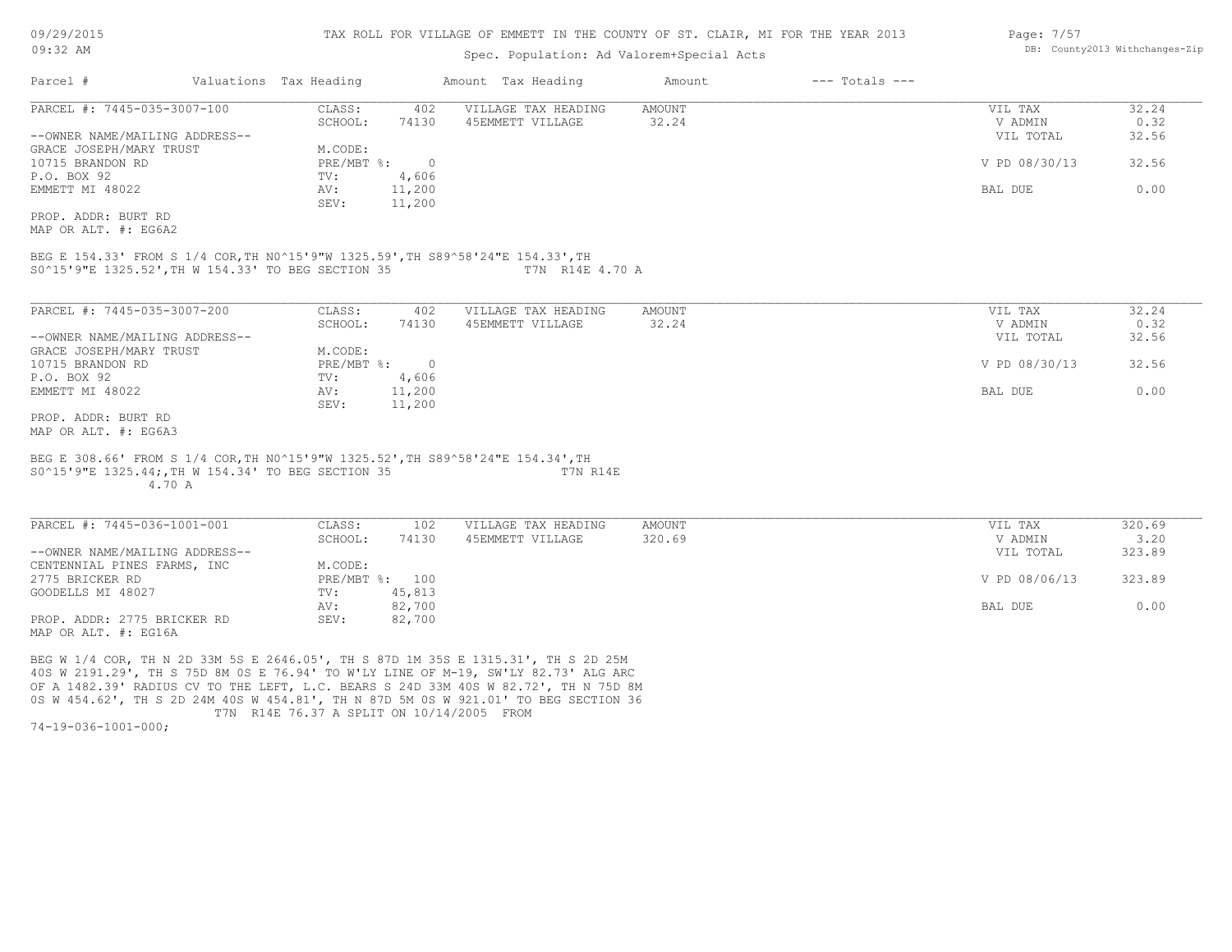## Spec. Population: Ad Valorem+Special Acts

| Page: $7/57$ |                                |
|--------------|--------------------------------|
|              | DB: County2013 Withchanges-Zip |

 $\sim$  7/5 $\sim$ 

| Parcel #                       | Valuations Tax Heading |        | Amount Tax Heading  | Amount | $---$ Totals $---$ |               |       |
|--------------------------------|------------------------|--------|---------------------|--------|--------------------|---------------|-------|
| PARCEL #: 7445-035-3007-100    | CLASS:                 | 402    | VILLAGE TAX HEADING | AMOUNT |                    | VIL TAX       | 32.24 |
|                                | SCHOOL:                | 74130  | 45EMMETT VILLAGE    | 32.24  |                    | V ADMIN       | 0.32  |
| --OWNER NAME/MAILING ADDRESS-- |                        |        |                     |        |                    | VIL TOTAL     | 32.56 |
| GRACE JOSEPH/MARY TRUST        | M.CODE:                |        |                     |        |                    |               |       |
| 10715 BRANDON RD               | $PRE/MBT$ %:           |        |                     |        |                    | V PD 08/30/13 | 32.56 |
| P.O. BOX 92                    | TV:                    | 4,606  |                     |        |                    |               |       |
| EMMETT MI 48022                | AV:                    | 11,200 |                     |        |                    | BAL DUE       | 0.00  |
|                                | SEV:                   | 11,200 |                     |        |                    |               |       |
| PROP, ADDR: BURT RD            |                        |        |                     |        |                    |               |       |

MAP OR ALT. #: EG6A2

S0^15'9"E 1325.52',TH W 154.33' TO BEG SECTION 35 T7N R14E 4.70 A BEG E 154.33' FROM S 1/4 COR,TH N0^15'9"W 1325.59',TH S89^58'24"E 154.33',TH

| PARCEL #: 7445-035-3007-200    | CLASS:     | 402    | VILLAGE TAX HEADING | AMOUNT | VIL TAX       | 32.24 |
|--------------------------------|------------|--------|---------------------|--------|---------------|-------|
|                                | SCHOOL:    | 74130  | 45EMMETT VILLAGE    | 32.24  | V ADMIN       | 0.32  |
| --OWNER NAME/MAILING ADDRESS-- |            |        |                     |        | VIL TOTAL     | 32.56 |
| GRACE JOSEPH/MARY TRUST        | M.CODE:    |        |                     |        |               |       |
| 10715 BRANDON RD               | PRE/MBT %: |        |                     |        | V PD 08/30/13 | 32.56 |
| P.O. BOX 92                    | TV:        | 4,606  |                     |        |               |       |
| EMMETT MI 48022                | AV:        | 11,200 |                     |        | BAL DUE       | 0.00  |
|                                | SEV:       | 11,200 |                     |        |               |       |
| PROP. ADDR: BURT RD            |            |        |                     |        |               |       |

MAP OR ALT. #: EG6A3

#### 4.70 A S0^15'9"E 1325.44;,TH W 154.34' TO BEG SECTION 35 T7N R14E BEG E 308.66' FROM S 1/4 COR,TH N0^15'9"W 1325.52',TH S89^58'24"E 154.34',TH

MAP OR ALT. #: EG16A PROP. ADDR: 2775 BRICKER RD SEV: 82,700 AV: 82,700 BAL DUE 0.00 GOODELLS MI 48027 TV: 45,813<br>
AV: 82,700 2775 BRICKER RD PRE/MBT %: 100 V PD 08/06/13 323.89 CENTENNIAL PINES FARMS, INC<br>2775 BRICKER RD<br>PRE/MBT %: 100 --OWNER NAME/MAILING ADDRESS-- VIL TOTAL 323.89 SCHOOL: 74130 45EMMETT VILLAGE 320.69 320.00 320 320 5 320 320 5 320 5 320 5 320 5 320 5 320 5 320 5 320 5 320 PARCEL #: 7445-036-1001-001 CLASS: 102 VILLAGE TAX HEADING AMOUNT VIL TAX 320.69  $\mathcal{L}_\mathcal{L} = \mathcal{L}_\mathcal{L} = \mathcal{L}_\mathcal{L} = \mathcal{L}_\mathcal{L} = \mathcal{L}_\mathcal{L} = \mathcal{L}_\mathcal{L} = \mathcal{L}_\mathcal{L} = \mathcal{L}_\mathcal{L} = \mathcal{L}_\mathcal{L} = \mathcal{L}_\mathcal{L} = \mathcal{L}_\mathcal{L} = \mathcal{L}_\mathcal{L} = \mathcal{L}_\mathcal{L} = \mathcal{L}_\mathcal{L} = \mathcal{L}_\mathcal{L} = \mathcal{L}_\mathcal{L} = \mathcal{L}_\mathcal{L}$ 

 T7N R14E 76.37 A SPLIT ON 10/14/2005 FROM 0S W 454.62', TH S 2D 24M 40S W 454.81', TH N 87D 5M 0S W 921.01' TO BEG SECTION 36 OF A 1482.39' RADIUS CV TO THE LEFT, L.C. BEARS S 24D 33M 40S W 82.72', TH N 75D 8M 40S W 2191.29', TH S 75D 8M 0S E 76.94' TO W'LY LINE OF M-19, SW'LY 82.73' ALG ARC BEG W 1/4 COR, TH N 2D 33M 5S E 2646.05', TH S 87D 1M 35S E 1315.31', TH S 2D 25M

74-19-036-1001-000;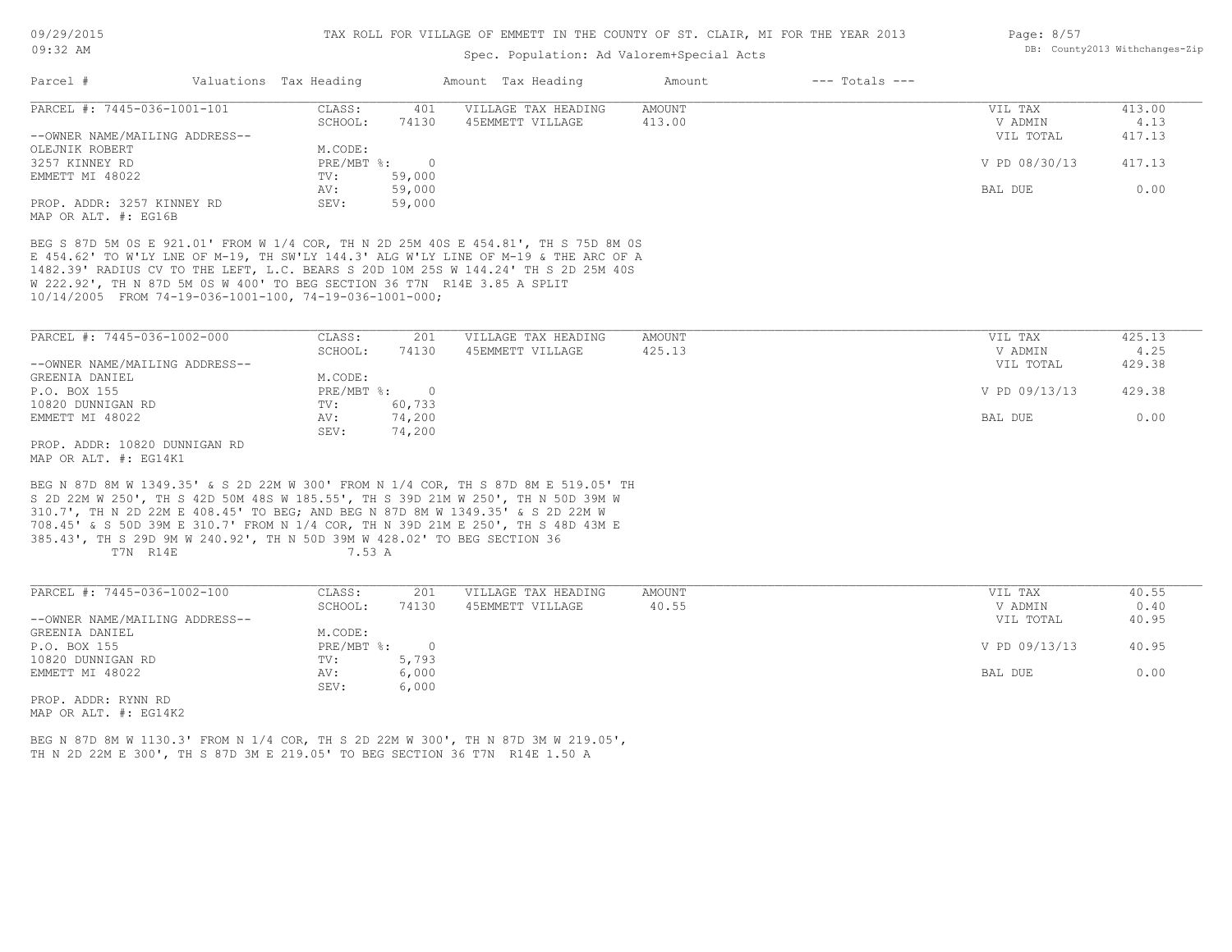## Spec. Population: Ad Valorem+Special Acts

| Page: 8/57 |                                |
|------------|--------------------------------|
|            | DB: County2013 Withchanges-Zip |

| Parcel #                       | Valuations Tax Heading |        | Amount Tax Heading  | Amount | $---$ Totals $---$ |               |        |
|--------------------------------|------------------------|--------|---------------------|--------|--------------------|---------------|--------|
| PARCEL #: 7445-036-1001-101    | CLASS:                 | 401    | VILLAGE TAX HEADING | AMOUNT |                    | VIL TAX       | 413.00 |
|                                | SCHOOL:                | 74130  | 45EMMETT VILLAGE    | 413.00 |                    | V ADMIN       | 4.13   |
| --OWNER NAME/MAILING ADDRESS-- |                        |        |                     |        |                    | VIL TOTAL     | 417.13 |
| OLEJNIK ROBERT                 | M.CODE:                |        |                     |        |                    |               |        |
| 3257 KINNEY RD                 | PRE/MBT %:             |        |                     |        |                    | V PD 08/30/13 | 417.13 |
| EMMETT MI 48022                | TV:                    | 59,000 |                     |        |                    |               |        |
|                                | AV:                    | 59,000 |                     |        |                    | BAL DUE       | 0.00   |
| PROP. ADDR: 3257 KINNEY RD     | SEV:                   | 59,000 |                     |        |                    |               |        |
| MAP OR ALT. #: EG16B           |                        |        |                     |        |                    |               |        |

10/14/2005 FROM 74-19-036-1001-100, 74-19-036-1001-000; W 222.92', TH N 87D 5M 0S W 400' TO BEG SECTION 36 T7N R14E 3.85 A SPLIT 1482.39' RADIUS CV TO THE LEFT, L.C. BEARS S 20D 10M 25S W 144.24' TH S 2D 25M 40S E 454.62' TO W'LY LNE OF M-19, TH SW'LY 144.3' ALG W'LY LINE OF M-19 & THE ARC OF A BEG S 87D 5M 0S E 921.01' FROM W 1/4 COR, TH N 2D 25M 40S E 454.81', TH S 75D 8M 0S

| PARCEL #: 7445-036-1002-000    | CLASS:       | 201    | VILLAGE TAX HEADING | AMOUNT | VIL TAX       | 425.13 |
|--------------------------------|--------------|--------|---------------------|--------|---------------|--------|
|                                | SCHOOL:      | 74130  | 45EMMETT VILLAGE    | 425.13 | V ADMIN       | 4.25   |
| --OWNER NAME/MAILING ADDRESS-- |              |        |                     |        | VIL TOTAL     | 429.38 |
| GREENIA DANIEL                 | M.CODE:      |        |                     |        |               |        |
| P.O. BOX 155                   | $PRE/MBT$ %: |        |                     |        | V PD 09/13/13 | 429.38 |
| 10820 DUNNIGAN RD              | TV:          | 60,733 |                     |        |               |        |
| EMMETT MI 48022                | AV:          | 74,200 |                     |        | BAL DUE       | 0.00   |
|                                | SEV:         | 74,200 |                     |        |               |        |
| PROP. ADDR: 10820 DUNNIGAN RD  |              |        |                     |        |               |        |

MAP OR ALT. #: EG14K1

T7N R14E 7.53 A 385.43', TH S 29D 9M W 240.92', TH N 50D 39M W 428.02' TO BEG SECTION 36 708.45' & S 50D 39M E 310.7' FROM N 1/4 COR, TH N 39D 21M E 250', TH S 48D 43M E 310.7', TH N 2D 22M E 408.45' TO BEG; AND BEG N 87D 8M W 1349.35' & S 2D 22M W S 2D 22M W 250', TH S 42D 50M 48S W 185.55', TH S 39D 21M W 250', TH N 50D 39M W BEG N 87D 8M W 1349.35' & S 2D 22M W 300' FROM N 1/4 COR, TH S 87D 8M E 519.05' TH

| PARCEL #: 7445-036-1002-100    | CLASS:     | 201   | VILLAGE TAX HEADING | AMOUNT | VIL TAX       | 40.55 |
|--------------------------------|------------|-------|---------------------|--------|---------------|-------|
|                                | SCHOOL:    | 74130 | 45EMMETT VILLAGE    | 40.55  | V ADMIN       | 0.40  |
| --OWNER NAME/MAILING ADDRESS-- |            |       |                     |        | VIL TOTAL     | 40.95 |
| GREENIA DANIEL                 | M.CODE:    |       |                     |        |               |       |
| P.O. BOX 155                   | PRE/MBT %: |       |                     |        | V PD 09/13/13 | 40.95 |
| 10820 DUNNIGAN RD              | TV:        | 5,793 |                     |        |               |       |
| EMMETT MI 48022                | AV:        | 6,000 |                     |        | BAL DUE       | 0.00  |
|                                | SEV:       | 6,000 |                     |        |               |       |
| PROP. ADDR: RYNN RD            |            |       |                     |        |               |       |

MAP OR ALT. #: EG14K2

TH N 2D 22M E 300', TH S 87D 3M E 219.05' TO BEG SECTION 36 T7N R14E 1.50 A BEG N 87D 8M W 1130.3' FROM N 1/4 COR, TH S 2D 22M W 300', TH N 87D 3M W 219.05',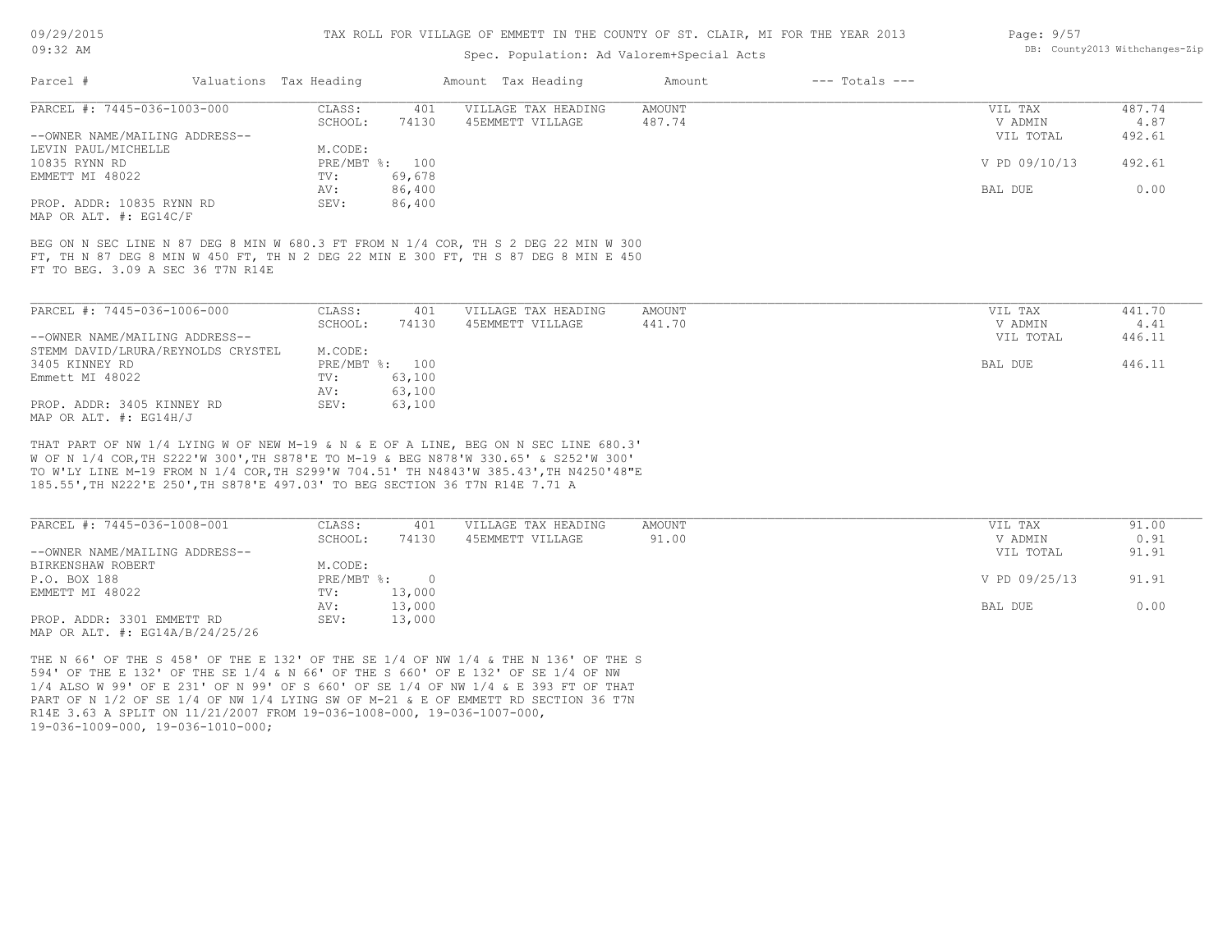## Spec. Population: Ad Valorem+Special Acts

| Page: 9/57 |                                |
|------------|--------------------------------|
|            | DB: County2013 Withchanges-Zip |

| Parcel #                       |                                   | Valuations Tax Heading |                | Amount Tax Heading                                                                  | Amount | $---$ Totals $---$ |               |        |
|--------------------------------|-----------------------------------|------------------------|----------------|-------------------------------------------------------------------------------------|--------|--------------------|---------------|--------|
| PARCEL #: 7445-036-1003-000    |                                   | CLASS:                 | 401            | VILLAGE TAX HEADING                                                                 | AMOUNT |                    | VIL TAX       | 487.74 |
|                                |                                   | SCHOOL:                | 74130          | 45EMMETT VILLAGE                                                                    | 487.74 |                    | V ADMIN       | 4.87   |
| --OWNER NAME/MAILING ADDRESS-- |                                   |                        |                |                                                                                     |        |                    | VIL TOTAL     | 492.61 |
| LEVIN PAUL/MICHELLE            |                                   | M.CODE:                |                |                                                                                     |        |                    |               |        |
| 10835 RYNN RD                  |                                   |                        | PRE/MBT %: 100 |                                                                                     |        |                    | V PD 09/10/13 | 492.61 |
| EMMETT MI 48022                |                                   | TV:                    | 69,678         |                                                                                     |        |                    |               |        |
|                                |                                   | AV:                    | 86,400         |                                                                                     |        |                    | BAL DUE       | 0.00   |
| PROP. ADDR: 10835 RYNN RD      |                                   | SEV:                   | 86,400         |                                                                                     |        |                    |               |        |
| MAP OR ALT. $\#$ : EG14C/F     |                                   |                        |                |                                                                                     |        |                    |               |        |
|                                |                                   |                        |                |                                                                                     |        |                    |               |        |
|                                |                                   |                        |                | BEG ON N SEC LINE N 87 DEG 8 MIN W 680.3 FT FROM N 1/4 COR, TH S 2 DEG 22 MIN W 300 |        |                    |               |        |
|                                | FT TO BEG. 3.09 A SEC 36 T7N R14E |                        |                | FT, TH N 87 DEG 8 MIN W 450 FT, TH N 2 DEG 22 MIN E 300 FT, TH S 87 DEG 8 MIN E 450 |        |                    |               |        |
|                                |                                   |                        |                |                                                                                     |        |                    |               |        |

| PARCEL #: 7445-036-1006-000        | CLASS:       | 401    | VILLAGE TAX HEADING | AMOUNT | VIL TAX   | 441.70 |
|------------------------------------|--------------|--------|---------------------|--------|-----------|--------|
|                                    | SCHOOL:      | 74130  | 45EMMETT VILLAGE    | 441.70 | V ADMIN   | 4.41   |
| --OWNER NAME/MAILING ADDRESS--     |              |        |                     |        | VIL TOTAL | 446.11 |
| STEMM DAVID/LRURA/REYNOLDS CRYSTEL | M.CODE:      |        |                     |        |           |        |
| 3405 KINNEY RD                     | $PRE/MBT$ %: | 100    |                     |        | BAL DUE   | 446.11 |
| Emmett MI 48022                    | TV:          | 63,100 |                     |        |           |        |
|                                    | AV:          | 63,100 |                     |        |           |        |
| PROP. ADDR: 3405 KINNEY RD         | SEV:         | 63,100 |                     |        |           |        |
| MAP OR ALT. #: EG14H/J             |              |        |                     |        |           |        |

185.55',TH N222'E 250',TH S878'E 497.03' TO BEG SECTION 36 T7N R14E 7.71 A TO W'LY LINE M-19 FROM N 1/4 COR,TH S299'W 704.51' TH N4843'W 385.43',TH N4250'48"E W OF N 1/4 COR,TH S222'W 300',TH S878'E TO M-19 & BEG N878'W 330.65' & S252'W 300' THAT PART OF NW 1/4 LYING W OF NEW M-19 & N & E OF A LINE, BEG ON N SEC LINE 680.3'

| PARCEL #: 7445-036-1008-001         | CLASS:     | 401    | VILLAGE TAX HEADING | AMOUNT | VIL TAX       | 91.00 |
|-------------------------------------|------------|--------|---------------------|--------|---------------|-------|
|                                     | SCHOOL:    | 74130  | 45EMMETT VILLAGE    | 91.00  | V ADMIN       | 0.91  |
| --OWNER NAME/MAILING ADDRESS--      |            |        |                     |        | VIL TOTAL     | 91.91 |
| BIRKENSHAW ROBERT                   | M.CODE:    |        |                     |        |               |       |
| P.O. BOX 188                        | PRE/MBT %: |        |                     |        | V PD 09/25/13 | 91.91 |
| EMMETT MI 48022                     | TV:        | 13,000 |                     |        |               |       |
|                                     | AV:        | 13,000 |                     |        | BAL DUE       | 0.00  |
| PROP. ADDR: 3301 EMMETT RD          | SEV:       | 13,000 |                     |        |               |       |
| MAP OR ALT. $\#$ : EG14A/B/24/25/26 |            |        |                     |        |               |       |

19-036-1009-000, 19-036-1010-000; R14E 3.63 A SPLIT ON 11/21/2007 FROM 19-036-1008-000, 19-036-1007-000, PART OF N 1/2 OF SE 1/4 OF NW 1/4 LYING SW OF M-21 & E OF EMMETT RD SECTION 36 T7N 1/4 ALSO W 99' OF E 231' OF N 99' OF S 660' OF SE 1/4 OF NW 1/4 & E 393 FT OF THAT 594' OF THE E 132' OF THE SE 1/4 & N 66' OF THE S 660' OF E 132' OF SE 1/4 OF NW THE N 66' OF THE S 458' OF THE E 132' OF THE SE 1/4 OF NW 1/4 & THE N 136' OF THE S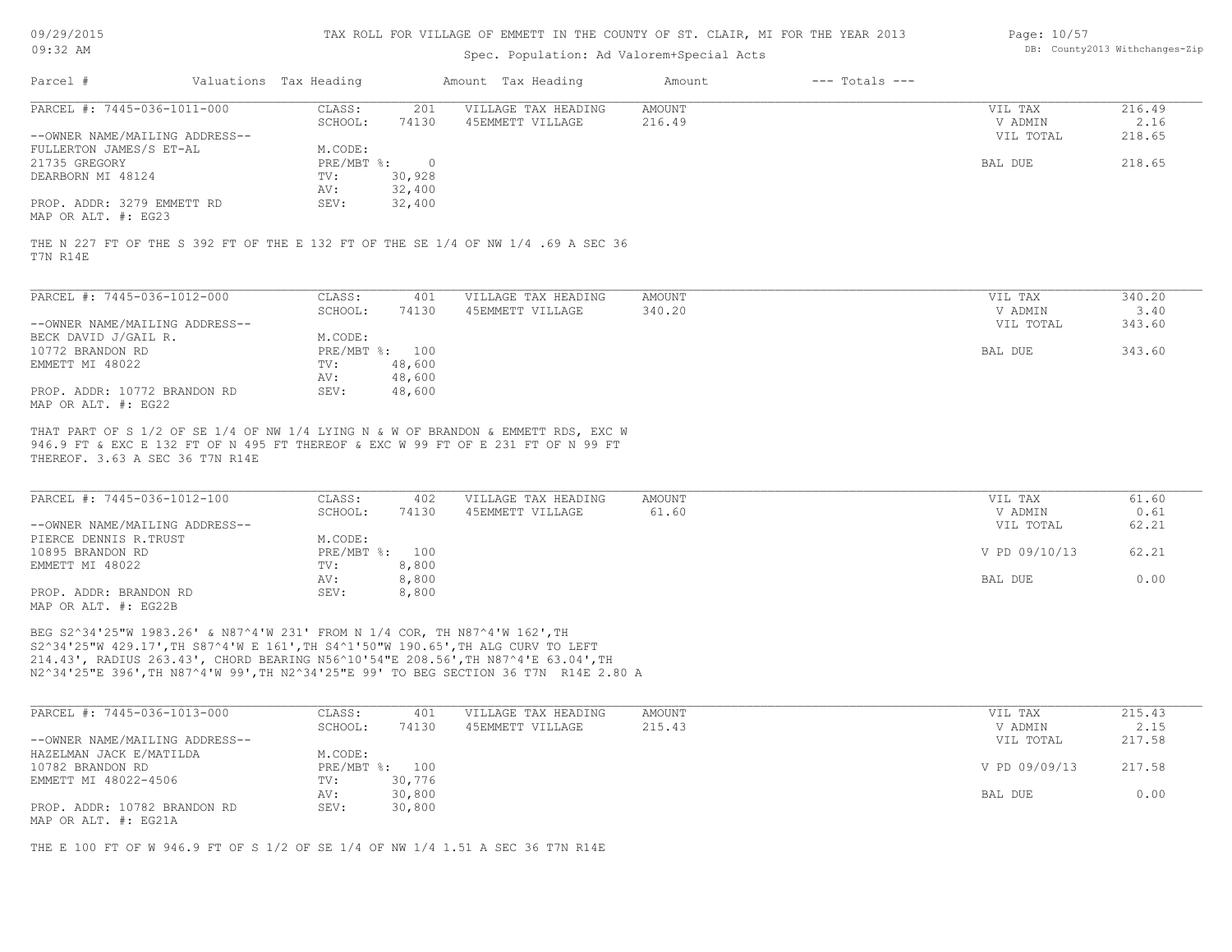| 09/29/2015               |  |
|--------------------------|--|
| $^{\circ}$<br>$\cdot$ 32 |  |

## Spec. Population: Ad Valorem+Special Acts

| Page: 10/57 |                                |
|-------------|--------------------------------|
|             | DB: County2013 Withchanges-Zip |

| Parcel #                       | Valuations Tax Heading |        | Amount Tax Heading  | Amount | $---$ Totals $---$ |           |        |
|--------------------------------|------------------------|--------|---------------------|--------|--------------------|-----------|--------|
| PARCEL #: 7445-036-1011-000    | CLASS:                 | 201    | VILLAGE TAX HEADING | AMOUNT |                    | VIL TAX   | 216.49 |
|                                | SCHOOL:                | 74130  | 45EMMETT VILLAGE    | 216.49 |                    | V ADMIN   | 2.16   |
| --OWNER NAME/MAILING ADDRESS-- |                        |        |                     |        |                    | VIL TOTAL | 218.65 |
| FULLERTON JAMES/S ET-AL        | M.CODE:                |        |                     |        |                    |           |        |
| 21735 GREGORY                  | $PRE/MBT$ %:           |        |                     |        |                    | BAL DUE   | 218.65 |
| DEARBORN MI 48124              | TV:                    | 30,928 |                     |        |                    |           |        |
|                                | AV:                    | 32,400 |                     |        |                    |           |        |
| PROP. ADDR: 3279 EMMETT RD     | SEV:                   | 32,400 |                     |        |                    |           |        |
| MAP OR ALT. #: EG23            |                        |        |                     |        |                    |           |        |

|          |  |  |  |  |  | THE N 227 FT OF THE S 392 FT OF THE E 132 FT OF THE SE 1/4 OF NW 1/4 .69 A SEC 36 |  |  |  |  |  |  |  |
|----------|--|--|--|--|--|-----------------------------------------------------------------------------------|--|--|--|--|--|--|--|
| T7N R14E |  |  |  |  |  |                                                                                   |  |  |  |  |  |  |  |

| PARCEL #: 7445-036-1012-000    | CLASS:       | 401    | VILLAGE TAX HEADING | AMOUNT | VIL TAX   | 340.20 |
|--------------------------------|--------------|--------|---------------------|--------|-----------|--------|
|                                | SCHOOL:      | 74130  | 45EMMETT VILLAGE    | 340.20 | V ADMIN   | 3.40   |
| --OWNER NAME/MAILING ADDRESS-- |              |        |                     |        | VIL TOTAL | 343.60 |
| BECK DAVID J/GAIL R.           | M.CODE:      |        |                     |        |           |        |
| 10772 BRANDON RD               | $PRE/MBT$ %: | 100    |                     |        | BAL DUE   | 343.60 |
| EMMETT MI 48022                | TV:          | 48,600 |                     |        |           |        |
|                                | AV:          | 48,600 |                     |        |           |        |
| PROP. ADDR: 10772 BRANDON RD   | SEV:         | 48,600 |                     |        |           |        |
| MAP OR ALT. #: EG22            |              |        |                     |        |           |        |

THEREOF. 3.63 A SEC 36 T7N R14E 946.9 FT & EXC E 132 FT OF N 495 FT THEREOF & EXC W 99 FT OF E 231 FT OF N 99 FT THAT PART OF S 1/2 OF SE 1/4 OF NW 1/4 LYING N & W OF BRANDON & EMMETT RDS, EXC W

| PARCEL #: 7445-036-1012-100    | CLASS:         | 402   | VILLAGE TAX HEADING | AMOUNT | VIL TAX       | 61.60 |
|--------------------------------|----------------|-------|---------------------|--------|---------------|-------|
|                                | SCHOOL:        | 74130 | 45EMMETT VILLAGE    | 61.60  | V ADMIN       | 0.61  |
| --OWNER NAME/MAILING ADDRESS-- |                |       |                     |        | VIL TOTAL     | 62.21 |
| PIERCE DENNIS R.TRUST          | M.CODE:        |       |                     |        |               |       |
| 10895 BRANDON RD               | PRE/MBT %: 100 |       |                     |        | V PD 09/10/13 | 62.21 |
| EMMETT MI 48022                | TV:            | 8,800 |                     |        |               |       |
|                                | AV:            | 8,800 |                     |        | BAL DUE       | 0.00  |
| PROP. ADDR: BRANDON RD         | SEV:           | 8,800 |                     |        |               |       |
| MAP OR ALT. #: EG22B           |                |       |                     |        |               |       |

N2^34'25"E 396',TH N87^4'W 99',TH N2^34'25"E 99' TO BEG SECTION 36 T7N R14E 2.80 A 214.43', RADIUS 263.43', CHORD BEARING N56^10'54"E 208.56',TH N87^4'E 63.04',TH S2^34'25"W 429.17',TH S87^4'W E 161',TH S4^1'50"W 190.65',TH ALG CURV TO LEFT BEG S2^34'25"W 1983.26' & N87^4'W 231' FROM N 1/4 COR, TH N87^4'W 162',TH

| PARCEL #: 7445-036-1013-000    | CLASS:  | 401            | VILLAGE TAX HEADING | AMOUNT | VIL TAX       | 215.43 |
|--------------------------------|---------|----------------|---------------------|--------|---------------|--------|
|                                | SCHOOL: | 74130          | 45EMMETT VILLAGE    | 215.43 | V ADMIN       | 2.15   |
| --OWNER NAME/MAILING ADDRESS-- |         |                |                     |        | VIL TOTAL     | 217.58 |
| HAZELMAN JACK E/MATILDA        | M.CODE: |                |                     |        |               |        |
| 10782 BRANDON RD               |         | PRE/MBT %: 100 |                     |        | V PD 09/09/13 | 217.58 |
| EMMETT MI 48022-4506           | TV:     | 30,776         |                     |        |               |        |
|                                | AV:     | 30,800         |                     |        | BAL DUE       | 0.00   |
| PROP. ADDR: 10782 BRANDON RD   | SEV:    | 30,800         |                     |        |               |        |
| MAP OR ALT. #: EG21A           |         |                |                     |        |               |        |

THE E 100 FT OF W 946.9 FT OF S 1/2 OF SE 1/4 OF NW 1/4 1.51 A SEC 36 T7N R14E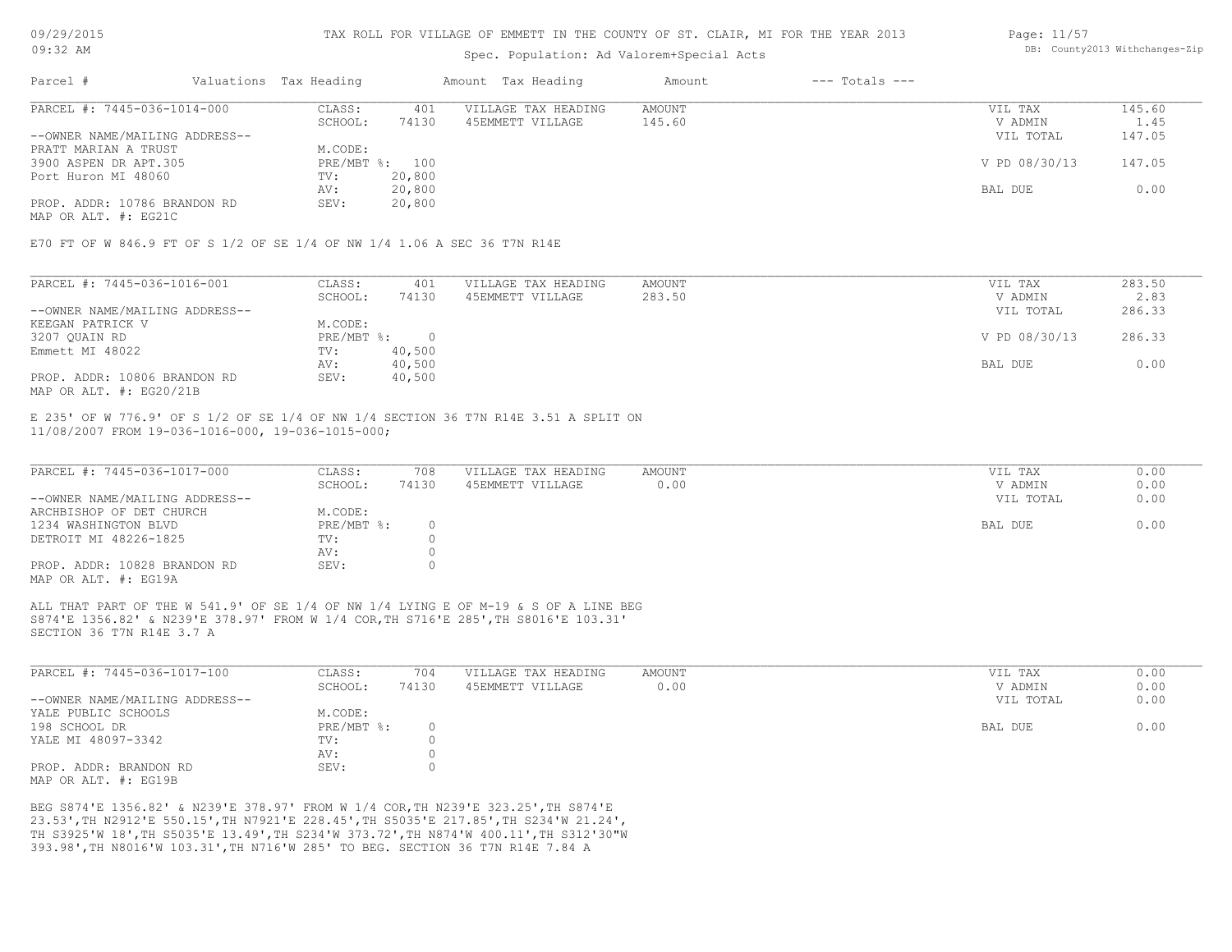## Spec. Population: Ad Valorem+Special Acts

#### Page: 11/57 DB: County2013 Withchanges-Zip

| Parcel #                       | Valuations Tax Heading |        | Amount Tax Heading  | Amount | $---$ Totals $---$ |               |        |
|--------------------------------|------------------------|--------|---------------------|--------|--------------------|---------------|--------|
| PARCEL #: 7445-036-1014-000    | CLASS:                 | 401    | VILLAGE TAX HEADING | AMOUNT |                    | VIL TAX       | 145.60 |
|                                | SCHOOL:                | 74130  | 45EMMETT VILLAGE    | 145.60 |                    | V ADMIN       | 1.45   |
| --OWNER NAME/MAILING ADDRESS-- |                        |        |                     |        |                    | VIL TOTAL     | 147.05 |
| PRATT MARIAN A TRUST           | M.CODE:                |        |                     |        |                    |               |        |
| 3900 ASPEN DR APT.305          | PRE/MBT %: 100         |        |                     |        |                    | V PD 08/30/13 | 147.05 |
| Port Huron MI 48060            | TV:                    | 20,800 |                     |        |                    |               |        |
|                                | AV:                    | 20,800 |                     |        |                    | BAL DUE       | 0.00   |
| PROP. ADDR: 10786 BRANDON RD   | SEV:                   | 20,800 |                     |        |                    |               |        |
|                                |                        |        |                     |        |                    |               |        |

MAP OR ALT. #: EG21C

E70 FT OF W 846.9 FT OF S 1/2 OF SE 1/4 OF NW 1/4 1.06 A SEC 36 T7N R14E

| PARCEL #: 7445-036-1016-001    | CLASS:     | 401    | VILLAGE TAX HEADING | AMOUNT | VIL TAX       | 283.50 |
|--------------------------------|------------|--------|---------------------|--------|---------------|--------|
|                                | SCHOOL:    | 74130  | 45EMMETT VILLAGE    | 283.50 | V ADMIN       | 2.83   |
| --OWNER NAME/MAILING ADDRESS-- |            |        |                     |        | VIL TOTAL     | 286.33 |
| KEEGAN PATRICK V               | M.CODE:    |        |                     |        |               |        |
| 3207 QUAIN RD                  | PRE/MBT %: |        |                     |        | V PD 08/30/13 | 286.33 |
| Emmett MI 48022                | TV:        | 40,500 |                     |        |               |        |
|                                | AV:        | 40,500 |                     |        | BAL DUE       | 0.00   |
| PROP. ADDR: 10806 BRANDON RD   | SEV:       | 40,500 |                     |        |               |        |
| MAP OR ALT. $\#$ : EG20/21B    |            |        |                     |        |               |        |

11/08/2007 FROM 19-036-1016-000, 19-036-1015-000; E 235' OF W 776.9' OF S 1/2 OF SE 1/4 OF NW 1/4 SECTION 36 T7N R14E 3.51 A SPLIT ON

| PARCEL #: 7445-036-1017-000    | CLASS:     | 708   | VILLAGE TAX HEADING | AMOUNT | VIL TAX   | 0.00 |
|--------------------------------|------------|-------|---------------------|--------|-----------|------|
|                                | SCHOOL:    | 74130 | 45EMMETT VILLAGE    | 0.00   | V ADMIN   | 0.00 |
| --OWNER NAME/MAILING ADDRESS-- |            |       |                     |        | VIL TOTAL | 0.00 |
| ARCHBISHOP OF DET CHURCH       | M.CODE:    |       |                     |        |           |      |
| 1234 WASHINGTON BLVD           | PRE/MBT %: |       |                     |        | BAL DUE   | 0.00 |
| DETROIT MI 48226-1825          | TV:        |       |                     |        |           |      |
|                                | AV:        |       |                     |        |           |      |
| PROP. ADDR: 10828 BRANDON RD   | SEV:       |       |                     |        |           |      |
| MAP OR ALT. #: EG19A           |            |       |                     |        |           |      |

SECTION 36 T7N R14E 3.7 A S874'E 1356.82' & N239'E 378.97' FROM W 1/4 COR,TH S716'E 285',TH S8016'E 103.31' ALL THAT PART OF THE W 541.9' OF SE 1/4 OF NW 1/4 LYING E OF M-19 & S OF A LINE BEG

| PARCEL #: 7445-036-1017-100    | CLASS:       | 704   | VILLAGE TAX HEADING | AMOUNT | VIL TAX   | 0.00 |
|--------------------------------|--------------|-------|---------------------|--------|-----------|------|
|                                | SCHOOL:      | 74130 | 45EMMETT VILLAGE    | 0.00   | V ADMIN   | 0.00 |
| --OWNER NAME/MAILING ADDRESS-- |              |       |                     |        | VIL TOTAL | 0.00 |
| YALE PUBLIC SCHOOLS            | M.CODE:      |       |                     |        |           |      |
| 198 SCHOOL DR                  | $PRE/MBT$ %: |       |                     |        | BAL DUE   | 0.00 |
| YALE MI 48097-3342             | TV:          |       |                     |        |           |      |
|                                | AV:          |       |                     |        |           |      |
| PROP. ADDR: BRANDON RD         | SEV:         |       |                     |        |           |      |
| MAP OR ALT. #: EG19B           |              |       |                     |        |           |      |

393.98',TH N8016'W 103.31',TH N716'W 285' TO BEG. SECTION 36 T7N R14E 7.84 A TH S3925'W 18',TH S5035'E 13.49',TH S234'W 373.72',TH N874'W 400.11',TH S312'30"W 23.53',TH N2912'E 550.15',TH N7921'E 228.45',TH S5035'E 217.85',TH S234'W 21.24', BEG S874'E 1356.82' & N239'E 378.97' FROM W 1/4 COR,TH N239'E 323.25',TH S874'E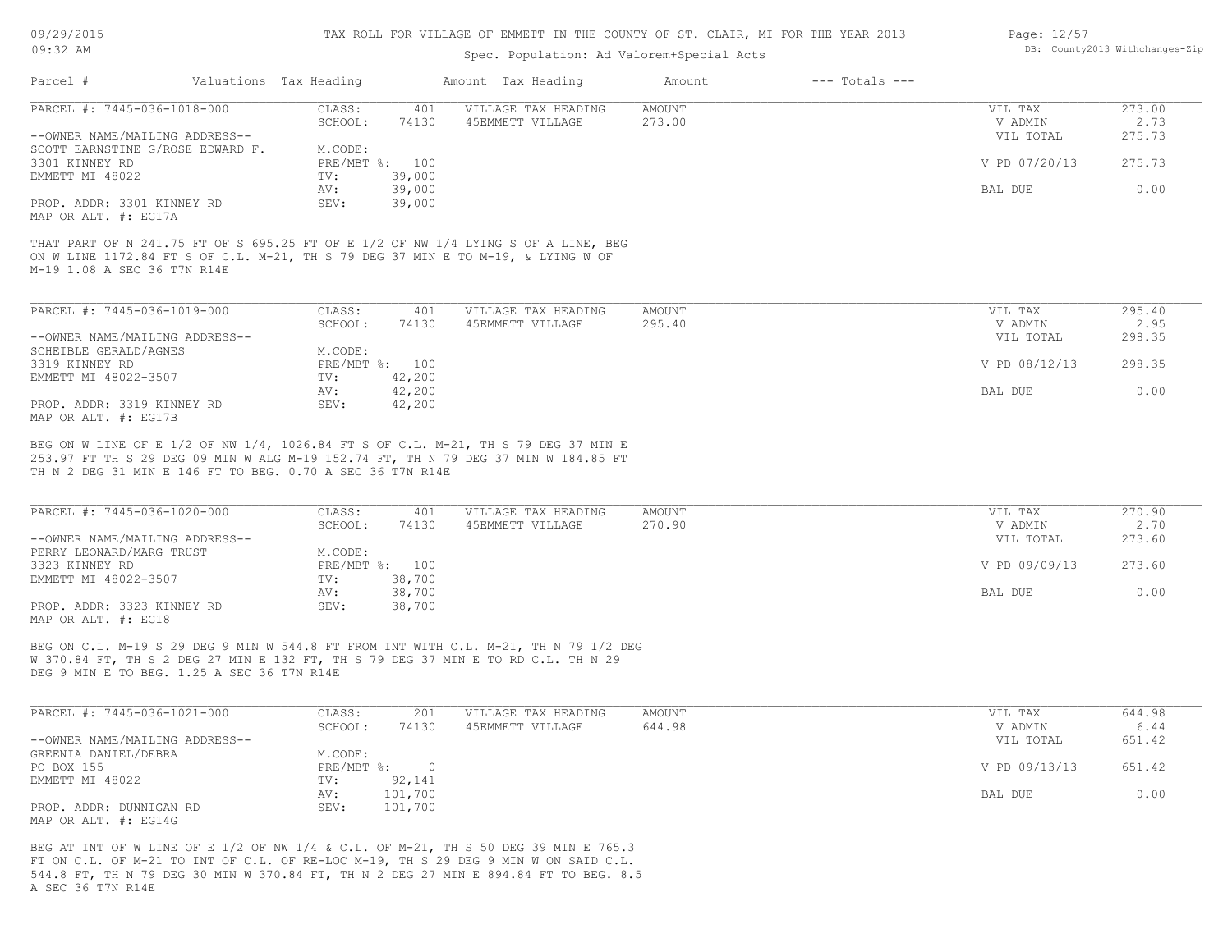## Spec. Population: Ad Valorem+Special Acts

| Page: 12/57 |                                |
|-------------|--------------------------------|
|             | DB: County2013 Withchanges-Zip |

| PARCEL #: 7445-036-1018-000<br>CLASS:<br>401<br>VILLAGE TAX HEADING<br>AMOUNT<br>VIL TAX<br>SCHOOL:<br>74130<br>45EMMETT VILLAGE<br>V ADMIN<br>273.00<br>--OWNER NAME/MAILING ADDRESS--<br>VIL TOTAL<br>SCOTT EARNSTINE G/ROSE EDWARD F.<br>M.CODE:<br>V PD 07/20/13<br>PRE/MBT %: 100<br>3301 KINNEY RD<br>EMMETT MI 48022<br>39,000<br>TV:<br>39,000<br>BAL DUE<br>AV:<br>39,000<br>PROP. ADDR: 3301 KINNEY RD<br>SEV:<br>MAP OR ALT. #: EG17A<br>THAT PART OF N 241.75 FT OF S 695.25 FT OF E 1/2 OF NW 1/4 LYING S OF A LINE, BEG<br>ON W LINE 1172.84 FT S OF C.L. M-21, TH S 79 DEG 37 MIN E TO M-19, & LYING W OF | Parcel #                    | Valuations Tax Heading | Amount Tax Heading | Amount | $---$ Totals $---$ |        |
|--------------------------------------------------------------------------------------------------------------------------------------------------------------------------------------------------------------------------------------------------------------------------------------------------------------------------------------------------------------------------------------------------------------------------------------------------------------------------------------------------------------------------------------------------------------------------------------------------------------------------|-----------------------------|------------------------|--------------------|--------|--------------------|--------|
|                                                                                                                                                                                                                                                                                                                                                                                                                                                                                                                                                                                                                          |                             |                        |                    |        |                    | 273.00 |
|                                                                                                                                                                                                                                                                                                                                                                                                                                                                                                                                                                                                                          |                             |                        |                    |        |                    | 2.73   |
|                                                                                                                                                                                                                                                                                                                                                                                                                                                                                                                                                                                                                          |                             |                        |                    |        |                    | 275.73 |
|                                                                                                                                                                                                                                                                                                                                                                                                                                                                                                                                                                                                                          |                             |                        |                    |        |                    |        |
|                                                                                                                                                                                                                                                                                                                                                                                                                                                                                                                                                                                                                          |                             |                        |                    |        |                    | 275.73 |
|                                                                                                                                                                                                                                                                                                                                                                                                                                                                                                                                                                                                                          |                             |                        |                    |        |                    |        |
|                                                                                                                                                                                                                                                                                                                                                                                                                                                                                                                                                                                                                          |                             |                        |                    |        |                    | 0.00   |
|                                                                                                                                                                                                                                                                                                                                                                                                                                                                                                                                                                                                                          |                             |                        |                    |        |                    |        |
|                                                                                                                                                                                                                                                                                                                                                                                                                                                                                                                                                                                                                          |                             |                        |                    |        |                    |        |
|                                                                                                                                                                                                                                                                                                                                                                                                                                                                                                                                                                                                                          | M-19 1.08 A SEC 36 T7N R14E |                        |                    |        |                    |        |

| PARCEL #: 7445-036-1019-000    | CLASS:       | 401    | VILLAGE TAX HEADING | AMOUNT | VIL TAX       | 295.40 |
|--------------------------------|--------------|--------|---------------------|--------|---------------|--------|
|                                | SCHOOL:      | 74130  | 45EMMETT VILLAGE    | 295.40 | V ADMIN       | 2.95   |
| --OWNER NAME/MAILING ADDRESS-- |              |        |                     |        | VIL TOTAL     | 298.35 |
| SCHEIBLE GERALD/AGNES          | M.CODE:      |        |                     |        |               |        |
| 3319 KINNEY RD                 | $PRE/MBT$ %: | 100    |                     |        | V PD 08/12/13 | 298.35 |
| EMMETT MI 48022-3507           | TV:          | 42,200 |                     |        |               |        |
|                                | AV:          | 42,200 |                     |        | BAL DUE       | 0.00   |
| PROP. ADDR: 3319 KINNEY RD     | SEV:         | 42,200 |                     |        |               |        |
| MAP OR ALT. #: EG17B           |              |        |                     |        |               |        |

TH N 2 DEG 31 MIN E 146 FT TO BEG. 0.70 A SEC 36 T7N R14E 253.97 FT TH S 29 DEG 09 MIN W ALG M-19 152.74 FT, TH N 79 DEG 37 MIN W 184.85 FT BEG ON W LINE OF E 1/2 OF NW 1/4, 1026.84 FT S OF C.L. M-21, TH S 79 DEG 37 MIN E

| PARCEL #: 7445-036-1020-000    | CLASS:  | 401            | VILLAGE TAX HEADING | AMOUNT | VIL TAX       | 270.90 |
|--------------------------------|---------|----------------|---------------------|--------|---------------|--------|
|                                | SCHOOL: | 74130          | 45EMMETT VILLAGE    | 270.90 | V ADMIN       | 2.70   |
| --OWNER NAME/MAILING ADDRESS-- |         |                |                     |        | VIL TOTAL     | 273.60 |
| PERRY LEONARD/MARG TRUST       | M.CODE: |                |                     |        |               |        |
| 3323 KINNEY RD                 |         | PRE/MBT %: 100 |                     |        | V PD 09/09/13 | 273.60 |
| EMMETT MI 48022-3507           | TV:     | 38,700         |                     |        |               |        |
|                                | AV:     | 38,700         |                     |        | BAL DUE       | 0.00   |
| PROP. ADDR: 3323 KINNEY RD     | SEV:    | 38,700         |                     |        |               |        |
| MAP OR ALT. #: EG18            |         |                |                     |        |               |        |

DEG 9 MIN E TO BEG. 1.25 A SEC 36 T7N R14E W 370.84 FT, TH S 2 DEG 27 MIN E 132 FT, TH S 79 DEG 37 MIN E TO RD C.L. TH N 29 BEG ON C.L. M-19 S 29 DEG 9 MIN W 544.8 FT FROM INT WITH C.L. M-21, TH N 79 1/2 DEG

| PARCEL #: 7445-036-1021-000    | CLASS:     | 201     | VILLAGE TAX HEADING | AMOUNT | VIL TAX       | 644.98 |
|--------------------------------|------------|---------|---------------------|--------|---------------|--------|
|                                | SCHOOL:    | 74130   | 45EMMETT VILLAGE    | 644.98 | V ADMIN       | 6.44   |
| --OWNER NAME/MAILING ADDRESS-- |            |         |                     |        | VIL TOTAL     | 651.42 |
| GREENIA DANIEL/DEBRA           | M.CODE:    |         |                     |        |               |        |
| PO BOX 155                     | PRE/MBT %: |         |                     |        | V PD 09/13/13 | 651.42 |
| EMMETT MI 48022                | TV:        | 92,141  |                     |        |               |        |
|                                | AV:        | 101,700 |                     |        | BAL DUE       | 0.00   |
| PROP. ADDR: DUNNIGAN RD        | SEV:       | 101,700 |                     |        |               |        |
| MAP OR ALT. #: EG14G           |            |         |                     |        |               |        |

A SEC 36 T7N R14E 544.8 FT, TH N 79 DEG 30 MIN W 370.84 FT, TH N 2 DEG 27 MIN E 894.84 FT TO BEG. 8.5 FT ON C.L. OF M-21 TO INT OF C.L. OF RE-LOC M-19, TH S 29 DEG 9 MIN W ON SAID C.L. BEG AT INT OF W LINE OF E 1/2 OF NW 1/4 & C.L. OF M-21, TH S 50 DEG 39 MIN E 765.3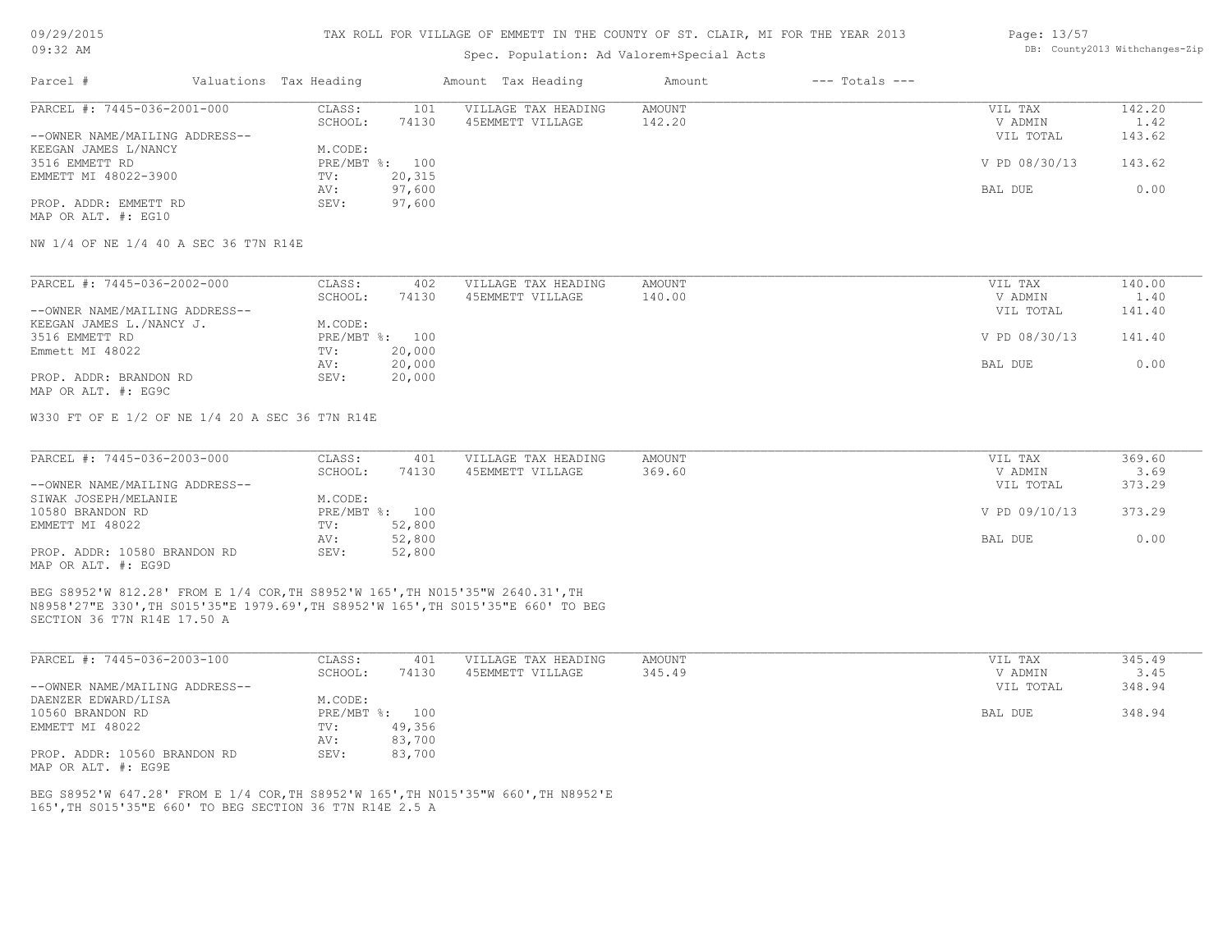## Spec. Population: Ad Valorem+Special Acts

### Page: 13/57 DB: County2013 Withchanges-Zip

| VIL TAX       | 142.20 |
|---------------|--------|
| V ADMIN       | 1.42   |
| VIL TOTAL     | 143.62 |
|               |        |
| V PD 08/30/13 | 143.62 |
|               |        |
| BAL DUE       | 0.00   |
|               |        |
|               |        |
|               |        |

NW 1/4 OF NE 1/4 40 A SEC 36 T7N R14E

| PARCEL #: 7445-036-2002-000    | CLASS:  | 402            | VILLAGE TAX HEADING | AMOUNT | VIL TAX       | 140.00 |
|--------------------------------|---------|----------------|---------------------|--------|---------------|--------|
|                                | SCHOOL: | 74130          | 45EMMETT VILLAGE    | 140.00 | V ADMIN       | 1.40   |
| --OWNER NAME/MAILING ADDRESS-- |         |                |                     |        | VIL TOTAL     | 141.40 |
| KEEGAN JAMES L./NANCY J.       | M.CODE: |                |                     |        |               |        |
| 3516 EMMETT RD                 |         | PRE/MBT %: 100 |                     |        | V PD 08/30/13 | 141.40 |
| Emmett MI 48022                | TV:     | 20,000         |                     |        |               |        |
|                                | AV:     | 20,000         |                     |        | BAL DUE       | 0.00   |
| PROP. ADDR: BRANDON RD         | SEV:    | 20,000         |                     |        |               |        |
| MAP OR ALT. #: EG9C            |         |                |                     |        |               |        |

W330 FT OF E 1/2 OF NE 1/4 20 A SEC 36 T7N R14E

| PARCEL #: 7445-036-2003-000    | CLASS:  | 401            | VILLAGE TAX HEADING | AMOUNT | VIL TAX       | 369.60 |
|--------------------------------|---------|----------------|---------------------|--------|---------------|--------|
|                                | SCHOOL: | 74130          | 45EMMETT VILLAGE    | 369.60 | V ADMIN       | 3.69   |
| --OWNER NAME/MAILING ADDRESS-- |         |                |                     |        | VIL TOTAL     | 373.29 |
| SIWAK JOSEPH/MELANIE           | M.CODE: |                |                     |        |               |        |
| 10580 BRANDON RD               |         | PRE/MBT %: 100 |                     |        | V PD 09/10/13 | 373.29 |
| EMMETT MI 48022                | TV:     | 52,800         |                     |        |               |        |
|                                | AV:     | 52,800         |                     |        | BAL DUE       | 0.00   |
| PROP. ADDR: 10580 BRANDON RD   | SEV:    | 52,800         |                     |        |               |        |
| MAP OR ALT. #: EG9D            |         |                |                     |        |               |        |

SECTION 36 T7N R14E 17.50 A N8958'27"E 330',TH S015'35"E 1979.69',TH S8952'W 165',TH S015'35"E 660' TO BEG BEG S8952'W 812.28' FROM E 1/4 COR,TH S8952'W 165',TH N015'35"W 2640.31',TH

| PARCEL #: 7445-036-2003-100    | CLASS:       | 401    | VILLAGE TAX HEADING | AMOUNT | VIL TAX   | 345.49 |
|--------------------------------|--------------|--------|---------------------|--------|-----------|--------|
|                                | SCHOOL:      | 74130  | 45EMMETT VILLAGE    | 345.49 | V ADMIN   | 3.45   |
| --OWNER NAME/MAILING ADDRESS-- |              |        |                     |        | VIL TOTAL | 348.94 |
| DAENZER EDWARD/LISA            | M.CODE:      |        |                     |        |           |        |
| 10560 BRANDON RD               | $PRE/MBT$ %: | 100    |                     |        | BAL DUE   | 348.94 |
| EMMETT MI 48022                | TV:          | 49,356 |                     |        |           |        |
|                                | AV:          | 83,700 |                     |        |           |        |
| PROP. ADDR: 10560 BRANDON RD   | SEV:         | 83,700 |                     |        |           |        |
| MAP OR ALT. #: EG9E            |              |        |                     |        |           |        |

165',TH S015'35"E 660' TO BEG SECTION 36 T7N R14E 2.5 A BEG S8952'W 647.28' FROM E 1/4 COR,TH S8952'W 165',TH N015'35"W 660',TH N8952'E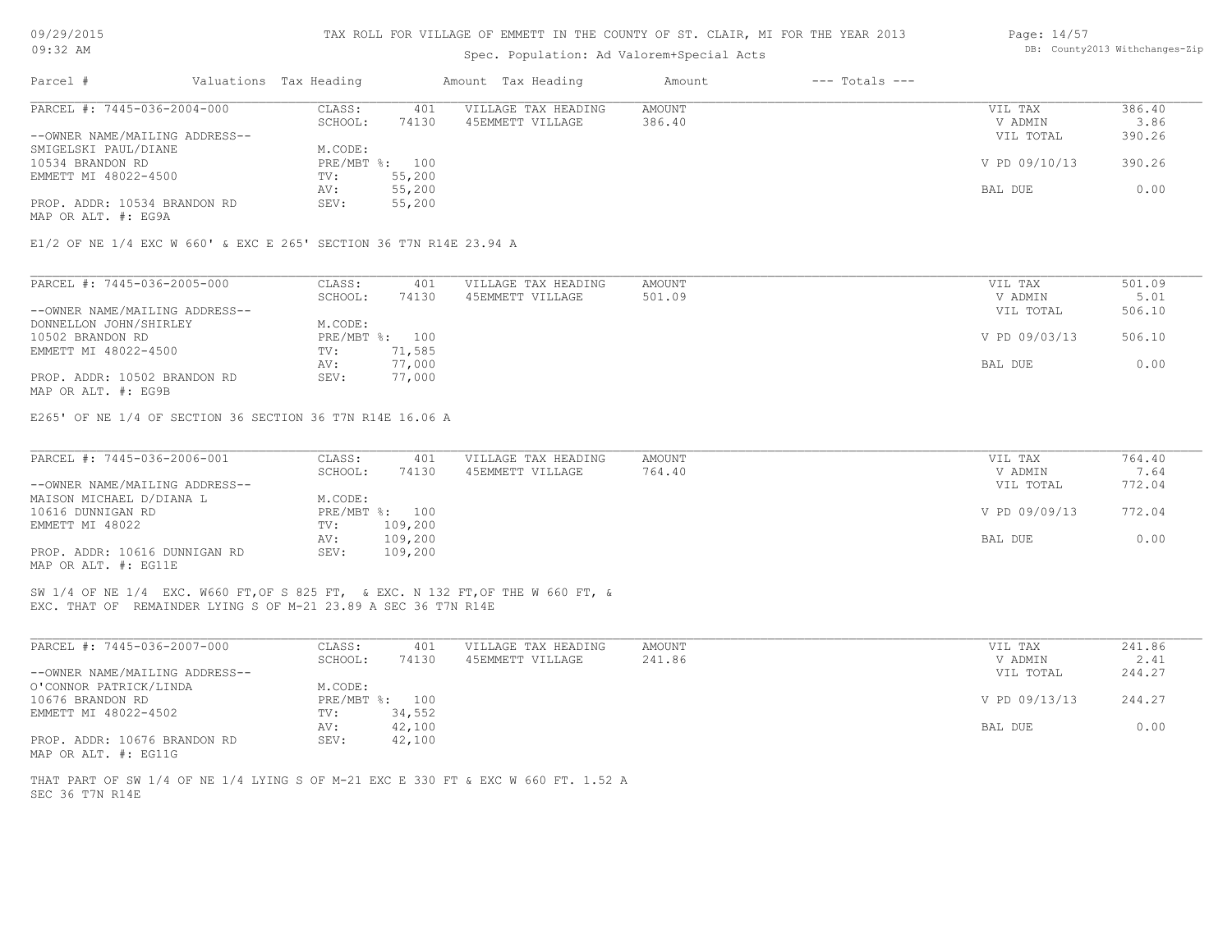## Spec. Population: Ad Valorem+Special Acts

| Page: 14/57 |                                |
|-------------|--------------------------------|
|             | DB: County2013 Withchanges-Zip |

| Parcel #                       |  | Valuations Tax Heading |                | Amount Tax Heading  | Amount | $---$ Totals $---$ |               |        |
|--------------------------------|--|------------------------|----------------|---------------------|--------|--------------------|---------------|--------|
| PARCEL #: 7445-036-2004-000    |  | CLASS:                 | 401            | VILLAGE TAX HEADING | AMOUNT |                    | VIL TAX       | 386.40 |
|                                |  | SCHOOL:                | 74130          | 45EMMETT VILLAGE    | 386.40 |                    | V ADMIN       | 3.86   |
| --OWNER NAME/MAILING ADDRESS-- |  |                        |                |                     |        |                    | VIL TOTAL     | 390.26 |
| SMIGELSKI PAUL/DIANE           |  | M.CODE:                |                |                     |        |                    |               |        |
| 10534 BRANDON RD               |  |                        | PRE/MBT %: 100 |                     |        |                    | V PD 09/10/13 | 390.26 |
| EMMETT MI 48022-4500           |  | TV:                    | 55,200         |                     |        |                    |               |        |
|                                |  | AV:                    | 55,200         |                     |        |                    | BAL DUE       | 0.00   |
| PROP. ADDR: 10534 BRANDON RD   |  | SEV:                   | 55,200         |                     |        |                    |               |        |
| MAP OR ALT. #: EG9A            |  |                        |                |                     |        |                    |               |        |
|                                |  |                        |                |                     |        |                    |               |        |

E1/2 OF NE 1/4 EXC W 660' & EXC E 265' SECTION 36 T7N R14E 23.94 A

| PARCEL #: 7445-036-2005-000    | CLASS:  | 401            | VILLAGE TAX HEADING | AMOUNT | VIL TAX       | 501.09 |
|--------------------------------|---------|----------------|---------------------|--------|---------------|--------|
|                                | SCHOOL: | 74130          | 45EMMETT VILLAGE    | 501.09 | V ADMIN       | 5.01   |
| --OWNER NAME/MAILING ADDRESS-- |         |                |                     |        | VIL TOTAL     | 506.10 |
| DONNELLON JOHN/SHIRLEY         | M.CODE: |                |                     |        |               |        |
| 10502 BRANDON RD               |         | PRE/MBT %: 100 |                     |        | V PD 09/03/13 | 506.10 |
| EMMETT MI 48022-4500           | TV:     | 71,585         |                     |        |               |        |
|                                | AV:     | 77,000         |                     |        | BAL DUE       | 0.00   |
| PROP. ADDR: 10502 BRANDON RD   | SEV:    | 77,000         |                     |        |               |        |
| MAP OR ALT. #: EG9B            |         |                |                     |        |               |        |

E265' OF NE 1/4 OF SECTION 36 SECTION 36 T7N R14E 16.06 A

| PARCEL #: 7445-036-2006-001    | CLASS:  | 401            | VILLAGE TAX HEADING | AMOUNT | VIL TAX       | 764.40 |
|--------------------------------|---------|----------------|---------------------|--------|---------------|--------|
|                                | SCHOOL: | 74130          | 45EMMETT VILLAGE    | 764.40 | V ADMIN       | 7.64   |
| --OWNER NAME/MAILING ADDRESS-- |         |                |                     |        | VIL TOTAL     | 772.04 |
| MAISON MICHAEL D/DIANA L       | M.CODE: |                |                     |        |               |        |
| 10616 DUNNIGAN RD              |         | PRE/MBT %: 100 |                     |        | V PD 09/09/13 | 772.04 |
| EMMETT MI 48022                | TV:     | 109,200        |                     |        |               |        |
|                                | AV:     | 109,200        |                     |        | BAL DUE       | 0.00   |
| PROP. ADDR: 10616 DUNNIGAN RD  | SEV:    | 109,200        |                     |        |               |        |
| MAP OR ALT. #: EG11E           |         |                |                     |        |               |        |

EXC. THAT OF REMAINDER LYING S OF M-21 23.89 A SEC 36 T7N R14E SW 1/4 OF NE 1/4 EXC. W660 FT,OF S 825 FT, & EXC. N 132 FT,OF THE W 660 FT, &

| PARCEL #: 7445-036-2007-000    | CLASS:  | 401            | VILLAGE TAX HEADING | AMOUNT | VIL TAX       | 241.86 |
|--------------------------------|---------|----------------|---------------------|--------|---------------|--------|
|                                | SCHOOL: | 74130          | 45EMMETT VILLAGE    | 241.86 | V ADMIN       | 2.41   |
| --OWNER NAME/MAILING ADDRESS-- |         |                |                     |        | VIL TOTAL     | 244.27 |
| O'CONNOR PATRICK/LINDA         | M.CODE: |                |                     |        |               |        |
| 10676 BRANDON RD               |         | PRE/MBT %: 100 |                     |        | V PD 09/13/13 | 244.27 |
| EMMETT MI 48022-4502           | TV:     | 34,552         |                     |        |               |        |
|                                | AV:     | 42,100         |                     |        | BAL DUE       | 0.00   |
| PROP. ADDR: 10676 BRANDON RD   | SEV:    | 42,100         |                     |        |               |        |
| MAP OR ALT. #: EG11G           |         |                |                     |        |               |        |

SEC 36 T7N R14E THAT PART OF SW 1/4 OF NE 1/4 LYING S OF M-21 EXC E 330 FT & EXC W 660 FT. 1.52 A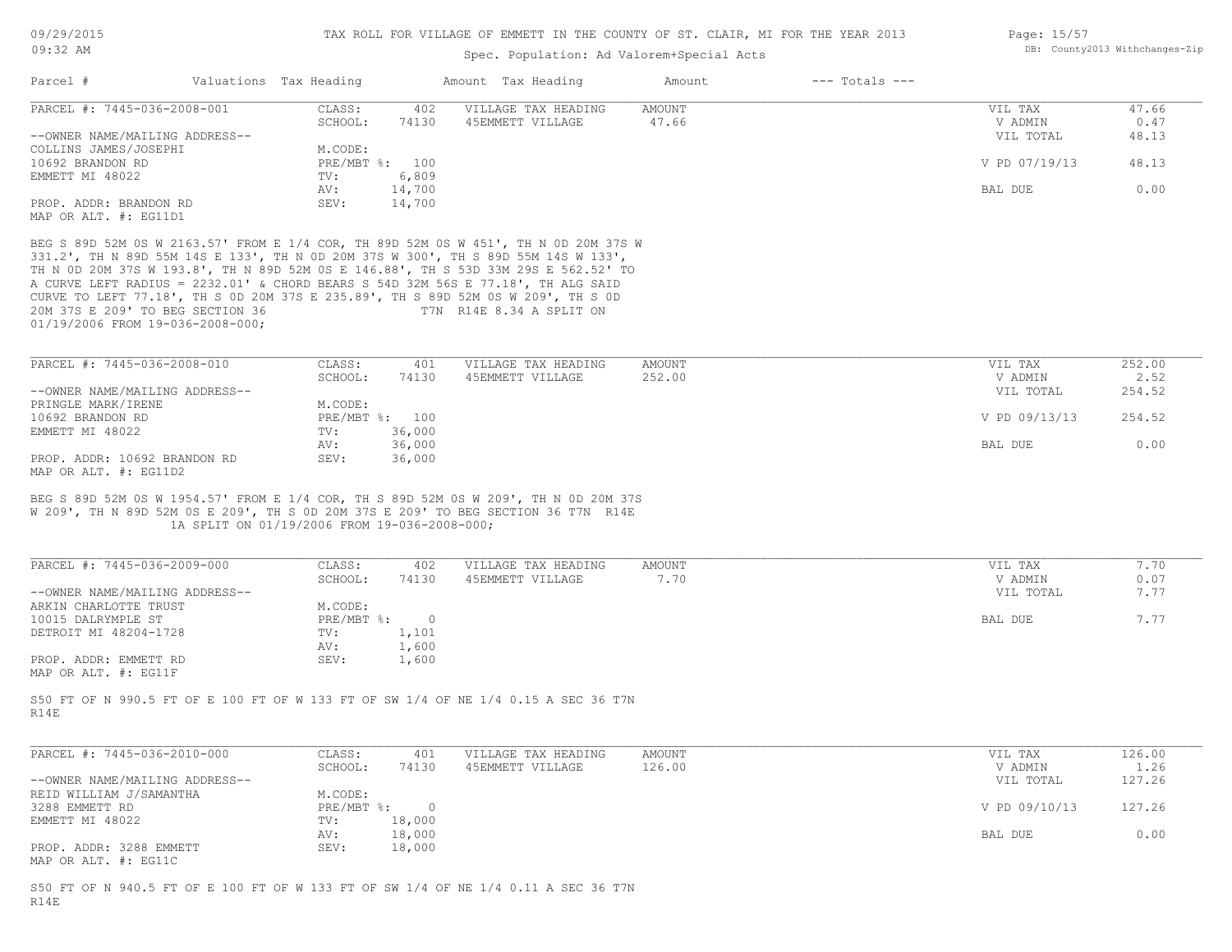# Spec. Population: Ad Valorem+Special Acts

| Page: 15/57 |                                |
|-------------|--------------------------------|
|             | DB: County2013 Withchanges-Zip |

| Parcel #                                                                    | Valuations Tax Heading |                                              | Amount Tax Heading                                                                                                                                                                                                                                                                                                                                                                                                                                                 | Amount          | $---$ Totals $---$ |                            |                |
|-----------------------------------------------------------------------------|------------------------|----------------------------------------------|--------------------------------------------------------------------------------------------------------------------------------------------------------------------------------------------------------------------------------------------------------------------------------------------------------------------------------------------------------------------------------------------------------------------------------------------------------------------|-----------------|--------------------|----------------------------|----------------|
| PARCEL #: 7445-036-2008-001                                                 |                        | CLASS:<br>SCHOOL:<br>74130                   | VILLAGE TAX HEADING<br>402<br>45EMMETT VILLAGE                                                                                                                                                                                                                                                                                                                                                                                                                     | AMOUNT<br>47.66 |                    | VIL TAX<br>V ADMIN         | 47.66<br>0.47  |
| --OWNER NAME/MAILING ADDRESS--<br>COLLINS JAMES/JOSEPHI<br>10692 BRANDON RD |                        | M.CODE:<br>PRE/MBT %: 100                    |                                                                                                                                                                                                                                                                                                                                                                                                                                                                    |                 |                    | VIL TOTAL<br>V PD 07/19/13 | 48.13<br>48.13 |
| EMMETT MI 48022                                                             |                        | 6,809<br>TV:<br>AV:<br>14,700                |                                                                                                                                                                                                                                                                                                                                                                                                                                                                    |                 |                    | BAL DUE                    | 0.00           |
| PROP. ADDR: BRANDON RD<br>MAP OR ALT. #: EG11D1                             |                        | SEV:<br>14,700                               |                                                                                                                                                                                                                                                                                                                                                                                                                                                                    |                 |                    |                            |                |
| 20M 37S E 209' TO BEG SECTION 36<br>01/19/2006 FROM 19-036-2008-000;        |                        |                                              | BEG S 89D 52M 0S W 2163.57' FROM E 1/4 COR, TH 89D 52M 0S W 451', TH N 0D 20M 37S W<br>331.2', TH N 89D 55M 14S E 133', TH N 0D 20M 37S W 300', TH S 89D 55M 14S W 133',<br>TH N OD 20M 37S W 193.8', TH N 89D 52M OS E 146.88', TH S 53D 33M 29S E 562.52' TO<br>A CURVE LEFT RADIUS = 2232.01' & CHORD BEARS S 54D 32M 56S E 77.18', TH ALG SAID<br>CURVE TO LEFT 77.18', TH S OD 20M 37S E 235.89', TH S 89D 52M OS W 209', TH S OD<br>T7N R14E 8.34 A SPLIT ON |                 |                    |                            |                |
| PARCEL #: 7445-036-2008-010                                                 |                        | CLASS:                                       | 401<br>VILLAGE TAX HEADING                                                                                                                                                                                                                                                                                                                                                                                                                                         | AMOUNT          |                    | VIL TAX                    | 252.00         |
| --OWNER NAME/MAILING ADDRESS--<br>PRINGLE MARK/IRENE                        |                        | SCHOOL:<br>74130<br>M.CODE:                  | 45EMMETT VILLAGE                                                                                                                                                                                                                                                                                                                                                                                                                                                   | 252.00          |                    | V ADMIN<br>VIL TOTAL       | 2.52<br>254.52 |
| 10692 BRANDON RD                                                            |                        | PRE/MBT %: 100                               |                                                                                                                                                                                                                                                                                                                                                                                                                                                                    |                 |                    | V PD 09/13/13              | 254.52         |
| EMMETT MI 48022                                                             |                        | 36,000<br>TV:<br>AV:<br>36,000               |                                                                                                                                                                                                                                                                                                                                                                                                                                                                    |                 |                    | BAL DUE                    | 0.00           |
| PROP. ADDR: 10692 BRANDON RD<br>MAP OR ALT. #: EG11D2                       |                        | SEV:<br>36,000                               |                                                                                                                                                                                                                                                                                                                                                                                                                                                                    |                 |                    |                            |                |
|                                                                             |                        | 1A SPLIT ON 01/19/2006 FROM 19-036-2008-000; | BEG S 89D 52M 0S W 1954.57' FROM E 1/4 COR, TH S 89D 52M 0S W 209', TH N 0D 20M 37S<br>W 209', TH N 89D 52M 0S E 209', TH S 0D 20M 37S E 209' TO BEG SECTION 36 T7N R14E                                                                                                                                                                                                                                                                                           |                 |                    |                            |                |
| PARCEL #: 7445-036-2009-000                                                 |                        | CLASS:<br>SCHOOL:<br>74130                   | 402<br>VILLAGE TAX HEADING<br>45EMMETT VILLAGE                                                                                                                                                                                                                                                                                                                                                                                                                     | AMOUNT<br>7.70  |                    | VIL TAX<br>V ADMIN         | 7.70<br>0.07   |
| --OWNER NAME/MAILING ADDRESS--<br>ARKIN CHARLOTTE TRUST                     |                        | M.CODE:                                      |                                                                                                                                                                                                                                                                                                                                                                                                                                                                    |                 |                    | VIL TOTAL                  | 7.77           |
| 10015 DALRYMPLE ST                                                          |                        | $\sim$ 0<br>$PRE/MBT$ $\div$                 |                                                                                                                                                                                                                                                                                                                                                                                                                                                                    |                 |                    | BAL DUE                    | 7.77           |
| DETROIT MI 48204-1728                                                       |                        | 1,101<br>TV:<br>1,600<br>AV:                 |                                                                                                                                                                                                                                                                                                                                                                                                                                                                    |                 |                    |                            |                |
| PROP. ADDR: EMMETT RD<br>MAP OR ALT. #: EG11F                               |                        | SEV:<br>1,600                                |                                                                                                                                                                                                                                                                                                                                                                                                                                                                    |                 |                    |                            |                |
| R14E                                                                        |                        |                                              | S50 FT OF N 990.5 FT OF E 100 FT OF W 133 FT OF SW 1/4 OF NE 1/4 0.15 A SEC 36 T7N                                                                                                                                                                                                                                                                                                                                                                                 |                 |                    |                            |                |
| PARCEL #: 7445-036-2010-000                                                 |                        | CLASS:                                       | VILLAGE TAX HEADING<br>401                                                                                                                                                                                                                                                                                                                                                                                                                                         | AMOUNT          |                    | VIL TAX                    | 126.00         |
| --OWNER NAME/MAILING ADDRESS--                                              |                        | SCHOOL:<br>74130                             | 45EMMETT VILLAGE                                                                                                                                                                                                                                                                                                                                                                                                                                                   | 126.00          |                    | V ADMIN<br>VIL TOTAL       | 1.26<br>127.26 |
| REID WILLIAM J/SAMANTHA<br>3288 EMMETT RD                                   |                        | M.CODE:<br>PRE/MBT %: 0                      |                                                                                                                                                                                                                                                                                                                                                                                                                                                                    |                 |                    | V PD 09/10/13              | 127.26         |
| EMMETT MI 48022                                                             |                        | 18,000<br>TV:                                |                                                                                                                                                                                                                                                                                                                                                                                                                                                                    |                 |                    |                            |                |
| PROP. ADDR: 3288 EMMETT<br>MAP OR ALT. #: EG11C                             |                        | 18,000<br>AV:<br>SEV:<br>18,000              |                                                                                                                                                                                                                                                                                                                                                                                                                                                                    |                 |                    | BAL DUE                    | 0.00           |
| R14E                                                                        |                        |                                              | S50 FT OF N 940.5 FT OF E 100 FT OF W 133 FT OF SW 1/4 OF NE 1/4 0.11 A SEC 36 T7N                                                                                                                                                                                                                                                                                                                                                                                 |                 |                    |                            |                |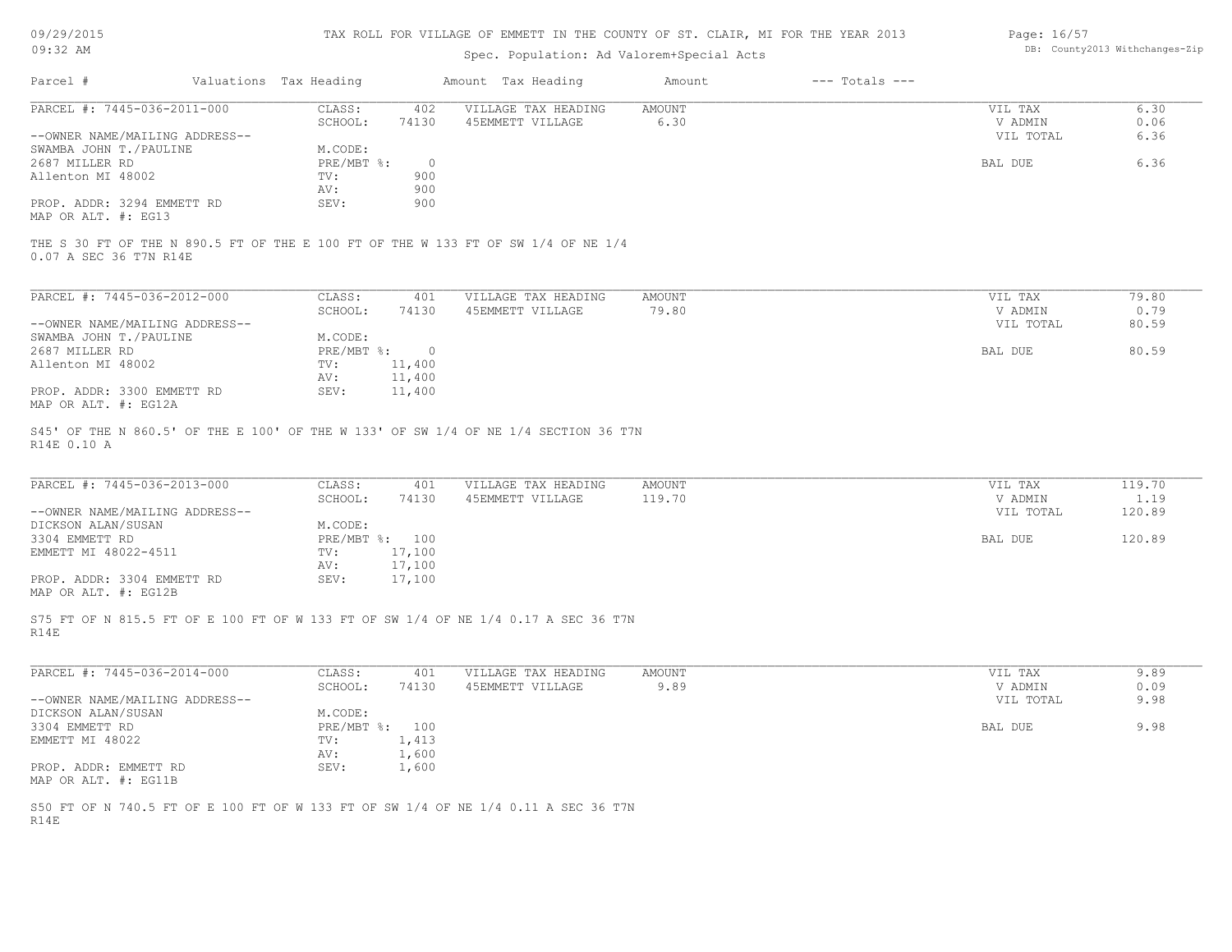| DB: County2013 Withchanges-Zip<br>Spec. Population: Ad Valorem+Special Acts<br>Valuations Tax Heading<br>Amount Tax Heading<br>$---$ Totals $---$<br>Parcel #<br>Amount<br>PARCEL #: 7445-036-2011-000<br>CLASS:<br>VILLAGE TAX HEADING<br>6.30<br>402<br>AMOUNT<br>VIL TAX<br>V ADMIN<br>SCHOOL:<br>74130<br>45EMMETT VILLAGE<br>6.30<br>0.06<br>6.36<br>--OWNER NAME/MAILING ADDRESS--<br>VIL TOTAL<br>SWAMBA JOHN T./PAULINE<br>M.CODE:<br>2687 MILLER RD<br>PRE/MBT %:<br>BAL DUE<br>6.36<br>$\circ$<br>Allenton MI 48002<br>TV:<br>900<br>900<br>AV:<br>PROP. ADDR: 3294 EMMETT RD<br>SEV:<br>900<br>MAP OR ALT. #: EG13<br>THE S 30 FT OF THE N 890.5 FT OF THE E 100 FT OF THE W 133 FT OF SW 1/4 OF NE 1/4<br>0.07 A SEC 36 T7N R14E<br>PARCEL #: 7445-036-2012-000<br>CLASS:<br>401<br>VILLAGE TAX HEADING<br>AMOUNT<br>VIL TAX<br>79.80<br>SCHOOL:<br>74130<br>45EMMETT VILLAGE<br>79.80<br>V ADMIN<br>0.79<br>--OWNER NAME/MAILING ADDRESS--<br>VIL TOTAL<br>80.59<br>SWAMBA JOHN T. / PAULINE<br>M.CODE:<br>BAL DUE<br>80.59<br>2687 MILLER RD<br>PRE/MBT %:<br>$\overline{0}$<br>Allenton MI 48002<br>TV:<br>11,400<br>11,400<br>AV:<br>PROP. ADDR: 3300 EMMETT RD<br>11,400<br>SEV:<br>MAP OR ALT. #: EG12A<br>S45' OF THE N 860.5' OF THE E 100' OF THE W 133' OF SW 1/4 OF NE 1/4 SECTION 36 T7N<br>R14E 0.10 A<br>PARCEL #: 7445-036-2013-000<br>CLASS:<br>VILLAGE TAX HEADING<br>AMOUNT<br>119.70<br>401<br>VIL TAX<br>74130<br>119.70<br>SCHOOL:<br>45EMMETT VILLAGE<br>V ADMIN<br>1.19<br>--OWNER NAME/MAILING ADDRESS--<br>VIL TOTAL<br>120.89<br>DICKSON ALAN/SUSAN<br>M.CODE:<br>120.89<br>3304 EMMETT RD<br>PRE/MBT %: 100<br>BAL DUE<br>17,100<br>EMMETT MI 48022-4511<br>TV:<br>17,100<br>AV:<br>17,100<br>PROP. ADDR: 3304 EMMETT RD<br>SEV:<br>MAP OR ALT. #: EG12B<br>S75 FT OF N 815.5 FT OF E 100 FT OF W 133 FT OF SW 1/4 OF NE 1/4 0.17 A SEC 36 T7N<br>R14E<br>PARCEL #: 7445-036-2014-000<br>CLASS:<br>VILLAGE TAX HEADING<br>9.89<br>401<br>AMOUNT<br>VIL TAX<br>9.89<br>SCHOOL:<br>74130<br>45EMMETT VILLAGE<br>V ADMIN<br>0.09<br>9.98<br>--OWNER NAME/MAILING ADDRESS--<br>VIL TOTAL<br>M.CODE:<br>DICKSON ALAN/SUSAN<br>3304 EMMETT RD<br>PRE/MBT %: 100<br>BAL DUE<br>9.98<br>EMMETT MI 48022<br>1,413<br>TV:<br>1,600<br>AV:<br>SEV:<br>1,600<br>PROP. ADDR: EMMETT RD<br>S50 FT OF N 740.5 FT OF E 100 FT OF W 133 FT OF SW 1/4 OF NE 1/4 0.11 A SEC 36 T7N | 09/29/2015 |  | TAX ROLL FOR VILLAGE OF EMMETT IN THE COUNTY OF ST. CLAIR, MI FOR THE YEAR 2013 |  | Page: 16/57 |  |
|--------------------------------------------------------------------------------------------------------------------------------------------------------------------------------------------------------------------------------------------------------------------------------------------------------------------------------------------------------------------------------------------------------------------------------------------------------------------------------------------------------------------------------------------------------------------------------------------------------------------------------------------------------------------------------------------------------------------------------------------------------------------------------------------------------------------------------------------------------------------------------------------------------------------------------------------------------------------------------------------------------------------------------------------------------------------------------------------------------------------------------------------------------------------------------------------------------------------------------------------------------------------------------------------------------------------------------------------------------------------------------------------------------------------------------------------------------------------------------------------------------------------------------------------------------------------------------------------------------------------------------------------------------------------------------------------------------------------------------------------------------------------------------------------------------------------------------------------------------------------------------------------------------------------------------------------------------------------------------------------------------------------------------------------------------------------------------------------------------------------------------------------------------------------------------------------------------------------------------------------------------------------------------------------------------------------------------------------------------------------------------------------------------|------------|--|---------------------------------------------------------------------------------|--|-------------|--|
| MAP OR ALT. #: EG11B<br>R14E                                                                                                                                                                                                                                                                                                                                                                                                                                                                                                                                                                                                                                                                                                                                                                                                                                                                                                                                                                                                                                                                                                                                                                                                                                                                                                                                                                                                                                                                                                                                                                                                                                                                                                                                                                                                                                                                                                                                                                                                                                                                                                                                                                                                                                                                                                                                                                           | 09:32 AM   |  |                                                                                 |  |             |  |
|                                                                                                                                                                                                                                                                                                                                                                                                                                                                                                                                                                                                                                                                                                                                                                                                                                                                                                                                                                                                                                                                                                                                                                                                                                                                                                                                                                                                                                                                                                                                                                                                                                                                                                                                                                                                                                                                                                                                                                                                                                                                                                                                                                                                                                                                                                                                                                                                        |            |  |                                                                                 |  |             |  |
|                                                                                                                                                                                                                                                                                                                                                                                                                                                                                                                                                                                                                                                                                                                                                                                                                                                                                                                                                                                                                                                                                                                                                                                                                                                                                                                                                                                                                                                                                                                                                                                                                                                                                                                                                                                                                                                                                                                                                                                                                                                                                                                                                                                                                                                                                                                                                                                                        |            |  |                                                                                 |  |             |  |
|                                                                                                                                                                                                                                                                                                                                                                                                                                                                                                                                                                                                                                                                                                                                                                                                                                                                                                                                                                                                                                                                                                                                                                                                                                                                                                                                                                                                                                                                                                                                                                                                                                                                                                                                                                                                                                                                                                                                                                                                                                                                                                                                                                                                                                                                                                                                                                                                        |            |  |                                                                                 |  |             |  |
|                                                                                                                                                                                                                                                                                                                                                                                                                                                                                                                                                                                                                                                                                                                                                                                                                                                                                                                                                                                                                                                                                                                                                                                                                                                                                                                                                                                                                                                                                                                                                                                                                                                                                                                                                                                                                                                                                                                                                                                                                                                                                                                                                                                                                                                                                                                                                                                                        |            |  |                                                                                 |  |             |  |
|                                                                                                                                                                                                                                                                                                                                                                                                                                                                                                                                                                                                                                                                                                                                                                                                                                                                                                                                                                                                                                                                                                                                                                                                                                                                                                                                                                                                                                                                                                                                                                                                                                                                                                                                                                                                                                                                                                                                                                                                                                                                                                                                                                                                                                                                                                                                                                                                        |            |  |                                                                                 |  |             |  |
|                                                                                                                                                                                                                                                                                                                                                                                                                                                                                                                                                                                                                                                                                                                                                                                                                                                                                                                                                                                                                                                                                                                                                                                                                                                                                                                                                                                                                                                                                                                                                                                                                                                                                                                                                                                                                                                                                                                                                                                                                                                                                                                                                                                                                                                                                                                                                                                                        |            |  |                                                                                 |  |             |  |
|                                                                                                                                                                                                                                                                                                                                                                                                                                                                                                                                                                                                                                                                                                                                                                                                                                                                                                                                                                                                                                                                                                                                                                                                                                                                                                                                                                                                                                                                                                                                                                                                                                                                                                                                                                                                                                                                                                                                                                                                                                                                                                                                                                                                                                                                                                                                                                                                        |            |  |                                                                                 |  |             |  |
|                                                                                                                                                                                                                                                                                                                                                                                                                                                                                                                                                                                                                                                                                                                                                                                                                                                                                                                                                                                                                                                                                                                                                                                                                                                                                                                                                                                                                                                                                                                                                                                                                                                                                                                                                                                                                                                                                                                                                                                                                                                                                                                                                                                                                                                                                                                                                                                                        |            |  |                                                                                 |  |             |  |
|                                                                                                                                                                                                                                                                                                                                                                                                                                                                                                                                                                                                                                                                                                                                                                                                                                                                                                                                                                                                                                                                                                                                                                                                                                                                                                                                                                                                                                                                                                                                                                                                                                                                                                                                                                                                                                                                                                                                                                                                                                                                                                                                                                                                                                                                                                                                                                                                        |            |  |                                                                                 |  |             |  |
|                                                                                                                                                                                                                                                                                                                                                                                                                                                                                                                                                                                                                                                                                                                                                                                                                                                                                                                                                                                                                                                                                                                                                                                                                                                                                                                                                                                                                                                                                                                                                                                                                                                                                                                                                                                                                                                                                                                                                                                                                                                                                                                                                                                                                                                                                                                                                                                                        |            |  |                                                                                 |  |             |  |
|                                                                                                                                                                                                                                                                                                                                                                                                                                                                                                                                                                                                                                                                                                                                                                                                                                                                                                                                                                                                                                                                                                                                                                                                                                                                                                                                                                                                                                                                                                                                                                                                                                                                                                                                                                                                                                                                                                                                                                                                                                                                                                                                                                                                                                                                                                                                                                                                        |            |  |                                                                                 |  |             |  |
|                                                                                                                                                                                                                                                                                                                                                                                                                                                                                                                                                                                                                                                                                                                                                                                                                                                                                                                                                                                                                                                                                                                                                                                                                                                                                                                                                                                                                                                                                                                                                                                                                                                                                                                                                                                                                                                                                                                                                                                                                                                                                                                                                                                                                                                                                                                                                                                                        |            |  |                                                                                 |  |             |  |
|                                                                                                                                                                                                                                                                                                                                                                                                                                                                                                                                                                                                                                                                                                                                                                                                                                                                                                                                                                                                                                                                                                                                                                                                                                                                                                                                                                                                                                                                                                                                                                                                                                                                                                                                                                                                                                                                                                                                                                                                                                                                                                                                                                                                                                                                                                                                                                                                        |            |  |                                                                                 |  |             |  |
|                                                                                                                                                                                                                                                                                                                                                                                                                                                                                                                                                                                                                                                                                                                                                                                                                                                                                                                                                                                                                                                                                                                                                                                                                                                                                                                                                                                                                                                                                                                                                                                                                                                                                                                                                                                                                                                                                                                                                                                                                                                                                                                                                                                                                                                                                                                                                                                                        |            |  |                                                                                 |  |             |  |
|                                                                                                                                                                                                                                                                                                                                                                                                                                                                                                                                                                                                                                                                                                                                                                                                                                                                                                                                                                                                                                                                                                                                                                                                                                                                                                                                                                                                                                                                                                                                                                                                                                                                                                                                                                                                                                                                                                                                                                                                                                                                                                                                                                                                                                                                                                                                                                                                        |            |  |                                                                                 |  |             |  |
|                                                                                                                                                                                                                                                                                                                                                                                                                                                                                                                                                                                                                                                                                                                                                                                                                                                                                                                                                                                                                                                                                                                                                                                                                                                                                                                                                                                                                                                                                                                                                                                                                                                                                                                                                                                                                                                                                                                                                                                                                                                                                                                                                                                                                                                                                                                                                                                                        |            |  |                                                                                 |  |             |  |
|                                                                                                                                                                                                                                                                                                                                                                                                                                                                                                                                                                                                                                                                                                                                                                                                                                                                                                                                                                                                                                                                                                                                                                                                                                                                                                                                                                                                                                                                                                                                                                                                                                                                                                                                                                                                                                                                                                                                                                                                                                                                                                                                                                                                                                                                                                                                                                                                        |            |  |                                                                                 |  |             |  |
|                                                                                                                                                                                                                                                                                                                                                                                                                                                                                                                                                                                                                                                                                                                                                                                                                                                                                                                                                                                                                                                                                                                                                                                                                                                                                                                                                                                                                                                                                                                                                                                                                                                                                                                                                                                                                                                                                                                                                                                                                                                                                                                                                                                                                                                                                                                                                                                                        |            |  |                                                                                 |  |             |  |
|                                                                                                                                                                                                                                                                                                                                                                                                                                                                                                                                                                                                                                                                                                                                                                                                                                                                                                                                                                                                                                                                                                                                                                                                                                                                                                                                                                                                                                                                                                                                                                                                                                                                                                                                                                                                                                                                                                                                                                                                                                                                                                                                                                                                                                                                                                                                                                                                        |            |  |                                                                                 |  |             |  |
|                                                                                                                                                                                                                                                                                                                                                                                                                                                                                                                                                                                                                                                                                                                                                                                                                                                                                                                                                                                                                                                                                                                                                                                                                                                                                                                                                                                                                                                                                                                                                                                                                                                                                                                                                                                                                                                                                                                                                                                                                                                                                                                                                                                                                                                                                                                                                                                                        |            |  |                                                                                 |  |             |  |
|                                                                                                                                                                                                                                                                                                                                                                                                                                                                                                                                                                                                                                                                                                                                                                                                                                                                                                                                                                                                                                                                                                                                                                                                                                                                                                                                                                                                                                                                                                                                                                                                                                                                                                                                                                                                                                                                                                                                                                                                                                                                                                                                                                                                                                                                                                                                                                                                        |            |  |                                                                                 |  |             |  |
|                                                                                                                                                                                                                                                                                                                                                                                                                                                                                                                                                                                                                                                                                                                                                                                                                                                                                                                                                                                                                                                                                                                                                                                                                                                                                                                                                                                                                                                                                                                                                                                                                                                                                                                                                                                                                                                                                                                                                                                                                                                                                                                                                                                                                                                                                                                                                                                                        |            |  |                                                                                 |  |             |  |
|                                                                                                                                                                                                                                                                                                                                                                                                                                                                                                                                                                                                                                                                                                                                                                                                                                                                                                                                                                                                                                                                                                                                                                                                                                                                                                                                                                                                                                                                                                                                                                                                                                                                                                                                                                                                                                                                                                                                                                                                                                                                                                                                                                                                                                                                                                                                                                                                        |            |  |                                                                                 |  |             |  |
|                                                                                                                                                                                                                                                                                                                                                                                                                                                                                                                                                                                                                                                                                                                                                                                                                                                                                                                                                                                                                                                                                                                                                                                                                                                                                                                                                                                                                                                                                                                                                                                                                                                                                                                                                                                                                                                                                                                                                                                                                                                                                                                                                                                                                                                                                                                                                                                                        |            |  |                                                                                 |  |             |  |
|                                                                                                                                                                                                                                                                                                                                                                                                                                                                                                                                                                                                                                                                                                                                                                                                                                                                                                                                                                                                                                                                                                                                                                                                                                                                                                                                                                                                                                                                                                                                                                                                                                                                                                                                                                                                                                                                                                                                                                                                                                                                                                                                                                                                                                                                                                                                                                                                        |            |  |                                                                                 |  |             |  |
|                                                                                                                                                                                                                                                                                                                                                                                                                                                                                                                                                                                                                                                                                                                                                                                                                                                                                                                                                                                                                                                                                                                                                                                                                                                                                                                                                                                                                                                                                                                                                                                                                                                                                                                                                                                                                                                                                                                                                                                                                                                                                                                                                                                                                                                                                                                                                                                                        |            |  |                                                                                 |  |             |  |
|                                                                                                                                                                                                                                                                                                                                                                                                                                                                                                                                                                                                                                                                                                                                                                                                                                                                                                                                                                                                                                                                                                                                                                                                                                                                                                                                                                                                                                                                                                                                                                                                                                                                                                                                                                                                                                                                                                                                                                                                                                                                                                                                                                                                                                                                                                                                                                                                        |            |  |                                                                                 |  |             |  |
|                                                                                                                                                                                                                                                                                                                                                                                                                                                                                                                                                                                                                                                                                                                                                                                                                                                                                                                                                                                                                                                                                                                                                                                                                                                                                                                                                                                                                                                                                                                                                                                                                                                                                                                                                                                                                                                                                                                                                                                                                                                                                                                                                                                                                                                                                                                                                                                                        |            |  |                                                                                 |  |             |  |
|                                                                                                                                                                                                                                                                                                                                                                                                                                                                                                                                                                                                                                                                                                                                                                                                                                                                                                                                                                                                                                                                                                                                                                                                                                                                                                                                                                                                                                                                                                                                                                                                                                                                                                                                                                                                                                                                                                                                                                                                                                                                                                                                                                                                                                                                                                                                                                                                        |            |  |                                                                                 |  |             |  |
|                                                                                                                                                                                                                                                                                                                                                                                                                                                                                                                                                                                                                                                                                                                                                                                                                                                                                                                                                                                                                                                                                                                                                                                                                                                                                                                                                                                                                                                                                                                                                                                                                                                                                                                                                                                                                                                                                                                                                                                                                                                                                                                                                                                                                                                                                                                                                                                                        |            |  |                                                                                 |  |             |  |
|                                                                                                                                                                                                                                                                                                                                                                                                                                                                                                                                                                                                                                                                                                                                                                                                                                                                                                                                                                                                                                                                                                                                                                                                                                                                                                                                                                                                                                                                                                                                                                                                                                                                                                                                                                                                                                                                                                                                                                                                                                                                                                                                                                                                                                                                                                                                                                                                        |            |  |                                                                                 |  |             |  |
|                                                                                                                                                                                                                                                                                                                                                                                                                                                                                                                                                                                                                                                                                                                                                                                                                                                                                                                                                                                                                                                                                                                                                                                                                                                                                                                                                                                                                                                                                                                                                                                                                                                                                                                                                                                                                                                                                                                                                                                                                                                                                                                                                                                                                                                                                                                                                                                                        |            |  |                                                                                 |  |             |  |
|                                                                                                                                                                                                                                                                                                                                                                                                                                                                                                                                                                                                                                                                                                                                                                                                                                                                                                                                                                                                                                                                                                                                                                                                                                                                                                                                                                                                                                                                                                                                                                                                                                                                                                                                                                                                                                                                                                                                                                                                                                                                                                                                                                                                                                                                                                                                                                                                        |            |  |                                                                                 |  |             |  |
|                                                                                                                                                                                                                                                                                                                                                                                                                                                                                                                                                                                                                                                                                                                                                                                                                                                                                                                                                                                                                                                                                                                                                                                                                                                                                                                                                                                                                                                                                                                                                                                                                                                                                                                                                                                                                                                                                                                                                                                                                                                                                                                                                                                                                                                                                                                                                                                                        |            |  |                                                                                 |  |             |  |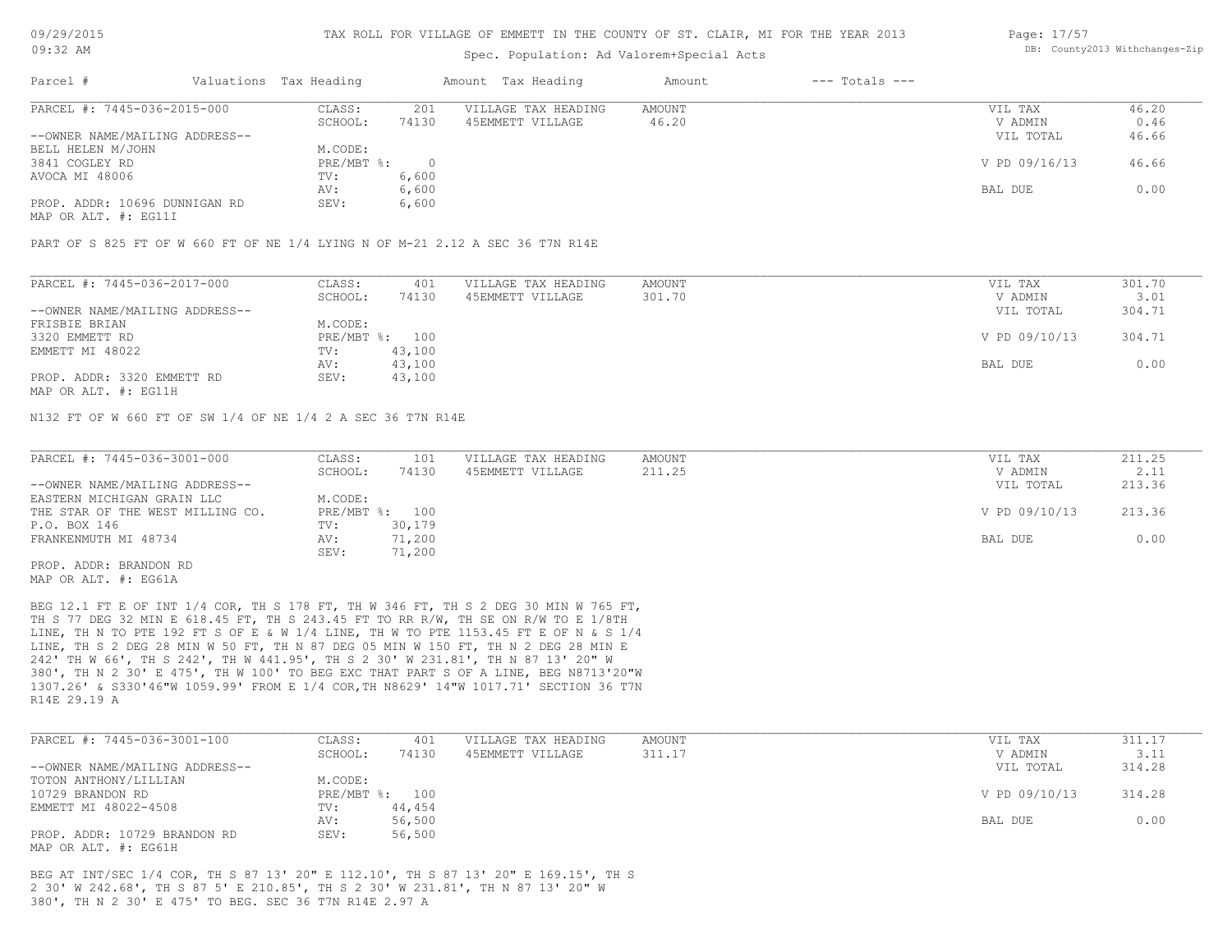## Spec. Population: Ad Valorem+Special Acts

#### Page: 17/57 DB: County2013 Withchanges-Zip

| Parcel #                                                                                                        | Valuations Tax Heading |       | Amount Tax Heading  | Amount | $---$ Totals $---$ |               |       |
|-----------------------------------------------------------------------------------------------------------------|------------------------|-------|---------------------|--------|--------------------|---------------|-------|
| PARCEL #: 7445-036-2015-000                                                                                     | CLASS:                 | 201   | VILLAGE TAX HEADING | AMOUNT |                    | VIL TAX       | 46.20 |
|                                                                                                                 | SCHOOL:                | 74130 | 45EMMETT VILLAGE    | 46.20  |                    | V ADMIN       | 0.46  |
| --OWNER NAME/MAILING ADDRESS--                                                                                  |                        |       |                     |        |                    | VIL TOTAL     | 46.66 |
| BELL HELEN M/JOHN                                                                                               | M.CODE:                |       |                     |        |                    |               |       |
| 3841 COGLEY RD                                                                                                  | $PRE/MBT$ %:           |       |                     |        |                    | V PD 09/16/13 | 46.66 |
| AVOCA MI 48006                                                                                                  | TV:                    | 6,600 |                     |        |                    |               |       |
|                                                                                                                 | AV:                    | 6,600 |                     |        |                    | BAL DUE       | 0.00  |
| PROP. ADDR: 10696 DUNNIGAN RD                                                                                   | SEV:                   | 6,600 |                     |        |                    |               |       |
| the contract of the contract of the contract of the contract of the contract of the contract of the contract of |                        |       |                     |        |                    |               |       |

MAP OR ALT. #: EG11I

PART OF S 825 FT OF W 660 FT OF NE 1/4 LYING N OF M-21 2.12 A SEC 36 T7N R14E

| PARCEL #: 7445-036-2017-000    | CLASS:         | 401    | VILLAGE TAX HEADING | AMOUNT | VIL TAX       | 301.70 |
|--------------------------------|----------------|--------|---------------------|--------|---------------|--------|
|                                | SCHOOL:        | 74130  | 45EMMETT VILLAGE    | 301.70 | V ADMIN       | 3.01   |
| --OWNER NAME/MAILING ADDRESS-- |                |        |                     |        | VIL TOTAL     | 304.71 |
| FRISBIE BRIAN                  | M.CODE:        |        |                     |        |               |        |
| 3320 EMMETT RD                 | PRE/MBT %: 100 |        |                     |        | V PD 09/10/13 | 304.71 |
| EMMETT MI 48022                | TV:            | 43,100 |                     |        |               |        |
|                                | AV:            | 43,100 |                     |        | BAL DUE       | 0.00   |
| PROP. ADDR: 3320 EMMETT RD     | SEV:           | 43,100 |                     |        |               |        |
|                                |                |        |                     |        |               |        |

MAP OR ALT. #: EG11H

N132 FT OF W 660 FT OF SW 1/4 OF NE 1/4 2 A SEC 36 T7N R14E

| PARCEL #: 7445-036-3001-000      | CLASS:  | 101            | VILLAGE TAX HEADING | AMOUNT | VIL TAX       | 211.25 |
|----------------------------------|---------|----------------|---------------------|--------|---------------|--------|
|                                  | SCHOOL: | 74130          | 45EMMETT VILLAGE    | 211.25 | V ADMIN       | 2.11   |
| --OWNER NAME/MAILING ADDRESS--   |         |                |                     |        | VIL TOTAL     | 213.36 |
| EASTERN MICHIGAN GRAIN LLC       | M.CODE: |                |                     |        |               |        |
| THE STAR OF THE WEST MILLING CO. |         | PRE/MBT %: 100 |                     |        | V PD 09/10/13 | 213.36 |
| P.O. BOX 146                     | TV:     | 30,179         |                     |        |               |        |
| FRANKENMUTH MI 48734             | AV:     | 71,200         |                     |        | BAL DUE       | 0.00   |
|                                  | SEV:    | 71,200         |                     |        |               |        |
| PROP. ADDR: BRANDON RD           |         |                |                     |        |               |        |

MAP OR ALT. #: EG61A

R14E 29.19 A 1307.26' & S330'46"W 1059.99' FROM E 1/4 COR,TH N8629' 14"W 1017.71' SECTION 36 T7N 380', TH N 2 30' E 475', TH W 100' TO BEG EXC THAT PART S OF A LINE, BEG N8713'20"W 242' TH W 66', TH S 242', TH W 441.95', TH S 2 30' W 231.81', TH N 87 13' 20" W LINE, TH S 2 DEG 28 MIN W 50 FT, TH N 87 DEG 05 MIN W 150 FT, TH N 2 DEG 28 MIN E LINE, TH N TO PTE 192 FT S OF E & W 1/4 LINE, TH W TO PTE 1153.45 FT E OF N & S 1/4 TH S 77 DEG 32 MIN E 618.45 FT, TH S 243.45 FT TO RR R/W, TH SE ON R/W TO E 1/8TH BEG 12.1 FT E OF INT 1/4 COR, TH S 178 FT, TH W 346 FT, TH S 2 DEG 30 MIN W 765 FT,

| PARCEL #: 7445-036-3001-100    | CLASS:  | 401            | VILLAGE TAX HEADING | AMOUNT | VIL TAX       | 311.17 |
|--------------------------------|---------|----------------|---------------------|--------|---------------|--------|
|                                | SCHOOL: | 74130          | 45EMMETT VILLAGE    | 311.17 | V ADMIN       | 3.11   |
| --OWNER NAME/MAILING ADDRESS-- |         |                |                     |        | VIL TOTAL     | 314.28 |
| TOTON ANTHONY/LILLIAN          | M.CODE: |                |                     |        |               |        |
| 10729 BRANDON RD               |         | PRE/MBT %: 100 |                     |        | V PD 09/10/13 | 314.28 |
| EMMETT MI 48022-4508           | TV:     | 44,454         |                     |        |               |        |
|                                | AV:     | 56,500         |                     |        | BAL DUE       | 0.00   |
| PROP. ADDR: 10729 BRANDON RD   | SEV:    | 56,500         |                     |        |               |        |
| MAP OR ALT. #: EG61H           |         |                |                     |        |               |        |

380', TH N 2 30' E 475' TO BEG. SEC 36 T7N R14E 2.97 A 2 30' W 242.68', TH S 87 5' E 210.85', TH S 2 30' W 231.81', TH N 87 13' 20" W BEG AT INT/SEC 1/4 COR, TH S 87 13' 20" E 112.10', TH S 87 13' 20" E 169.15', TH S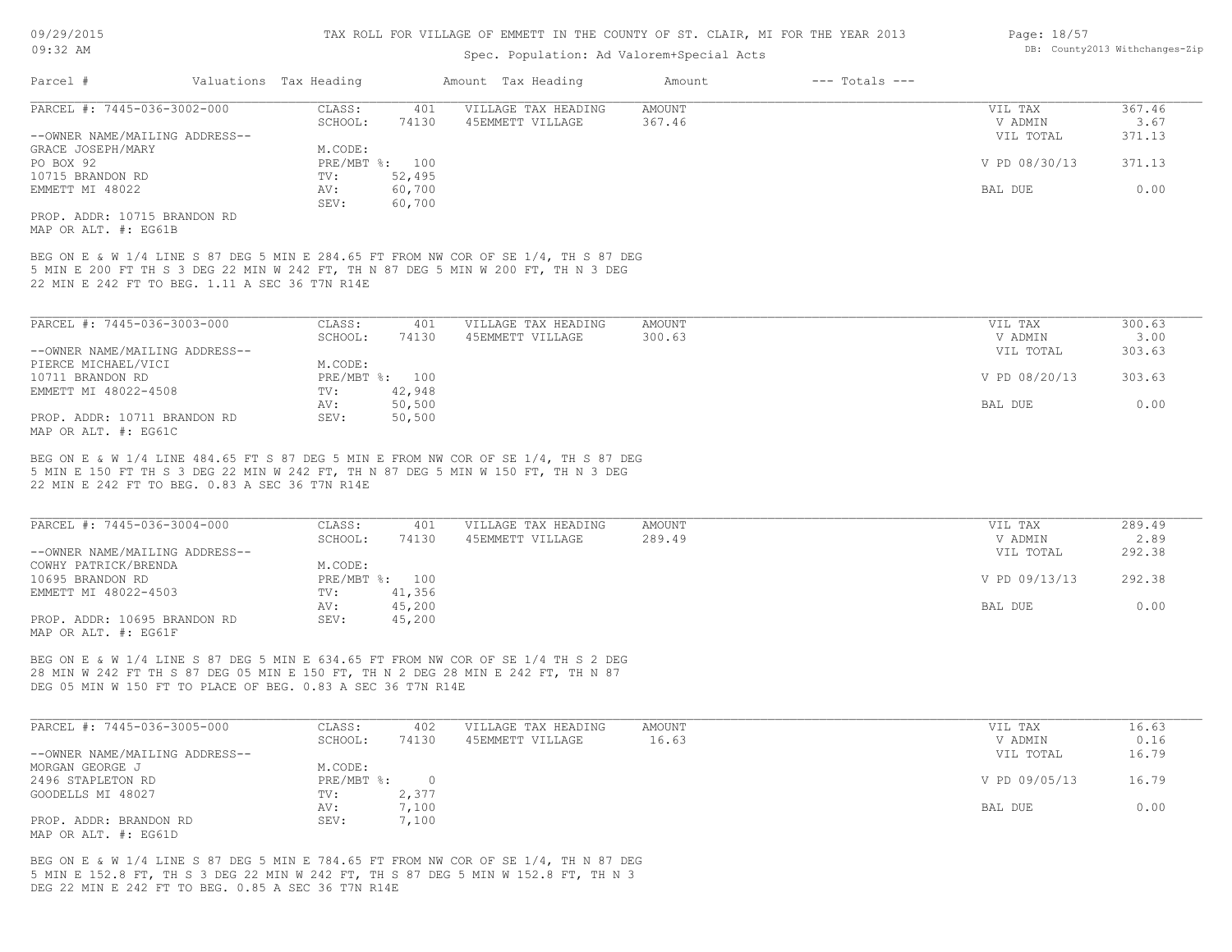# Spec. Population: Ad Valorem+Special Acts

| Page: 18/57 |                                |
|-------------|--------------------------------|
|             | DB: County2013 Withchanges-Zip |

| Parcel #                                                                                                                                                                               | Valuations Tax Heading    |              | Amount Tax Heading                                                                                                                                                       | Amount                  | $---$ Totals $---$              |                          |
|----------------------------------------------------------------------------------------------------------------------------------------------------------------------------------------|---------------------------|--------------|--------------------------------------------------------------------------------------------------------------------------------------------------------------------------|-------------------------|---------------------------------|--------------------------|
| PARCEL #: 7445-036-3002-000                                                                                                                                                            | CLASS:                    | 401          | VILLAGE TAX HEADING                                                                                                                                                      | AMOUNT                  | VIL TAX                         | 367.46                   |
|                                                                                                                                                                                        | SCHOOL:                   | 74130        | 45EMMETT VILLAGE                                                                                                                                                         | 367.46                  | V ADMIN                         | 3.67                     |
| --OWNER NAME/MAILING ADDRESS--                                                                                                                                                         |                           |              |                                                                                                                                                                          |                         | VIL TOTAL                       | 371.13                   |
| GRACE JOSEPH/MARY                                                                                                                                                                      | M.CODE:                   |              |                                                                                                                                                                          |                         |                                 |                          |
| PO BOX 92                                                                                                                                                                              | PRE/MBT %: 100            |              |                                                                                                                                                                          |                         | V PD 08/30/13                   | 371.13                   |
| 10715 BRANDON RD                                                                                                                                                                       | TV:                       | 52,495       |                                                                                                                                                                          |                         |                                 |                          |
| EMMETT MI 48022                                                                                                                                                                        | AV:                       | 60,700       |                                                                                                                                                                          |                         | BAL DUE                         | 0.00                     |
|                                                                                                                                                                                        | SEV:                      | 60,700       |                                                                                                                                                                          |                         |                                 |                          |
| PROP. ADDR: 10715 BRANDON RD                                                                                                                                                           |                           |              |                                                                                                                                                                          |                         |                                 |                          |
| MAP OR ALT. #: EG61B                                                                                                                                                                   |                           |              |                                                                                                                                                                          |                         |                                 |                          |
|                                                                                                                                                                                        |                           |              |                                                                                                                                                                          |                         |                                 |                          |
|                                                                                                                                                                                        |                           |              | BEG ON E & W 1/4 LINE S 87 DEG 5 MIN E 284.65 FT FROM NW COR OF SE 1/4, TH S 87 DEG<br>5 MIN E 200 FT TH S 3 DEG 22 MIN W 242 FT, TH N 87 DEG 5 MIN W 200 FT, TH N 3 DEG |                         |                                 |                          |
| 22 MIN E 242 FT TO BEG. 1.11 A SEC 36 T7N R14E                                                                                                                                         |                           |              |                                                                                                                                                                          |                         |                                 |                          |
|                                                                                                                                                                                        |                           |              |                                                                                                                                                                          |                         |                                 |                          |
|                                                                                                                                                                                        |                           |              |                                                                                                                                                                          |                         |                                 |                          |
| PARCEL #: 7445-036-3003-000                                                                                                                                                            | CLASS:                    | 401          | VILLAGE TAX HEADING                                                                                                                                                      | <b>AMOUNT</b>           | VIL TAX                         | 300.63                   |
|                                                                                                                                                                                        | SCHOOL:                   | 74130        | 45EMMETT VILLAGE                                                                                                                                                         | 300.63                  | V ADMIN                         | 3.00                     |
| --OWNER NAME/MAILING ADDRESS--                                                                                                                                                         |                           |              |                                                                                                                                                                          |                         | VIL TOTAL                       | 303.63                   |
| PIERCE MICHAEL/VICI                                                                                                                                                                    | M.CODE:                   |              |                                                                                                                                                                          |                         |                                 |                          |
| 10711 BRANDON RD                                                                                                                                                                       | PRE/MBT %: 100            |              |                                                                                                                                                                          |                         | V PD 08/20/13                   | 303.63                   |
| EMMETT MI 48022-4508                                                                                                                                                                   | TV:                       | 42,948       |                                                                                                                                                                          |                         |                                 |                          |
|                                                                                                                                                                                        | AV:                       | 50,500       |                                                                                                                                                                          |                         | BAL DUE                         | 0.00                     |
| PROP. ADDR: 10711 BRANDON RD                                                                                                                                                           | SEV:                      | 50,500       |                                                                                                                                                                          |                         |                                 |                          |
| MAP OR ALT. #: EG61C                                                                                                                                                                   |                           |              |                                                                                                                                                                          |                         |                                 |                          |
| PARCEL #: 7445-036-3004-000<br>--OWNER NAME/MAILING ADDRESS--                                                                                                                          | CLASS:<br>SCHOOL:         | 401<br>74130 | VILLAGE TAX HEADING<br>45EMMETT VILLAGE                                                                                                                                  | <b>AMOUNT</b><br>289.49 | VIL TAX<br>V ADMIN<br>VIL TOTAL | 289.49<br>2.89<br>292.38 |
| COWHY PATRICK/BRENDA<br>10695 BRANDON RD                                                                                                                                               | M.CODE:<br>PRE/MBT %: 100 |              |                                                                                                                                                                          |                         | V PD 09/13/13                   | 292.38                   |
| EMMETT MI 48022-4503                                                                                                                                                                   | TV:                       | 41,356       |                                                                                                                                                                          |                         |                                 |                          |
|                                                                                                                                                                                        | AV:                       | 45,200       |                                                                                                                                                                          |                         | BAL DUE                         | 0.00                     |
| PROP. ADDR: 10695 BRANDON RD                                                                                                                                                           | SEV:                      | 45,200       |                                                                                                                                                                          |                         |                                 |                          |
| MAP OR ALT. #: EG61F                                                                                                                                                                   |                           |              |                                                                                                                                                                          |                         |                                 |                          |
|                                                                                                                                                                                        |                           |              |                                                                                                                                                                          |                         |                                 |                          |
|                                                                                                                                                                                        |                           |              |                                                                                                                                                                          |                         |                                 |                          |
|                                                                                                                                                                                        |                           |              | BEG ON E & W 1/4 LINE S 87 DEG 5 MIN E 634.65 FT FROM NW COR OF SE 1/4 TH S 2 DEG                                                                                        |                         |                                 |                          |
|                                                                                                                                                                                        |                           |              |                                                                                                                                                                          |                         |                                 |                          |
|                                                                                                                                                                                        |                           |              |                                                                                                                                                                          |                         |                                 |                          |
|                                                                                                                                                                                        |                           |              |                                                                                                                                                                          |                         |                                 |                          |
|                                                                                                                                                                                        | CLASS:                    | 402          | VILLAGE TAX HEADING                                                                                                                                                      | <b>AMOUNT</b>           | VIL TAX                         | 16.63                    |
|                                                                                                                                                                                        | SCHOOL:                   | 74130        | 45EMMETT VILLAGE                                                                                                                                                         | 16.63                   | V ADMIN                         | 0.16                     |
|                                                                                                                                                                                        |                           |              |                                                                                                                                                                          |                         | VIL TOTAL                       | 16.79                    |
|                                                                                                                                                                                        | M.CODE:                   |              |                                                                                                                                                                          |                         |                                 |                          |
|                                                                                                                                                                                        | PRE/MBT %:                | $\circ$      |                                                                                                                                                                          |                         | V PD 09/05/13                   | 16.79                    |
|                                                                                                                                                                                        | TV:                       | 2,377        |                                                                                                                                                                          |                         |                                 |                          |
|                                                                                                                                                                                        | AV:                       | 7,100        |                                                                                                                                                                          |                         | BAL DUE                         | 0.00                     |
|                                                                                                                                                                                        | SEV:                      | 7,100        |                                                                                                                                                                          |                         |                                 |                          |
|                                                                                                                                                                                        |                           |              |                                                                                                                                                                          |                         |                                 |                          |
| 28 MIN W 242 FT TH S 87 DEG 05 MIN E 150 FT, TH N 2 DEG 28 MIN E 242 FT, TH N 87<br>--OWNER NAME/MAILING ADDRESS--<br>2496 STAPLETON RD<br>GOODELLS MI 48027<br>PROP. ADDR: BRANDON RD |                           |              |                                                                                                                                                                          |                         |                                 |                          |
| DEG 05 MIN W 150 FT TO PLACE OF BEG. 0.83 A SEC 36 T7N R14E<br>PARCEL #: 7445-036-3005-000<br>MORGAN GEORGE J<br>MAP OR ALT. #: EG61D                                                  |                           |              | BEG ON E & W 1/4 LINE S 87 DEG 5 MIN E 784.65 FT FROM NW COR OF SE 1/4, TH N 87 DEG                                                                                      |                         |                                 |                          |
| DEG 22 MIN E 242 FT TO BEG. 0.85 A SEC 36 T7N R14E                                                                                                                                     |                           |              | 5 MIN E 152.8 FT, TH S 3 DEG 22 MIN W 242 FT, TH S 87 DEG 5 MIN W 152.8 FT, TH N 3                                                                                       |                         |                                 |                          |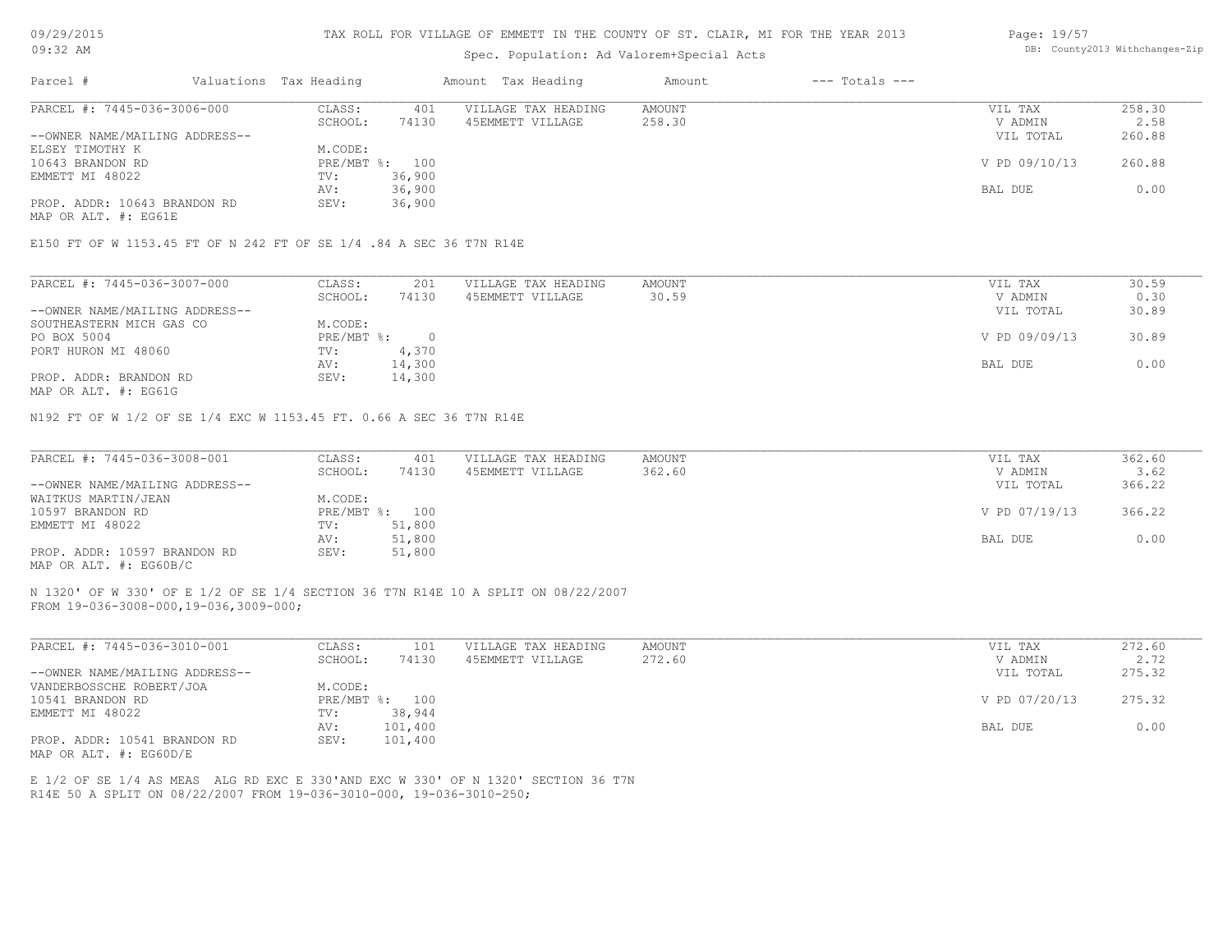## Spec. Population: Ad Valorem+Special Acts

### Page: 19/57 DB: County2013 Withchanges-Zip

| Parcel #                       | Valuations Tax Heading |        | Amount Tax Heading  | Amount | $---$ Totals $---$ |               |        |
|--------------------------------|------------------------|--------|---------------------|--------|--------------------|---------------|--------|
| PARCEL #: 7445-036-3006-000    | CLASS:                 | 401    | VILLAGE TAX HEADING | AMOUNT |                    | VIL TAX       | 258.30 |
|                                | SCHOOL:                | 74130  | 45EMMETT VILLAGE    | 258.30 |                    | V ADMIN       | 2.58   |
| --OWNER NAME/MAILING ADDRESS-- |                        |        |                     |        |                    | VIL TOTAL     | 260.88 |
| ELSEY TIMOTHY K                | M.CODE:                |        |                     |        |                    |               |        |
| 10643 BRANDON RD               | PRE/MBT %: 100         |        |                     |        |                    | V PD 09/10/13 | 260.88 |
| EMMETT MI 48022                | TV:                    | 36,900 |                     |        |                    |               |        |
|                                | AV:                    | 36,900 |                     |        |                    | BAL DUE       | 0.00   |
| PROP. ADDR: 10643 BRANDON RD   | SEV:                   | 36,900 |                     |        |                    |               |        |
|                                |                        |        |                     |        |                    |               |        |

MAP OR ALT. #: EG61E

#### E150 FT OF W 1153.45 FT OF N 242 FT OF SE 1/4 .84 A SEC 36 T7N R14E

| PARCEL #: 7445-036-3007-000    | CLASS:     | 201    | VILLAGE TAX HEADING | AMOUNT | VIL TAX       | 30.59 |
|--------------------------------|------------|--------|---------------------|--------|---------------|-------|
|                                | SCHOOL:    | 74130  | 45EMMETT VILLAGE    | 30.59  | V ADMIN       | 0.30  |
| --OWNER NAME/MAILING ADDRESS-- |            |        |                     |        | VIL TOTAL     | 30.89 |
| SOUTHEASTERN MICH GAS CO       | M.CODE:    |        |                     |        |               |       |
| PO BOX 5004                    | PRE/MBT %: |        |                     |        | V PD 09/09/13 | 30.89 |
| PORT HURON MI 48060            | TV:        | 4,370  |                     |        |               |       |
|                                | AV:        | 14,300 |                     |        | BAL DUE       | 0.00  |
| PROP. ADDR: BRANDON RD         | SEV:       | 14,300 |                     |        |               |       |
|                                |            |        |                     |        |               |       |

MAP OR ALT. #: EG61G

N192 FT OF W 1/2 OF SE 1/4 EXC W 1153.45 FT. 0.66 A SEC 36 T7N R14E

| PARCEL #: 7445-036-3008-001    | CLASS:  | 401            | VILLAGE TAX HEADING | AMOUNT | VIL TAX       | 362.60 |
|--------------------------------|---------|----------------|---------------------|--------|---------------|--------|
|                                | SCHOOL: | 74130          | 45EMMETT VILLAGE    | 362.60 | V ADMIN       | 3.62   |
| --OWNER NAME/MAILING ADDRESS-- |         |                |                     |        | VIL TOTAL     | 366.22 |
| WAITKUS MARTIN/JEAN            | M.CODE: |                |                     |        |               |        |
| 10597 BRANDON RD               |         | PRE/MBT %: 100 |                     |        | V PD 07/19/13 | 366.22 |
| EMMETT MI 48022                | TV:     | 51,800         |                     |        |               |        |
|                                | AV:     | 51,800         |                     |        | BAL DUE       | 0.00   |
| PROP. ADDR: 10597 BRANDON RD   | SEV:    | 51,800         |                     |        |               |        |
| MAP OR ALT. #: EG60B/C         |         |                |                     |        |               |        |

FROM 19-036-3008-000,19-036,3009-000; N 1320' OF W 330' OF E 1/2 OF SE 1/4 SECTION 36 T7N R14E 10 A SPLIT ON 08/22/2007

| PARCEL #: 7445-036-3010-001    | CLASS:       | 101     | VILLAGE TAX HEADING | AMOUNT | VIL TAX       | 272.60 |
|--------------------------------|--------------|---------|---------------------|--------|---------------|--------|
|                                | SCHOOL:      | 74130   | 45EMMETT VILLAGE    | 272.60 | V ADMIN       | 2.72   |
| --OWNER NAME/MAILING ADDRESS-- |              |         |                     |        | VIL TOTAL     | 275.32 |
| VANDERBOSSCHE ROBERT/JOA       | M.CODE:      |         |                     |        |               |        |
| 10541 BRANDON RD               | $PRE/MBT$ %: | 100     |                     |        | V PD 07/20/13 | 275.32 |
| EMMETT MI 48022                | TV:          | 38,944  |                     |        |               |        |
|                                | AV:          | 101,400 |                     |        | BAL DUE       | 0.00   |
| PROP. ADDR: 10541 BRANDON RD   | SEV:         | 101,400 |                     |        |               |        |
| MAP OR ALT. #: EG60D/E         |              |         |                     |        |               |        |

 $\mathcal{L}_\mathcal{L} = \mathcal{L}_\mathcal{L} = \mathcal{L}_\mathcal{L} = \mathcal{L}_\mathcal{L} = \mathcal{L}_\mathcal{L} = \mathcal{L}_\mathcal{L} = \mathcal{L}_\mathcal{L} = \mathcal{L}_\mathcal{L} = \mathcal{L}_\mathcal{L} = \mathcal{L}_\mathcal{L} = \mathcal{L}_\mathcal{L} = \mathcal{L}_\mathcal{L} = \mathcal{L}_\mathcal{L} = \mathcal{L}_\mathcal{L} = \mathcal{L}_\mathcal{L} = \mathcal{L}_\mathcal{L} = \mathcal{L}_\mathcal{L}$ 

R14E 50 A SPLIT ON 08/22/2007 FROM 19-036-3010-000, 19-036-3010-250; E 1/2 OF SE 1/4 AS MEAS ALG RD EXC E 330'AND EXC W 330' OF N 1320' SECTION 36 T7N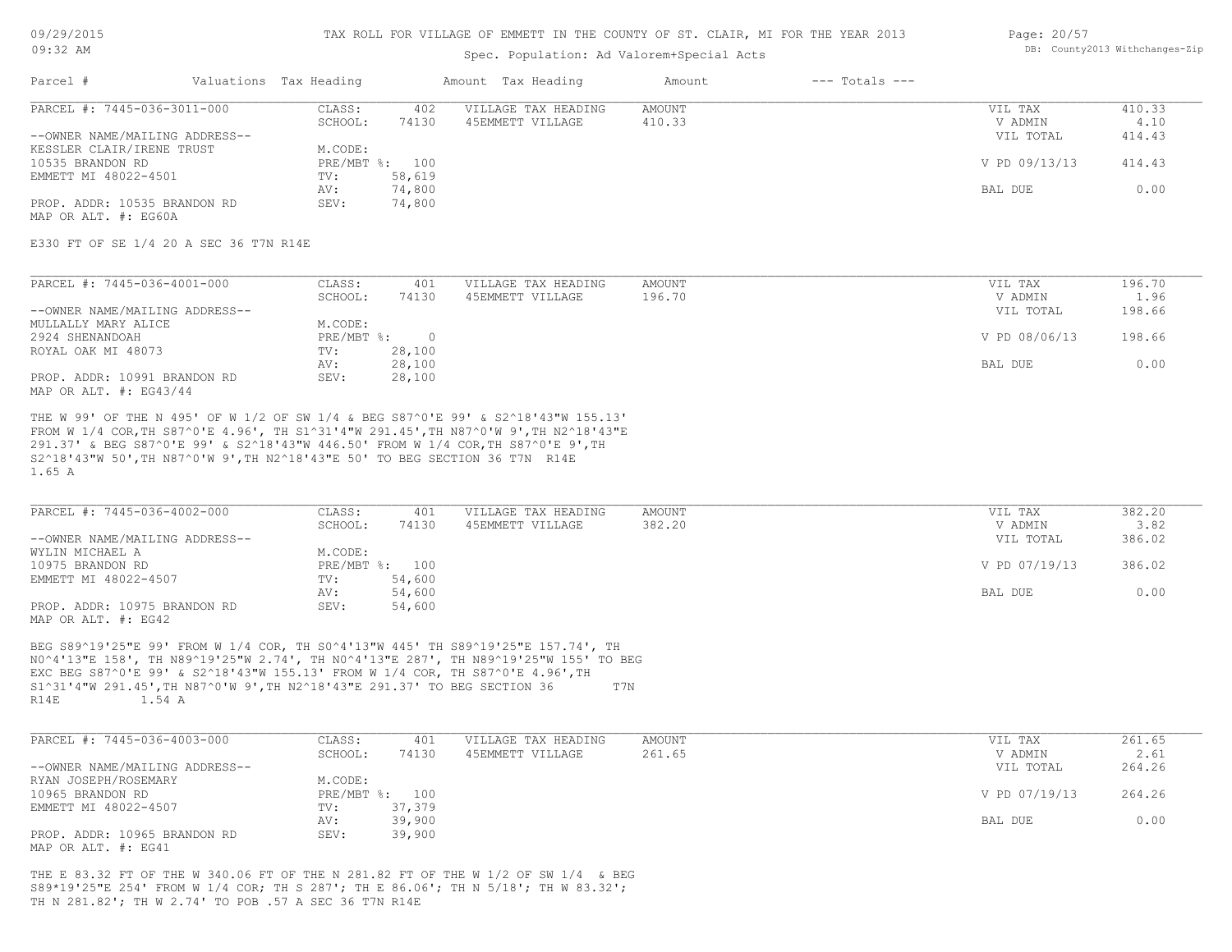## Spec. Population: Ad Valorem+Special Acts

#### Page: 20/57 DB: County2013 Withchanges-Zip

| Parcel #                       | Valuations Tax Heading |                | Amount Tax Heading  | Amount | $---$ Totals $---$ |               |        |
|--------------------------------|------------------------|----------------|---------------------|--------|--------------------|---------------|--------|
| PARCEL #: 7445-036-3011-000    | CLASS:                 | 402            | VILLAGE TAX HEADING | AMOUNT |                    | VIL TAX       | 410.33 |
|                                | SCHOOL:                | 74130          | 45EMMETT VILLAGE    | 410.33 |                    | V ADMIN       | 4.10   |
| --OWNER NAME/MAILING ADDRESS-- |                        |                |                     |        |                    | VIL TOTAL     | 414.43 |
| KESSLER CLAIR/IRENE TRUST      | M.CODE:                |                |                     |        |                    |               |        |
| 10535 BRANDON RD               |                        | PRE/MBT %: 100 |                     |        |                    | V PD 09/13/13 | 414.43 |
| EMMETT MI 48022-4501           | TV:                    | 58,619         |                     |        |                    |               |        |
|                                | AV:                    | 74,800         |                     |        |                    | BAL DUE       | 0.00   |
| PROP. ADDR: 10535 BRANDON RD   | SEV:                   | 74,800         |                     |        |                    |               |        |
| MAP OR ALT, #: EG60A           |                        |                |                     |        |                    |               |        |

E330 FT OF SE 1/4 20 A SEC 36 T7N R14E

| PARCEL #: 7445-036-4001-000    | CLASS:     | 401    | VILLAGE TAX HEADING | AMOUNT | VIL TAX       | 196.70 |
|--------------------------------|------------|--------|---------------------|--------|---------------|--------|
|                                | SCHOOL:    | 74130  | 45EMMETT VILLAGE    | 196.70 | V ADMIN       | 1.96   |
| --OWNER NAME/MAILING ADDRESS-- |            |        |                     |        | VIL TOTAL     | 198.66 |
| MULLALLY MARY ALICE            | M.CODE:    |        |                     |        |               |        |
| 2924 SHENANDOAH                | PRE/MBT %: |        |                     |        | V PD 08/06/13 | 198.66 |
| ROYAL OAK MI 48073             | TV:        | 28,100 |                     |        |               |        |
|                                | AV:        | 28,100 |                     |        | BAL DUE       | 0.00   |
| PROP. ADDR: 10991 BRANDON RD   | SEV:       | 28,100 |                     |        |               |        |
| MAP OR ALT. #: EG43/44         |            |        |                     |        |               |        |

1.65 A S2^18'43"W 50',TH N87^0'W 9',TH N2^18'43"E 50' TO BEG SECTION 36 T7N R14E 291.37' & BEG S87^0'E 99' & S2^18'43"W 446.50' FROM W 1/4 COR,TH S87^0'E 9',TH FROM W 1/4 COR,TH S87^0'E 4.96', TH S1^31'4"W 291.45',TH N87^0'W 9',TH N2^18'43"E THE W 99' OF THE N 495' OF W 1/2 OF SW 1/4 & BEG S87^0'E 99' & S2^18'43"W 155.13'

| PARCEL #: 7445-036-4002-000    | CLASS:  | 401            | VILLAGE TAX HEADING | AMOUNT | VIL TAX       | 382.20 |
|--------------------------------|---------|----------------|---------------------|--------|---------------|--------|
|                                | SCHOOL: | 74130          | 45EMMETT VILLAGE    | 382.20 | V ADMIN       | 3.82   |
| --OWNER NAME/MAILING ADDRESS-- |         |                |                     |        | VIL TOTAL     | 386.02 |
| WYLIN MICHAEL A                | M.CODE: |                |                     |        |               |        |
| 10975 BRANDON RD               |         | PRE/MBT %: 100 |                     |        | V PD 07/19/13 | 386.02 |
| EMMETT MI 48022-4507           | TV:     | 54,600         |                     |        |               |        |
|                                | AV:     | 54,600         |                     |        | BAL DUE       | 0.00   |
| PROP. ADDR: 10975 BRANDON RD   | SEV:    | 54,600         |                     |        |               |        |
| MAP OR ALT. #: EG42            |         |                |                     |        |               |        |

R14E 1.54 A S1^31'4"W 291.45',TH N87^0'W 9',TH N2^18'43"E 291.37' TO BEG SECTION 36 T7N EXC BEG S87^0'E 99' & S2^18'43"W 155.13' FROM W 1/4 COR, TH S87^0'E 4.96',TH N0^4'13"E 158', TH N89^19'25"W 2.74', TH N0^4'13"E 287', TH N89^19'25"W 155' TO BEG BEG S89^19'25"E 99' FROM W 1/4 COR, TH S0^4'13"W 445' TH S89^19'25"E 157.74', TH

| PARCEL #: 7445-036-4003-000    | CLASS:  | 401            | VILLAGE TAX HEADING | AMOUNT | VIL TAX       | 261.65 |
|--------------------------------|---------|----------------|---------------------|--------|---------------|--------|
|                                | SCHOOL: | 74130          | 45EMMETT VILLAGE    | 261.65 | V ADMIN       | 2.61   |
| --OWNER NAME/MAILING ADDRESS-- |         |                |                     |        | VIL TOTAL     | 264.26 |
| RYAN JOSEPH/ROSEMARY           | M.CODE: |                |                     |        |               |        |
| 10965 BRANDON RD               |         | PRE/MBT %: 100 |                     |        | V PD 07/19/13 | 264.26 |
| EMMETT MI 48022-4507           | TV:     | 37,379         |                     |        |               |        |
|                                | AV:     | 39,900         |                     |        | BAL DUE       | 0.00   |
| PROP. ADDR: 10965 BRANDON RD   | SEV:    | 39,900         |                     |        |               |        |
| MAP OR ALT. #: EG41            |         |                |                     |        |               |        |

TH N 281.82'; TH W 2.74' TO POB .57 A SEC 36 T7N R14E S89\*19'25"E 254' FROM W 1/4 COR; TH S 287'; TH E 86.06'; TH N 5/18'; TH W 83.32'; THE E 83.32 FT OF THE W 340.06 FT OF THE N 281.82 FT OF THE W 1/2 OF SW 1/4 & BEG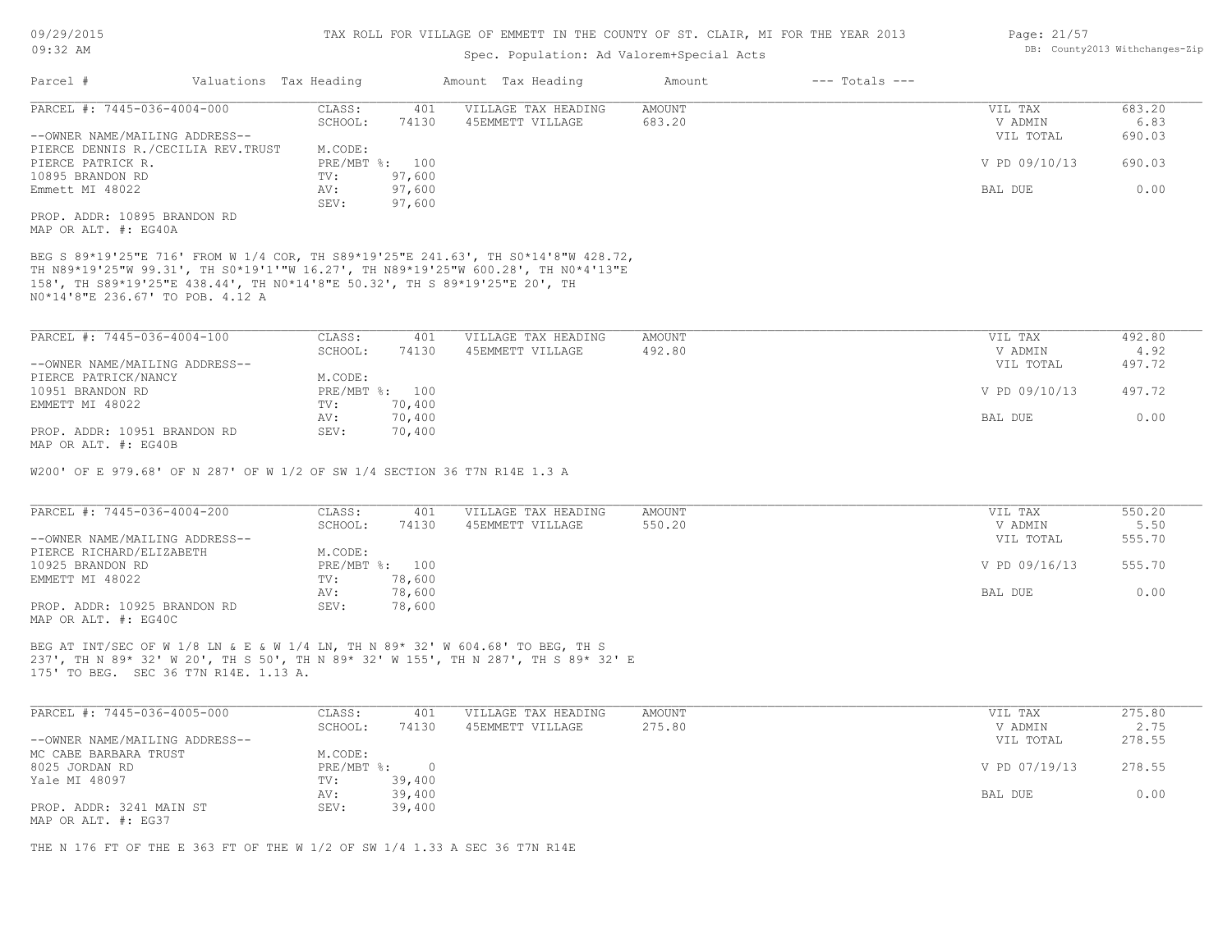## Spec. Population: Ad Valorem+Special Acts

| Parcel #                           | Valuations Tax Heading |                | Amount Tax Heading  | Amount | $---$ Totals $---$ |               |        |
|------------------------------------|------------------------|----------------|---------------------|--------|--------------------|---------------|--------|
| PARCEL #: 7445-036-4004-000        | CLASS:                 | 401            | VILLAGE TAX HEADING | AMOUNT |                    | VIL TAX       | 683.20 |
|                                    | SCHOOL:                | 74130          | 45EMMETT VILLAGE    | 683.20 |                    | V ADMIN       | 6.83   |
| --OWNER NAME/MAILING ADDRESS--     |                        |                |                     |        |                    | VIL TOTAL     | 690.03 |
| PIERCE DENNIS R./CECILIA REV.TRUST | M.CODE:                |                |                     |        |                    |               |        |
| PIERCE PATRICK R.                  |                        | PRE/MBT %: 100 |                     |        |                    | V PD 09/10/13 | 690.03 |
| 10895 BRANDON RD                   | TV:                    | 97,600         |                     |        |                    |               |        |
| Emmett MI 48022                    | AV:                    | 97,600         |                     |        |                    | BAL DUE       | 0.00   |
|                                    | SEV:                   | 97,600         |                     |        |                    |               |        |
| PROP. ADDR: 10895 BRANDON RD       |                        |                |                     |        |                    |               |        |
| MAP OR ALT. #: EG40A               |                        |                |                     |        |                    |               |        |

N0\*14'8"E 236.67' TO POB. 4.12 A 158', TH S89\*19'25"E 438.44', TH N0\*14'8"E 50.32', TH S 89\*19'25"E 20', TH TH N89\*19'25"W 99.31', TH S0\*19'1'"W 16.27', TH N89\*19'25"W 600.28', TH N0\*4'13"E BEG S 89\*19'25"E 716' FROM W 1/4 COR, TH S89\*19'25"E 241.63', TH S0\*14'8"W 428.72,

| PARCEL #: 7445-036-4004-100    | CLASS:  | 401            | VILLAGE TAX HEADING | AMOUNT | VIL TAX       | 492.80 |
|--------------------------------|---------|----------------|---------------------|--------|---------------|--------|
|                                | SCHOOL: | 74130          | 45EMMETT VILLAGE    | 492.80 | V ADMIN       | 4.92   |
| --OWNER NAME/MAILING ADDRESS-- |         |                |                     |        | VIL TOTAL     | 497.72 |
| PIERCE PATRICK/NANCY           | M.CODE: |                |                     |        |               |        |
| 10951 BRANDON RD               |         | PRE/MBT %: 100 |                     |        | V PD 09/10/13 | 497.72 |
| EMMETT MI 48022                | TV:     | 70,400         |                     |        |               |        |
|                                | AV:     | 70,400         |                     |        | BAL DUE       | 0.00   |
| PROP. ADDR: 10951 BRANDON RD   | SEV:    | 70,400         |                     |        |               |        |
| MAP OR ALT. #: EG40B           |         |                |                     |        |               |        |

W200' OF E 979.68' OF N 287' OF W 1/2 OF SW 1/4 SECTION 36 T7N R14E 1.3 A

| PARCEL #: 7445-036-4004-200    | CLASS:  | 401            | VILLAGE TAX HEADING | AMOUNT | VIL TAX       | 550.20 |
|--------------------------------|---------|----------------|---------------------|--------|---------------|--------|
|                                | SCHOOL: | 74130          | 45EMMETT VILLAGE    | 550.20 | V ADMIN       | 5.50   |
| --OWNER NAME/MAILING ADDRESS-- |         |                |                     |        | VIL TOTAL     | 555.70 |
| PIERCE RICHARD/ELIZABETH       | M.CODE: |                |                     |        |               |        |
| 10925 BRANDON RD               |         | PRE/MBT %: 100 |                     |        | V PD 09/16/13 | 555.70 |
| EMMETT MI 48022                | TV:     | 78,600         |                     |        |               |        |
|                                | AV:     | 78,600         |                     |        | BAL DUE       | 0.00   |
| PROP. ADDR: 10925 BRANDON RD   | SEV:    | 78,600         |                     |        |               |        |
| MAP OR ALT. #: EG40C           |         |                |                     |        |               |        |

175' TO BEG. SEC 36 T7N R14E. 1.13 A. 237', TH N 89\* 32' W 20', TH S 50', TH N 89\* 32' W 155', TH N 287', TH S 89\* 32' E BEG AT INT/SEC OF W 1/8 LN & E & W 1/4 LN, TH N 89\* 32' W 604.68' TO BEG, TH S

| PARCEL #: 7445-036-4005-000    | CLASS:       | 401    | VILLAGE TAX HEADING | AMOUNT | VIL TAX       | 275.80 |
|--------------------------------|--------------|--------|---------------------|--------|---------------|--------|
|                                | SCHOOL:      | 74130  | 45EMMETT VILLAGE    | 275.80 | V ADMIN       | 2.75   |
| --OWNER NAME/MAILING ADDRESS-- |              |        |                     |        | VIL TOTAL     | 278.55 |
| MC CABE BARBARA TRUST          | M.CODE:      |        |                     |        |               |        |
| 8025 JORDAN RD                 | $PRE/MBT$ %: | $\cap$ |                     |        | V PD 07/19/13 | 278.55 |
| Yale MI 48097                  | TV:          | 39,400 |                     |        |               |        |
|                                | AV:          | 39,400 |                     |        | BAL DUE       | 0.00   |
| PROP. ADDR: 3241 MAIN ST       | SEV:         | 39,400 |                     |        |               |        |
| MAP OR ALT. #: EG37            |              |        |                     |        |               |        |

 $\mathcal{L}_\mathcal{L} = \mathcal{L}_\mathcal{L} = \mathcal{L}_\mathcal{L} = \mathcal{L}_\mathcal{L} = \mathcal{L}_\mathcal{L} = \mathcal{L}_\mathcal{L} = \mathcal{L}_\mathcal{L} = \mathcal{L}_\mathcal{L} = \mathcal{L}_\mathcal{L} = \mathcal{L}_\mathcal{L} = \mathcal{L}_\mathcal{L} = \mathcal{L}_\mathcal{L} = \mathcal{L}_\mathcal{L} = \mathcal{L}_\mathcal{L} = \mathcal{L}_\mathcal{L} = \mathcal{L}_\mathcal{L} = \mathcal{L}_\mathcal{L}$ 

THE N 176 FT OF THE E 363 FT OF THE W 1/2 OF SW 1/4 1.33 A SEC 36 T7N R14E

Page: 21/57 DB: County2013 Withchanges-Zip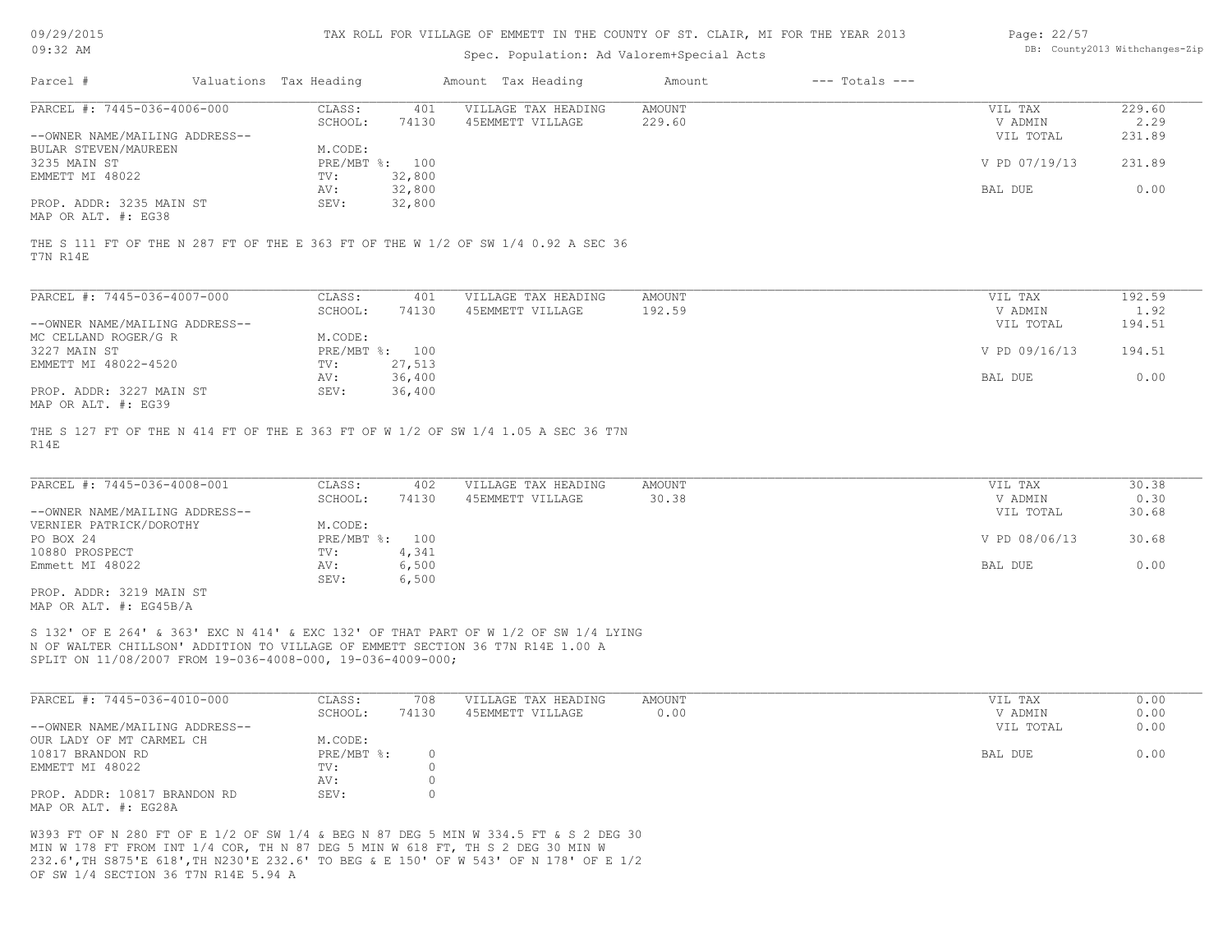| 09/29/2015 |  |
|------------|--|
|------------|--|

| Page: 22/57 |                               |
|-------------|-------------------------------|
|             | DB: County2013 Withchanges-Zi |

|                                |                        |                |                                                                                   |               | TAX ROLL FOR VILLAGE OF EMMETT IN THE COUNTI OF ST. CLAIR, MI FOR THE IEAR 2013 | Page: 22/3/   |                                |
|--------------------------------|------------------------|----------------|-----------------------------------------------------------------------------------|---------------|---------------------------------------------------------------------------------|---------------|--------------------------------|
| $09:32$ AM                     |                        |                | Spec. Population: Ad Valorem+Special Acts                                         |               |                                                                                 |               | DB: County2013 Withchanges-Zip |
| Parcel #                       | Valuations Tax Heading |                | Amount Tax Heading                                                                | Amount        | $---$ Totals $---$                                                              |               |                                |
| PARCEL #: 7445-036-4006-000    | CLASS:                 | 401            | VILLAGE TAX HEADING                                                               | <b>AMOUNT</b> |                                                                                 | VIL TAX       | 229.60                         |
|                                | SCHOOL:                | 74130          | 45EMMETT VILLAGE                                                                  | 229.60        |                                                                                 | V ADMIN       | 2.29                           |
| --OWNER NAME/MAILING ADDRESS-- |                        |                |                                                                                   |               |                                                                                 | VIL TOTAL     | 231.89                         |
| BULAR STEVEN/MAUREEN           | M.CODE:                |                |                                                                                   |               |                                                                                 |               |                                |
| 3235 MAIN ST                   | PRE/MBT %:             | 100            |                                                                                   |               |                                                                                 | V PD 07/19/13 | 231.89                         |
| EMMETT MI 48022                | TV:                    | 32,800         |                                                                                   |               |                                                                                 |               |                                |
|                                | AV:                    | 32,800         |                                                                                   |               |                                                                                 | BAL DUE       | 0.00                           |
| PROP. ADDR: 3235 MAIN ST       | SEV:                   | 32,800         |                                                                                   |               |                                                                                 |               |                                |
| MAP OR ALT. #: EG38            |                        |                |                                                                                   |               |                                                                                 |               |                                |
| T7N R14E                       |                        |                | THE S 111 FT OF THE N 287 FT OF THE E 363 FT OF THE W 1/2 OF SW 1/4 0.92 A SEC 36 |               |                                                                                 |               |                                |
| PARCEL #: 7445-036-4007-000    | CLASS:                 | 401            | VILLAGE TAX HEADING                                                               | <b>AMOUNT</b> |                                                                                 | VIL TAX       | 192.59                         |
|                                | SCHOOL:                | 74130          | 45EMMETT VILLAGE                                                                  | 192.59        |                                                                                 | V ADMIN       | 1.92                           |
| --OWNER NAME/MAILING ADDRESS-- |                        |                |                                                                                   |               |                                                                                 | VIL TOTAL     | 194.51                         |
| MC CELLAND ROGER/G R           | M.CODE:                |                |                                                                                   |               |                                                                                 |               |                                |
| 3227 MAIN ST                   | PRE/MBT %:             | 100            |                                                                                   |               |                                                                                 | V PD 09/16/13 | 194.51                         |
| EMMETT MI 48022-4520           | TV:                    | 27,513         |                                                                                   |               |                                                                                 |               |                                |
|                                | AV:                    | 36,400         |                                                                                   |               |                                                                                 | BAL DUE       | 0.00                           |
| PROP. ADDR: 3227 MAIN ST       | SEV:                   | 36,400         |                                                                                   |               |                                                                                 |               |                                |
| MAP OR ALT. #: EG39            |                        |                |                                                                                   |               |                                                                                 |               |                                |
|                                |                        |                |                                                                                   |               |                                                                                 |               |                                |
|                                |                        |                | THE S 127 FT OF THE N 414 FT OF THE E 363 FT OF W 1/2 OF SW 1/4 1.05 A SEC 36 T7N |               |                                                                                 |               |                                |
| R14E                           |                        |                |                                                                                   |               |                                                                                 |               |                                |
|                                |                        |                |                                                                                   |               |                                                                                 |               |                                |
| PARCEL #: 7445-036-4008-001    | CLASS:                 | 402            | VILLAGE TAX HEADING                                                               | <b>AMOUNT</b> |                                                                                 | VIL TAX       | 30.38                          |
|                                | SCHOOL:                | 74130          | 45EMMETT VILLAGE                                                                  | 30.38         |                                                                                 | V ADMIN       | 0.30                           |
| --OWNER NAME/MAILING ADDRESS-- |                        |                |                                                                                   |               |                                                                                 | VIL TOTAL     | 30.68                          |
| VERNIER PATRICK/DOROTHY        | M.CODE:                |                |                                                                                   |               |                                                                                 |               |                                |
| PO BOX 24                      | PRE/MBT %:             | 100            |                                                                                   |               |                                                                                 | V PD 08/06/13 | 30.68                          |
| 10880 PROSPECT                 | TV:                    |                |                                                                                   |               |                                                                                 |               |                                |
| Emmett MI 48022                | AV:                    | 4,341<br>6,500 |                                                                                   |               |                                                                                 | BAL DUE       | 0.00                           |

MAP OR ALT. #: EG45B/A PROP. ADDR: 3219 MAIN ST

SPLIT ON 11/08/2007 FROM 19-036-4008-000, 19-036-4009-000; N OF WALTER CHILLSON' ADDITION TO VILLAGE OF EMMETT SECTION 36 T7N R14E 1.00 A S 132' OF E 264' & 363' EXC N 414' & EXC 132' OF THAT PART OF W 1/2 OF SW 1/4 LYING

| PARCEL #: 7445-036-4010-000    | CLASS:       | 708   | VILLAGE TAX HEADING | AMOUNT | VIL TAX   | 0.00 |
|--------------------------------|--------------|-------|---------------------|--------|-----------|------|
|                                | SCHOOL:      | 74130 | 45EMMETT VILLAGE    | 0.00   | V ADMIN   | 0.00 |
| --OWNER NAME/MAILING ADDRESS-- |              |       |                     |        | VIL TOTAL | 0.00 |
| OUR LADY OF MT CARMEL CH       | M.CODE:      |       |                     |        |           |      |
| 10817 BRANDON RD               | $PRE/MBT$ %: |       |                     |        | BAL DUE   | 0.00 |
| EMMETT MI 48022                | TV:          |       |                     |        |           |      |
|                                | AV:          |       |                     |        |           |      |
| PROP. ADDR: 10817 BRANDON RD   | SEV:         |       |                     |        |           |      |
| MAP OR ALT. #: EG28A           |              |       |                     |        |           |      |

OF SW 1/4 SECTION 36 T7N R14E 5.94 A 232.6',TH S875'E 618',TH N230'E 232.6' TO BEG & E 150' OF W 543' OF N 178' OF E 1/2 MIN W 178 FT FROM INT 1/4 COR, TH N 87 DEG 5 MIN W 618 FT, TH S 2 DEG 30 MIN W W393 FT OF N 280 FT OF E 1/2 OF SW 1/4 & BEG N 87 DEG 5 MIN W 334.5 FT & S 2 DEG 30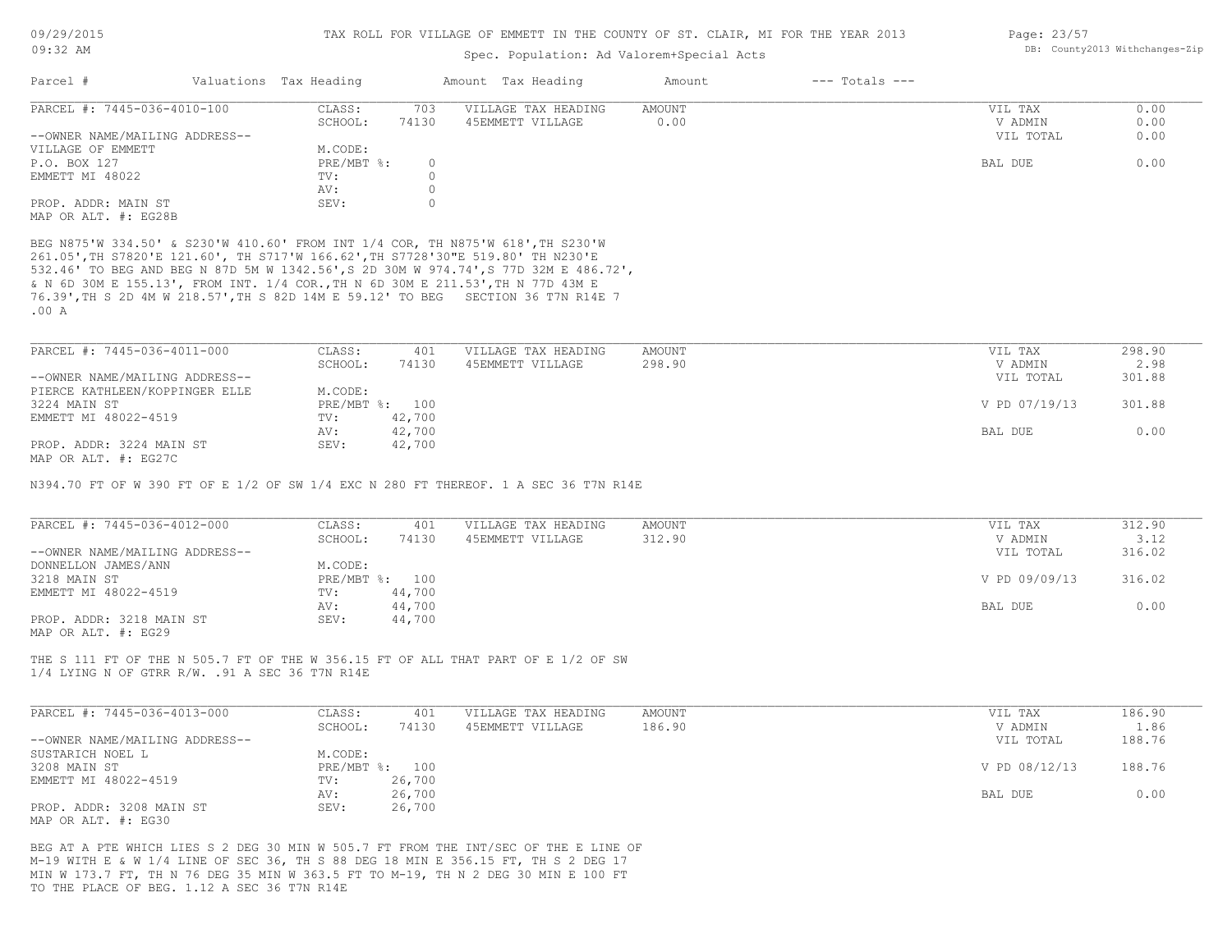## Spec. Population: Ad Valorem+Special Acts

| Page: 23/57 |                                |
|-------------|--------------------------------|
|             | DB: County2013 Withchanges-Zip |

| Parcel #                       | Valuations Tax Heading |       | Amount Tax Heading  | Amount | $---$ Totals $---$ |           |      |
|--------------------------------|------------------------|-------|---------------------|--------|--------------------|-----------|------|
| PARCEL #: 7445-036-4010-100    | CLASS:                 | 703   | VILLAGE TAX HEADING | AMOUNT |                    | VIL TAX   | 0.00 |
|                                | SCHOOL:                | 74130 | 45EMMETT VILLAGE    | 0.00   |                    | V ADMIN   | 0.00 |
| --OWNER NAME/MAILING ADDRESS-- |                        |       |                     |        |                    | VIL TOTAL | 0.00 |
| VILLAGE OF EMMETT              | M.CODE:                |       |                     |        |                    |           |      |
| P.O. BOX 127                   | PRE/MBT %:             |       |                     |        |                    | BAL DUE   | 0.00 |
| EMMETT MI 48022                | TV:                    |       |                     |        |                    |           |      |
|                                | AV:                    |       |                     |        |                    |           |      |
| PROP. ADDR: MAIN ST            | SEV:                   |       |                     |        |                    |           |      |
| MAP OR ALT. #: EG28B           |                        |       |                     |        |                    |           |      |

.00 A 76.39',TH S 2D 4M W 218.57',TH S 82D 14M E 59.12' TO BEG SECTION 36 T7N R14E 7 & N 6D 30M E 155.13', FROM INT. 1/4 COR.,TH N 6D 30M E 211.53',TH N 77D 43M E 532.46' TO BEG AND BEG N 87D 5M W 1342.56',S 2D 30M W 974.74',S 77D 32M E 486.72', 261.05',TH S7820'E 121.60', TH S717'W 166.62',TH S7728'30"E 519.80' TH N230'E BEG N875'W 334.50' & S230'W 410.60' FROM INT 1/4 COR, TH N875'W 618',TH S230'W

| PARCEL #: 7445-036-4011-000    | CLASS:  | 401            | VILLAGE TAX HEADING | AMOUNT | VIL TAX       | 298.90 |
|--------------------------------|---------|----------------|---------------------|--------|---------------|--------|
|                                | SCHOOL: | 74130          | 45EMMETT VILLAGE    | 298.90 | V ADMIN       | 2.98   |
| --OWNER NAME/MAILING ADDRESS-- |         |                |                     |        | VIL TOTAL     | 301.88 |
| PIERCE KATHLEEN/KOPPINGER ELLE | M.CODE: |                |                     |        |               |        |
| 3224 MAIN ST                   |         | PRE/MBT %: 100 |                     |        | V PD 07/19/13 | 301.88 |
| EMMETT MI 48022-4519           | TV:     | 42,700         |                     |        |               |        |
|                                | AV:     | 42,700         |                     |        | BAL DUE       | 0.00   |
| PROP. ADDR: 3224 MAIN ST       | SEV:    | 42,700         |                     |        |               |        |
| MAP OR ALT. #: EG27C           |         |                |                     |        |               |        |

N394.70 FT OF W 390 FT OF E 1/2 OF SW 1/4 EXC N 280 FT THEREOF. 1 A SEC 36 T7N R14E

| PARCEL #: 7445-036-4012-000    | CLASS:  | 401            | VILLAGE TAX HEADING | AMOUNT | VIL TAX       | 312.90 |
|--------------------------------|---------|----------------|---------------------|--------|---------------|--------|
|                                | SCHOOL: | 74130          | 45EMMETT VILLAGE    | 312.90 | V ADMIN       | 3.12   |
| --OWNER NAME/MAILING ADDRESS-- |         |                |                     |        | VIL TOTAL     | 316.02 |
| DONNELLON JAMES/ANN            | M.CODE: |                |                     |        |               |        |
| 3218 MAIN ST                   |         | PRE/MBT %: 100 |                     |        | V PD 09/09/13 | 316.02 |
| EMMETT MI 48022-4519           | TV:     | 44,700         |                     |        |               |        |
|                                | AV:     | 44,700         |                     |        | BAL DUE       | 0.00   |
| PROP. ADDR: 3218 MAIN ST       | SEV:    | 44,700         |                     |        |               |        |
| MAP OR ALT. #: EG29            |         |                |                     |        |               |        |

1/4 LYING N OF GTRR R/W. .91 A SEC 36 T7N R14E THE S 111 FT OF THE N 505.7 FT OF THE W 356.15 FT OF ALL THAT PART OF E 1/2 OF SW

| PARCEL #: 7445-036-4013-000    | CLASS:  | 401            | VILLAGE TAX HEADING | AMOUNT | VIL TAX       | 186.90 |
|--------------------------------|---------|----------------|---------------------|--------|---------------|--------|
|                                | SCHOOL: | 74130          | 45EMMETT VILLAGE    | 186.90 | V ADMIN       | 1.86   |
| --OWNER NAME/MAILING ADDRESS-- |         |                |                     |        | VIL TOTAL     | 188.76 |
| SUSTARICH NOEL L               | M.CODE: |                |                     |        |               |        |
| 3208 MAIN ST                   |         | PRE/MBT %: 100 |                     |        | V PD 08/12/13 | 188.76 |
| EMMETT MI 48022-4519           | TV:     | 26,700         |                     |        |               |        |
|                                | AV:     | 26,700         |                     |        | BAL DUE       | 0.00   |
| PROP. ADDR: 3208 MAIN ST       | SEV:    | 26,700         |                     |        |               |        |
| MAP OR ALT. #: EG30            |         |                |                     |        |               |        |

TO THE PLACE OF BEG. 1.12 A SEC 36 T7N R14E MIN W 173.7 FT, TH N 76 DEG 35 MIN W 363.5 FT TO M-19, TH N 2 DEG 30 MIN E 100 FT M-19 WITH E & W 1/4 LINE OF SEC 36, TH S 88 DEG 18 MIN E 356.15 FT, TH S 2 DEG 17 BEG AT A PTE WHICH LIES S 2 DEG 30 MIN W 505.7 FT FROM THE INT/SEC OF THE E LINE OF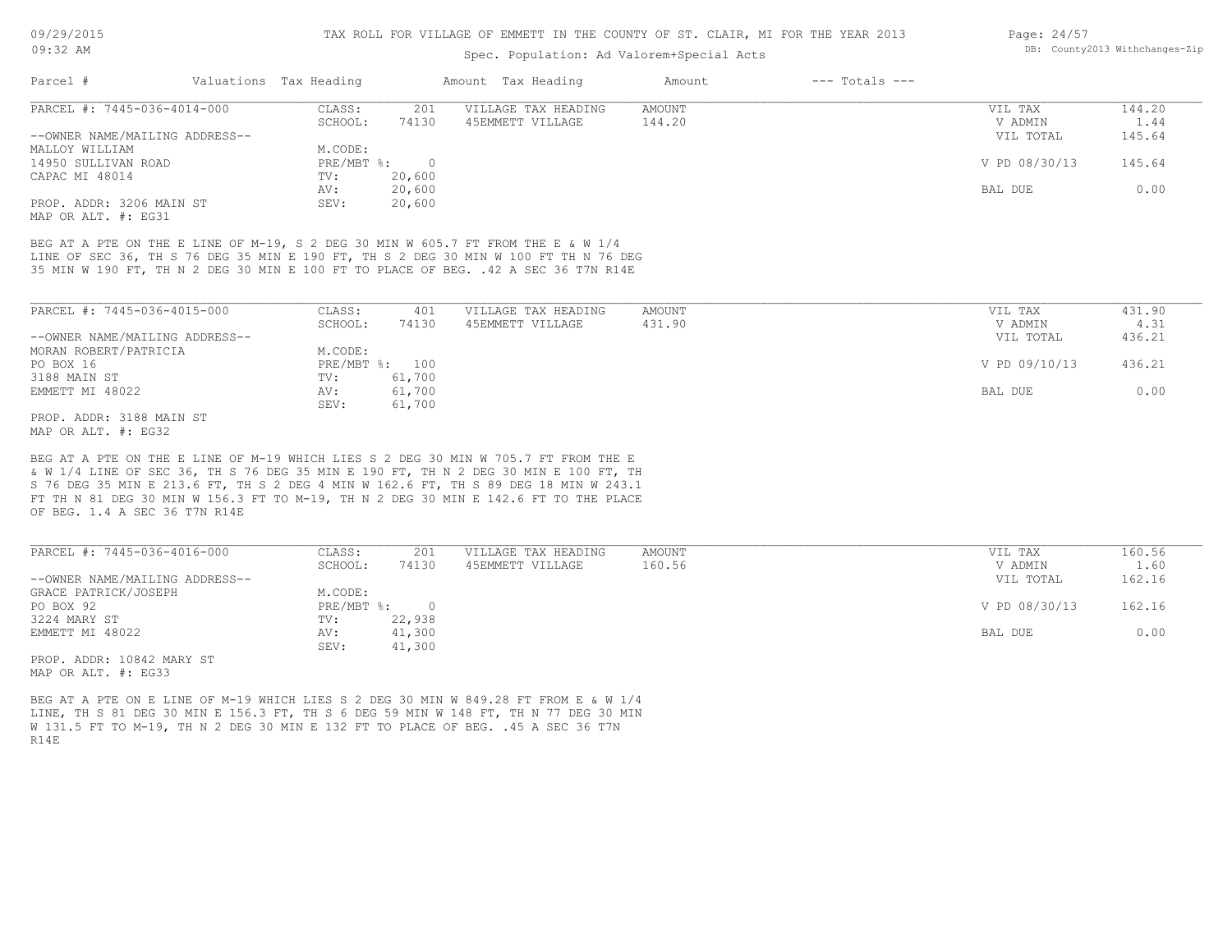## Spec. Population: Ad Valorem+Special Acts

| Page: 24/57 |                                |
|-------------|--------------------------------|
|             | DB: County2013 Withchanges-Zip |

| Parcel #                       | Valuations Tax Heading |        | Amount Tax Heading  | Amount | $---$ Totals $---$ |               |        |
|--------------------------------|------------------------|--------|---------------------|--------|--------------------|---------------|--------|
| PARCEL #: 7445-036-4014-000    | CLASS:                 | 201    | VILLAGE TAX HEADING | AMOUNT |                    | VIL TAX       | 144.20 |
|                                | SCHOOL:                | 74130  | 45EMMETT VILLAGE    | 144.20 |                    | V ADMIN       | 1.44   |
| --OWNER NAME/MAILING ADDRESS-- |                        |        |                     |        |                    | VIL TOTAL     | 145.64 |
| MALLOY WILLIAM                 | M.CODE:                |        |                     |        |                    |               |        |
| 14950 SULLIVAN ROAD            | $PRE/MBT$ %:           |        |                     |        |                    | V PD 08/30/13 | 145.64 |
| CAPAC MI 48014                 | TV:                    | 20,600 |                     |        |                    |               |        |
|                                | AV:                    | 20,600 |                     |        |                    | BAL DUE       | 0.00   |
| PROP. ADDR: 3206 MAIN ST       | SEV:                   | 20,600 |                     |        |                    |               |        |
|                                |                        |        |                     |        |                    |               |        |

MAP OR ALT. #: EG31

35 MIN W 190 FT, TH N 2 DEG 30 MIN E 100 FT TO PLACE OF BEG. .42 A SEC 36 T7N R14E LINE OF SEC 36, TH S 76 DEG 35 MIN E 190 FT, TH S 2 DEG 30 MIN W 100 FT TH N 76 DEG BEG AT A PTE ON THE E LINE OF M-19, S 2 DEG 30 MIN W 605.7 FT FROM THE E & W 1/4

| PARCEL #: 7445-036-4015-000    | CLASS:  | 401            | VILLAGE TAX HEADING | AMOUNT | VIL TAX       | 431.90 |
|--------------------------------|---------|----------------|---------------------|--------|---------------|--------|
|                                | SCHOOL: | 74130          | 45EMMETT VILLAGE    | 431.90 | V ADMIN       | 4.31   |
| --OWNER NAME/MAILING ADDRESS-- |         |                |                     |        | VIL TOTAL     | 436.21 |
| MORAN ROBERT/PATRICIA          | M.CODE: |                |                     |        |               |        |
| PO BOX 16                      |         | PRE/MBT %: 100 |                     |        | V PD 09/10/13 | 436.21 |
| 3188 MAIN ST                   | TV:     | 61,700         |                     |        |               |        |
| EMMETT MI 48022                | AV:     | 61,700         |                     |        | BAL DUE       | 0.00   |
|                                | SEV:    | 61,700         |                     |        |               |        |
| PROP. ADDR: 3188 MAIN ST       |         |                |                     |        |               |        |

MAP OR ALT. #: EG32

OF BEG. 1.4 A SEC 36 T7N R14E FT TH N 81 DEG 30 MIN W 156.3 FT TO M-19, TH N 2 DEG 30 MIN E 142.6 FT TO THE PLACE S 76 DEG 35 MIN E 213.6 FT, TH S 2 DEG 4 MIN W 162.6 FT, TH S 89 DEG 18 MIN W 243.1 & W 1/4 LINE OF SEC 36, TH S 76 DEG 35 MIN E 190 FT, TH N 2 DEG 30 MIN E 100 FT, TH BEG AT A PTE ON THE E LINE OF M-19 WHICH LIES S 2 DEG 30 MIN W 705.7 FT FROM THE E

| PARCEL #: 7445-036-4016-000    | CLASS:     | 201    | VILLAGE TAX HEADING | AMOUNT | VIL TAX       | 160.56 |
|--------------------------------|------------|--------|---------------------|--------|---------------|--------|
|                                | SCHOOL:    | 74130  | 45EMMETT VILLAGE    | 160.56 | V ADMIN       | 1.60   |
| --OWNER NAME/MAILING ADDRESS-- |            |        |                     |        | VIL TOTAL     | 162.16 |
| GRACE PATRICK/JOSEPH           | M.CODE:    |        |                     |        |               |        |
| PO BOX 92                      | PRE/MBT %: | $\Box$ |                     |        | V PD 08/30/13 | 162.16 |
| 3224 MARY ST                   | TV:        | 22,938 |                     |        |               |        |
| EMMETT MI 48022                | AV:        | 41,300 |                     |        | BAL DUE       | 0.00   |
|                                | SEV:       | 41,300 |                     |        |               |        |
| PROP. ADDR: 10842 MARY ST      |            |        |                     |        |               |        |

MAP OR ALT. #: EG33

R14E W 131.5 FT TO M-19, TH N 2 DEG 30 MIN E 132 FT TO PLACE OF BEG. .45 A SEC 36 T7N LINE, TH S 81 DEG 30 MIN E 156.3 FT, TH S 6 DEG 59 MIN W 148 FT, TH N 77 DEG 30 MIN BEG AT A PTE ON E LINE OF M-19 WHICH LIES S 2 DEG 30 MIN W 849.28 FT FROM E & W 1/4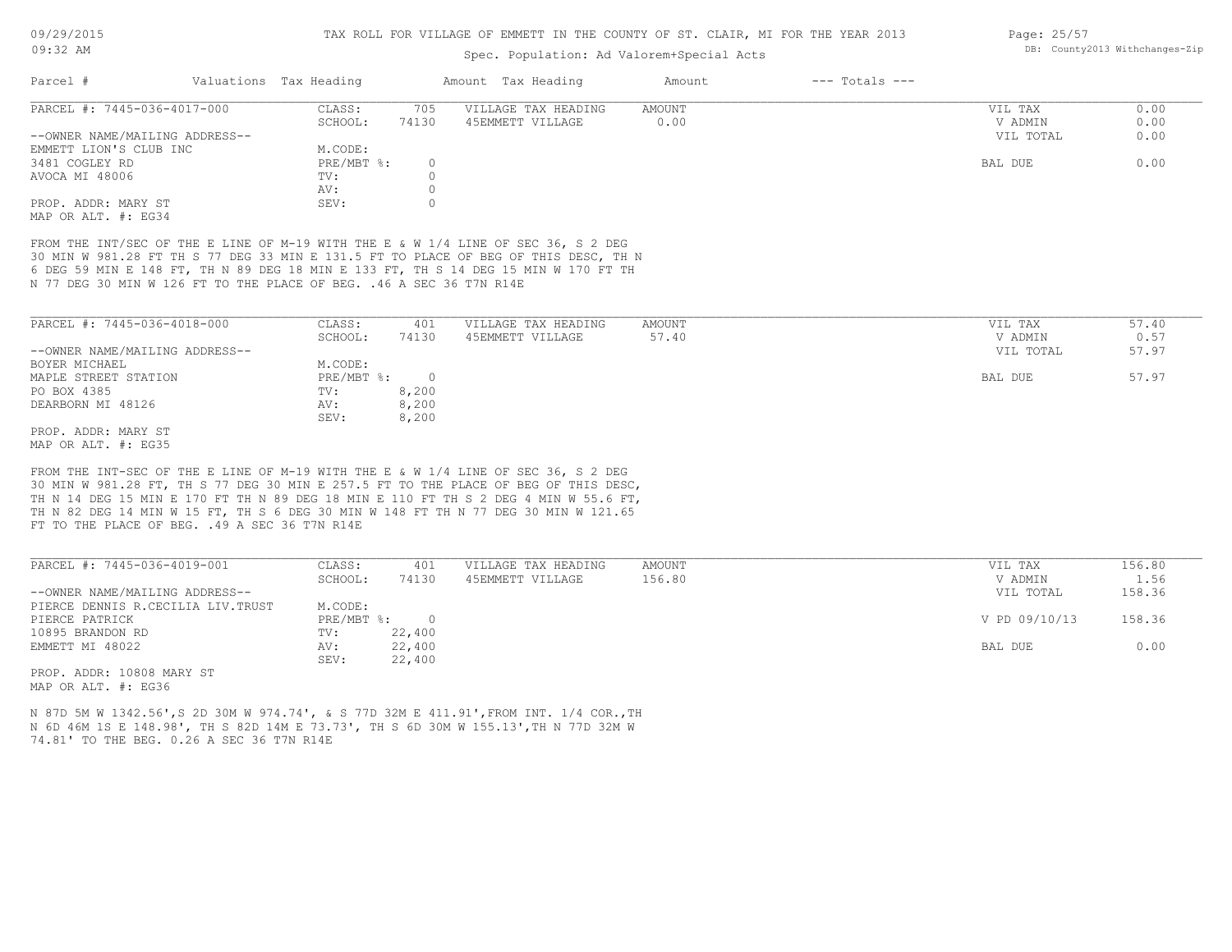## Spec. Population: Ad Valorem+Special Acts

| Parcel #                       | Valuations Tax Heading |        | Amount Tax Heading  | Amount | $---$ Totals $---$ |           |      |
|--------------------------------|------------------------|--------|---------------------|--------|--------------------|-----------|------|
| PARCEL #: 7445-036-4017-000    | CLASS:                 | 705    | VILLAGE TAX HEADING | AMOUNT |                    | VIL TAX   | 0.00 |
|                                | SCHOOL:                | 74130  | 45EMMETT VILLAGE    | 0.00   |                    | V ADMIN   | 0.00 |
| --OWNER NAME/MAILING ADDRESS-- |                        |        |                     |        |                    | VIL TOTAL | 0.00 |
| EMMETT LION'S CLUB INC         | M.CODE:                |        |                     |        |                    |           |      |
| 3481 COGLEY RD                 | PRE/MBT %:             | $\Box$ |                     |        |                    | BAL DUE   | 0.00 |
| AVOCA MI 48006                 | TV:                    |        |                     |        |                    |           |      |
|                                | AV:                    |        |                     |        |                    |           |      |
| PROP. ADDR: MARY ST            | SEV:                   |        |                     |        |                    |           |      |
| MAP OR ALT. #: EG34            |                        |        |                     |        |                    |           |      |

N 77 DEG 30 MIN W 126 FT TO THE PLACE OF BEG. .46 A SEC 36 T7N R14E 6 DEG 59 MIN E 148 FT, TH N 89 DEG 18 MIN E 133 FT, TH S 14 DEG 15 MIN W 170 FT TH 30 MIN W 981.28 FT TH S 77 DEG 33 MIN E 131.5 FT TO PLACE OF BEG OF THIS DESC, TH N FROM THE INT/SEC OF THE E LINE OF M-19 WITH THE E & W 1/4 LINE OF SEC 36, S 2 DEG

| PARCEL #: 7445-036-4018-000    | CLASS:     | 401      | VILLAGE TAX HEADING | AMOUNT | 57.40<br>VIL TAX   |
|--------------------------------|------------|----------|---------------------|--------|--------------------|
|                                | SCHOOL:    | 74130    | 45EMMETT VILLAGE    | 57.40  | 0.57<br>V ADMIN    |
| --OWNER NAME/MAILING ADDRESS-- |            |          |                     |        | 57.97<br>VIL TOTAL |
| BOYER MICHAEL                  | M.CODE:    |          |                     |        |                    |
| MAPLE STREET STATION           | PRE/MBT %: | $\Omega$ |                     |        | 57.97<br>BAL DUE   |
| PO BOX 4385                    | TV:        | 8,200    |                     |        |                    |
| DEARBORN MI 48126              | AV:        | 8,200    |                     |        |                    |
|                                | SEV:       | 8,200    |                     |        |                    |
| PROP. ADDR: MARY ST            |            |          |                     |        |                    |

MAP OR ALT. #: EG35

FT TO THE PLACE OF BEG. . 49 A SEC 36 T7N R14E TH N 82 DEG 14 MIN W 15 FT, TH S 6 DEG 30 MIN W 148 FT TH N 77 DEG 30 MIN W 121.65 TH N 14 DEG 15 MIN E 170 FT TH N 89 DEG 18 MIN E 110 FT TH S 2 DEG 4 MIN W 55.6 FT, 30 MIN W 981.28 FT, TH S 77 DEG 30 MIN E 257.5 FT TO THE PLACE OF BEG OF THIS DESC, FROM THE INT-SEC OF THE E LINE OF M-19 WITH THE E & W 1/4 LINE OF SEC 36, S 2 DEG

| PARCEL #: 7445-036-4019-001       | CLASS:     | 401    | VILLAGE TAX HEADING | AMOUNT | VIL TAX       | 156.80 |
|-----------------------------------|------------|--------|---------------------|--------|---------------|--------|
|                                   | SCHOOL:    | 74130  | 45EMMETT VILLAGE    | 156.80 | V ADMIN       | 1.56   |
| --OWNER NAME/MAILING ADDRESS--    |            |        |                     |        | VIL TOTAL     | 158.36 |
| PIERCE DENNIS R.CECILIA LIV.TRUST | M.CODE:    |        |                     |        |               |        |
| PIERCE PATRICK                    | PRE/MBT %: | $\cap$ |                     |        | V PD 09/10/13 | 158.36 |
| 10895 BRANDON RD                  | TV:        | 22,400 |                     |        |               |        |
| EMMETT MI 48022                   | AV:        | 22,400 |                     |        | BAL DUE       | 0.00   |
|                                   | SEV:       | 22,400 |                     |        |               |        |
| ים את 10000 10000 תמתת המת        |            |        |                     |        |               |        |

 $\mathcal{L}_\mathcal{L} = \mathcal{L}_\mathcal{L} = \mathcal{L}_\mathcal{L} = \mathcal{L}_\mathcal{L} = \mathcal{L}_\mathcal{L} = \mathcal{L}_\mathcal{L} = \mathcal{L}_\mathcal{L} = \mathcal{L}_\mathcal{L} = \mathcal{L}_\mathcal{L} = \mathcal{L}_\mathcal{L} = \mathcal{L}_\mathcal{L} = \mathcal{L}_\mathcal{L} = \mathcal{L}_\mathcal{L} = \mathcal{L}_\mathcal{L} = \mathcal{L}_\mathcal{L} = \mathcal{L}_\mathcal{L} = \mathcal{L}_\mathcal{L}$ 

MAP OR ALT. #: EG36 PROP. ADDR: 10808 MARY ST

74.81' TO THE BEG. 0.26 A SEC 36 T7N R14E N 6D 46M 1S E 148.98', TH S 82D 14M E 73.73', TH S 6D 30M W 155.13',TH N 77D 32M W N 87D 5M W 1342.56',S 2D 30M W 974.74', & S 77D 32M E 411.91',FROM INT. 1/4 COR.,TH Page: 25/57 DB: County2013 Withchanges-Zip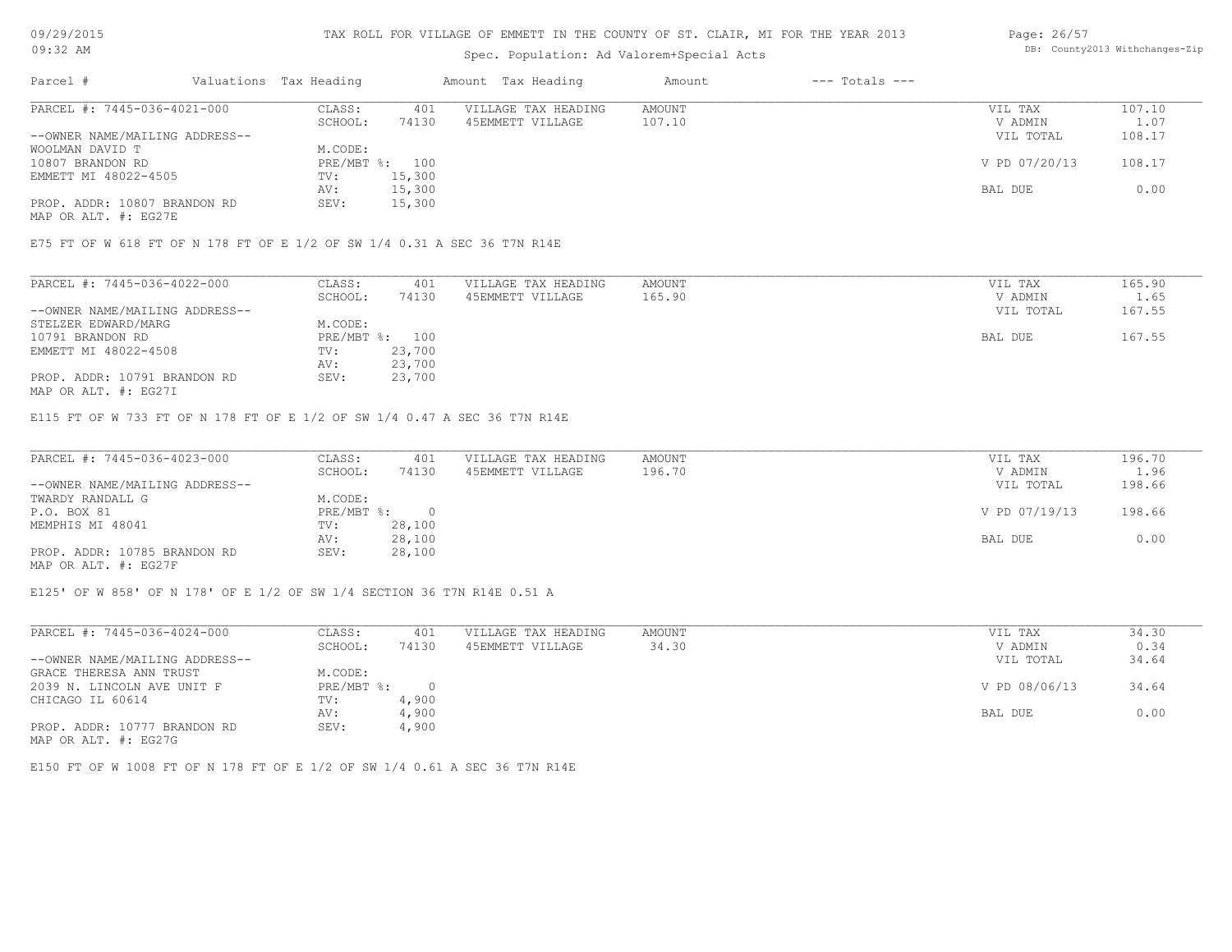# Spec. Population: Ad Valorem+Special Acts

#### Page: 26/57 DB: County2013 Withchanges-Zip

| Parcel #                       | Valuations Tax Heading |        | Amount Tax Heading  | Amount | $---$ Totals $---$ |               |        |
|--------------------------------|------------------------|--------|---------------------|--------|--------------------|---------------|--------|
| PARCEL #: 7445-036-4021-000    | CLASS:                 | 401    | VILLAGE TAX HEADING | AMOUNT |                    | VIL TAX       | 107.10 |
|                                | SCHOOL:                | 74130  | 45EMMETT VILLAGE    | 107.10 |                    | V ADMIN       | 1.07   |
| --OWNER NAME/MAILING ADDRESS-- |                        |        |                     |        |                    | VIL TOTAL     | 108.17 |
| WOOLMAN DAVID T                | M.CODE:                |        |                     |        |                    |               |        |
| 10807 BRANDON RD               | PRE/MBT %: 100         |        |                     |        |                    | V PD 07/20/13 | 108.17 |
| EMMETT MI 48022-4505           | TV:                    | 15,300 |                     |        |                    |               |        |
|                                | AV:                    | 15,300 |                     |        |                    | BAL DUE       | 0.00   |
| PROP. ADDR: 10807 BRANDON RD   | SEV:                   | 15,300 |                     |        |                    |               |        |
| MAP OR ALT. #: EG27E           |                        |        |                     |        |                    |               |        |

E75 FT OF W 618 FT OF N 178 FT OF E 1/2 OF SW 1/4 0.31 A SEC 36 T7N R14E

| PARCEL #: 7445-036-4022-000    | CLASS:         | 401    | VILLAGE TAX HEADING | AMOUNT | VIL TAX   | 165.90 |
|--------------------------------|----------------|--------|---------------------|--------|-----------|--------|
|                                | SCHOOL:        | 74130  | 45EMMETT VILLAGE    | 165.90 | V ADMIN   | 1.65   |
| --OWNER NAME/MAILING ADDRESS-- |                |        |                     |        | VIL TOTAL | 167.55 |
| STELZER EDWARD/MARG            | M.CODE:        |        |                     |        |           |        |
| 10791 BRANDON RD               | PRE/MBT %: 100 |        |                     |        | BAL DUE   | 167.55 |
| EMMETT MI 48022-4508           | TV:            | 23,700 |                     |        |           |        |
|                                | AV:            | 23,700 |                     |        |           |        |
| PROP. ADDR: 10791 BRANDON RD   | SEV:           | 23,700 |                     |        |           |        |

MAP OR ALT. #: EG27I

E115 FT OF W 733 FT OF N 178 FT OF E 1/2 OF SW 1/4 0.47 A SEC 36 T7N R14E

| PARCEL #: 7445-036-4023-000    | CLASS:       | 401    | VILLAGE TAX HEADING | AMOUNT | VIL TAX       | 196.70 |
|--------------------------------|--------------|--------|---------------------|--------|---------------|--------|
|                                | SCHOOL:      | 74130  | 45EMMETT VILLAGE    | 196.70 | V ADMIN       | 1.96   |
| --OWNER NAME/MAILING ADDRESS-- |              |        |                     |        | VIL TOTAL     | 198.66 |
| TWARDY RANDALL G               | M.CODE:      |        |                     |        |               |        |
| P.O. BOX 81                    | $PRE/MBT$ %: |        |                     |        | V PD 07/19/13 | 198.66 |
| MEMPHIS MI 48041               | TV:          | 28,100 |                     |        |               |        |
|                                | AV:          | 28,100 |                     |        | BAL DUE       | 0.00   |
| PROP. ADDR: 10785 BRANDON RD   | SEV:         | 28,100 |                     |        |               |        |
|                                |              |        |                     |        |               |        |

MAP OR ALT. #: EG27F

E125' OF W 858' OF N 178' OF E 1/2 OF SW 1/4 SECTION 36 T7N R14E 0.51 A

| PARCEL #: 7445-036-4024-000    | CLASS:     | 401    | VILLAGE TAX HEADING | AMOUNT | VIL TAX       | 34.30 |
|--------------------------------|------------|--------|---------------------|--------|---------------|-------|
|                                | SCHOOL:    | 74130  | 45EMMETT VILLAGE    | 34.30  | V ADMIN       | 0.34  |
| --OWNER NAME/MAILING ADDRESS-- |            |        |                     |        | VIL TOTAL     | 34.64 |
| GRACE THERESA ANN TRUST        | M.CODE:    |        |                     |        |               |       |
| 2039 N. LINCOLN AVE UNIT F     | PRE/MBT %: | $\Box$ |                     |        | V PD 08/06/13 | 34.64 |
| CHICAGO IL 60614               | TV:        | 4,900  |                     |        |               |       |
|                                | AV:        | 4,900  |                     |        | BAL DUE       | 0.00  |
| PROP. ADDR: 10777 BRANDON RD   | SEV:       | 4,900  |                     |        |               |       |
| MAP OR ALT. #: EG27G           |            |        |                     |        |               |       |

E150 FT OF W 1008 FT OF N 178 FT OF E 1/2 OF SW 1/4 0.61 A SEC 36 T7N R14E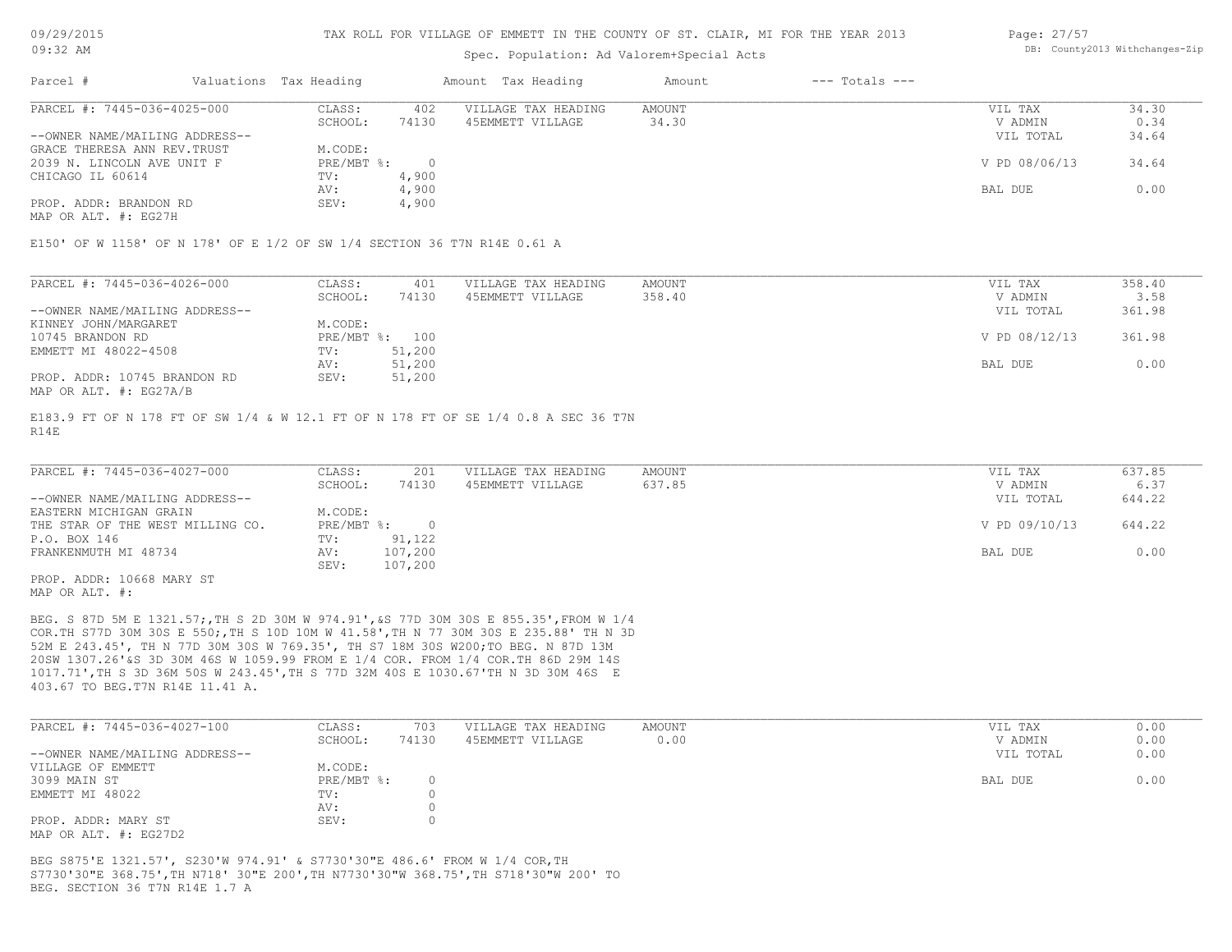## Spec. Population: Ad Valorem+Special Acts

#### Page: 27/57 DB: County2013 Withchanges-Zip

| Parcel #                       | Valuations Tax Heading |       | Amount Tax Heading  | Amount | $---$ Totals $---$ |               |       |
|--------------------------------|------------------------|-------|---------------------|--------|--------------------|---------------|-------|
| PARCEL #: 7445-036-4025-000    | CLASS:                 | 402   | VILLAGE TAX HEADING | AMOUNT |                    | VIL TAX       | 34.30 |
|                                | SCHOOL:                | 74130 | 45EMMETT VILLAGE    | 34.30  |                    | V ADMIN       | 0.34  |
| --OWNER NAME/MAILING ADDRESS-- |                        |       |                     |        |                    | VIL TOTAL     | 34.64 |
| GRACE THERESA ANN REV. TRUST   | M.CODE:                |       |                     |        |                    |               |       |
| 2039 N. LINCOLN AVE UNIT F     | PRE/MBT %:             |       |                     |        |                    | V PD 08/06/13 | 34.64 |
| CHICAGO IL 60614               | TV:                    | 4,900 |                     |        |                    |               |       |
|                                | AV:                    | 4,900 |                     |        |                    | BAL DUE       | 0.00  |
| PROP. ADDR: BRANDON RD         | SEV:                   | 4,900 |                     |        |                    |               |       |
|                                |                        |       |                     |        |                    |               |       |

MAP OR ALT. #: EG27H

E150' OF W 1158' OF N 178' OF E 1/2 OF SW 1/4 SECTION 36 T7N R14E 0.61 A

| PARCEL #: 7445-036-4026-000    | CLASS:  | 401            | VILLAGE TAX HEADING | AMOUNT | VIL TAX       | 358.40 |
|--------------------------------|---------|----------------|---------------------|--------|---------------|--------|
|                                | SCHOOL: | 74130          | 45EMMETT VILLAGE    | 358.40 | V ADMIN       | 3.58   |
| --OWNER NAME/MAILING ADDRESS-- |         |                |                     |        | VIL TOTAL     | 361.98 |
| KINNEY JOHN/MARGARET           | M.CODE: |                |                     |        |               |        |
| 10745 BRANDON RD               |         | PRE/MBT %: 100 |                     |        | V PD 08/12/13 | 361.98 |
| EMMETT MI 48022-4508           | TV:     | 51,200         |                     |        |               |        |
|                                | AV:     | 51,200         |                     |        | BAL DUE       | 0.00   |
| PROP. ADDR: 10745 BRANDON RD   | SEV:    | 51,200         |                     |        |               |        |
| MAP OR ALT. #: EG27A/B         |         |                |                     |        |               |        |

R14E E183.9 FT OF N 178 FT OF SW 1/4 & W 12.1 FT OF N 178 FT OF SE 1/4 0.8 A SEC 36 T7N

| PARCEL #: 7445-036-4027-000      | CLASS:     | 201     | VILLAGE TAX HEADING | AMOUNT | VIL TAX       | 637.85 |
|----------------------------------|------------|---------|---------------------|--------|---------------|--------|
|                                  | SCHOOL:    | 74130   | 45EMMETT VILLAGE    | 637.85 | V ADMIN       | 6.37   |
| --OWNER NAME/MAILING ADDRESS--   |            |         |                     |        | VIL TOTAL     | 644.22 |
| EASTERN MICHIGAN GRAIN           | M.CODE:    |         |                     |        |               |        |
| THE STAR OF THE WEST MILLING CO. | PRE/MBT %: |         |                     |        | V PD 09/10/13 | 644.22 |
| P.O. BOX 146                     | TV:        | 91,122  |                     |        |               |        |
| FRANKENMUTH MI 48734             | AV:        | 107,200 |                     |        | BAL DUE       | 0.00   |
|                                  | SEV:       | 107,200 |                     |        |               |        |
| PROP. ADDR: 10668 MARY ST        |            |         |                     |        |               |        |

MAP OR ALT. #:

403.67 TO BEG.T7N R14E 11.41 A. 1017.71',TH S 3D 36M 50S W 243.45',TH S 77D 32M 40S E 1030.67'TH N 3D 30M 46S E 20SW 1307.26'&S 3D 30M 46S W 1059.99 FROM E 1/4 COR. FROM 1/4 COR.TH 86D 29M 14S 52M E 243.45', TH N 77D 30M 30S W 769.35', TH S7 18M 30S W200;TO BEG. N 87D 13M COR.TH S77D 30M 30S E 550;,TH S 10D 10M W 41.58',TH N 77 30M 30S E 235.88' TH N 3D BEG. S 87D 5M E 1321.57;,TH S 2D 30M W 974.91',&S 77D 30M 30S E 855.35',FROM W 1/4

| PARCEL #: 7445-036-4027-100    | CLASS:       | 703   | VILLAGE TAX HEADING | AMOUNT | VIL TAX   | 0.00 |
|--------------------------------|--------------|-------|---------------------|--------|-----------|------|
|                                | SCHOOL:      | 74130 | 45EMMETT VILLAGE    | 0.00   | V ADMIN   | 0.00 |
| --OWNER NAME/MAILING ADDRESS-- |              |       |                     |        | VIL TOTAL | 0.00 |
| VILLAGE OF EMMETT              | M.CODE:      |       |                     |        |           |      |
| 3099 MAIN ST                   | $PRE/MBT$ %: |       |                     |        | BAL DUE   | 0.00 |
| EMMETT MI 48022                | TV:          |       |                     |        |           |      |
|                                | AV:          |       |                     |        |           |      |
| PROP. ADDR: MARY ST            | SEV:         |       |                     |        |           |      |
| מת <i>רמי</i> ת .4. חזג תמת תג |              |       |                     |        |           |      |

MAP OR ALT. #: EG27D2

BEG. SECTION 36 T7N R14E 1.7 A S7730'30"E 368.75',TH N718' 30"E 200',TH N7730'30"W 368.75',TH S718'30"W 200' TO BEG S875'E 1321.57', S230'W 974.91' & S7730'30"E 486.6' FROM W 1/4 COR,TH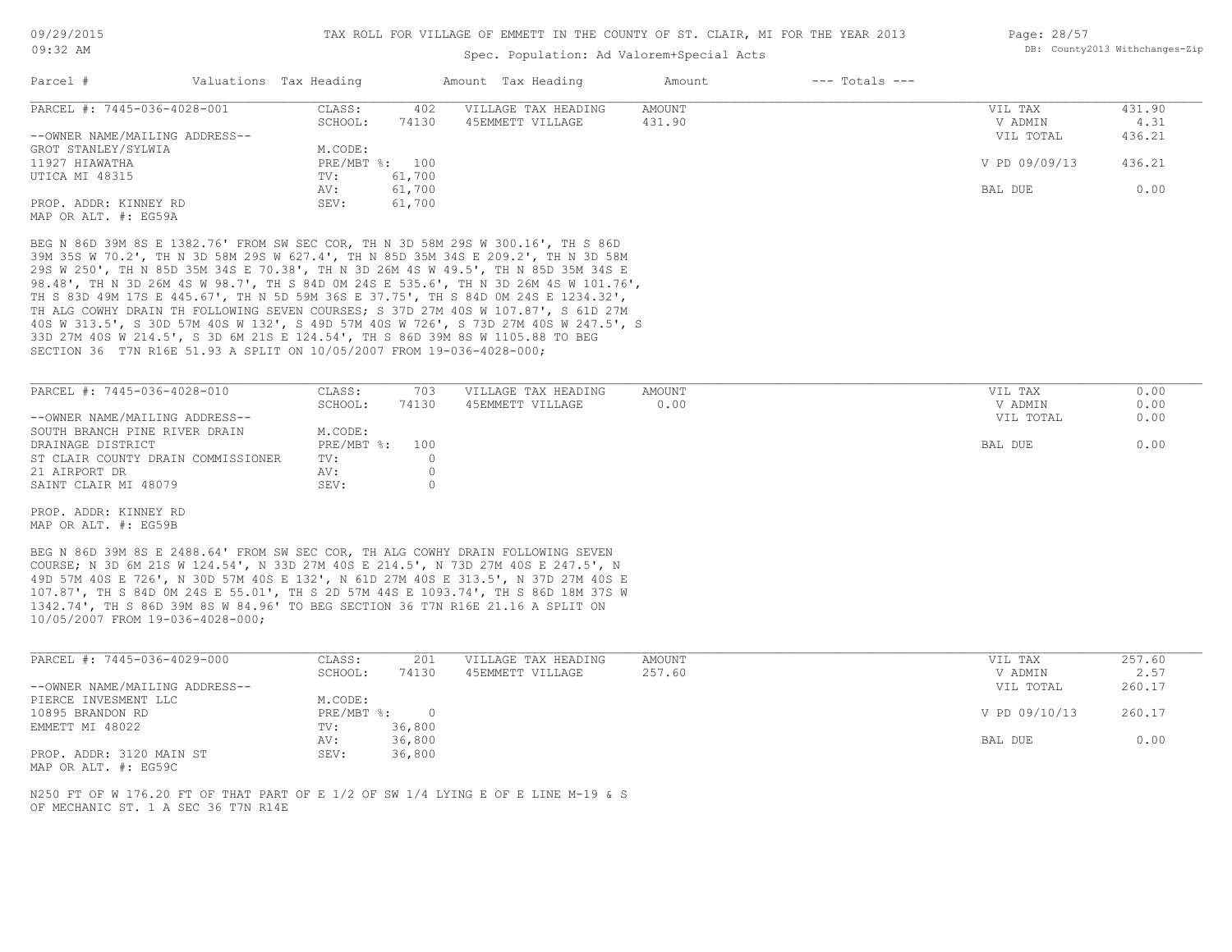## Spec. Population: Ad Valorem+Special Acts

| Page: 28/57 |                                |
|-------------|--------------------------------|
|             | DB: County2013 Withchanges-Zip |

| Parcel #                       | Valuations Tax Heading |        | Amount Tax Heading  | Amount | $---$ Totals $---$ |               |        |
|--------------------------------|------------------------|--------|---------------------|--------|--------------------|---------------|--------|
| PARCEL #: 7445-036-4028-001    | CLASS:                 | 402    | VILLAGE TAX HEADING | AMOUNT |                    | VIL TAX       | 431.90 |
|                                | SCHOOL:                | 74130  | 45EMMETT VILLAGE    | 431.90 |                    | V ADMIN       | 4.31   |
| --OWNER NAME/MAILING ADDRESS-- |                        |        |                     |        |                    | VIL TOTAL     | 436.21 |
| GROT STANLEY/SYLWIA            | M.CODE:                |        |                     |        |                    |               |        |
| 11927 HIAWATHA                 | PRE/MBT %: 100         |        |                     |        |                    | V PD 09/09/13 | 436.21 |
| UTICA MI 48315                 | TV:                    | 61,700 |                     |        |                    |               |        |
|                                | AV:                    | 61,700 |                     |        |                    | BAL DUE       | 0.00   |
| PROP. ADDR: KINNEY RD          | SEV:                   | 61,700 |                     |        |                    |               |        |
| MAP OR ALT, #: EG59A           |                        |        |                     |        |                    |               |        |

SECTION 36 T7N R16E 51.93 A SPLIT ON 10/05/2007 FROM 19-036-4028-000; 33D 27M 40S W 214.5', S 3D 6M 21S E 124.54', TH S 86D 39M 8S W 1105.88 TO BEG 40S W 313.5', S 30D 57M 40S W 132', S 49D 57M 40S W 726', S 73D 27M 40S W 247.5', S TH ALG COWHY DRAIN TH FOLLOWING SEVEN COURSES; S 37D 27M 40S W 107.87', S 61D 27M TH S 83D 49M 17S E 445.67', TH N 5D 59M 36S E 37.75', TH S 84D 0M 24S E 1234.32', 98.48', TH N 3D 26M 4S W 98.7', TH S 84D 0M 24S E 535.6', TH N 3D 26M 4S W 101.76', 29S W 250', TH N 85D 35M 34S E 70.38', TH N 3D 26M 4S W 49.5', TH N 85D 35M 34S E 39M 35S W 70.2', TH N 3D 58M 29S W 627.4', TH N 85D 35M 34S E 209.2', TH N 3D 58M BEG N 86D 39M 8S E 1382.76' FROM SW SEC COR, TH N 3D 58M 29S W 300.16', TH S 86D

| PARCEL #: 7445-036-4028-010        | CLASS:         | 703   | VILLAGE TAX HEADING | AMOUNT | VIL TAX   | 0.00 |
|------------------------------------|----------------|-------|---------------------|--------|-----------|------|
|                                    | SCHOOL:        | 74130 | 45EMMETT VILLAGE    | 0.00   | V ADMIN   | 0.00 |
| --OWNER NAME/MAILING ADDRESS--     |                |       |                     |        | VIL TOTAL | 0.00 |
| SOUTH BRANCH PINE RIVER DRAIN      | M.CODE:        |       |                     |        |           |      |
| DRAINAGE DISTRICT                  | PRE/MBT %: 100 |       |                     |        | BAL DUE   | 0.00 |
| ST CLAIR COUNTY DRAIN COMMISSIONER | TV:            |       |                     |        |           |      |
| 21 AIRPORT DR                      | AV:            |       |                     |        |           |      |
| SAINT CLAIR MI 48079               | SEV:           |       |                     |        |           |      |

MAP OR ALT. #: EG59B PROP. ADDR: KINNEY RD

10/05/2007 FROM 19-036-4028-000; 1342.74', TH S 86D 39M 8S W 84.96' TO BEG SECTION 36 T7N R16E 21.16 A SPLIT ON 107.87', TH S 84D 0M 24S E 55.01', TH S 2D 57M 44S E 1093.74', TH S 86D 18M 37S W 49D 57M 40S E 726', N 30D 57M 40S E 132', N 61D 27M 40S E 313.5', N 37D 27M 40S E COURSE; N 3D 6M 21S W 124.54', N 33D 27M 40S E 214.5', N 73D 27M 40S E 247.5', N BEG N 86D 39M 8S E 2488.64' FROM SW SEC COR, TH ALG COWHY DRAIN FOLLOWING SEVEN

| PARCEL #: 7445-036-4029-000    | CLASS:     | 201    | VILLAGE TAX HEADING | AMOUNT | VIL TAX       | 257.60 |
|--------------------------------|------------|--------|---------------------|--------|---------------|--------|
|                                | SCHOOL:    | 74130  | 45EMMETT VILLAGE    | 257.60 | V ADMIN       | 2.57   |
| --OWNER NAME/MAILING ADDRESS-- |            |        |                     |        | VIL TOTAL     | 260.17 |
| PIERCE INVESMENT LLC           | M.CODE:    |        |                     |        |               |        |
| 10895 BRANDON RD               | PRE/MBT %: |        |                     |        | V PD 09/10/13 | 260.17 |
| EMMETT MI 48022                | TV:        | 36,800 |                     |        |               |        |
|                                | AV:        | 36,800 |                     |        | BAL DUE       | 0.00   |
| PROP. ADDR: 3120 MAIN ST       | SEV:       | 36,800 |                     |        |               |        |

MAP OR ALT. #: EG59C

OF MECHANIC ST. 1 A SEC 36 T7N R14E N250 FT OF W 176.20 FT OF THAT PART OF E 1/2 OF SW 1/4 LYING E OF E LINE M-19 & S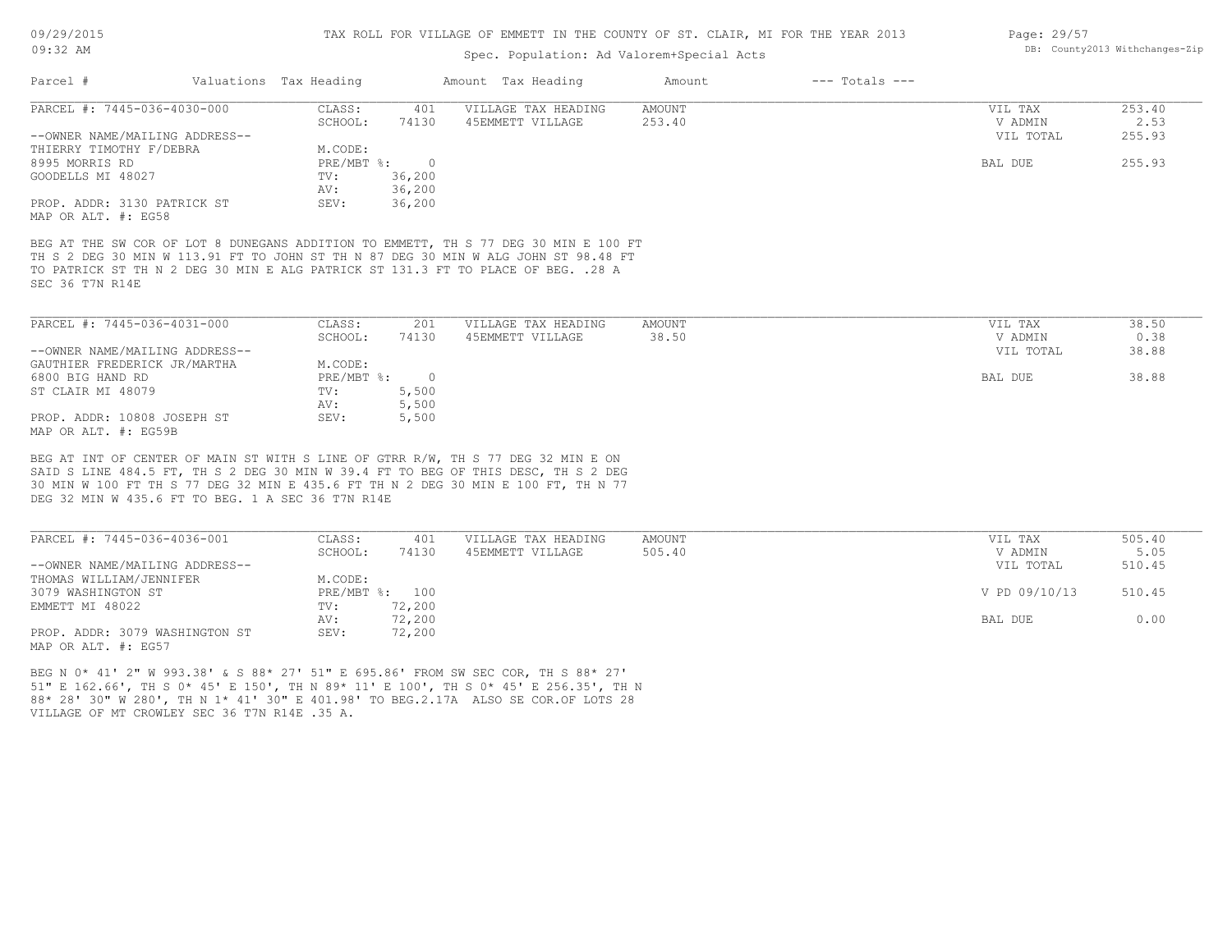## Spec. Population: Ad Valorem+Special Acts

| Page: 29/57 |                                |
|-------------|--------------------------------|
|             | DB: County2013 Withchanges-Zip |

| Parcel #                                                                                                                                                                                                                                                                          | Valuations Tax Heading |            | Amount Tax Heading  | Amount        | $---$ Totals $---$ |           |        |
|-----------------------------------------------------------------------------------------------------------------------------------------------------------------------------------------------------------------------------------------------------------------------------------|------------------------|------------|---------------------|---------------|--------------------|-----------|--------|
| PARCEL #: 7445-036-4030-000                                                                                                                                                                                                                                                       | CLASS:                 | 401        | VILLAGE TAX HEADING | AMOUNT        |                    | VIL TAX   | 253.40 |
|                                                                                                                                                                                                                                                                                   | SCHOOL:                | 74130      | 45EMMETT VILLAGE    | 253.40        |                    | V ADMIN   | 2.53   |
| --OWNER NAME/MAILING ADDRESS--                                                                                                                                                                                                                                                    |                        |            |                     |               |                    | VIL TOTAL | 255.93 |
| THIERRY TIMOTHY F/DEBRA                                                                                                                                                                                                                                                           | M.CODE:                |            |                     |               |                    |           |        |
| 8995 MORRIS RD                                                                                                                                                                                                                                                                    | $PRE/MBT$ $\div$       | $\bigcirc$ |                     |               |                    | BAL DUE   | 255.93 |
| GOODELLS MI 48027                                                                                                                                                                                                                                                                 | TV:                    | 36,200     |                     |               |                    |           |        |
|                                                                                                                                                                                                                                                                                   | AV:                    | 36,200     |                     |               |                    |           |        |
| PROP. ADDR: 3130 PATRICK ST<br>MAP OR ALT. #: EG58                                                                                                                                                                                                                                | SEV:                   | 36,200     |                     |               |                    |           |        |
| BEG AT THE SW COR OF LOT 8 DUNEGANS ADDITION TO EMMETT, TH S 77 DEG 30 MIN E 100 FT<br>TH S 2 DEG 30 MIN W 113.91 FT TO JOHN ST TH N 87 DEG 30 MIN W ALG JOHN ST 98.48 FT<br>TO PATRICK ST TH N 2 DEG 30 MIN E ALG PATRICK ST 131.3 FT TO PLACE OF BEG. . 28 A<br>SEC 36 T7N R14E |                        |            |                     |               |                    |           |        |
| PARCEL #: 7445-036-4031-000                                                                                                                                                                                                                                                       | CLASS:                 | 201        | VILLAGE TAX HEADING | <b>AMOUNT</b> |                    | VIL TAX   | 38.50  |
|                                                                                                                                                                                                                                                                                   | SCHOOL:                | 74130      | 45EMMETT VILLAGE    | 38.50         |                    | V ADMIN   | 0.38   |
| --OWNER NAME/MAILING ADDRESS--                                                                                                                                                                                                                                                    |                        |            |                     |               |                    | VIL TOTAL | 38.88  |
| GAUTHIER FREDERICK JR/MARTHA                                                                                                                                                                                                                                                      | M.CODE:                |            |                     |               |                    |           |        |
| 6800 BIG HAND RD                                                                                                                                                                                                                                                                  | PRE/MBT %:             | $\bigcirc$ |                     |               |                    | BAL DUE   | 38.88  |
| ST CLAIR MI 48079                                                                                                                                                                                                                                                                 | TV:                    | 5,500      |                     |               |                    |           |        |
|                                                                                                                                                                                                                                                                                   | AV:                    | 5,500      |                     |               |                    |           |        |
| PROP. ADDR: 10808 JOSEPH ST<br>MAP OR ALT. #: EG59B                                                                                                                                                                                                                               | SEV:                   | 5,500      |                     |               |                    |           |        |

DEG 32 MIN W 435.6 FT TO BEG. 1 A SEC 36 T7N R14E 30 MIN W 100 FT TH S 77 DEG 32 MIN E 435.6 FT TH N 2 DEG 30 MIN E 100 FT, TH N 77 ; LINE 484.5 FT, TH S 2 DEG 30 MIN W 39.4 FT TO BEG OF THIS DESC, TH S 2 DEG

| PARCEL #: 7445-036-4036-001    | CLASS:  | 401            | VILLAGE TAX HEADING | AMOUNT | VIL TAX       | 505.40 |
|--------------------------------|---------|----------------|---------------------|--------|---------------|--------|
|                                | SCHOOL: | 74130          | 45EMMETT VILLAGE    | 505.40 | V ADMIN       | 5.05   |
| --OWNER NAME/MAILING ADDRESS-- |         |                |                     |        | VIL TOTAL     | 510.45 |
| THOMAS WILLIAM/JENNIFER        | M.CODE: |                |                     |        |               |        |
| 3079 WASHINGTON ST             |         | PRE/MBT %: 100 |                     |        | V PD 09/10/13 | 510.45 |
| EMMETT MI 48022                | TV:     | 72,200         |                     |        |               |        |
|                                | AV:     | 72,200         |                     |        | BAL DUE       | 0.00   |
| PROP. ADDR: 3079 WASHINGTON ST | SEV:    | 72,200         |                     |        |               |        |
| MAP OR ALT. #: EG57            |         |                |                     |        |               |        |

VILLAGE OF MT CROWLEY SEC 36 T7N R14E .35 A. 88\* 28' 30" W 280', TH N 1\* 41' 30" E 401.98' TO BEG.2.17A ALSO SE COR.OF LOTS 28 51" E 162.66', TH S 0\* 45' E 150', TH N 89\* 11' E 100', TH S 0\* 45' E 256.35', TH N BEG N 0\* 41' 2" W 993.38' & S 88\* 27' 51" E 695.86' FROM SW SEC COR, TH S 88\* 27'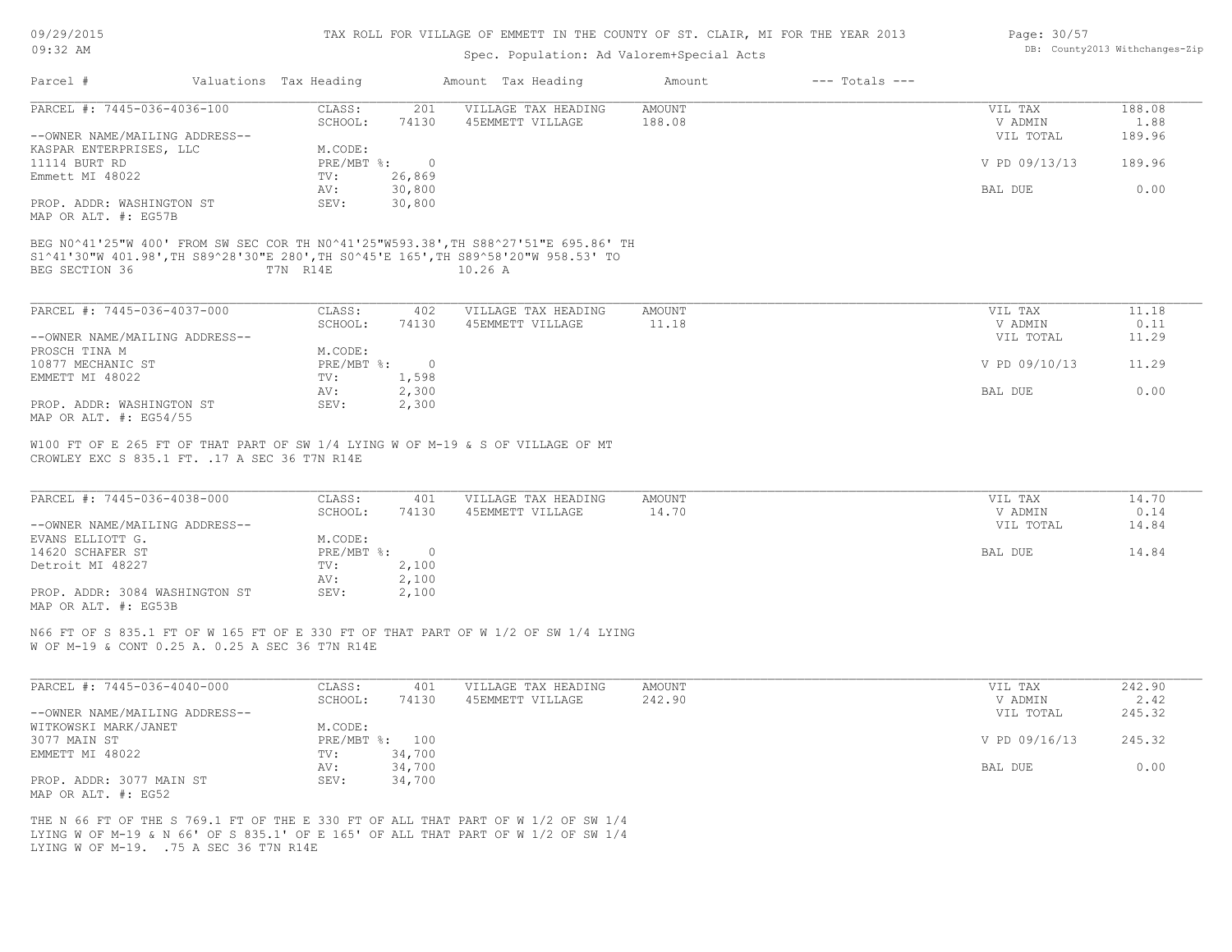| 09/29/2015 |  |
|------------|--|
| $09:32$ AM |  |

# Spec. Population: Ad Valorem+Special Acts

| Page: 30/57 |                                |
|-------------|--------------------------------|
|             | DB: County2013 Withchanges-Zip |

| Parcel #                                                                                                                                                                                     | Valuations Tax Heading            | Amount Tax Heading                      | $---$ Totals $---$<br>Amount |                                 |                        |
|----------------------------------------------------------------------------------------------------------------------------------------------------------------------------------------------|-----------------------------------|-----------------------------------------|------------------------------|---------------------------------|------------------------|
| PARCEL #: 7445-036-4036-100                                                                                                                                                                  | CLASS:                            | 201<br>VILLAGE TAX HEADING              | <b>AMOUNT</b>                | VIL TAX                         | 188.08                 |
|                                                                                                                                                                                              | SCHOOL:<br>74130                  | 45EMMETT VILLAGE                        | 188.08                       | V ADMIN                         | 1.88                   |
| --OWNER NAME/MAILING ADDRESS--<br>KASPAR ENTERPRISES, LLC                                                                                                                                    | M.CODE:                           |                                         |                              | VIL TOTAL                       | 189.96                 |
| 11114 BURT RD                                                                                                                                                                                | PRE/MBT %: 0                      |                                         |                              | V PD 09/13/13                   | 189.96                 |
| Emmett MI 48022                                                                                                                                                                              | 26,869<br>$\text{TV}$ :           |                                         |                              |                                 |                        |
|                                                                                                                                                                                              | 30,800<br>AV:                     |                                         |                              | BAL DUE                         | 0.00                   |
| PROP. ADDR: WASHINGTON ST                                                                                                                                                                    | 30,800<br>SEV:                    |                                         |                              |                                 |                        |
| MAP OR ALT. #: EG57B                                                                                                                                                                         |                                   |                                         |                              |                                 |                        |
| BEG N0^41'25"W 400' FROM SW SEC COR TH N0^41'25"W593.38', TH S88^27'51"E 695.86' TH<br>S1^41'30"W 401.98', TH S89^28'30"E 280', TH S0^45'E 165', TH S89^58'20"W 958.53' TO<br>BEG SECTION 36 | T7N R14E                          | 10.26 A                                 |                              |                                 |                        |
| PARCEL #: 7445-036-4037-000                                                                                                                                                                  | CLASS:<br>402                     | VILLAGE TAX HEADING                     | AMOUNT                       | VIL TAX                         | 11.18                  |
|                                                                                                                                                                                              | SCHOOL:<br>74130                  | 45EMMETT VILLAGE                        | 11.18                        | V ADMIN                         | 0.11                   |
| --OWNER NAME/MAILING ADDRESS--                                                                                                                                                               |                                   |                                         |                              | VIL TOTAL                       | 11.29                  |
| PROSCH TINA M                                                                                                                                                                                | M.CODE:                           |                                         |                              |                                 |                        |
| 10877 MECHANIC ST                                                                                                                                                                            | PRE/MBT %: 0                      |                                         |                              | V PD 09/10/13                   | 11.29                  |
| EMMETT MI 48022                                                                                                                                                                              | 1,598<br>TV:                      |                                         |                              |                                 |                        |
|                                                                                                                                                                                              | 2,300<br>AV:                      |                                         |                              | BAL DUE                         | 0.00                   |
| PROP. ADDR: WASHINGTON ST<br>MAP OR ALT. #: EG54/55                                                                                                                                          | 2,300<br>SEV:                     |                                         |                              |                                 |                        |
| PARCEL #: 7445-036-4038-000<br>--OWNER NAME/MAILING ADDRESS--                                                                                                                                | CLASS:<br>401<br>SCHOOL:<br>74130 | VILLAGE TAX HEADING<br>45EMMETT VILLAGE | AMOUNT<br>14.70              | VIL TAX<br>V ADMIN<br>VIL TOTAL | 14.70<br>0.14<br>14.84 |
| EVANS ELLIOTT G.                                                                                                                                                                             | M.CODE:                           |                                         |                              |                                 |                        |
| 14620 SCHAFER ST                                                                                                                                                                             | PRE/MBT %: 0                      |                                         |                              | BAL DUE                         | 14.84                  |
| Detroit MI 48227                                                                                                                                                                             | TV: 2,100                         |                                         |                              |                                 |                        |
|                                                                                                                                                                                              | 2,100<br>AV:                      |                                         |                              |                                 |                        |
| PROP. ADDR: 3084 WASHINGTON ST<br>MAP OR ALT. #: EG53B                                                                                                                                       | SEV:<br>2,100                     |                                         |                              |                                 |                        |
| N66 FT OF S 835.1 FT OF W 165 FT OF E 330 FT OF THAT PART OF W 1/2 OF SW 1/4 LYING<br>W OF M-19 & CONT 0.25 A. 0.25 A SEC 36 T7N R14E                                                        |                                   |                                         |                              |                                 |                        |
| PARCEL #: 7445-036-4040-000                                                                                                                                                                  | CLASS:<br>401                     | VILLAGE TAX HEADING                     | AMOUNT                       | VIL TAX                         | 242.90                 |
|                                                                                                                                                                                              | SCHOOL:<br>74130                  | 45EMMETT VILLAGE                        | 242.90                       | V ADMIN                         | 2.42                   |
| --OWNER NAME/MAILING ADDRESS--                                                                                                                                                               |                                   |                                         |                              | VIL TOTAL                       | 245.32                 |
| WITKOWSKI MARK/JANET                                                                                                                                                                         | M.CODE:                           |                                         |                              |                                 |                        |
| 3077 MAIN ST                                                                                                                                                                                 | PRE/MBT %: 100                    |                                         |                              | V PD 09/16/13                   | 245.32                 |
| EMMETT MI 48022                                                                                                                                                                              | TV: 34,700                        |                                         |                              |                                 |                        |
|                                                                                                                                                                                              | 34,700<br>AV:                     |                                         |                              | BAL DUE                         | 0.00                   |
| PROP. ADDR: 3077 MAIN ST<br>MAP OR ALT. #: EG52                                                                                                                                              | SEV:<br>34,700                    |                                         |                              |                                 |                        |

LYING W OF M-19. .75 A SEC 36 T7N R14E LYING W OF M-19 & N 66' OF S 835.1' OF E 165' OF ALL THAT PART OF W 1/2 OF SW 1/4 THE N 66 FT OF THE S 769.1 FT OF THE E 330 FT OF ALL THAT PART OF W 1/2 OF SW 1/4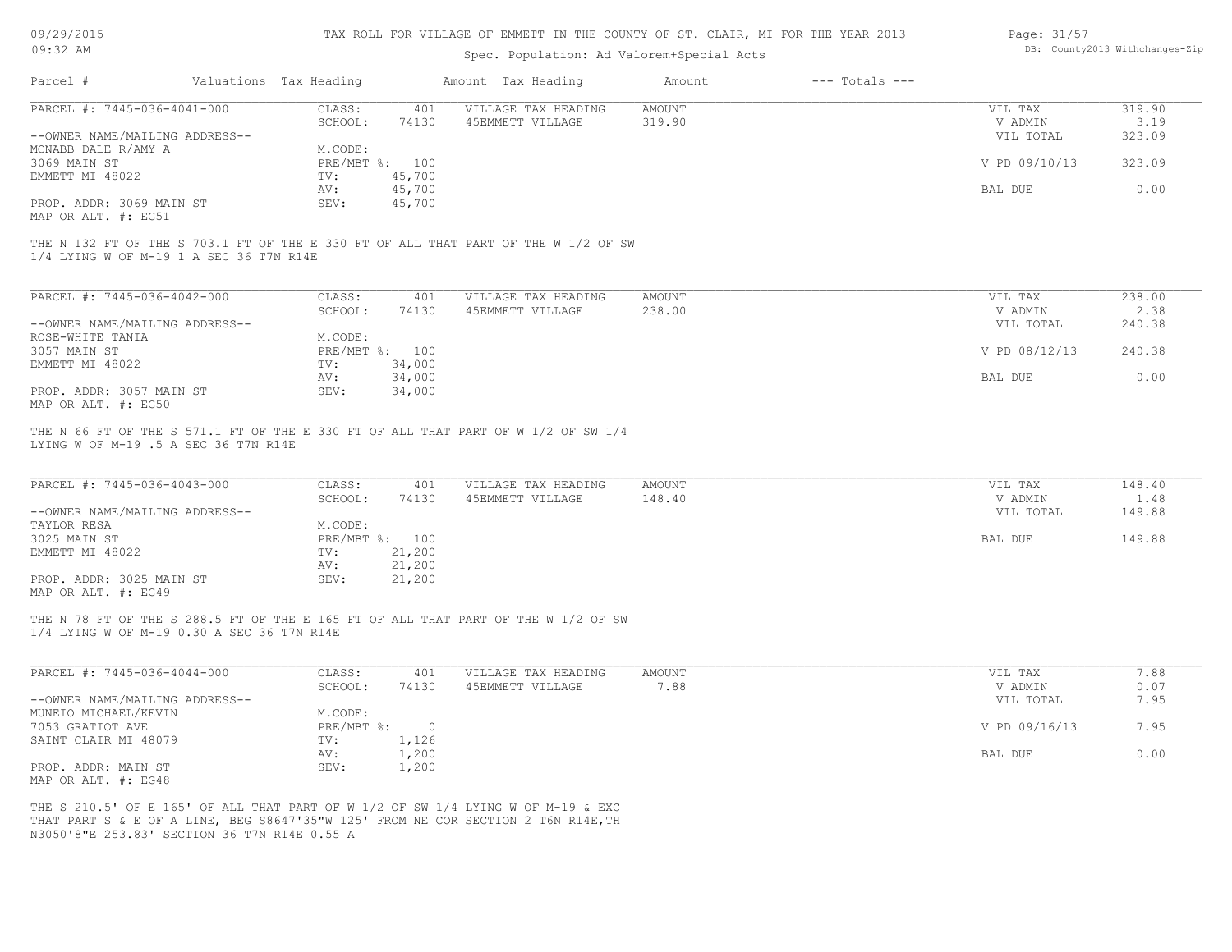| 09/29/2015 |  |
|------------|--|
| $09:32$ AM |  |

# Spec. Population: Ad Valorem+Special Acts

| Page: 31/57 |                                |
|-------------|--------------------------------|
|             | DB: County2013 Withchanges-Zip |

| Parcel #                                        | Valuations Tax Heading |                  | Amount Tax Heading                                                                                                                                                    | Amount                  | $---$ Totals $---$ |                    |                |
|-------------------------------------------------|------------------------|------------------|-----------------------------------------------------------------------------------------------------------------------------------------------------------------------|-------------------------|--------------------|--------------------|----------------|
| PARCEL #: 7445-036-4041-000                     | CLASS:                 | 401              | VILLAGE TAX HEADING                                                                                                                                                   | <b>AMOUNT</b>           |                    | VIL TAX            | 319.90         |
|                                                 | SCHOOL:                | 74130            | 45EMMETT VILLAGE                                                                                                                                                      | 319.90                  |                    | V ADMIN            | 3.19           |
| --OWNER NAME/MAILING ADDRESS--                  |                        |                  |                                                                                                                                                                       |                         |                    | VIL TOTAL          | 323.09         |
| MCNABB DALE R/AMY A                             | M.CODE:                |                  |                                                                                                                                                                       |                         |                    |                    |                |
| 3069 MAIN ST                                    |                        | PRE/MBT %: 100   |                                                                                                                                                                       |                         |                    | V PD 09/10/13      | 323.09         |
| EMMETT MI 48022                                 | TV:                    | 45,700           |                                                                                                                                                                       |                         |                    |                    |                |
|                                                 | AV:                    | 45,700           |                                                                                                                                                                       |                         |                    | BAL DUE            | 0.00           |
| PROP. ADDR: 3069 MAIN ST<br>MAP OR ALT. #: EG51 | SEV:                   | 45,700           |                                                                                                                                                                       |                         |                    |                    |                |
| 1/4 LYING W OF M-19 1 A SEC 36 T7N R14E         |                        |                  | THE N 132 FT OF THE S 703.1 FT OF THE E 330 FT OF ALL THAT PART OF THE W 1/2 OF SW                                                                                    |                         |                    |                    |                |
| PARCEL #: 7445-036-4042-000                     | CLASS:                 | 401              | VILLAGE TAX HEADING                                                                                                                                                   | <b>AMOUNT</b>           |                    | VIL TAX            | 238.00         |
|                                                 | SCHOOL:                | 74130            | 45EMMETT VILLAGE                                                                                                                                                      | 238.00                  |                    | V ADMIN            | 2.38           |
| --OWNER NAME/MAILING ADDRESS--                  |                        |                  |                                                                                                                                                                       |                         |                    | VIL TOTAL          | 240.38         |
| ROSE-WHITE TANIA                                | M.CODE:                |                  |                                                                                                                                                                       |                         |                    |                    |                |
| 3057 MAIN ST                                    |                        | PRE/MBT %: 100   |                                                                                                                                                                       |                         |                    | V PD 08/12/13      | 240.38         |
| EMMETT MI 48022                                 | TV:                    | 34,000           |                                                                                                                                                                       |                         |                    |                    |                |
|                                                 | AV:                    | 34,000           |                                                                                                                                                                       |                         |                    | BAL DUE            | 0.00           |
| PROP. ADDR: 3057 MAIN ST<br>MAP OR ALT. #: EG50 | SEV:                   | 34,000           |                                                                                                                                                                       |                         |                    |                    |                |
| PARCEL #: 7445-036-4043-000                     | CLASS:<br>SCHOOL:      | 401<br>74130     | VILLAGE TAX HEADING<br>45EMMETT VILLAGE                                                                                                                               | <b>AMOUNT</b><br>148.40 |                    | VIL TAX<br>V ADMIN | 148.40<br>1.48 |
| --OWNER NAME/MAILING ADDRESS--                  |                        |                  |                                                                                                                                                                       |                         |                    | VIL TOTAL          | 149.88         |
| TAYLOR RESA                                     | M.CODE:                |                  |                                                                                                                                                                       |                         |                    |                    |                |
| 3025 MAIN ST                                    |                        | PRE/MBT %: 100   |                                                                                                                                                                       |                         |                    | BAL DUE            | 149.88         |
| EMMETT MI 48022                                 | TV:                    | 21,200           |                                                                                                                                                                       |                         |                    |                    |                |
| PROP. ADDR: 3025 MAIN ST                        | AV:<br>SEV:            | 21,200<br>21,200 |                                                                                                                                                                       |                         |                    |                    |                |
| MAP OR ALT. #: EG49                             |                        |                  |                                                                                                                                                                       |                         |                    |                    |                |
| 1/4 LYING W OF M-19 0.30 A SEC 36 T7N R14E      |                        |                  | THE N 78 FT OF THE S 288.5 FT OF THE E 165 FT OF ALL THAT PART OF THE W 1/2 OF SW                                                                                     |                         |                    |                    |                |
| PARCEL #: 7445-036-4044-000                     | CLASS:                 | 401              | VILLAGE TAX HEADING                                                                                                                                                   | <b>AMOUNT</b>           |                    | VIL TAX            | 7.88           |
|                                                 | SCHOOL:                | 74130            | 45EMMETT VILLAGE                                                                                                                                                      | 7.88                    |                    | V ADMIN            | 0.07           |
| --OWNER NAME/MAILING ADDRESS--                  |                        |                  |                                                                                                                                                                       |                         |                    | VIL TOTAL          | 7.95           |
| MUNEIO MICHAEL/KEVIN                            | M.CODE:                |                  |                                                                                                                                                                       |                         |                    |                    |                |
| 7053 GRATIOT AVE                                | $PRE/MBT$ $\div$       | $\circ$          |                                                                                                                                                                       |                         |                    | V PD 09/16/13      | 7.95           |
| SAINT CLAIR MI 48079                            | TV:                    | 1,126            |                                                                                                                                                                       |                         |                    |                    |                |
|                                                 | AV:                    | 1,200            |                                                                                                                                                                       |                         |                    | BAL DUE            | 0.00           |
| PROP. ADDR: MAIN ST                             | SEV:                   | 1,200            |                                                                                                                                                                       |                         |                    |                    |                |
| MAP OR ALT. #: EG48                             |                        |                  |                                                                                                                                                                       |                         |                    |                    |                |
|                                                 |                        |                  | THE S 210.5' OF E 165' OF ALL THAT PART OF W 1/2 OF SW 1/4 LYING W OF M-19 & EXC<br>THAT PART S & E OF A LINE, BEG S8647'35"W 125' FROM NE COR SECTION 2 T6N R14E, TH |                         |                    |                    |                |

N3050'8"E 253.83' SECTION 36 T7N R14E 0.55 A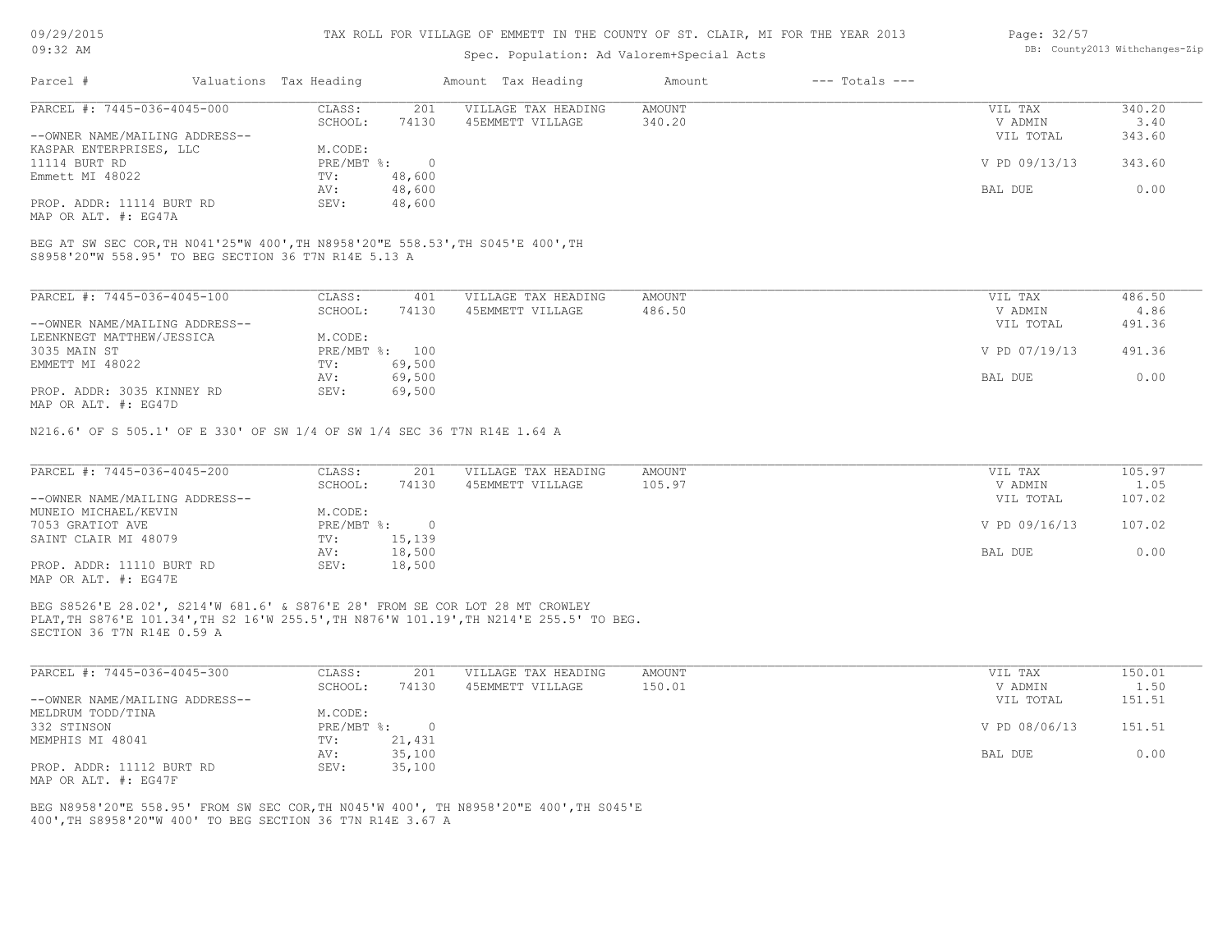## Spec. Population: Ad Valorem+Special Acts

| Page: 32/57 |                                |
|-------------|--------------------------------|
|             | DB: County2013 Withchanges-Zip |

| Parcel #                       | Valuations Tax Heading |        | Amount Tax Heading  | Amount | $---$ Totals $---$ |               |        |
|--------------------------------|------------------------|--------|---------------------|--------|--------------------|---------------|--------|
| PARCEL #: 7445-036-4045-000    | CLASS:                 | 201    | VILLAGE TAX HEADING | AMOUNT |                    | VIL TAX       | 340.20 |
|                                | SCHOOL:                | 74130  | 45EMMETT VILLAGE    | 340.20 |                    | V ADMIN       | 3.40   |
| --OWNER NAME/MAILING ADDRESS-- |                        |        |                     |        |                    | VIL TOTAL     | 343.60 |
| KASPAR ENTERPRISES, LLC        | M.CODE:                |        |                     |        |                    |               |        |
| 11114 BURT RD                  | PRE/MBT %:             |        |                     |        |                    | V PD 09/13/13 | 343.60 |
| Emmett MI 48022                | TV:                    | 48,600 |                     |        |                    |               |        |
|                                | AV:                    | 48,600 |                     |        |                    | BAL DUE       | 0.00   |
| PROP. ADDR: 11114 BURT RD      | SEV:                   | 48,600 |                     |        |                    |               |        |
|                                |                        |        |                     |        |                    |               |        |

MAP OR ALT. #: EG47A

S8958'20"W 558.95' TO BEG SECTION 36 T7N R14E 5.13 A BEG AT SW SEC COR,TH N041'25"W 400',TH N8958'20"E 558.53',TH S045'E 400',TH

| PARCEL #: 7445-036-4045-100    | CLASS:     | 401    | VILLAGE TAX HEADING | AMOUNT | 486.50<br>VIL TAX       |  |
|--------------------------------|------------|--------|---------------------|--------|-------------------------|--|
|                                | SCHOOL:    | 74130  | 45EMMETT VILLAGE    | 486.50 | 4.86<br>V ADMIN         |  |
| --OWNER NAME/MAILING ADDRESS-- |            |        |                     |        | 491.36<br>VIL TOTAL     |  |
| LEENKNEGT MATTHEW/JESSICA      | M.CODE:    |        |                     |        |                         |  |
| 3035 MAIN ST                   | PRE/MBT %: | 100    |                     |        | V PD 07/19/13<br>491.36 |  |
| EMMETT MI 48022                | TV:        | 69,500 |                     |        |                         |  |
|                                | AV:        | 69,500 |                     |        | 0.00<br>BAL DUE         |  |
| PROP. ADDR: 3035 KINNEY RD     | SEV:       | 69,500 |                     |        |                         |  |
| MAP OR ALT. #: EG47D           |            |        |                     |        |                         |  |

N216.6' OF S 505.1' OF E 330' OF SW 1/4 OF SW 1/4 SEC 36 T7N R14E 1.64 A

| PARCEL #: 7445-036-4045-200    | CLASS:     | 201    | VILLAGE TAX HEADING | AMOUNT | VIL TAX       | 105.97 |
|--------------------------------|------------|--------|---------------------|--------|---------------|--------|
|                                | SCHOOL:    | 74130  | 45EMMETT VILLAGE    | 105.97 | V ADMIN       | 1.05   |
| --OWNER NAME/MAILING ADDRESS-- |            |        |                     |        | VIL TOTAL     | 107.02 |
| MUNEIO MICHAEL/KEVIN           | M.CODE:    |        |                     |        |               |        |
| 7053 GRATIOT AVE               | PRE/MBT %: |        |                     |        | V PD 09/16/13 | 107.02 |
| SAINT CLAIR MI 48079           | TV:        | 15,139 |                     |        |               |        |
|                                | AV:        | 18,500 |                     |        | BAL DUE       | 0.00   |
| PROP. ADDR: 11110 BURT RD      | SEV:       | 18,500 |                     |        |               |        |
| MAP OR ALT. #: EG47E           |            |        |                     |        |               |        |

SECTION 36 T7N R14E 0.59 A PLAT,TH S876'E 101.34',TH S2 16'W 255.5',TH N876'W 101.19',TH N214'E 255.5' TO BEG. BEG S8526'E 28.02', S214'W 681.6' & S876'E 28' FROM SE COR LOT 28 MT CROWLEY

| PARCEL #: 7445-036-4045-300    | CLASS:     | 201    | VILLAGE TAX HEADING | AMOUNT | VIL TAX       | 150.01 |
|--------------------------------|------------|--------|---------------------|--------|---------------|--------|
|                                | SCHOOL:    | 74130  | 45EMMETT VILLAGE    | 150.01 | V ADMIN       | 1.50   |
| --OWNER NAME/MAILING ADDRESS-- |            |        |                     |        | VIL TOTAL     | 151.51 |
| MELDRUM TODD/TINA              | M.CODE:    |        |                     |        |               |        |
| 332 STINSON                    | PRE/MBT %: |        |                     |        | V PD 08/06/13 | 151.51 |
| MEMPHIS MI 48041               | TV:        | 21,431 |                     |        |               |        |
|                                | AV:        | 35,100 |                     |        | BAL DUE       | 0.00   |
| PROP. ADDR: 11112 BURT RD      | SEV:       | 35,100 |                     |        |               |        |
| MAP OR ALT. #: EG47F           |            |        |                     |        |               |        |

400',TH S8958'20"W 400' TO BEG SECTION 36 T7N R14E 3.67 A BEG N8958'20"E 558.95' FROM SW SEC COR,TH N045'W 400', TH N8958'20"E 400',TH S045'E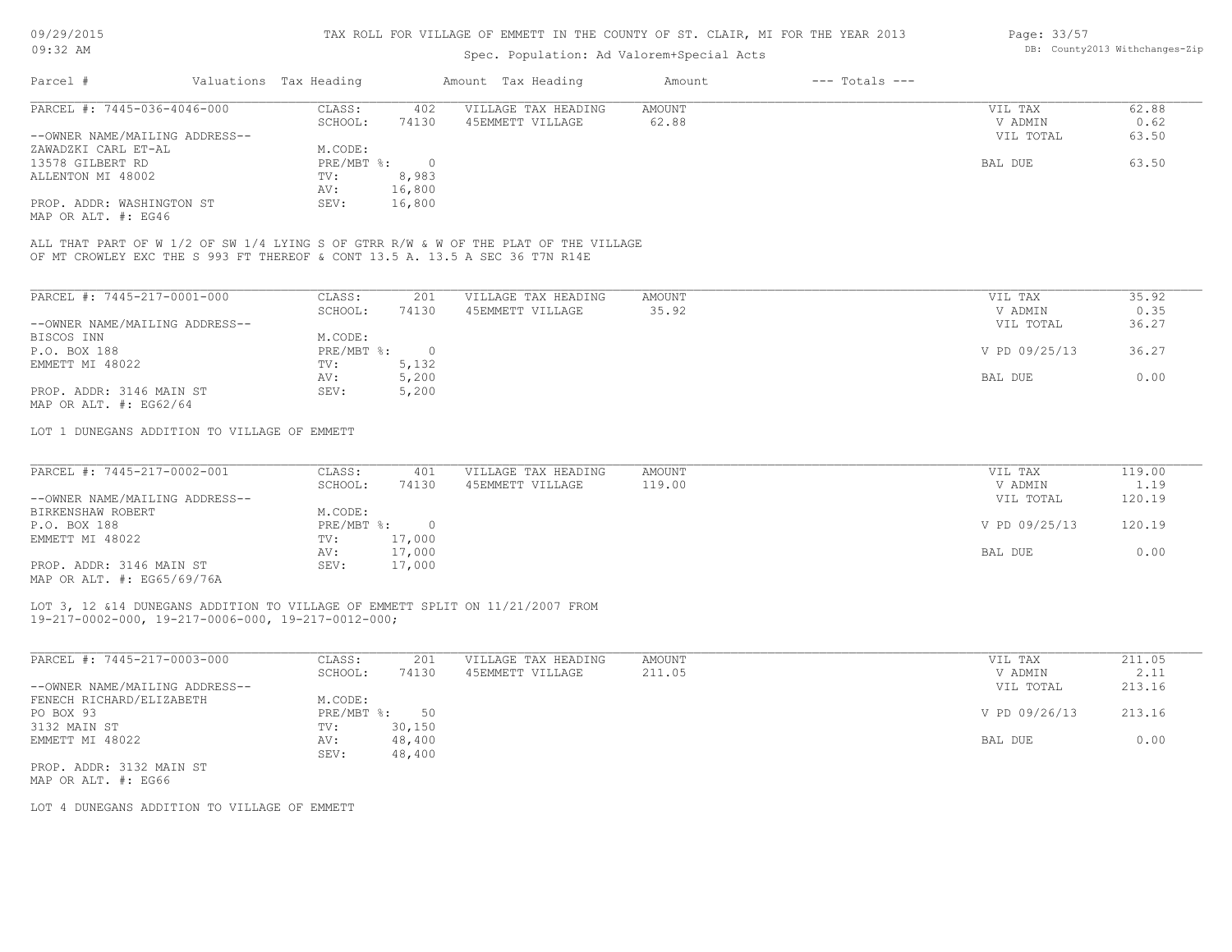# Spec. Population: Ad Valorem+Special Acts

| Page: 33/57 |                                |
|-------------|--------------------------------|
|             | DB: County2013 Withchanges-Zip |

| Parcel #                       | Valuations Tax Heading |        | Amount Tax Heading  | Amount | $---$ Totals $---$ |           |       |
|--------------------------------|------------------------|--------|---------------------|--------|--------------------|-----------|-------|
| PARCEL #: 7445-036-4046-000    | CLASS:                 | 402    | VILLAGE TAX HEADING | AMOUNT |                    | VIL TAX   | 62.88 |
|                                | SCHOOL:                | 74130  | 45EMMETT VILLAGE    | 62.88  |                    | V ADMIN   | 0.62  |
| --OWNER NAME/MAILING ADDRESS-- |                        |        |                     |        |                    | VIL TOTAL | 63.50 |
| ZAWADZKI CARL ET-AL            | M.CODE:                |        |                     |        |                    |           |       |
| 13578 GILBERT RD               | PRE/MBT %:             |        |                     |        |                    | BAL DUE   | 63.50 |
| ALLENTON MI 48002              | TV:                    | 8,983  |                     |        |                    |           |       |
|                                | AV:                    | 16,800 |                     |        |                    |           |       |
| PROP. ADDR: WASHINGTON ST      | SEV:                   | 16,800 |                     |        |                    |           |       |
|                                |                        |        |                     |        |                    |           |       |

MAP OR ALT. #: EG46

OF MT CROWLEY EXC THE S 993 FT THEREOF & CONT 13.5 A. 13.5 A SEC 36 T7N R14E ALL THAT PART OF W 1/2 OF SW 1/4 LYING S OF GTRR R/W & W OF THE PLAT OF THE VILLAGE

| PARCEL #: 7445-217-0001-000    | CLASS:     | 201   | VILLAGE TAX HEADING | AMOUNT | 35.92<br>VIL TAX       |  |
|--------------------------------|------------|-------|---------------------|--------|------------------------|--|
|                                | SCHOOL:    | 74130 | 45EMMETT VILLAGE    | 35.92  | 0.35<br>V ADMIN        |  |
| --OWNER NAME/MAILING ADDRESS-- |            |       |                     |        | 36.27<br>VIL TOTAL     |  |
| BISCOS INN                     | M.CODE:    |       |                     |        |                        |  |
| P.O. BOX 188                   | PRE/MBT %: |       |                     |        | V PD 09/25/13<br>36.27 |  |
| EMMETT MI 48022                | TV:        | 5,132 |                     |        |                        |  |
|                                | AV:        | 5,200 |                     |        | 0.00<br>BAL DUE        |  |
| PROP. ADDR: 3146 MAIN ST       | SEV:       | 5,200 |                     |        |                        |  |
| MAP OR ALT. $\#$ : EG62/64     |            |       |                     |        |                        |  |

LOT 1 DUNEGANS ADDITION TO VILLAGE OF EMMETT

| PARCEL #: 7445-217-0002-001                                        | CLASS:       | 401    | VILLAGE TAX HEADING | AMOUNT | VIL TAX       | 119.00 |
|--------------------------------------------------------------------|--------------|--------|---------------------|--------|---------------|--------|
|                                                                    | SCHOOL:      | 74130  | 45EMMETT VILLAGE    | 119.00 | V ADMIN       | 1.19   |
| --OWNER NAME/MAILING ADDRESS--                                     |              |        |                     |        | VIL TOTAL     | 120.19 |
| BIRKENSHAW ROBERT                                                  | M.CODE:      |        |                     |        |               |        |
| P.O. BOX 188                                                       | $PRE/MBT$ %: |        |                     |        | V PD 09/25/13 | 120.19 |
| EMMETT MI 48022                                                    | TV:          | 17,000 |                     |        |               |        |
|                                                                    | AV:          | 17,000 |                     |        | BAL DUE       | 0.00   |
| PROP. ADDR: 3146 MAIN ST<br>$1.755$ $2.55$ $1.756$ $1.756$ $1.755$ | SEV:         | 17,000 |                     |        |               |        |

MAP OR ALT. #: EG65/69/76A

#### 19-217-0002-000, 19-217-0006-000, 19-217-0012-000; LOT 3, 12 &14 DUNEGANS ADDITION TO VILLAGE OF EMMETT SPLIT ON 11/21/2007 FROM

| PARCEL #: 7445-217-0003-000    | CLASS:     | 201    | VILLAGE TAX HEADING | AMOUNT | 211.05<br>VIL TAX       |
|--------------------------------|------------|--------|---------------------|--------|-------------------------|
|                                | SCHOOL:    | 74130  | 45EMMETT VILLAGE    | 211.05 | 2.11<br>V ADMIN         |
| --OWNER NAME/MAILING ADDRESS-- |            |        |                     |        | 213.16<br>VIL TOTAL     |
| FENECH RICHARD/ELIZABETH       | M.CODE:    |        |                     |        |                         |
| PO BOX 93                      | PRE/MBT %: | 50     |                     |        | 213.16<br>V PD 09/26/13 |
| 3132 MAIN ST                   | TV:        | 30,150 |                     |        |                         |
| EMMETT MI 48022                | AV:        | 48,400 |                     |        | 0.00<br>BAL DUE         |
|                                | SEV:       | 48,400 |                     |        |                         |
| PROP. ADDR: 3132 MAIN ST       |            |        |                     |        |                         |

MAP OR ALT. #: EG66

LOT 4 DUNEGANS ADDITION TO VILLAGE OF EMMETT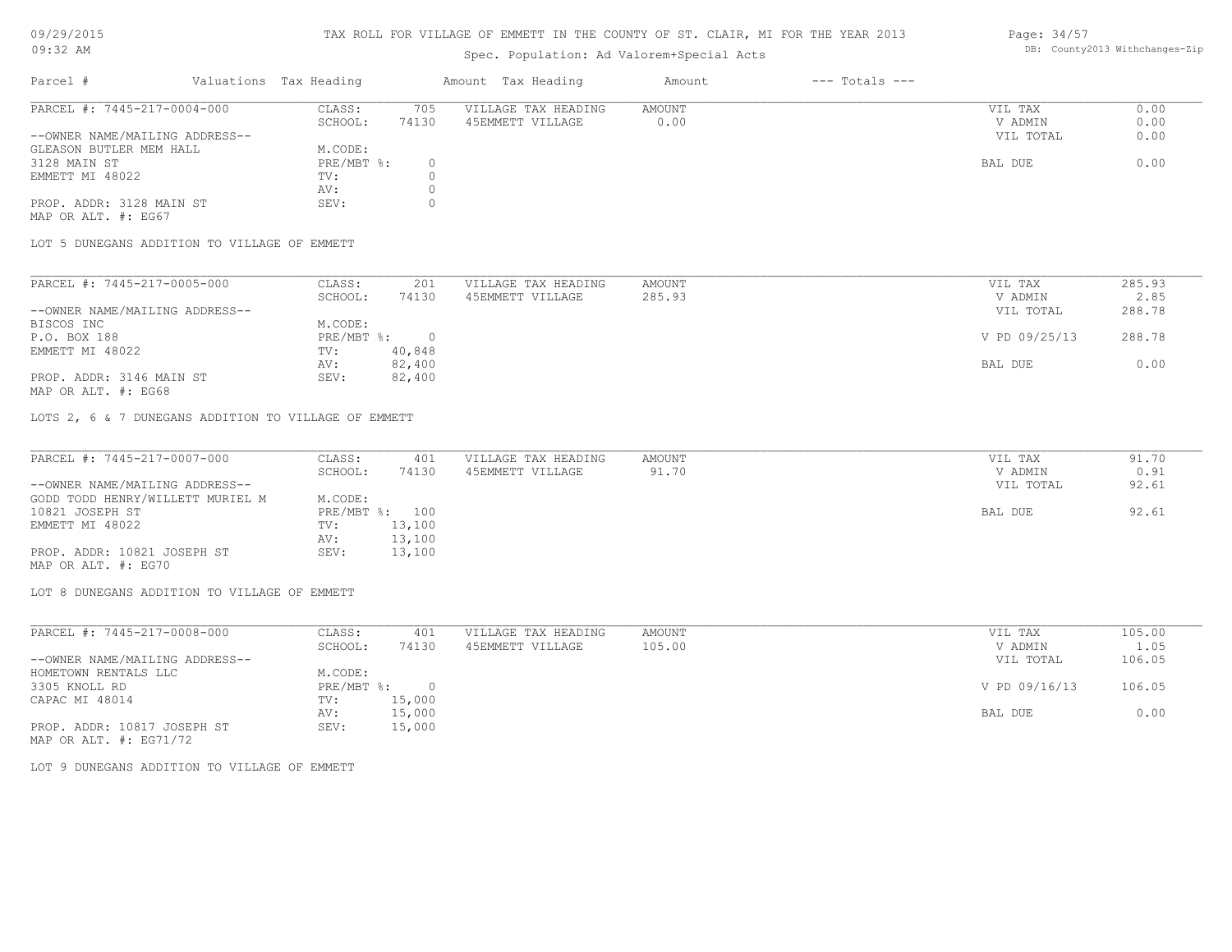# Spec. Population: Ad Valorem+Special Acts

#### Page: 34/57 DB: County2013 Withchanges-Zip

| Parcel #                       | Valuations Tax Heading |       | Amount Tax Heading  | Amount | $---$ Totals $---$ |           |      |
|--------------------------------|------------------------|-------|---------------------|--------|--------------------|-----------|------|
| PARCEL #: 7445-217-0004-000    | CLASS:                 | 705   | VILLAGE TAX HEADING | AMOUNT |                    | VIL TAX   | 0.00 |
|                                | SCHOOL:                | 74130 | 45EMMETT VILLAGE    | 0.00   |                    | V ADMIN   | 0.00 |
| --OWNER NAME/MAILING ADDRESS-- |                        |       |                     |        |                    | VIL TOTAL | 0.00 |
| GLEASON BUTLER MEM HALL        | M.CODE:                |       |                     |        |                    |           |      |
| 3128 MAIN ST                   | $PRE/MBT$ %:           |       |                     |        |                    | BAL DUE   | 0.00 |
| EMMETT MI 48022                | TV:                    |       |                     |        |                    |           |      |
|                                | AV:                    |       |                     |        |                    |           |      |
| PROP. ADDR: 3128 MAIN ST       | SEV:                   |       |                     |        |                    |           |      |
| MAP OR ALT. #: EG67            |                        |       |                     |        |                    |           |      |

LOT 5 DUNEGANS ADDITION TO VILLAGE OF EMMETT

| PARCEL #: 7445-217-0005-000    | CLASS:     | 201    | VILLAGE TAX HEADING | AMOUNT | VIL TAX       | 285.93 |
|--------------------------------|------------|--------|---------------------|--------|---------------|--------|
|                                | SCHOOL:    | 74130  | 45EMMETT VILLAGE    | 285.93 | V ADMIN       | 2.85   |
| --OWNER NAME/MAILING ADDRESS-- |            |        |                     |        | VIL TOTAL     | 288.78 |
| BISCOS INC                     | M.CODE:    |        |                     |        |               |        |
| P.O. BOX 188                   | PRE/MBT %: |        |                     |        | V PD 09/25/13 | 288.78 |
| EMMETT MI 48022                | TV:        | 40,848 |                     |        |               |        |
|                                | AV:        | 82,400 |                     |        | BAL DUE       | 0.00   |
| PROP. ADDR: 3146 MAIN ST       | SEV:       | 82,400 |                     |        |               |        |
|                                |            |        |                     |        |               |        |

MAP OR ALT. #: EG68

LOTS 2, 6 & 7 DUNEGANS ADDITION TO VILLAGE OF EMMETT

| PARCEL #: 7445-217-0007-000      | CLASS:  | 401            | VILLAGE TAX HEADING | AMOUNT | VIL TAX   | 91.70 |
|----------------------------------|---------|----------------|---------------------|--------|-----------|-------|
|                                  | SCHOOL: | 74130          | 45EMMETT VILLAGE    | 91.70  | V ADMIN   | 0.91  |
| --OWNER NAME/MAILING ADDRESS--   |         |                |                     |        | VIL TOTAL | 92.61 |
| GODD TODD HENRY/WILLETT MURIEL M | M.CODE: |                |                     |        |           |       |
| 10821 JOSEPH ST                  |         | PRE/MBT %: 100 |                     |        | BAL DUE   | 92.61 |
| EMMETT MI 48022                  | TV:     | 13,100         |                     |        |           |       |
|                                  | AV:     | 13,100         |                     |        |           |       |
| PROP. ADDR: 10821 JOSEPH ST      | SEV:    | 13,100         |                     |        |           |       |
| MAP OR ALT. #: EG70              |         |                |                     |        |           |       |

LOT 8 DUNEGANS ADDITION TO VILLAGE OF EMMETT

| CLASS:  | 401    | VILLAGE TAX HEADING | AMOUNT | VIL TAX       | 105.00 |
|---------|--------|---------------------|--------|---------------|--------|
| SCHOOL: | 74130  | 45EMMETT VILLAGE    | 105.00 | V ADMIN       | 1.05   |
|         |        |                     |        | VIL TOTAL     | 106.05 |
| M.CODE: |        |                     |        |               |        |
|         |        |                     |        | V PD 09/16/13 | 106.05 |
| TV:     | 15,000 |                     |        |               |        |
| AV:     | 15,000 |                     |        | BAL DUE       | 0.00   |
| SEV:    | 15,000 |                     |        |               |        |
|         |        | PRE/MBT %:          |        |               |        |

MAP OR ALT. #: EG71/72

LOT 9 DUNEGANS ADDITION TO VILLAGE OF EMMETT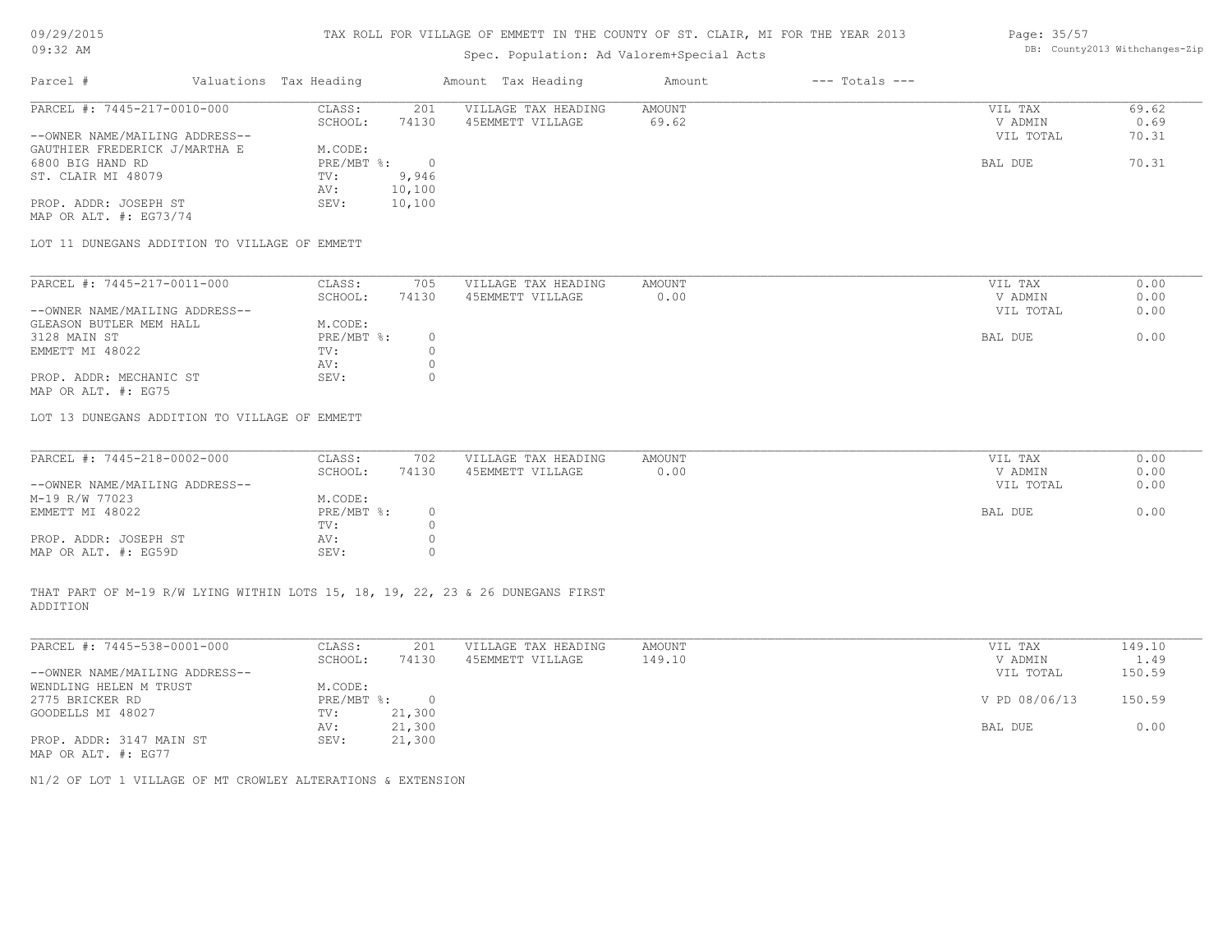# Spec. Population: Ad Valorem+Special Acts

#### Page: 35/57 DB: County2013 Withchanges-Zip

| Parcel #                       | Valuations Tax Heading |        | Amount Tax Heading  | Amount | $---$ Totals $---$ |           |       |
|--------------------------------|------------------------|--------|---------------------|--------|--------------------|-----------|-------|
| PARCEL #: 7445-217-0010-000    | CLASS:                 | 201    | VILLAGE TAX HEADING | AMOUNT |                    | VIL TAX   | 69.62 |
|                                | SCHOOL:                | 74130  | 45EMMETT VILLAGE    | 69.62  |                    | V ADMIN   | 0.69  |
| --OWNER NAME/MAILING ADDRESS-- |                        |        |                     |        |                    | VIL TOTAL | 70.31 |
| GAUTHIER FREDERICK J/MARTHA E  | M.CODE:                |        |                     |        |                    |           |       |
| 6800 BIG HAND RD               | $PRE/MBT$ %:           |        |                     |        |                    | BAL DUE   | 70.31 |
| ST. CLAIR MI 48079             | TV:                    | 9,946  |                     |        |                    |           |       |
|                                | AV:                    | 10,100 |                     |        |                    |           |       |
| PROP. ADDR: JOSEPH ST          | SEV:                   | 10,100 |                     |        |                    |           |       |
| MAP OR ALT. $\#$ : EG73/74     |                        |        |                     |        |                    |           |       |

LOT 11 DUNEGANS ADDITION TO VILLAGE OF EMMETT

| PARCEL #: 7445-217-0011-000    | CLASS:     | 705   | VILLAGE TAX HEADING | AMOUNT | VIL TAX   | 0.00 |
|--------------------------------|------------|-------|---------------------|--------|-----------|------|
|                                | SCHOOL:    | 74130 | 45EMMETT VILLAGE    | 0.00   | V ADMIN   | 0.00 |
| --OWNER NAME/MAILING ADDRESS-- |            |       |                     |        | VIL TOTAL | 0.00 |
| GLEASON BUTLER MEM HALL        | M.CODE:    |       |                     |        |           |      |
| 3128 MAIN ST                   | PRE/MBT %: |       |                     |        | BAL DUE   | 0.00 |
| EMMETT MI 48022                | TV:        |       |                     |        |           |      |
|                                | AV:        |       |                     |        |           |      |
| PROP. ADDR: MECHANIC ST        | SEV:       |       |                     |        |           |      |
| MAP OR ALT. #: EG75            |            |       |                     |        |           |      |

LOT 13 DUNEGANS ADDITION TO VILLAGE OF EMMETT

| PARCEL #: 7445-218-0002-000    | CLASS:     | 702   | VILLAGE TAX HEADING | AMOUNT | VIL TAX   | 0.00 |
|--------------------------------|------------|-------|---------------------|--------|-----------|------|
|                                | SCHOOL:    | 74130 | 45EMMETT VILLAGE    | 0.00   | V ADMIN   | 0.00 |
| --OWNER NAME/MAILING ADDRESS-- |            |       |                     |        | VIL TOTAL | 0.00 |
| M-19 R/W 77023                 | M.CODE:    |       |                     |        |           |      |
| EMMETT MI 48022                | PRE/MBT %: |       |                     |        | BAL DUE   | 0.00 |
|                                | TV:        |       |                     |        |           |      |
| PROP. ADDR: JOSEPH ST          | AV:        |       |                     |        |           |      |
| MAP OR ALT. #: EG59D           | SEV:       |       |                     |        |           |      |

ADDITION THAT PART OF M-19 R/W LYING WITHIN LOTS 15, 18, 19, 22, 23 & 26 DUNEGANS FIRST

| PARCEL #: 7445-538-0001-000    | CLASS:     | 201    | VILLAGE TAX HEADING | AMOUNT | VIL TAX       | 149.10 |
|--------------------------------|------------|--------|---------------------|--------|---------------|--------|
|                                | SCHOOL:    | 74130  | 45EMMETT VILLAGE    | 149.10 | V ADMIN       | 1.49   |
| --OWNER NAME/MAILING ADDRESS-- |            |        |                     |        | VIL TOTAL     | 150.59 |
| WENDLING HELEN M TRUST         | M.CODE:    |        |                     |        |               |        |
| 2775 BRICKER RD                | PRE/MBT %: | $\Box$ |                     |        | V PD 08/06/13 | 150.59 |
| GOODELLS MI 48027              | TV:        | 21,300 |                     |        |               |        |
|                                | AV:        | 21,300 |                     |        | BAL DUE       | 0.00   |
| PROP. ADDR: 3147 MAIN ST       | SEV:       | 21,300 |                     |        |               |        |
| MAP OR ALT. #: EG77            |            |        |                     |        |               |        |

 $\mathcal{L}_\mathcal{L} = \mathcal{L}_\mathcal{L} = \mathcal{L}_\mathcal{L} = \mathcal{L}_\mathcal{L} = \mathcal{L}_\mathcal{L} = \mathcal{L}_\mathcal{L} = \mathcal{L}_\mathcal{L} = \mathcal{L}_\mathcal{L} = \mathcal{L}_\mathcal{L} = \mathcal{L}_\mathcal{L} = \mathcal{L}_\mathcal{L} = \mathcal{L}_\mathcal{L} = \mathcal{L}_\mathcal{L} = \mathcal{L}_\mathcal{L} = \mathcal{L}_\mathcal{L} = \mathcal{L}_\mathcal{L} = \mathcal{L}_\mathcal{L}$ 

N1/2 OF LOT 1 VILLAGE OF MT CROWLEY ALTERATIONS & EXTENSION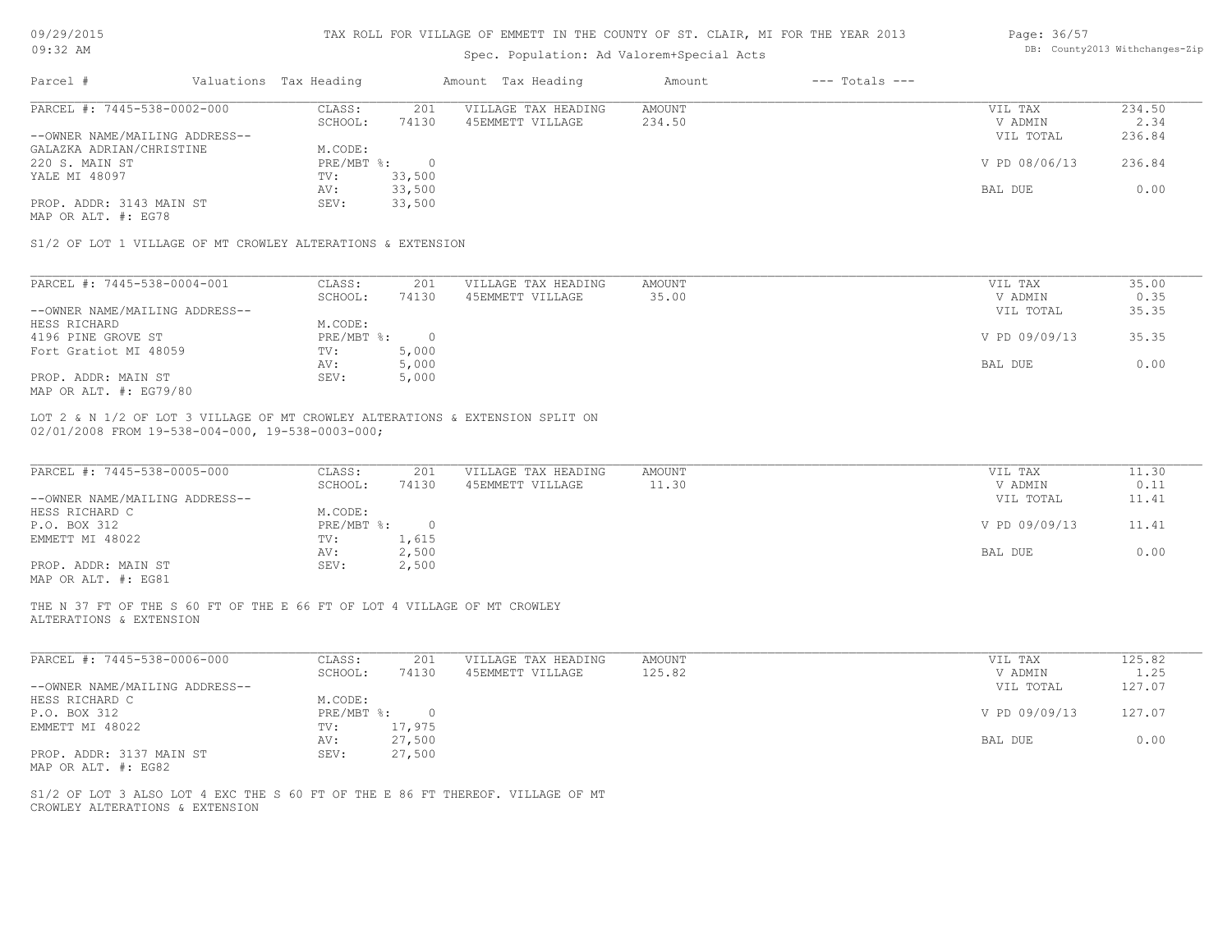| 09/29/2015                                                                                                                        | TAX ROLL FOR VILLAGE OF EMMETT IN THE COUNTY OF ST. CLAIR, MI FOR THE YEAR 2013 |                        |                                |  |                     |        |  |                    | Page: 36/57   |        |  |
|-----------------------------------------------------------------------------------------------------------------------------------|---------------------------------------------------------------------------------|------------------------|--------------------------------|--|---------------------|--------|--|--------------------|---------------|--------|--|
| $09:32$ AM                                                                                                                        |                                                                                 |                        | DB: County2013 Withchanges-Zip |  |                     |        |  |                    |               |        |  |
| Parcel #                                                                                                                          |                                                                                 | Valuations Tax Heading |                                |  | Amount Tax Heading  | Amount |  | $---$ Totals $---$ |               |        |  |
| PARCEL #: 7445-538-0002-000                                                                                                       |                                                                                 | CLASS:                 | 201                            |  | VILLAGE TAX HEADING | AMOUNT |  |                    | VIL TAX       | 234.50 |  |
|                                                                                                                                   |                                                                                 | SCHOOL:                | 74130                          |  | 45EMMETT VILLAGE    | 234.50 |  |                    | V ADMIN       | 2.34   |  |
| --OWNER NAME/MAILING ADDRESS--                                                                                                    |                                                                                 |                        |                                |  |                     |        |  |                    | VIL TOTAL     | 236.84 |  |
| GALAZKA ADRIAN/CHRISTINE                                                                                                          |                                                                                 | M.CODE:                |                                |  |                     |        |  |                    |               |        |  |
| 220 S. MAIN ST                                                                                                                    |                                                                                 | PRE/MBT %:             | $\overline{0}$                 |  |                     |        |  |                    | V PD 08/06/13 | 236.84 |  |
| YALE MI 48097                                                                                                                     |                                                                                 | TV:                    | 33,500                         |  |                     |        |  |                    |               |        |  |
|                                                                                                                                   |                                                                                 | AV:                    | 33,500                         |  |                     |        |  |                    | BAL DUE       | 0.00   |  |
| PROP. ADDR: 3143 MAIN ST<br>MAP OR ALT. #: EG78                                                                                   |                                                                                 | SEV:                   | 33,500                         |  |                     |        |  |                    |               |        |  |
| S1/2 OF LOT 1 VILLAGE OF MT CROWLEY ALTERATIONS & EXTENSION                                                                       |                                                                                 |                        |                                |  |                     |        |  |                    |               |        |  |
| PARCEL #: 7445-538-0004-001                                                                                                       |                                                                                 | CLASS:                 | 201                            |  | VILLAGE TAX HEADING | AMOUNT |  |                    | VIL TAX       | 35.00  |  |
|                                                                                                                                   |                                                                                 | SCHOOL:                | 74130                          |  | 45EMMETT VILLAGE    | 35.00  |  |                    | V ADMIN       | 0.35   |  |
| --OWNER NAME/MAILING ADDRESS--                                                                                                    |                                                                                 |                        |                                |  |                     |        |  |                    | VIL TOTAL     | 35.35  |  |
| HESS RICHARD                                                                                                                      |                                                                                 | M.CODE:                |                                |  |                     |        |  |                    |               |        |  |
| 4196 PINE GROVE ST                                                                                                                |                                                                                 | PRE/MBT %:             | $\overline{0}$                 |  |                     |        |  |                    | V PD 09/09/13 | 35.35  |  |
| Fort Gratiot MI 48059                                                                                                             |                                                                                 | TV:                    | 5,000                          |  |                     |        |  |                    |               |        |  |
|                                                                                                                                   |                                                                                 | AV:                    | 5,000                          |  |                     |        |  |                    | BAL DUE       | 0.00   |  |
| PROP. ADDR: MAIN ST                                                                                                               |                                                                                 | SEV:                   | 5,000                          |  |                     |        |  |                    |               |        |  |
| MAP OR ALT. #: EG79/80                                                                                                            |                                                                                 |                        |                                |  |                     |        |  |                    |               |        |  |
| LOT 2 & N 1/2 OF LOT 3 VILLAGE OF MT CROWLEY ALTERATIONS & EXTENSION SPLIT ON<br>02/01/2008 FROM 19-538-004-000, 19-538-0003-000; |                                                                                 |                        |                                |  |                     |        |  |                    |               |        |  |
| PARCEL #: 7445-538-0005-000                                                                                                       |                                                                                 | CLASS:                 | 201                            |  | VILLAGE TAX HEADING | AMOUNT |  |                    | VIL TAX       | 11.30  |  |
|                                                                                                                                   |                                                                                 | SCHOOL:                | 74130                          |  | 45EMMETT VILLAGE    | 11.30  |  |                    | V ADMIN       | 0.11   |  |
| --OWNER NAME/MAILING ADDRESS--                                                                                                    |                                                                                 |                        |                                |  |                     |        |  |                    | VIL TOTAL     | 11.41  |  |
| HESS RICHARD C                                                                                                                    |                                                                                 | M.CODE:                |                                |  |                     |        |  |                    |               |        |  |
| P.O. BOX 312                                                                                                                      |                                                                                 | PRE/MBT %:             | $\overline{0}$                 |  |                     |        |  |                    | V PD 09/09/13 | 11.41  |  |
| EMMETT MI 48022                                                                                                                   |                                                                                 | TV:                    | 1,615                          |  |                     |        |  |                    |               |        |  |
|                                                                                                                                   |                                                                                 | AV:                    | 2,500                          |  |                     |        |  |                    | BAL DUE       | 0.00   |  |
| PROP. ADDR: MAIN ST<br>MAP OR ALT. #: EG81                                                                                        |                                                                                 | SEV:                   | 2,500                          |  |                     |        |  |                    |               |        |  |
| THE N 37 FT OF THE S 60 FT OF THE E 66 FT OF LOT 4 VILLAGE OF MT CROWLEY<br>ALTERATIONS & EXTENSION                               |                                                                                 |                        |                                |  |                     |        |  |                    |               |        |  |

| PARCEL #: 7445-538-0006-000    | CLASS:     | 201      | VILLAGE TAX HEADING | AMOUNT | VIL TAX       | 125.82 |
|--------------------------------|------------|----------|---------------------|--------|---------------|--------|
|                                | SCHOOL:    | 74130    | 45EMMETT VILLAGE    | 125.82 | V ADMIN       | 1.25   |
| --OWNER NAME/MAILING ADDRESS-- |            |          |                     |        | VIL TOTAL     | 127.07 |
| HESS RICHARD C                 | M.CODE:    |          |                     |        |               |        |
| P.O. BOX 312                   | PRE/MBT %: | $\Omega$ |                     |        | V PD 09/09/13 | 127.07 |
| EMMETT MI 48022                | TV:        | 17,975   |                     |        |               |        |
|                                | AV:        | 27,500   |                     |        | BAL DUE       | 0.00   |
| PROP. ADDR: 3137 MAIN ST       | SEV:       | 27,500   |                     |        |               |        |
| MAP OR ALT. #: EG82            |            |          |                     |        |               |        |

CROWLEY ALTERATIONS & EXTENSION S1/2 OF LOT 3 ALSO LOT 4 EXC THE S 60 FT OF THE E 86 FT THEREOF. VILLAGE OF MT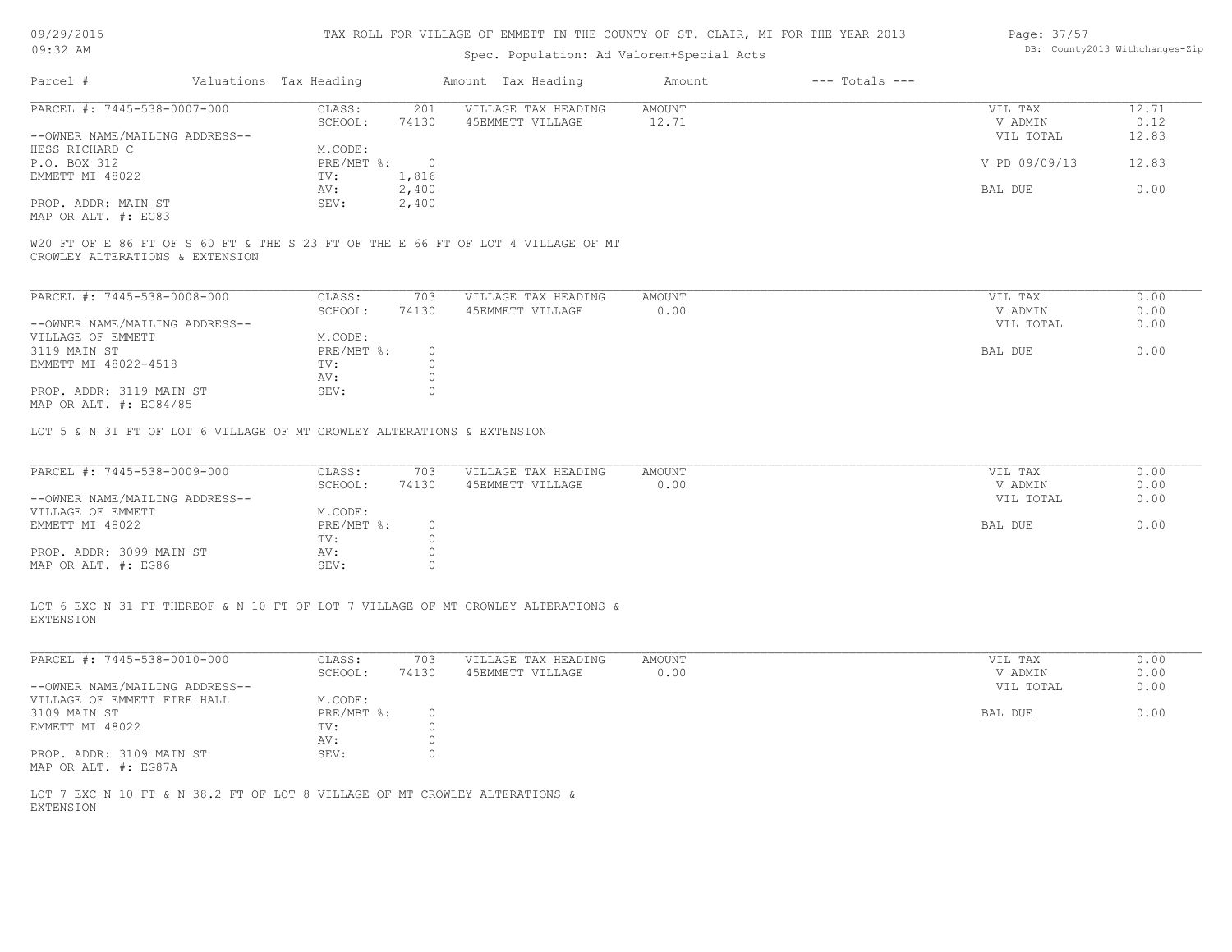| 09/29/2015 |  |
|------------|--|
| $09:32$ AM |  |

# Spec. Population: Ad Valorem+Special Acts

| Page: 37/57 |                                |
|-------------|--------------------------------|
|             | DB: County2013 Withchanges-Zip |

| Parcel #                       | Valuations Tax Heading |           | Amount Tax Heading  | Amount | $---$ Totals $---$ |               |       |
|--------------------------------|------------------------|-----------|---------------------|--------|--------------------|---------------|-------|
| PARCEL #: 7445-538-0007-000    | CLASS:                 | 201       | VILLAGE TAX HEADING | AMOUNT |                    | VIL TAX       | 12.71 |
|                                | SCHOOL:                | 74130     | 45EMMETT VILLAGE    | 12.71  |                    | V ADMIN       | 0.12  |
| --OWNER NAME/MAILING ADDRESS-- |                        |           |                     |        |                    | VIL TOTAL     | 12.83 |
| HESS RICHARD C                 | M.CODE:                |           |                     |        |                    |               |       |
| P.O. BOX 312                   | $PRE/MBT$ %:           | $\bigcap$ |                     |        |                    | V PD 09/09/13 | 12.83 |
| EMMETT MI 48022                | TV:                    | 1,816     |                     |        |                    |               |       |
|                                | AV:                    | 2,400     |                     |        |                    | BAL DUE       | 0.00  |
| PROP. ADDR: MAIN ST            | SEV:                   | 2,400     |                     |        |                    |               |       |
| MAP OR ALT. #: EG83            |                        |           |                     |        |                    |               |       |

CROWLEY ALTERATIONS & EXTENSION

| PARCEL #: 7445-538-0008-000    | CLASS:     | 703   | VILLAGE TAX HEADING | AMOUNT | VIL TAX   | 0.00 |
|--------------------------------|------------|-------|---------------------|--------|-----------|------|
|                                | SCHOOL:    | 74130 | 45EMMETT VILLAGE    | 0.00   | V ADMIN   | 0.00 |
| --OWNER NAME/MAILING ADDRESS-- |            |       |                     |        | VIL TOTAL | 0.00 |
| VILLAGE OF EMMETT              | M.CODE:    |       |                     |        |           |      |
| 3119 MAIN ST                   | PRE/MBT %: |       |                     |        | BAL DUE   | 0.00 |
| EMMETT MI 48022-4518           | TV:        |       |                     |        |           |      |
|                                | AV:        |       |                     |        |           |      |
| PROP. ADDR: 3119 MAIN ST       | SEV:       |       |                     |        |           |      |
| MAD OD ATH # . PCO 4/05        |            |       |                     |        |           |      |

MAP OR ALT. #: EG84/85

LOT 5 & N 31 FT OF LOT 6 VILLAGE OF MT CROWLEY ALTERATIONS & EXTENSION

| PARCEL #: 7445-538-0009-000    | CLASS:     | 703   | VILLAGE TAX HEADING | AMOUNT | VIL TAX   | 0.00 |
|--------------------------------|------------|-------|---------------------|--------|-----------|------|
|                                | SCHOOL:    | 74130 | 45EMMETT VILLAGE    | 0.00   | V ADMIN   | 0.00 |
| --OWNER NAME/MAILING ADDRESS-- |            |       |                     |        | VIL TOTAL | 0.00 |
| VILLAGE OF EMMETT              | M.CODE:    |       |                     |        |           |      |
| EMMETT MI 48022                | PRE/MBT %: |       |                     |        | BAL DUE   | 0.00 |
|                                | TV:        |       |                     |        |           |      |
| PROP. ADDR: 3099 MAIN ST       | AV:        |       |                     |        |           |      |
| MAP OR ALT. #: EG86            | SEV:       |       |                     |        |           |      |

EXTENSION LOT 6 EXC N 31 FT THEREOF & N 10 FT OF LOT 7 VILLAGE OF MT CROWLEY ALTERATIONS &

| PARCEL #: 7445-538-0010-000    | CLASS:     | 703   | VILLAGE TAX HEADING | AMOUNT | 0.00<br>VIL TAX   |
|--------------------------------|------------|-------|---------------------|--------|-------------------|
|                                | SCHOOL:    | 74130 | 45EMMETT VILLAGE    | 0.00   | 0.00<br>V ADMIN   |
| --OWNER NAME/MAILING ADDRESS-- |            |       |                     |        | 0.00<br>VIL TOTAL |
| VILLAGE OF EMMETT FIRE HALL    | M.CODE:    |       |                     |        |                   |
| 3109 MAIN ST                   | PRE/MBT %: |       |                     |        | BAL DUE<br>0.00   |
| EMMETT MI 48022                | TV:        |       |                     |        |                   |
|                                | AV:        |       |                     |        |                   |
| PROP. ADDR: 3109 MAIN ST       | SEV:       |       |                     |        |                   |
| MAP OR ALT. #: EG87A           |            |       |                     |        |                   |

EXTENSION LOT 7 EXC N 10 FT & N 38.2 FT OF LOT 8 VILLAGE OF MT CROWLEY ALTERATIONS &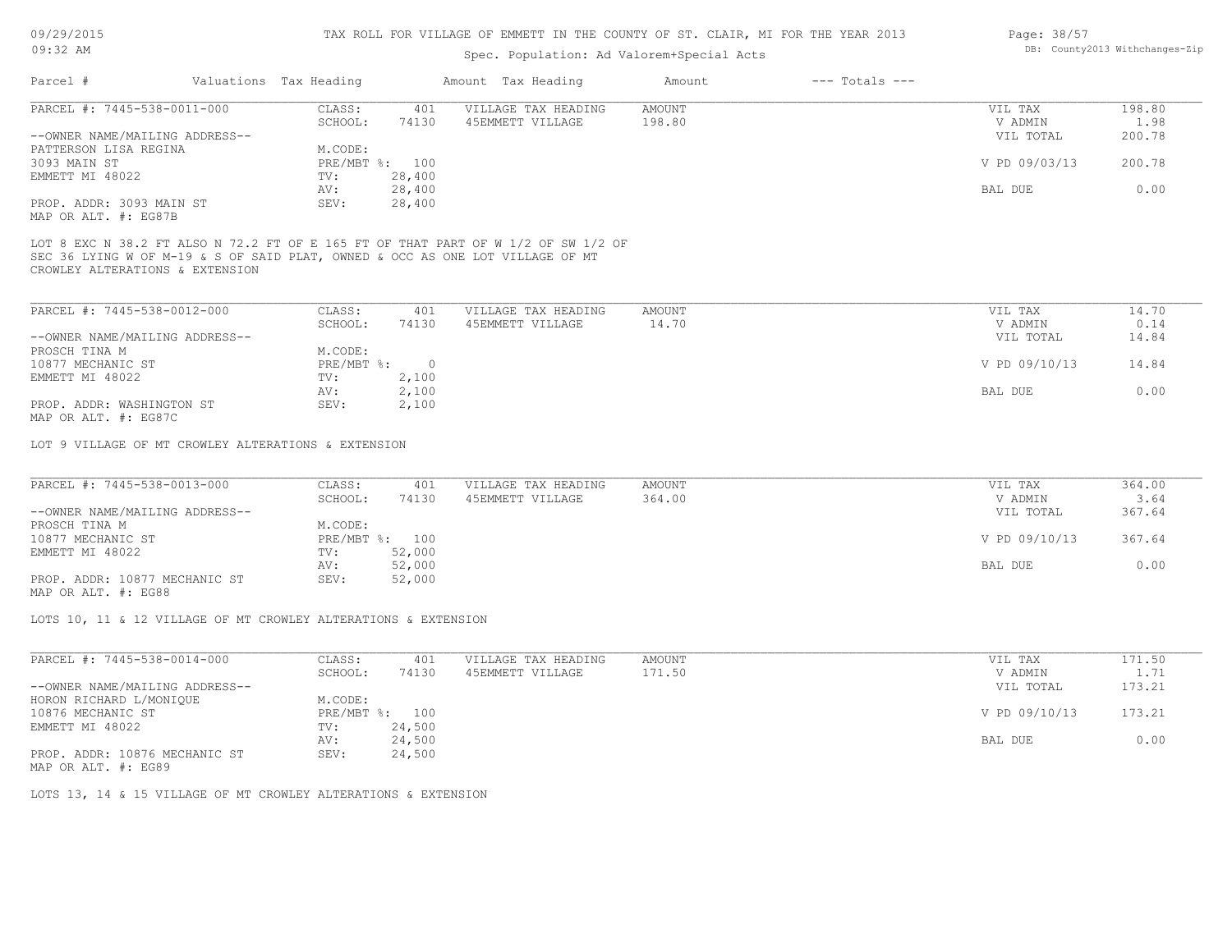## Spec. Population: Ad Valorem+Special Acts

| Page: 38/57 |                                |
|-------------|--------------------------------|
|             | DB: County2013 Withchanges-Zip |

| Parcel #                       | Valuations Tax Heading |        | Amount Tax Heading  | Amount | $---$ Totals $---$ |               |        |
|--------------------------------|------------------------|--------|---------------------|--------|--------------------|---------------|--------|
| PARCEL #: 7445-538-0011-000    | CLASS:                 | 401    | VILLAGE TAX HEADING | AMOUNT |                    | VIL TAX       | 198.80 |
|                                | SCHOOL:                | 74130  | 45EMMETT VILLAGE    | 198.80 |                    | V ADMIN       | 1.98   |
| --OWNER NAME/MAILING ADDRESS-- |                        |        |                     |        |                    | VIL TOTAL     | 200.78 |
| PATTERSON LISA REGINA          | M.CODE:                |        |                     |        |                    |               |        |
| 3093 MAIN ST                   | PRE/MBT %: 100         |        |                     |        |                    | V PD 09/03/13 | 200.78 |
| EMMETT MI 48022                | TV:                    | 28,400 |                     |        |                    |               |        |
|                                | AV:                    | 28,400 |                     |        |                    | BAL DUE       | 0.00   |
| PROP. ADDR: 3093 MAIN ST       | SEV:                   | 28,400 |                     |        |                    |               |        |
| MAP OR ALT. #: EG87B           |                        |        |                     |        |                    |               |        |

SEC 36 LYING W OF M-19 & S OF SAID PLAT, OWNED & OCC AS ONE LOT VILLAGE OF MT LOT 8 EXC N 38.2 FT ALSO N 72.2 FT OF E 165 FT OF THAT PART OF W 1/2 OF SW 1/2 OF

CROWLEY ALTERATIONS & EXTENSION

| PARCEL #: 7445-538-0012-000    | CLASS:       | 401   | VILLAGE TAX HEADING | AMOUNT | VIL TAX       | 14.70 |
|--------------------------------|--------------|-------|---------------------|--------|---------------|-------|
|                                | SCHOOL:      | 74130 | 45EMMETT VILLAGE    | 14.70  | V ADMIN       | 0.14  |
| --OWNER NAME/MAILING ADDRESS-- |              |       |                     |        | VIL TOTAL     | 14.84 |
| PROSCH TINA M                  | M.CODE:      |       |                     |        |               |       |
| 10877 MECHANIC ST              | $PRE/MBT$ %: |       |                     |        | V PD 09/10/13 | 14.84 |
| EMMETT MI 48022                | TV:          | 2,100 |                     |        |               |       |
|                                | AV:          | 2,100 |                     |        | BAL DUE       | 0.00  |
| PROP. ADDR: WASHINGTON ST      | SEV:         | 2,100 |                     |        |               |       |
| MAP OR ALT. #: EG87C           |              |       |                     |        |               |       |

LOT 9 VILLAGE OF MT CROWLEY ALTERATIONS & EXTENSION

| PARCEL #: 7445-538-0013-000    | CLASS:  | 401            | VILLAGE TAX HEADING | AMOUNT | VIL TAX       | 364.00 |
|--------------------------------|---------|----------------|---------------------|--------|---------------|--------|
|                                | SCHOOL: | 74130          | 45EMMETT VILLAGE    | 364.00 | V ADMIN       | 3.64   |
| --OWNER NAME/MAILING ADDRESS-- |         |                |                     |        | VIL TOTAL     | 367.64 |
| PROSCH TINA M                  | M.CODE: |                |                     |        |               |        |
| 10877 MECHANIC ST              |         | PRE/MBT %: 100 |                     |        | V PD 09/10/13 | 367.64 |
| EMMETT MI 48022                | TV:     | 52,000         |                     |        |               |        |
|                                | AV:     | 52,000         |                     |        | BAL DUE       | 0.00   |
| PROP. ADDR: 10877 MECHANIC ST  | SEV:    | 52,000         |                     |        |               |        |

MAP OR ALT. #: EG88

LOTS 10, 11 & 12 VILLAGE OF MT CROWLEY ALTERATIONS & EXTENSION

| PARCEL #: 7445-538-0014-000    | CLASS:       | 401    | VILLAGE TAX HEADING | AMOUNT | VIL TAX       | 171.50 |
|--------------------------------|--------------|--------|---------------------|--------|---------------|--------|
|                                | SCHOOL:      | 74130  | 45EMMETT VILLAGE    | 171.50 | V ADMIN       | 1.71   |
| --OWNER NAME/MAILING ADDRESS-- |              |        |                     |        | VIL TOTAL     | 173.21 |
| HORON RICHARD L/MONIQUE        | M.CODE:      |        |                     |        |               |        |
| 10876 MECHANIC ST              | $PRE/MBT$ %: | 100    |                     |        | V PD 09/10/13 | 173.21 |
| EMMETT MI 48022                | TV:          | 24,500 |                     |        |               |        |
|                                | AV:          | 24,500 |                     |        | BAL DUE       | 0.00   |
| PROP. ADDR: 10876 MECHANIC ST  | SEV:         | 24,500 |                     |        |               |        |
|                                |              |        |                     |        |               |        |

MAP OR ALT. #: EG89

LOTS 13, 14 & 15 VILLAGE OF MT CROWLEY ALTERATIONS & EXTENSION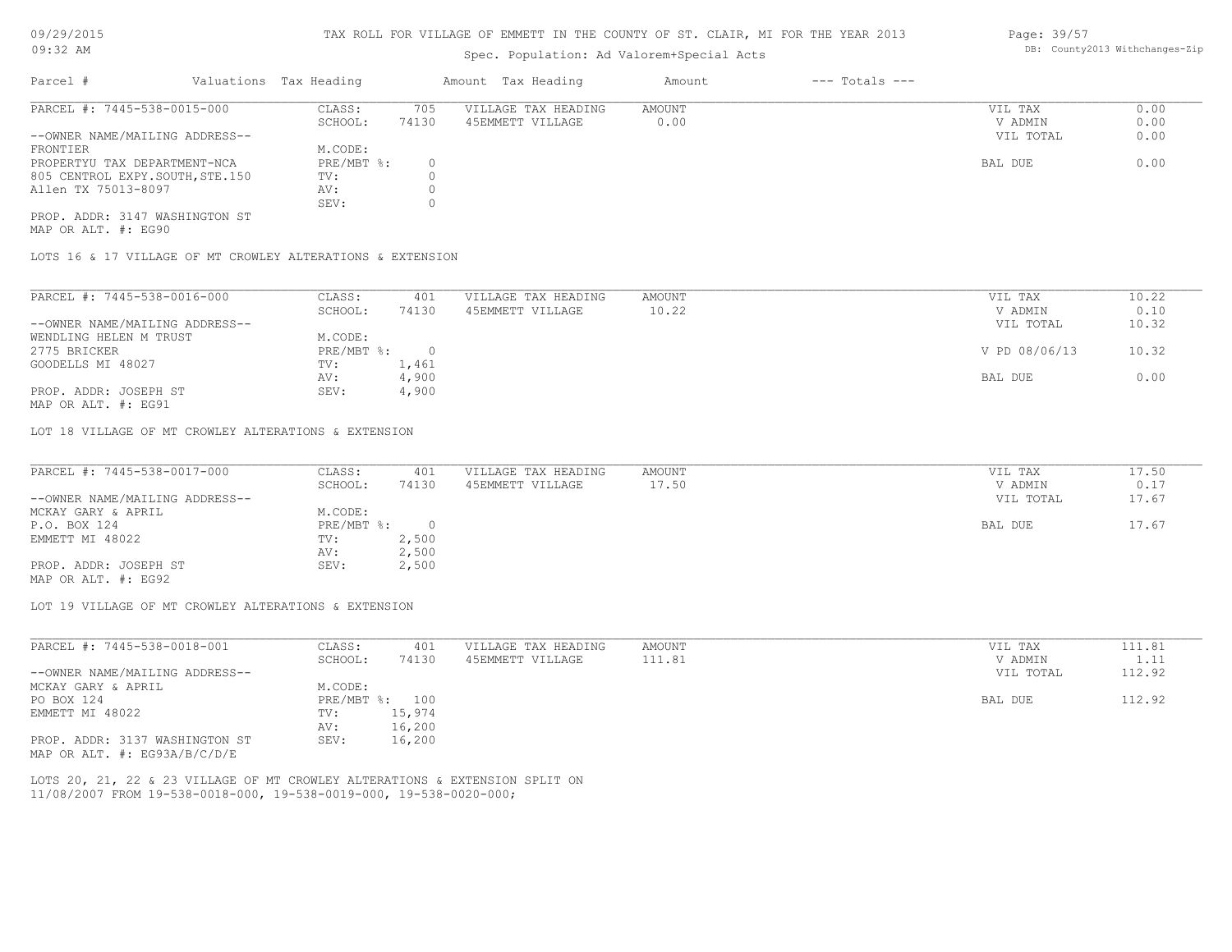# Spec. Population: Ad Valorem+Special Acts

| Page: 39/57 |                                |
|-------------|--------------------------------|
|             | DB: County2013 Withchanges-Zip |

| Parcel #                        | Valuations Tax Heading |       | Amount Tax Heading  | Amount            | $---$ Totals $---$ |           |      |
|---------------------------------|------------------------|-------|---------------------|-------------------|--------------------|-----------|------|
| PARCEL #: 7445-538-0015-000     | CLASS:                 | 705   | VILLAGE TAX HEADING | AMOUNT<br>VIL TAX |                    | 0.00      |      |
|                                 | SCHOOL:                | 74130 | 45EMMETT VILLAGE    | 0.00              |                    | V ADMIN   | 0.00 |
| --OWNER NAME/MAILING ADDRESS--  |                        |       |                     |                   |                    | VIL TOTAL | 0.00 |
| FRONTIER                        | M.CODE:                |       |                     |                   |                    |           |      |
| PROPERTYU TAX DEPARTMENT-NCA    | PRE/MBT %:             |       |                     |                   |                    | BAL DUE   | 0.00 |
| 805 CENTROL EXPY.SOUTH, STE.150 | TV:                    |       |                     |                   |                    |           |      |
| Allen TX 75013-8097             | AV:                    |       |                     |                   |                    |           |      |
|                                 | SEV:                   |       |                     |                   |                    |           |      |
| PROP. ADDR: 3147 WASHINGTON ST  |                        |       |                     |                   |                    |           |      |

MAP OR ALT. #: EG90

LOTS 16 & 17 VILLAGE OF MT CROWLEY ALTERATIONS & EXTENSION

| PARCEL #: 7445-538-0016-000    | CLASS:     | 401      | VILLAGE TAX HEADING | AMOUNT | VIL TAX       | 10.22 |
|--------------------------------|------------|----------|---------------------|--------|---------------|-------|
|                                | SCHOOL:    | 74130    | 45EMMETT VILLAGE    | 10.22  | V ADMIN       | 0.10  |
| --OWNER NAME/MAILING ADDRESS-- |            |          |                     |        | VIL TOTAL     | 10.32 |
| WENDLING HELEN M TRUST         | M.CODE:    |          |                     |        |               |       |
| 2775 BRICKER                   | PRE/MBT %: | $\Omega$ |                     |        | V PD 08/06/13 | 10.32 |
| GOODELLS MI 48027              | TV:        | 1,461    |                     |        |               |       |
|                                | AV:        | 4,900    |                     |        | BAL DUE       | 0.00  |
| PROP. ADDR: JOSEPH ST          | SEV:       | 4,900    |                     |        |               |       |

MAP OR ALT. #: EG91

LOT 18 VILLAGE OF MT CROWLEY ALTERATIONS & EXTENSION

| PARCEL #: 7445-538-0017-000    | CLASS:     | 401   | VILLAGE TAX HEADING | AMOUNT | VIL TAX   | 17.50 |
|--------------------------------|------------|-------|---------------------|--------|-----------|-------|
|                                | SCHOOL:    | 74130 | 45EMMETT VILLAGE    | 17.50  | V ADMIN   | 0.17  |
| --OWNER NAME/MAILING ADDRESS-- |            |       |                     |        | VIL TOTAL | 17.67 |
| MCKAY GARY & APRIL             | M.CODE:    |       |                     |        |           |       |
| P.O. BOX 124                   | PRE/MBT %: |       |                     |        | BAL DUE   | 17.67 |
| EMMETT MI 48022                | TV:        | 2,500 |                     |        |           |       |
|                                | AV:        | 2,500 |                     |        |           |       |
| PROP. ADDR: JOSEPH ST          | SEV:       | 2,500 |                     |        |           |       |
| MAP OR ALT. #: EG92            |            |       |                     |        |           |       |

LOT 19 VILLAGE OF MT CROWLEY ALTERATIONS & EXTENSION

| PARCEL #: 7445-538-0018-001      | CLASS:  | 401            | VILLAGE TAX HEADING | AMOUNT | VIL TAX   | 111.81 |
|----------------------------------|---------|----------------|---------------------|--------|-----------|--------|
|                                  | SCHOOL: | 74130          | 45EMMETT VILLAGE    | 111.81 | V ADMIN   | 1.11   |
| --OWNER NAME/MAILING ADDRESS--   |         |                |                     |        | VIL TOTAL | 112.92 |
| MCKAY GARY & APRIL               | M.CODE: |                |                     |        |           |        |
| PO BOX 124                       |         | PRE/MBT %: 100 |                     |        | BAL DUE   | 112.92 |
| EMMETT MI 48022                  | TV:     | 15,974         |                     |        |           |        |
|                                  | AV:     | 16,200         |                     |        |           |        |
| PROP. ADDR: 3137 WASHINGTON ST   | SEV:    | 16,200         |                     |        |           |        |
| MAP OR ALT. $\#$ : EG93A/B/C/D/E |         |                |                     |        |           |        |

11/08/2007 FROM 19-538-0018-000, 19-538-0019-000, 19-538-0020-000; LOTS 20, 21, 22 & 23 VILLAGE OF MT CROWLEY ALTERATIONS & EXTENSION SPLIT ON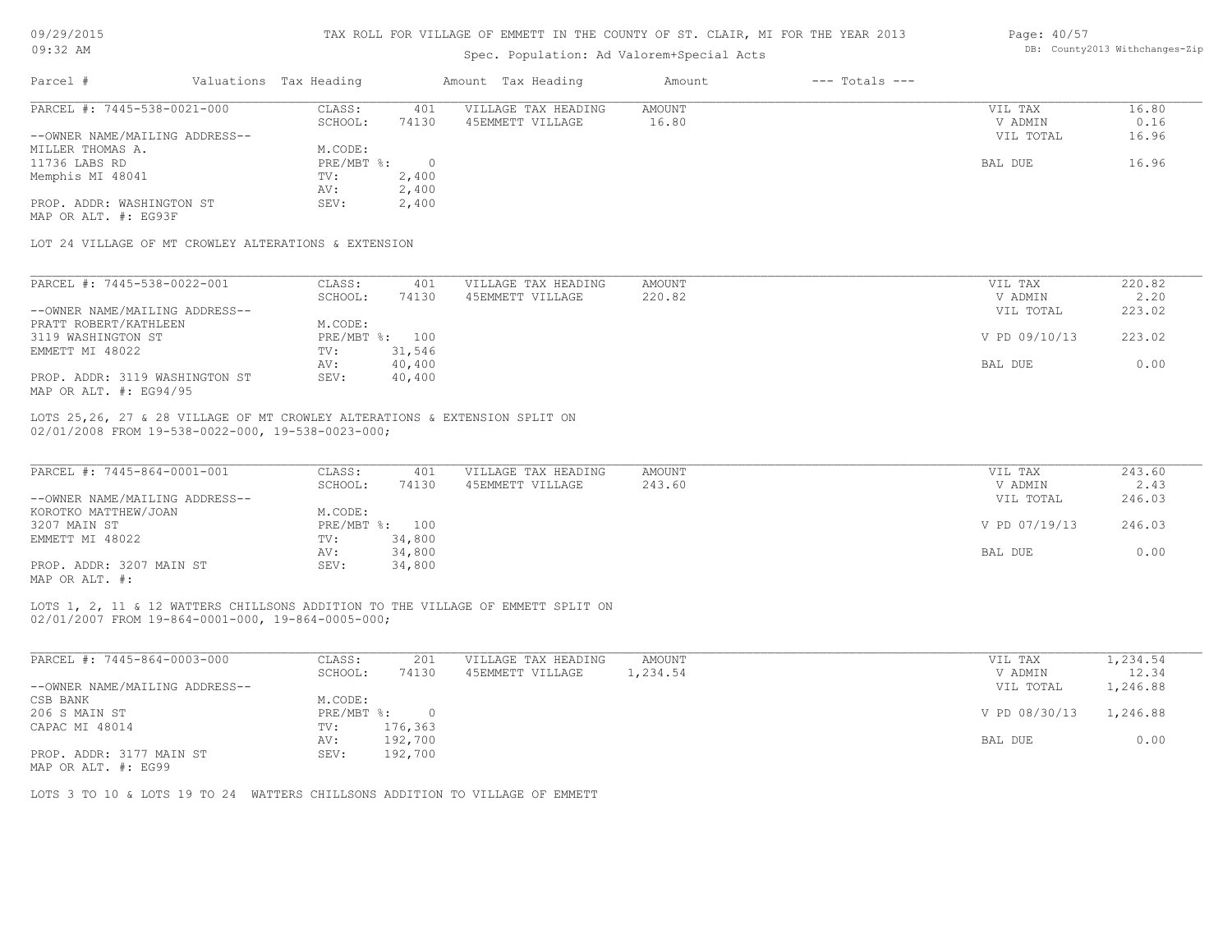| 09/29/2015                                                                                                                           |  |                        |                          |                                           |                                         |                    | TAX ROLL FOR VILLAGE OF EMMETT IN THE COUNTY OF ST. CLAIR, MI FOR THE YEAR 2013 | Page: 40/57        |                   |
|--------------------------------------------------------------------------------------------------------------------------------------|--|------------------------|--------------------------|-------------------------------------------|-----------------------------------------|--------------------|---------------------------------------------------------------------------------|--------------------|-------------------|
| $09:32$ AM                                                                                                                           |  |                        |                          | Spec. Population: Ad Valorem+Special Acts | DB: County2013 Withchanges-Zip          |                    |                                                                                 |                    |                   |
| Parcel #                                                                                                                             |  | Valuations Tax Heading |                          |                                           | Amount Tax Heading                      | Amount             | $---$ Totals $---$                                                              |                    |                   |
| PARCEL #: 7445-538-0021-000                                                                                                          |  | CLASS:                 | 401                      |                                           | VILLAGE TAX HEADING                     | AMOUNT             |                                                                                 | VIL TAX            | 16.80             |
|                                                                                                                                      |  | SCHOOL:                | 74130                    |                                           | 45EMMETT VILLAGE                        | 16.80              |                                                                                 | V ADMIN            | 0.16              |
| --OWNER NAME/MAILING ADDRESS--                                                                                                       |  |                        |                          |                                           |                                         |                    |                                                                                 | VIL TOTAL          | 16.96             |
| MILLER THOMAS A.                                                                                                                     |  | M.CODE:                |                          |                                           |                                         |                    |                                                                                 |                    |                   |
| 11736 LABS RD                                                                                                                        |  | $PRE/MBT$ $\div$       | $\overline{0}$           |                                           |                                         |                    |                                                                                 | BAL DUE            | 16.96             |
| Memphis MI 48041                                                                                                                     |  | TV:                    | 2,400                    |                                           |                                         |                    |                                                                                 |                    |                   |
| PROP. ADDR: WASHINGTON ST                                                                                                            |  | AV:<br>SEV:            | 2,400<br>2,400           |                                           |                                         |                    |                                                                                 |                    |                   |
| MAP OR ALT. #: EG93F                                                                                                                 |  |                        |                          |                                           |                                         |                    |                                                                                 |                    |                   |
| LOT 24 VILLAGE OF MT CROWLEY ALTERATIONS & EXTENSION                                                                                 |  |                        |                          |                                           |                                         |                    |                                                                                 |                    |                   |
|                                                                                                                                      |  |                        |                          |                                           |                                         |                    |                                                                                 |                    |                   |
| PARCEL #: 7445-538-0022-001                                                                                                          |  | CLASS:                 | 401                      |                                           | VILLAGE TAX HEADING                     | AMOUNT             |                                                                                 | VIL TAX            | 220.82            |
|                                                                                                                                      |  | SCHOOL:                | 74130                    |                                           | 45EMMETT VILLAGE                        | 220.82             |                                                                                 | V ADMIN            | 2.20              |
| --OWNER NAME/MAILING ADDRESS--                                                                                                       |  |                        |                          |                                           |                                         |                    |                                                                                 | VIL TOTAL          | 223.02            |
| PRATT ROBERT/KATHLEEN                                                                                                                |  | M.CODE:                |                          |                                           |                                         |                    |                                                                                 |                    | 223.02            |
| 3119 WASHINGTON ST<br>EMMETT MI 48022                                                                                                |  | TV:                    | PRE/MBT %: 100<br>31,546 |                                           |                                         |                    |                                                                                 | V PD 09/10/13      |                   |
|                                                                                                                                      |  | AV:                    | 40,400                   |                                           |                                         |                    |                                                                                 | BAL DUE            | 0.00              |
| PROP. ADDR: 3119 WASHINGTON ST                                                                                                       |  | SEV:                   | 40,400                   |                                           |                                         |                    |                                                                                 |                    |                   |
| MAP OR ALT. #: EG94/95                                                                                                               |  |                        |                          |                                           |                                         |                    |                                                                                 |                    |                   |
| LOTS 25,26, 27 & 28 VILLAGE OF MT CROWLEY ALTERATIONS & EXTENSION SPLIT ON<br>02/01/2008 FROM 19-538-0022-000, 19-538-0023-000;      |  |                        |                          |                                           |                                         |                    |                                                                                 |                    |                   |
|                                                                                                                                      |  |                        |                          |                                           |                                         |                    |                                                                                 |                    |                   |
| PARCEL #: 7445-864-0001-001                                                                                                          |  | CLASS:                 | 401                      |                                           | VILLAGE TAX HEADING                     | AMOUNT             |                                                                                 | VIL TAX            | 243.60            |
|                                                                                                                                      |  | SCHOOL:                | 74130                    |                                           | 45EMMETT VILLAGE                        | 243.60             |                                                                                 | V ADMIN            | 2.43              |
| --OWNER NAME/MAILING ADDRESS--                                                                                                       |  |                        |                          |                                           |                                         |                    |                                                                                 | VIL TOTAL          | 246.03            |
| KOROTKO MATTHEW/JOAN                                                                                                                 |  | M.CODE:                |                          |                                           |                                         |                    |                                                                                 |                    |                   |
| 3207 MAIN ST                                                                                                                         |  |                        | PRE/MBT %: 100           |                                           |                                         |                    |                                                                                 | V PD 07/19/13      | 246.03            |
| EMMETT MI 48022                                                                                                                      |  | TV:                    | 34,800                   |                                           |                                         |                    |                                                                                 |                    |                   |
|                                                                                                                                      |  | AV:                    | 34,800                   |                                           |                                         |                    |                                                                                 | BAL DUE            | 0.00              |
| PROP. ADDR: 3207 MAIN ST<br>MAP OR ALT. #:                                                                                           |  | SEV:                   | 34,800                   |                                           |                                         |                    |                                                                                 |                    |                   |
| LOTS 1, 2, 11 & 12 WATTERS CHILLSONS ADDITION TO THE VILLAGE OF EMMETT SPLIT ON<br>02/01/2007 FROM 19-864-0001-000, 19-864-0005-000; |  |                        |                          |                                           |                                         |                    |                                                                                 |                    |                   |
|                                                                                                                                      |  |                        |                          |                                           |                                         |                    |                                                                                 |                    |                   |
| PARCEL #: 7445-864-0003-000                                                                                                          |  | CLASS:<br>SCHOOL:      | 201<br>74130             |                                           | VILLAGE TAX HEADING<br>45EMMETT VILLAGE | AMOUNT<br>1,234.54 |                                                                                 | VIL TAX<br>V ADMIN | 1,234.54<br>12.34 |

| --OWNER NAME/MAILING ADDRESS-- |                 | VIL TOTAL              | 1,246.88 |
|--------------------------------|-----------------|------------------------|----------|
| CSB BANK                       | M.CODE:         |                        |          |
| 206 S MAIN ST                  | PRE/MBT %: 0    | V PD 08/30/13 1,246.88 |          |
| CAPAC MI 48014                 | TV:<br>176,363  |                        |          |
|                                | 192,700<br>AV:  | BAL DUE                | 0.00     |
| PROP. ADDR: 3177 MAIN ST       | 192,700<br>SEV: |                        |          |

MAP OR ALT. #: EG99

LOTS 3 TO 10 & LOTS 19 TO 24 WATTERS CHILLSONS ADDITION TO VILLAGE OF EMMETT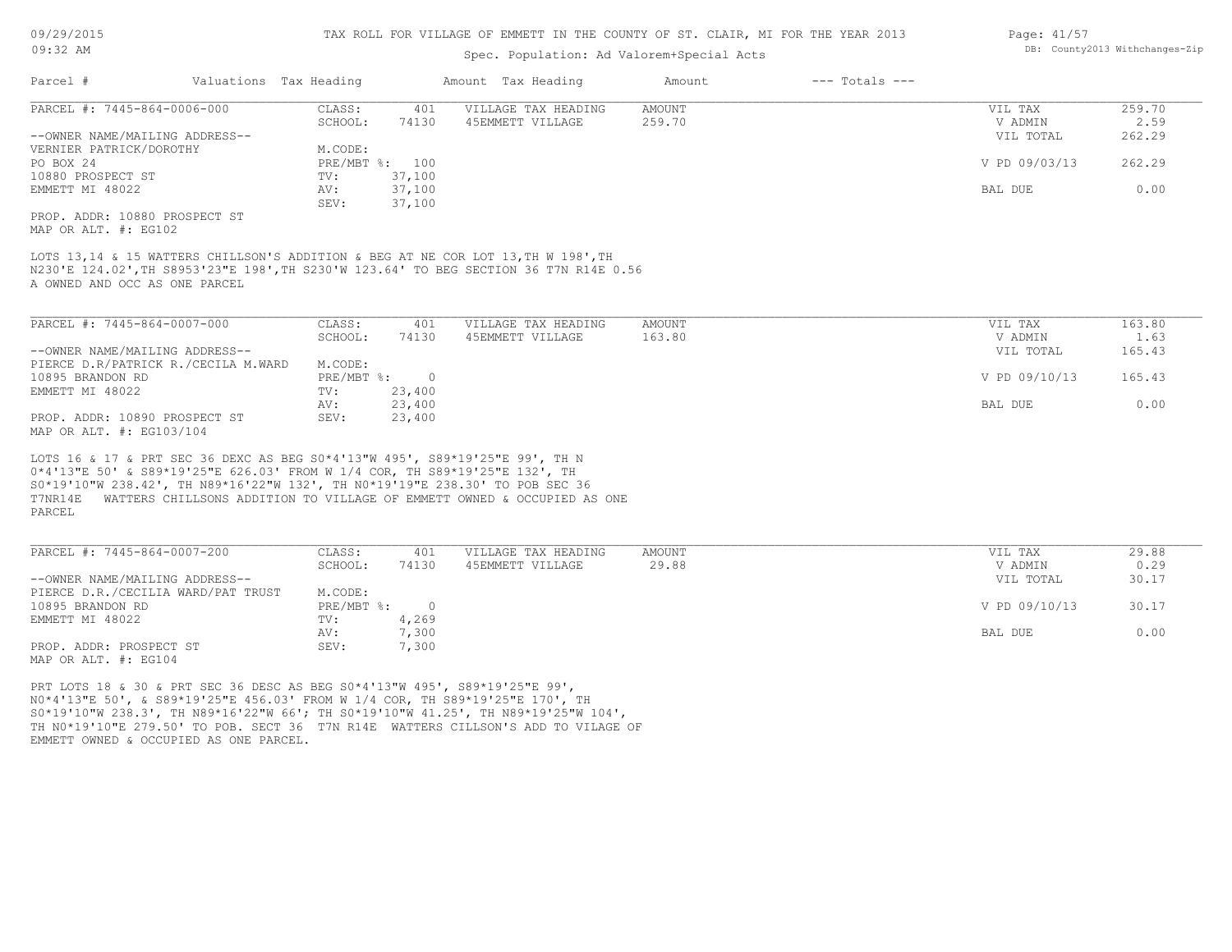| 09/29/2015 |  |
|------------|--|
| $09:32$ AM |  |

# Spec. Population: Ad Valorem+Special Acts

|                                                                                                                                                                     |                        |                |         | ppos. reparation. na varefem bpoetar :                                                                                                                                     |               |                    |               |        |
|---------------------------------------------------------------------------------------------------------------------------------------------------------------------|------------------------|----------------|---------|----------------------------------------------------------------------------------------------------------------------------------------------------------------------------|---------------|--------------------|---------------|--------|
| Parcel #                                                                                                                                                            | Valuations Tax Heading |                |         | Amount Tax Heading                                                                                                                                                         | Amount        | $---$ Totals $---$ |               |        |
| PARCEL #: 7445-864-0006-000                                                                                                                                         |                        | CLASS:         | 401     | VILLAGE TAX HEADING                                                                                                                                                        | <b>AMOUNT</b> |                    | VIL TAX       | 259.70 |
|                                                                                                                                                                     |                        | SCHOOL:        | 74130   | 45EMMETT VILLAGE                                                                                                                                                           | 259.70        |                    | V ADMIN       | 2.59   |
| --OWNER NAME/MAILING ADDRESS--                                                                                                                                      |                        |                |         |                                                                                                                                                                            |               |                    | VIL TOTAL     | 262.29 |
| VERNIER PATRICK/DOROTHY                                                                                                                                             |                        | M.CODE:        |         |                                                                                                                                                                            |               |                    |               |        |
| PO BOX 24                                                                                                                                                           |                        | PRE/MBT %: 100 |         |                                                                                                                                                                            |               |                    | V PD 09/03/13 | 262.29 |
| 10880 PROSPECT ST                                                                                                                                                   |                        | TV:            | 37,100  |                                                                                                                                                                            |               |                    |               |        |
| EMMETT MI 48022                                                                                                                                                     |                        | AV:            | 37,100  |                                                                                                                                                                            |               |                    | BAL DUE       | 0.00   |
|                                                                                                                                                                     |                        | SEV:           | 37,100  |                                                                                                                                                                            |               |                    |               |        |
| PROP. ADDR: 10880 PROSPECT ST                                                                                                                                       |                        |                |         |                                                                                                                                                                            |               |                    |               |        |
| MAP OR ALT. #: EG102                                                                                                                                                |                        |                |         |                                                                                                                                                                            |               |                    |               |        |
|                                                                                                                                                                     |                        |                |         |                                                                                                                                                                            |               |                    |               |        |
| A OWNED AND OCC AS ONE PARCEL                                                                                                                                       |                        |                |         | LOTS 13,14 & 15 WATTERS CHILLSON'S ADDITION & BEG AT NE COR LOT 13, TH W 198', TH<br>N230'E 124.02', TH S8953'23"E 198', TH S230'W 123.64' TO BEG SECTION 36 T7N R14E 0.56 |               |                    |               |        |
| PARCEL #: 7445-864-0007-000                                                                                                                                         |                        | CLASS:         | 401     | VILLAGE TAX HEADING                                                                                                                                                        | <b>AMOUNT</b> |                    | VIL TAX       | 163.80 |
|                                                                                                                                                                     |                        | SCHOOL:        |         |                                                                                                                                                                            | 163.80        |                    |               | 1.63   |
|                                                                                                                                                                     |                        |                | 74130   | 45EMMETT VILLAGE                                                                                                                                                           |               |                    | V ADMIN       |        |
| --OWNER NAME/MAILING ADDRESS--                                                                                                                                      |                        |                |         |                                                                                                                                                                            |               |                    | VIL TOTAL     | 165.43 |
| PIERCE D.R/PATRICK R./CECILA M.WARD                                                                                                                                 |                        | M.CODE:        |         |                                                                                                                                                                            |               |                    |               |        |
| 10895 BRANDON RD                                                                                                                                                    |                        | $PRE/MBT$ %:   | $\circ$ |                                                                                                                                                                            |               |                    | V PD 09/10/13 | 165.43 |
| EMMETT MI 48022                                                                                                                                                     |                        | TV:            | 23,400  |                                                                                                                                                                            |               |                    |               |        |
|                                                                                                                                                                     |                        | AV:            | 23,400  |                                                                                                                                                                            |               |                    | BAL DUE       | 0.00   |
| PROP. ADDR: 10890 PROSPECT ST<br>MAP OR ALT. #: EG103/104                                                                                                           |                        | SEV:           | 23,400  |                                                                                                                                                                            |               |                    |               |        |
| LOTS 16 & 17 & PRT SEC 36 DEXC AS BEG S0*4'13"W 495', S89*19'25"E 99', TH N<br>0*4'13"E 50' & S89*19'25"E 626.03' FROM W 1/4 COR, TH S89*19'25"E 132', TH<br>PARCEL |                        |                |         | S0*19'10"W 238.42', TH N89*16'22"W 132', TH N0*19'19"E 238.30' TO POB SEC 36<br>T7NR14E WATTERS CHILLSONS ADDITION TO VILLAGE OF EMMETT OWNED & OCCUPIED AS ONE            |               |                    |               |        |
| PARCEL #: 7445-864-0007-200                                                                                                                                         |                        | CLASS:         | 401     | VILLAGE TAX HEADING                                                                                                                                                        | <b>AMOUNT</b> |                    | VIL TAX       | 29.88  |
|                                                                                                                                                                     |                        | SCHOOL:        | 74130   | 45EMMETT VILLAGE                                                                                                                                                           | 29.88         |                    | V ADMIN       | 0.29   |
| --OWNER NAME/MAILING ADDRESS--                                                                                                                                      |                        |                |         |                                                                                                                                                                            |               |                    | VIL TOTAL     | 30.17  |
| PIERCE D.R./CECILIA WARD/PAT TRUST                                                                                                                                  |                        | M.CODE:        |         |                                                                                                                                                                            |               |                    |               |        |
| 10895 BRANDON RD                                                                                                                                                    |                        | PRE/MBT %:     | $\circ$ |                                                                                                                                                                            |               |                    | V PD 09/10/13 | 30.17  |
| EMMETT MI 48022                                                                                                                                                     |                        | TV:            | 4,269   |                                                                                                                                                                            |               |                    |               |        |
|                                                                                                                                                                     |                        | AV:            | 7,300   |                                                                                                                                                                            |               |                    | BAL DUE       | 0.00   |
| PROP. ADDR: PROSPECT ST                                                                                                                                             |                        | SEV:           | 7,300   |                                                                                                                                                                            |               |                    |               |        |
|                                                                                                                                                                     |                        |                |         |                                                                                                                                                                            |               |                    |               |        |
| MAP OR ALT. #: EG104                                                                                                                                                |                        |                |         |                                                                                                                                                                            |               |                    |               |        |
| PRT LOTS 18 & 30 & PRT SEC 36 DESC AS BEG S0*4'13"W 495', S89*19'25"E 99',                                                                                          |                        |                |         | NO*4'13"E 50', & S89*19'25"E 456.03' FROM W 1/4 COR, TH S89*19'25"E 170', TH                                                                                               |               |                    |               |        |

Page: 41/57 DB: County2013 Withchanges-Zip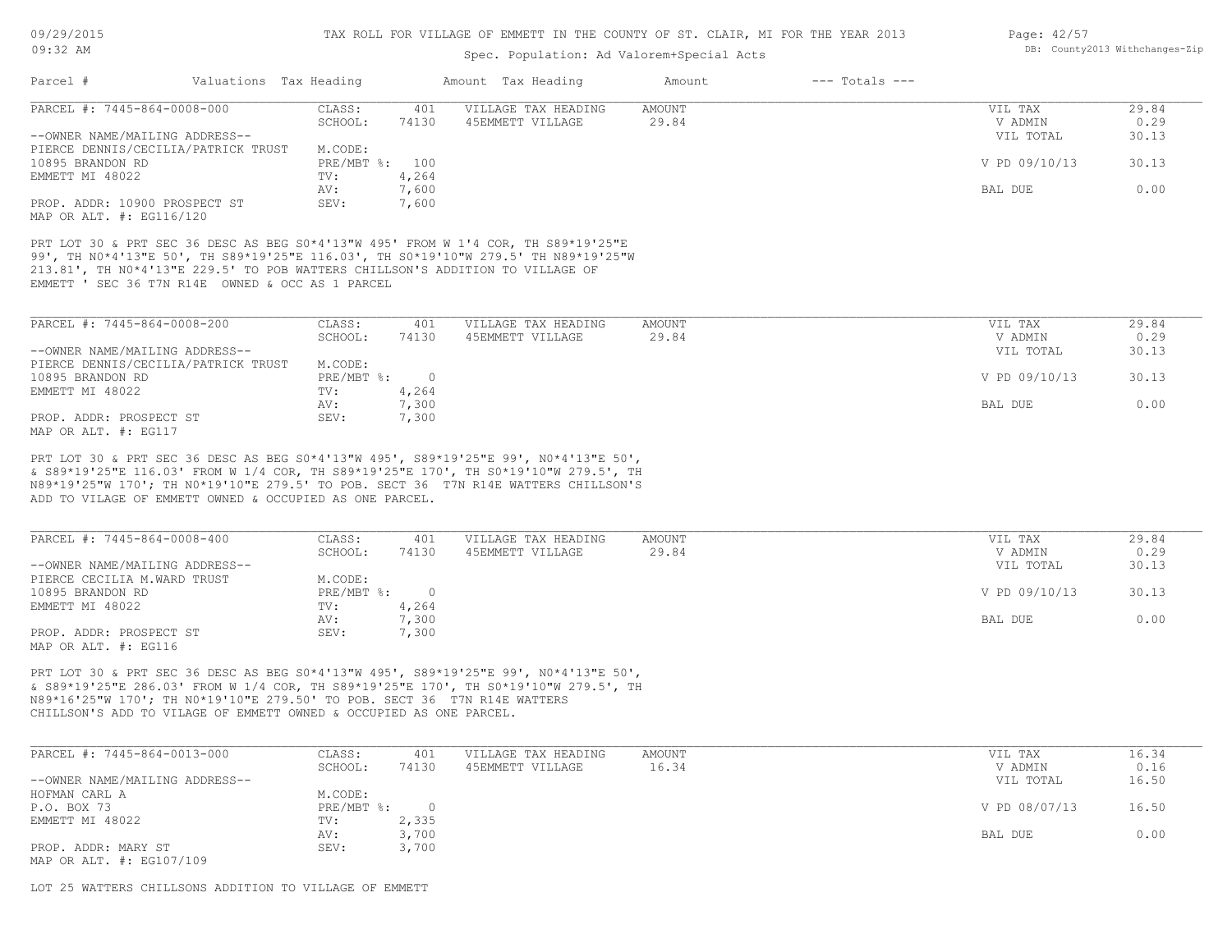# Spec. Population: Ad Valorem+Special Acts

| Page: 42/57 |                                |
|-------------|--------------------------------|
|             | DB: County2013 Withchanges-Zip |

| PARCEL #: 7445-864-0008-000                                                                                              | CLASS:             | 401          | VILLAGE TAX HEADING                                                                                                                                                                                                                                                                                         | AMOUNT                 | VIL TAX                         | 29.84                  |
|--------------------------------------------------------------------------------------------------------------------------|--------------------|--------------|-------------------------------------------------------------------------------------------------------------------------------------------------------------------------------------------------------------------------------------------------------------------------------------------------------------|------------------------|---------------------------------|------------------------|
| --OWNER NAME/MAILING ADDRESS--                                                                                           | SCHOOL:            | 74130        | 45EMMETT VILLAGE                                                                                                                                                                                                                                                                                            | 29.84                  | V ADMIN                         | 0.29                   |
|                                                                                                                          | M.CODE:            |              |                                                                                                                                                                                                                                                                                                             |                        | VIL TOTAL                       | 30.13                  |
| PIERCE DENNIS/CECILIA/PATRICK TRUST                                                                                      |                    |              |                                                                                                                                                                                                                                                                                                             |                        |                                 |                        |
| 10895 BRANDON RD                                                                                                         | PRE/MBT %: 100     |              |                                                                                                                                                                                                                                                                                                             |                        | V PD 09/10/13                   | 30.13                  |
| EMMETT MI 48022                                                                                                          | TV:                | 4,264        |                                                                                                                                                                                                                                                                                                             |                        |                                 |                        |
|                                                                                                                          | AV:                | 7,600        |                                                                                                                                                                                                                                                                                                             |                        | BAL DUE                         | 0.00                   |
| PROP. ADDR: 10900 PROSPECT ST<br>MAP OR ALT. #: EG116/120                                                                | SEV:               | 7,600        |                                                                                                                                                                                                                                                                                                             |                        |                                 |                        |
| EMMETT ' SEC 36 T7N R14E OWNED & OCC AS 1 PARCEL                                                                         |                    |              | PRT LOT 30 & PRT SEC 36 DESC AS BEG S0*4'13"W 495' FROM W 1'4 COR, TH S89*19'25"E<br>99', TH NO*4'13"E 50', TH S89*19'25"E 116.03', TH SO*19'10"W 279.5' TH N89*19'25"W<br>213.81', TH NO*4'13"E 229.5' TO POB WATTERS CHILLSON'S ADDITION TO VILLAGE OF                                                    |                        |                                 |                        |
| PARCEL #: 7445-864-0008-200                                                                                              | CLASS:             | 401          | VILLAGE TAX HEADING                                                                                                                                                                                                                                                                                         | AMOUNT                 | VIL TAX                         | 29.84                  |
|                                                                                                                          | SCHOOL:            | 74130        | 45EMMETT VILLAGE                                                                                                                                                                                                                                                                                            | 29.84                  | V ADMIN                         | 0.29                   |
| --OWNER NAME/MAILING ADDRESS--                                                                                           |                    |              |                                                                                                                                                                                                                                                                                                             |                        | VIL TOTAL                       | 30.13                  |
| PIERCE DENNIS/CECILIA/PATRICK TRUST                                                                                      | M.CODE:            |              |                                                                                                                                                                                                                                                                                                             |                        |                                 |                        |
| 10895 BRANDON RD                                                                                                         | $PRE/MBT$ %:       | $\sim$ 0     |                                                                                                                                                                                                                                                                                                             |                        | V PD 09/10/13                   | 30.13                  |
| EMMETT MI 48022                                                                                                          | TV:                | 4,264        |                                                                                                                                                                                                                                                                                                             |                        |                                 |                        |
|                                                                                                                          | AV:                | 7,300        |                                                                                                                                                                                                                                                                                                             |                        | <b>BAL DUE</b>                  | 0.00                   |
| PROP. ADDR: PROSPECT ST                                                                                                  | SEV:               | 7,300        |                                                                                                                                                                                                                                                                                                             |                        |                                 |                        |
| MAP OR ALT. #: EG117                                                                                                     |                    |              |                                                                                                                                                                                                                                                                                                             |                        |                                 |                        |
| ADD TO VILAGE OF EMMETT OWNED & OCCUPIED AS ONE PARCEL.<br>PARCEL #: 7445-864-0008-400<br>--OWNER NAME/MAILING ADDRESS-- | CLASS:<br>SCHOOL:  | 401<br>74130 | PRT LOT 30 & PRT SEC 36 DESC AS BEG S0*4'13"W 495', S89*19'25"E 99', N0*4'13"E 50',<br>& S89*19'25"E 116.03' FROM W 1/4 COR, TH S89*19'25"E 170', TH S0*19'10"W 279.5', TH<br>N89*19'25"W 170'; TH N0*19'10"E 279.5' TO POB. SECT 36 T7N R14E WATTERS CHILLSON'S<br>VILLAGE TAX HEADING<br>45EMMETT VILLAGE | <b>AMOUNT</b><br>29.84 | VIL TAX<br>V ADMIN<br>VIL TOTAL | 29.84<br>0.29<br>30.13 |
| PIERCE CECILIA M.WARD TRUST                                                                                              | M.CODE:            |              |                                                                                                                                                                                                                                                                                                             |                        |                                 |                        |
| 10895 BRANDON RD                                                                                                         | $PRE/MBT$ $\div$ 0 |              |                                                                                                                                                                                                                                                                                                             |                        | V PD 09/10/13                   | 30.13                  |
| EMMETT MI 48022                                                                                                          | TV:                | 4,264        |                                                                                                                                                                                                                                                                                                             |                        |                                 |                        |
|                                                                                                                          | AV:                | 7,300        |                                                                                                                                                                                                                                                                                                             |                        | <b>BAL DUE</b>                  | 0.00                   |
| PROP. ADDR: PROSPECT ST                                                                                                  | SEV:               | 7,300        |                                                                                                                                                                                                                                                                                                             |                        |                                 |                        |
| MAP OR ALT. #: EG116                                                                                                     |                    |              |                                                                                                                                                                                                                                                                                                             |                        |                                 |                        |
|                                                                                                                          |                    |              | PRT LOT 30 & PRT SEC 36 DESC AS BEG S0*4'13"W 495', S89*19'25"E 99', N0*4'13"E 50',                                                                                                                                                                                                                         |                        |                                 |                        |

| PARCEL #: 7445-864-0013-000    | CLASS:       | 401   | VILLAGE TAX HEADING | AMOUNT | VIL TAX       | 16.34 |
|--------------------------------|--------------|-------|---------------------|--------|---------------|-------|
|                                | SCHOOL:      | 74130 | 45EMMETT VILLAGE    | 16.34  | V ADMIN       | 0.16  |
| --OWNER NAME/MAILING ADDRESS-- |              |       |                     |        | VIL TOTAL     | 16.50 |
| HOFMAN CARL A                  | M.CODE:      |       |                     |        |               |       |
| P.O. BOX 73                    | $PRE/MBT$ %: |       |                     |        | V PD 08/07/13 | 16.50 |
| EMMETT MI 48022                | TV:          | 2,335 |                     |        |               |       |
|                                | AV:          | 3,700 |                     |        | BAL DUE       | 0.00  |
| PROP. ADDR: MARY ST            | SEV:         | 3,700 |                     |        |               |       |
| MAP OR ALT. #: EG107/109       |              |       |                     |        |               |       |

LOT 25 WATTERS CHILLSONS ADDITION TO VILLAGE OF EMMETT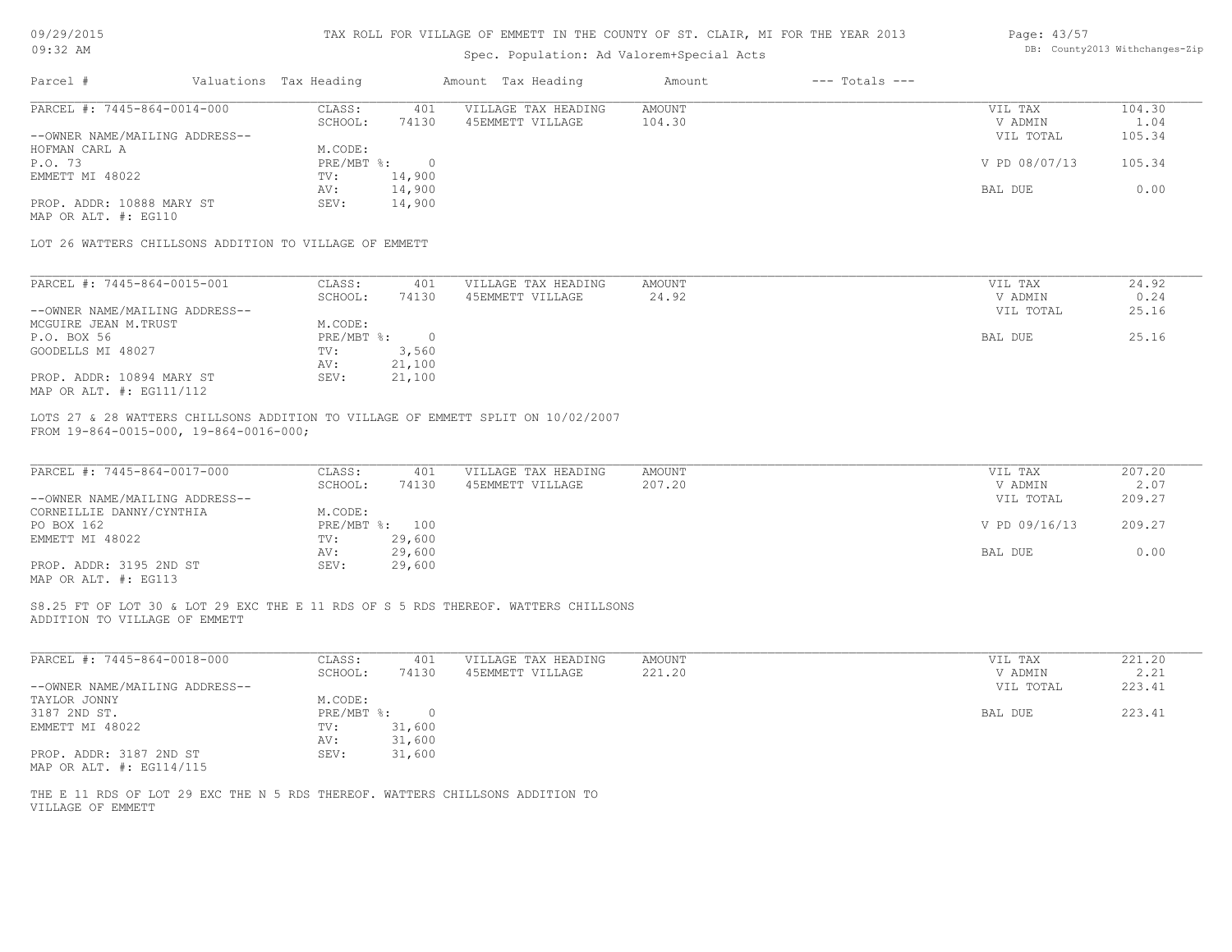| 09/29/2015 |    |
|------------|----|
| ∩ ດ ∙ २ ?  | ΔM |

### Page: 43/57 DB: County2013 Withchanges-Zip

| Parcel #<br>Valuations Tax Heading<br>Amount Tax Heading<br>$---$ Totals $---$<br>Amount<br>PARCEL #: 7445-864-0014-000<br>CLASS:<br>401<br>VILLAGE TAX HEADING<br>AMOUNT<br>VIL TAX<br>SCHOOL:<br>104.30<br>74130<br>45EMMETT VILLAGE<br>V ADMIN<br>--OWNER NAME/MAILING ADDRESS--<br>VIL TOTAL<br>HOFMAN CARL A<br>M.CODE:<br>P.O. 73<br>PRE/MBT %:<br>$\overline{0}$<br>V PD 08/07/13<br>EMMETT MI 48022<br>14,900<br>TV:<br>14,900<br>AV:<br>BAL DUE<br>14,900<br>PROP. ADDR: 10888 MARY ST<br>SEV:<br>MAP OR ALT. #: EG110<br>LOT 26 WATTERS CHILLSONS ADDITION TO VILLAGE OF EMMETT<br>PARCEL #: 7445-864-0015-001<br>CLASS:<br>401<br>VILLAGE TAX HEADING<br>AMOUNT<br>VIL TAX<br>45EMMETT VILLAGE<br>24.92<br>V ADMIN<br>SCHOOL:<br>74130<br>--OWNER NAME/MAILING ADDRESS--<br>VIL TOTAL<br>MCGUIRE JEAN M.TRUST<br>M.CODE:<br>P.O. BOX 56<br>$PRE/MBT$ %:<br>$\overline{0}$<br>BAL DUE<br>GOODELLS MI 48027<br>3,560<br>TV:<br>21,100<br>AV:<br>21,100<br>PROP. ADDR: 10894 MARY ST<br>SEV:<br>MAP OR ALT. #: EG111/112<br>LOTS 27 & 28 WATTERS CHILLSONS ADDITION TO VILLAGE OF EMMETT SPLIT ON 10/02/2007<br>FROM 19-864-0015-000, 19-864-0016-000;<br>PARCEL #: 7445-864-0017-000<br>CLASS:<br>AMOUNT<br>401<br>VILLAGE TAX HEADING<br>VIL TAX<br>SCHOOL:<br>45EMMETT VILLAGE<br>207.20<br>V ADMIN<br>74130<br>--OWNER NAME/MAILING ADDRESS--<br>VIL TOTAL<br>CORNEILLIE DANNY/CYNTHIA<br>M.CODE:<br>PRE/MBT %: 100<br>PO BOX 162<br>V PD 09/16/13<br>29,600<br>EMMETT MI 48022<br>TV:<br>29,600<br>AV:<br>BAL DUE<br>PROP. ADDR: 3195 2ND ST<br>SEV:<br>29,600<br>MAP OR ALT. #: EG113<br>S8.25 FT OF LOT 30 & LOT 29 EXC THE E 11 RDS OF S 5 RDS THEREOF. WATTERS CHILLSONS<br>ADDITION TO VILLAGE OF EMMETT<br>PARCEL #: 7445-864-0018-000<br>CLASS:<br>401<br>VILLAGE TAX HEADING<br>AMOUNT<br>VIL TAX<br>221.20<br>SCHOOL:<br>74130<br>45EMMETT VILLAGE<br>V ADMIN<br>--OWNER NAME/MAILING ADDRESS--<br>VIL TOTAL<br>TAYLOR JONNY<br>M.CODE:<br>3187 2ND ST.<br>PRE/MBT %:<br>$\overline{0}$<br>BAL DUE<br>EMMETT MI 48022<br>TV:<br>31,600 | 104.30<br>1.04<br>105.34 |
|--------------------------------------------------------------------------------------------------------------------------------------------------------------------------------------------------------------------------------------------------------------------------------------------------------------------------------------------------------------------------------------------------------------------------------------------------------------------------------------------------------------------------------------------------------------------------------------------------------------------------------------------------------------------------------------------------------------------------------------------------------------------------------------------------------------------------------------------------------------------------------------------------------------------------------------------------------------------------------------------------------------------------------------------------------------------------------------------------------------------------------------------------------------------------------------------------------------------------------------------------------------------------------------------------------------------------------------------------------------------------------------------------------------------------------------------------------------------------------------------------------------------------------------------------------------------------------------------------------------------------------------------------------------------------------------------------------------------------------------------------------------------------------------------------------------------------------------------------------------------------------------------------------------------------------------------------------------------------------------------------------------------------------------------------------------|--------------------------|
|                                                                                                                                                                                                                                                                                                                                                                                                                                                                                                                                                                                                                                                                                                                                                                                                                                                                                                                                                                                                                                                                                                                                                                                                                                                                                                                                                                                                                                                                                                                                                                                                                                                                                                                                                                                                                                                                                                                                                                                                                                                              |                          |
|                                                                                                                                                                                                                                                                                                                                                                                                                                                                                                                                                                                                                                                                                                                                                                                                                                                                                                                                                                                                                                                                                                                                                                                                                                                                                                                                                                                                                                                                                                                                                                                                                                                                                                                                                                                                                                                                                                                                                                                                                                                              |                          |
|                                                                                                                                                                                                                                                                                                                                                                                                                                                                                                                                                                                                                                                                                                                                                                                                                                                                                                                                                                                                                                                                                                                                                                                                                                                                                                                                                                                                                                                                                                                                                                                                                                                                                                                                                                                                                                                                                                                                                                                                                                                              |                          |
|                                                                                                                                                                                                                                                                                                                                                                                                                                                                                                                                                                                                                                                                                                                                                                                                                                                                                                                                                                                                                                                                                                                                                                                                                                                                                                                                                                                                                                                                                                                                                                                                                                                                                                                                                                                                                                                                                                                                                                                                                                                              |                          |
|                                                                                                                                                                                                                                                                                                                                                                                                                                                                                                                                                                                                                                                                                                                                                                                                                                                                                                                                                                                                                                                                                                                                                                                                                                                                                                                                                                                                                                                                                                                                                                                                                                                                                                                                                                                                                                                                                                                                                                                                                                                              |                          |
|                                                                                                                                                                                                                                                                                                                                                                                                                                                                                                                                                                                                                                                                                                                                                                                                                                                                                                                                                                                                                                                                                                                                                                                                                                                                                                                                                                                                                                                                                                                                                                                                                                                                                                                                                                                                                                                                                                                                                                                                                                                              | 105.34                   |
|                                                                                                                                                                                                                                                                                                                                                                                                                                                                                                                                                                                                                                                                                                                                                                                                                                                                                                                                                                                                                                                                                                                                                                                                                                                                                                                                                                                                                                                                                                                                                                                                                                                                                                                                                                                                                                                                                                                                                                                                                                                              |                          |
|                                                                                                                                                                                                                                                                                                                                                                                                                                                                                                                                                                                                                                                                                                                                                                                                                                                                                                                                                                                                                                                                                                                                                                                                                                                                                                                                                                                                                                                                                                                                                                                                                                                                                                                                                                                                                                                                                                                                                                                                                                                              | 0.00                     |
|                                                                                                                                                                                                                                                                                                                                                                                                                                                                                                                                                                                                                                                                                                                                                                                                                                                                                                                                                                                                                                                                                                                                                                                                                                                                                                                                                                                                                                                                                                                                                                                                                                                                                                                                                                                                                                                                                                                                                                                                                                                              |                          |
|                                                                                                                                                                                                                                                                                                                                                                                                                                                                                                                                                                                                                                                                                                                                                                                                                                                                                                                                                                                                                                                                                                                                                                                                                                                                                                                                                                                                                                                                                                                                                                                                                                                                                                                                                                                                                                                                                                                                                                                                                                                              |                          |
|                                                                                                                                                                                                                                                                                                                                                                                                                                                                                                                                                                                                                                                                                                                                                                                                                                                                                                                                                                                                                                                                                                                                                                                                                                                                                                                                                                                                                                                                                                                                                                                                                                                                                                                                                                                                                                                                                                                                                                                                                                                              |                          |
|                                                                                                                                                                                                                                                                                                                                                                                                                                                                                                                                                                                                                                                                                                                                                                                                                                                                                                                                                                                                                                                                                                                                                                                                                                                                                                                                                                                                                                                                                                                                                                                                                                                                                                                                                                                                                                                                                                                                                                                                                                                              | 24.92                    |
|                                                                                                                                                                                                                                                                                                                                                                                                                                                                                                                                                                                                                                                                                                                                                                                                                                                                                                                                                                                                                                                                                                                                                                                                                                                                                                                                                                                                                                                                                                                                                                                                                                                                                                                                                                                                                                                                                                                                                                                                                                                              | 0.24                     |
|                                                                                                                                                                                                                                                                                                                                                                                                                                                                                                                                                                                                                                                                                                                                                                                                                                                                                                                                                                                                                                                                                                                                                                                                                                                                                                                                                                                                                                                                                                                                                                                                                                                                                                                                                                                                                                                                                                                                                                                                                                                              | 25.16                    |
|                                                                                                                                                                                                                                                                                                                                                                                                                                                                                                                                                                                                                                                                                                                                                                                                                                                                                                                                                                                                                                                                                                                                                                                                                                                                                                                                                                                                                                                                                                                                                                                                                                                                                                                                                                                                                                                                                                                                                                                                                                                              |                          |
|                                                                                                                                                                                                                                                                                                                                                                                                                                                                                                                                                                                                                                                                                                                                                                                                                                                                                                                                                                                                                                                                                                                                                                                                                                                                                                                                                                                                                                                                                                                                                                                                                                                                                                                                                                                                                                                                                                                                                                                                                                                              | 25.16                    |
|                                                                                                                                                                                                                                                                                                                                                                                                                                                                                                                                                                                                                                                                                                                                                                                                                                                                                                                                                                                                                                                                                                                                                                                                                                                                                                                                                                                                                                                                                                                                                                                                                                                                                                                                                                                                                                                                                                                                                                                                                                                              |                          |
|                                                                                                                                                                                                                                                                                                                                                                                                                                                                                                                                                                                                                                                                                                                                                                                                                                                                                                                                                                                                                                                                                                                                                                                                                                                                                                                                                                                                                                                                                                                                                                                                                                                                                                                                                                                                                                                                                                                                                                                                                                                              |                          |
|                                                                                                                                                                                                                                                                                                                                                                                                                                                                                                                                                                                                                                                                                                                                                                                                                                                                                                                                                                                                                                                                                                                                                                                                                                                                                                                                                                                                                                                                                                                                                                                                                                                                                                                                                                                                                                                                                                                                                                                                                                                              |                          |
|                                                                                                                                                                                                                                                                                                                                                                                                                                                                                                                                                                                                                                                                                                                                                                                                                                                                                                                                                                                                                                                                                                                                                                                                                                                                                                                                                                                                                                                                                                                                                                                                                                                                                                                                                                                                                                                                                                                                                                                                                                                              |                          |
|                                                                                                                                                                                                                                                                                                                                                                                                                                                                                                                                                                                                                                                                                                                                                                                                                                                                                                                                                                                                                                                                                                                                                                                                                                                                                                                                                                                                                                                                                                                                                                                                                                                                                                                                                                                                                                                                                                                                                                                                                                                              | 207.20                   |
|                                                                                                                                                                                                                                                                                                                                                                                                                                                                                                                                                                                                                                                                                                                                                                                                                                                                                                                                                                                                                                                                                                                                                                                                                                                                                                                                                                                                                                                                                                                                                                                                                                                                                                                                                                                                                                                                                                                                                                                                                                                              | 2.07                     |
|                                                                                                                                                                                                                                                                                                                                                                                                                                                                                                                                                                                                                                                                                                                                                                                                                                                                                                                                                                                                                                                                                                                                                                                                                                                                                                                                                                                                                                                                                                                                                                                                                                                                                                                                                                                                                                                                                                                                                                                                                                                              | 209.27                   |
|                                                                                                                                                                                                                                                                                                                                                                                                                                                                                                                                                                                                                                                                                                                                                                                                                                                                                                                                                                                                                                                                                                                                                                                                                                                                                                                                                                                                                                                                                                                                                                                                                                                                                                                                                                                                                                                                                                                                                                                                                                                              |                          |
|                                                                                                                                                                                                                                                                                                                                                                                                                                                                                                                                                                                                                                                                                                                                                                                                                                                                                                                                                                                                                                                                                                                                                                                                                                                                                                                                                                                                                                                                                                                                                                                                                                                                                                                                                                                                                                                                                                                                                                                                                                                              | 209.27                   |
|                                                                                                                                                                                                                                                                                                                                                                                                                                                                                                                                                                                                                                                                                                                                                                                                                                                                                                                                                                                                                                                                                                                                                                                                                                                                                                                                                                                                                                                                                                                                                                                                                                                                                                                                                                                                                                                                                                                                                                                                                                                              |                          |
|                                                                                                                                                                                                                                                                                                                                                                                                                                                                                                                                                                                                                                                                                                                                                                                                                                                                                                                                                                                                                                                                                                                                                                                                                                                                                                                                                                                                                                                                                                                                                                                                                                                                                                                                                                                                                                                                                                                                                                                                                                                              | 0.00                     |
|                                                                                                                                                                                                                                                                                                                                                                                                                                                                                                                                                                                                                                                                                                                                                                                                                                                                                                                                                                                                                                                                                                                                                                                                                                                                                                                                                                                                                                                                                                                                                                                                                                                                                                                                                                                                                                                                                                                                                                                                                                                              |                          |
|                                                                                                                                                                                                                                                                                                                                                                                                                                                                                                                                                                                                                                                                                                                                                                                                                                                                                                                                                                                                                                                                                                                                                                                                                                                                                                                                                                                                                                                                                                                                                                                                                                                                                                                                                                                                                                                                                                                                                                                                                                                              |                          |
|                                                                                                                                                                                                                                                                                                                                                                                                                                                                                                                                                                                                                                                                                                                                                                                                                                                                                                                                                                                                                                                                                                                                                                                                                                                                                                                                                                                                                                                                                                                                                                                                                                                                                                                                                                                                                                                                                                                                                                                                                                                              |                          |
|                                                                                                                                                                                                                                                                                                                                                                                                                                                                                                                                                                                                                                                                                                                                                                                                                                                                                                                                                                                                                                                                                                                                                                                                                                                                                                                                                                                                                                                                                                                                                                                                                                                                                                                                                                                                                                                                                                                                                                                                                                                              |                          |
|                                                                                                                                                                                                                                                                                                                                                                                                                                                                                                                                                                                                                                                                                                                                                                                                                                                                                                                                                                                                                                                                                                                                                                                                                                                                                                                                                                                                                                                                                                                                                                                                                                                                                                                                                                                                                                                                                                                                                                                                                                                              | 221.20                   |
|                                                                                                                                                                                                                                                                                                                                                                                                                                                                                                                                                                                                                                                                                                                                                                                                                                                                                                                                                                                                                                                                                                                                                                                                                                                                                                                                                                                                                                                                                                                                                                                                                                                                                                                                                                                                                                                                                                                                                                                                                                                              | 2.21                     |
|                                                                                                                                                                                                                                                                                                                                                                                                                                                                                                                                                                                                                                                                                                                                                                                                                                                                                                                                                                                                                                                                                                                                                                                                                                                                                                                                                                                                                                                                                                                                                                                                                                                                                                                                                                                                                                                                                                                                                                                                                                                              | 223.41                   |
|                                                                                                                                                                                                                                                                                                                                                                                                                                                                                                                                                                                                                                                                                                                                                                                                                                                                                                                                                                                                                                                                                                                                                                                                                                                                                                                                                                                                                                                                                                                                                                                                                                                                                                                                                                                                                                                                                                                                                                                                                                                              |                          |
|                                                                                                                                                                                                                                                                                                                                                                                                                                                                                                                                                                                                                                                                                                                                                                                                                                                                                                                                                                                                                                                                                                                                                                                                                                                                                                                                                                                                                                                                                                                                                                                                                                                                                                                                                                                                                                                                                                                                                                                                                                                              | 223.41                   |
|                                                                                                                                                                                                                                                                                                                                                                                                                                                                                                                                                                                                                                                                                                                                                                                                                                                                                                                                                                                                                                                                                                                                                                                                                                                                                                                                                                                                                                                                                                                                                                                                                                                                                                                                                                                                                                                                                                                                                                                                                                                              |                          |
| 31,600<br>AV:                                                                                                                                                                                                                                                                                                                                                                                                                                                                                                                                                                                                                                                                                                                                                                                                                                                                                                                                                                                                                                                                                                                                                                                                                                                                                                                                                                                                                                                                                                                                                                                                                                                                                                                                                                                                                                                                                                                                                                                                                                                |                          |
| PROP. ADDR: 3187 2ND ST<br>31,600<br>SEV:<br>MAP OR ALT. #: EG114/115                                                                                                                                                                                                                                                                                                                                                                                                                                                                                                                                                                                                                                                                                                                                                                                                                                                                                                                                                                                                                                                                                                                                                                                                                                                                                                                                                                                                                                                                                                                                                                                                                                                                                                                                                                                                                                                                                                                                                                                        |                          |
| THE E 11 RDS OF LOT 29 EXC THE N 5 RDS THEREOF. WATTERS CHILLSONS ADDITION TO<br>VILLAGE OF EMMETT                                                                                                                                                                                                                                                                                                                                                                                                                                                                                                                                                                                                                                                                                                                                                                                                                                                                                                                                                                                                                                                                                                                                                                                                                                                                                                                                                                                                                                                                                                                                                                                                                                                                                                                                                                                                                                                                                                                                                           |                          |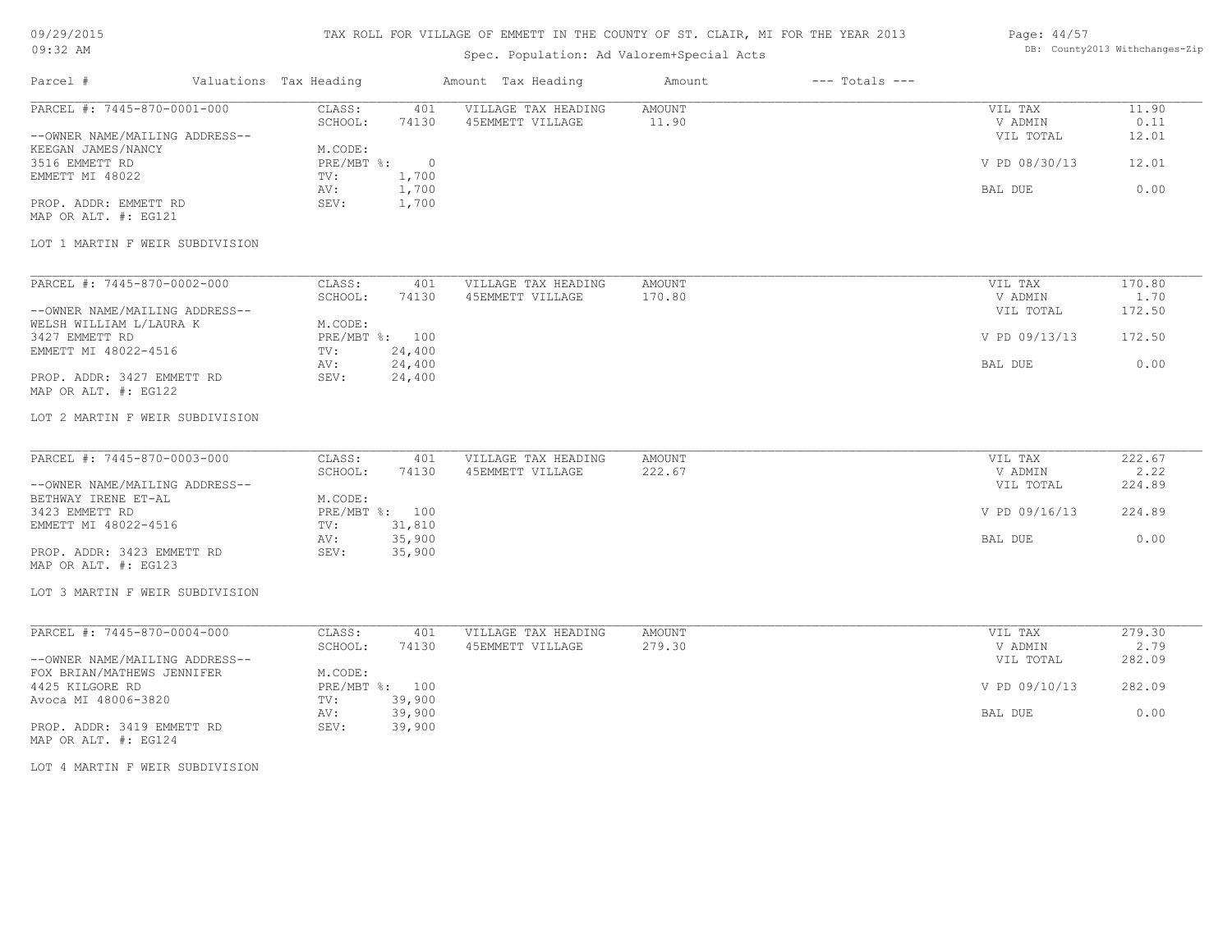## 09/29/2015 09:32 AM

# TAX ROLL FOR VILLAGE OF EMMETT IN THE COUNTY OF ST. CLAIR, MI FOR THE YEAR 2013

# Spec. Population: Ad Valorem+Special Acts

### Page: 44/57 DB: County2013 Withchanges-Zip

| Parcel #                                                      | Valuations Tax Heading           |                  | Amount Tax Heading                      | Amount                  | $---$ Totals $---$ |                                 |                        |
|---------------------------------------------------------------|----------------------------------|------------------|-----------------------------------------|-------------------------|--------------------|---------------------------------|------------------------|
| PARCEL #: 7445-870-0001-000<br>--OWNER NAME/MAILING ADDRESS-- | CLASS:<br>SCHOOL:                | 401<br>74130     | VILLAGE TAX HEADING<br>45EMMETT VILLAGE | AMOUNT<br>11.90         |                    | VIL TAX<br>V ADMIN<br>VIL TOTAL | 11.90<br>0.11<br>12.01 |
| KEEGAN JAMES/NANCY<br>3516 EMMETT RD<br>EMMETT MI 48022       | M.CODE:<br>PRE/MBT %: 0<br>TV:   | 1,700            |                                         |                         |                    | V PD 08/30/13                   | 12.01                  |
| PROP. ADDR: EMMETT RD                                         | AV:<br>SEV:                      | 1,700<br>1,700   |                                         |                         |                    | BAL DUE                         | 0.00                   |
| MAP OR ALT. #: EG121                                          |                                  |                  |                                         |                         |                    |                                 |                        |
| LOT 1 MARTIN F WEIR SUBDIVISION                               |                                  |                  |                                         |                         |                    |                                 |                        |
| PARCEL #: 7445-870-0002-000                                   | CLASS:<br>SCHOOL:                | 401<br>74130     | VILLAGE TAX HEADING<br>45EMMETT VILLAGE | <b>AMOUNT</b><br>170.80 |                    | VIL TAX<br>V ADMIN              | 170.80<br>1.70         |
| --OWNER NAME/MAILING ADDRESS--<br>WELSH WILLIAM L/LAURA K     | M.CODE:                          |                  |                                         |                         |                    | VIL TOTAL                       | 172.50                 |
| 3427 EMMETT RD<br>EMMETT MI 48022-4516                        | PRE/MBT %: 100<br>TV:            | 24,400           |                                         |                         |                    | V PD 09/13/13                   | 172.50                 |
| PROP. ADDR: 3427 EMMETT RD<br>MAP OR ALT. #: EG122            | AV:<br>SEV:                      | 24,400<br>24,400 |                                         |                         |                    | BAL DUE                         | 0.00                   |
| LOT 2 MARTIN F WEIR SUBDIVISION                               |                                  |                  |                                         |                         |                    |                                 |                        |
| PARCEL #: 7445-870-0003-000                                   | CLASS:                           | 401              | VILLAGE TAX HEADING                     | AMOUNT                  |                    | VIL TAX                         | 222.67                 |
| --OWNER NAME/MAILING ADDRESS--                                | SCHOOL:                          | 74130            | 45EMMETT VILLAGE                        | 222.67                  |                    | V ADMIN<br>VIL TOTAL            | 2.22<br>224.89         |
| BETHWAY IRENE ET-AL<br>3423 EMMETT RD<br>EMMETT MI 48022-4516 | M.CODE:<br>PRE/MBT %: 100<br>TV: | 31,810           |                                         |                         |                    | V PD 09/16/13                   | 224.89                 |
| PROP. ADDR: 3423 EMMETT RD                                    | AV:<br>SEV:                      | 35,900<br>35,900 |                                         |                         |                    | BAL DUE                         | 0.00                   |
| MAP OR ALT. #: EG123                                          |                                  |                  |                                         |                         |                    |                                 |                        |
| LOT 3 MARTIN F WEIR SUBDIVISION                               |                                  |                  |                                         |                         |                    |                                 |                        |
| PARCEL #: 7445-870-0004-000                                   | CLASS:<br>SCHOOL:                | 401<br>74130     | VILLAGE TAX HEADING<br>45EMMETT VILLAGE | <b>AMOUNT</b><br>279.30 |                    | VIL TAX<br>V ADMIN              | 279.30<br>2.79         |
| --OWNER NAME/MAILING ADDRESS--<br>FOX BRIAN/MATHEWS JENNIFER  | M.CODE:                          |                  |                                         |                         |                    | VIL TOTAL                       | 282.09                 |
| 4425 KILGORE RD<br>Avoca MI 48006-3820                        | PRE/MBT %: 100<br>TV:            | 39,900           |                                         |                         |                    | V PD 09/10/13                   | 282.09                 |
| PROP. ADDR: 3419 EMMETT RD<br>MAP OR ALT. #: EG124            | AV:<br>SEV:                      | 39,900<br>39,900 |                                         |                         |                    | BAL DUE                         | 0.00                   |
| LOT 4 MARTIN F WEIR SUBDIVISION                               |                                  |                  |                                         |                         |                    |                                 |                        |
|                                                               |                                  |                  |                                         |                         |                    |                                 |                        |
|                                                               |                                  |                  |                                         |                         |                    |                                 |                        |
|                                                               |                                  |                  |                                         |                         |                    |                                 |                        |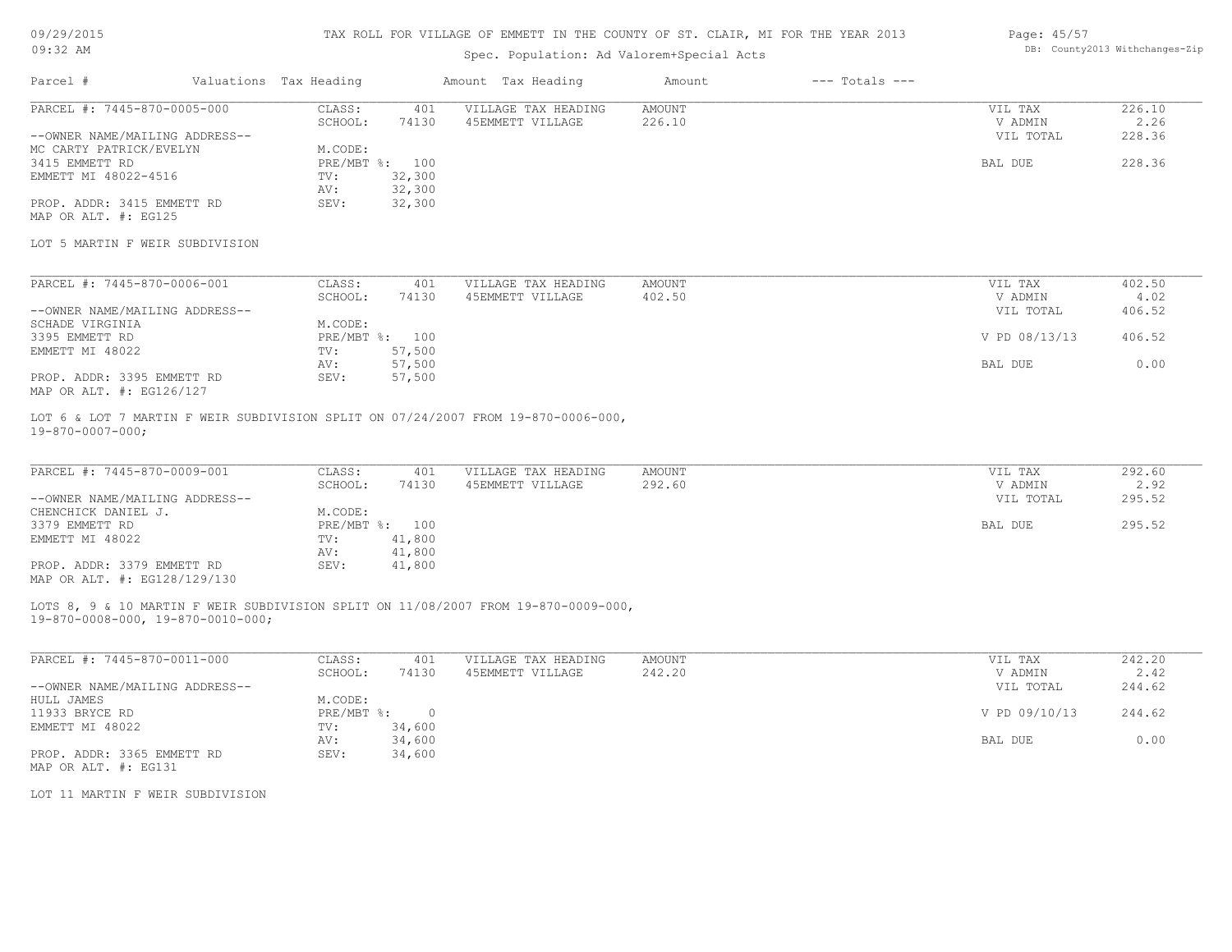## 09/29/2015 09:32 AM

## TAX ROLL FOR VILLAGE OF EMMETT IN THE COUNTY OF ST. CLAIR, MI FOR THE YEAR 2013

# Spec. Population: Ad Valorem+Special Acts

#### Page: 45/57 DB: County2013 Withchanges-Zip

| Parcel #                       | Valuations Tax Heading |                | Amount Tax Heading  | Amount | $---$ Totals $---$ |           |        |
|--------------------------------|------------------------|----------------|---------------------|--------|--------------------|-----------|--------|
| PARCEL #: 7445-870-0005-000    | CLASS:                 | 401            | VILLAGE TAX HEADING | AMOUNT |                    | VIL TAX   | 226.10 |
|                                | SCHOOL:                | 74130          | 45EMMETT VILLAGE    | 226.10 |                    | V ADMIN   | 2.26   |
| --OWNER NAME/MAILING ADDRESS-- |                        |                |                     |        |                    | VIL TOTAL | 228.36 |
| MC CARTY PATRICK/EVELYN        | M.CODE:                |                |                     |        |                    |           |        |
| 3415 EMMETT RD                 |                        | PRE/MBT %: 100 |                     |        |                    | BAL DUE   | 228.36 |
| EMMETT MI 48022-4516           | TV:                    | 32,300         |                     |        |                    |           |        |
|                                | AV:                    | 32,300         |                     |        |                    |           |        |
| PROP. ADDR: 3415 EMMETT RD     | SEV:                   | 32,300         |                     |        |                    |           |        |
| MAP OR ALT. #: EG125           |                        |                |                     |        |                    |           |        |

#### LOT 5 MARTIN F WEIR SUBDIVISION

| PARCEL #: 7445-870-0006-001    | CLASS:  | 401            | VILLAGE TAX HEADING | AMOUNT | VIL TAX       | 402.50 |
|--------------------------------|---------|----------------|---------------------|--------|---------------|--------|
|                                | SCHOOL: | 74130          | 45EMMETT VILLAGE    | 402.50 | V ADMIN       | 4.02   |
| --OWNER NAME/MAILING ADDRESS-- |         |                |                     |        | VIL TOTAL     | 406.52 |
| SCHADE VIRGINIA                | M.CODE: |                |                     |        |               |        |
| 3395 EMMETT RD                 |         | PRE/MBT %: 100 |                     |        | V PD 08/13/13 | 406.52 |
| EMMETT MI 48022                | TV:     | 57,500         |                     |        |               |        |
|                                | AV:     | 57,500         |                     |        | BAL DUE       | 0.00   |
| PROP. ADDR: 3395 EMMETT RD     | SEV:    | 57,500         |                     |        |               |        |
| MAP OR ALT. #: EG126/127       |         |                |                     |        |               |        |

19-870-0007-000; LOT 6 & LOT 7 MARTIN F WEIR SUBDIVISION SPLIT ON 07/24/2007 FROM 19-870-0006-000,

| PARCEL #: 7445-870-0009-001    | CLASS:  | 401            | VILLAGE TAX HEADING | AMOUNT | VIL TAX   | 292.60 |
|--------------------------------|---------|----------------|---------------------|--------|-----------|--------|
|                                | SCHOOL: | 74130          | 45EMMETT VILLAGE    | 292.60 | V ADMIN   | 2.92   |
| --OWNER NAME/MAILING ADDRESS-- |         |                |                     |        | VIL TOTAL | 295.52 |
| CHENCHICK DANIEL J.            | M.CODE: |                |                     |        |           |        |
| 3379 EMMETT RD                 |         | PRE/MBT %: 100 |                     |        | BAL DUE   | 295.52 |
| EMMETT MI 48022                | TV:     | 41,800         |                     |        |           |        |
|                                | AV:     | 41,800         |                     |        |           |        |
| PROP. ADDR: 3379 EMMETT RD     | SEV:    | 41,800         |                     |        |           |        |
| MAP OR ALT. #: EG128/129/130   |         |                |                     |        |           |        |

19-870-0008-000, 19-870-0010-000; LOTS 8, 9 & 10 MARTIN F WEIR SUBDIVISION SPLIT ON 11/08/2007 FROM 19-870-0009-000,

| PARCEL #: 7445-870-0011-000    | CLASS:     | 401       | VILLAGE TAX HEADING | AMOUNT | VIL TAX       | 242.20 |
|--------------------------------|------------|-----------|---------------------|--------|---------------|--------|
|                                | SCHOOL:    | 74130     | 45EMMETT VILLAGE    | 242.20 | V ADMIN       | 2.42   |
| --OWNER NAME/MAILING ADDRESS-- |            |           |                     |        | VIL TOTAL     | 244.62 |
| HULL JAMES                     | M.CODE:    |           |                     |        |               |        |
| 11933 BRYCE RD                 | PRE/MBT %: | $\bigcap$ |                     |        | V PD 09/10/13 | 244.62 |
| EMMETT MI 48022                | TV:        | 34,600    |                     |        |               |        |
|                                | AV:        | 34,600    |                     |        | BAL DUE       | 0.00   |
| PROP. ADDR: 3365 EMMETT RD     | SEV:       | 34,600    |                     |        |               |        |
| MAP OR ALT. #: EG131           |            |           |                     |        |               |        |

LOT 11 MARTIN F WEIR SUBDIVISION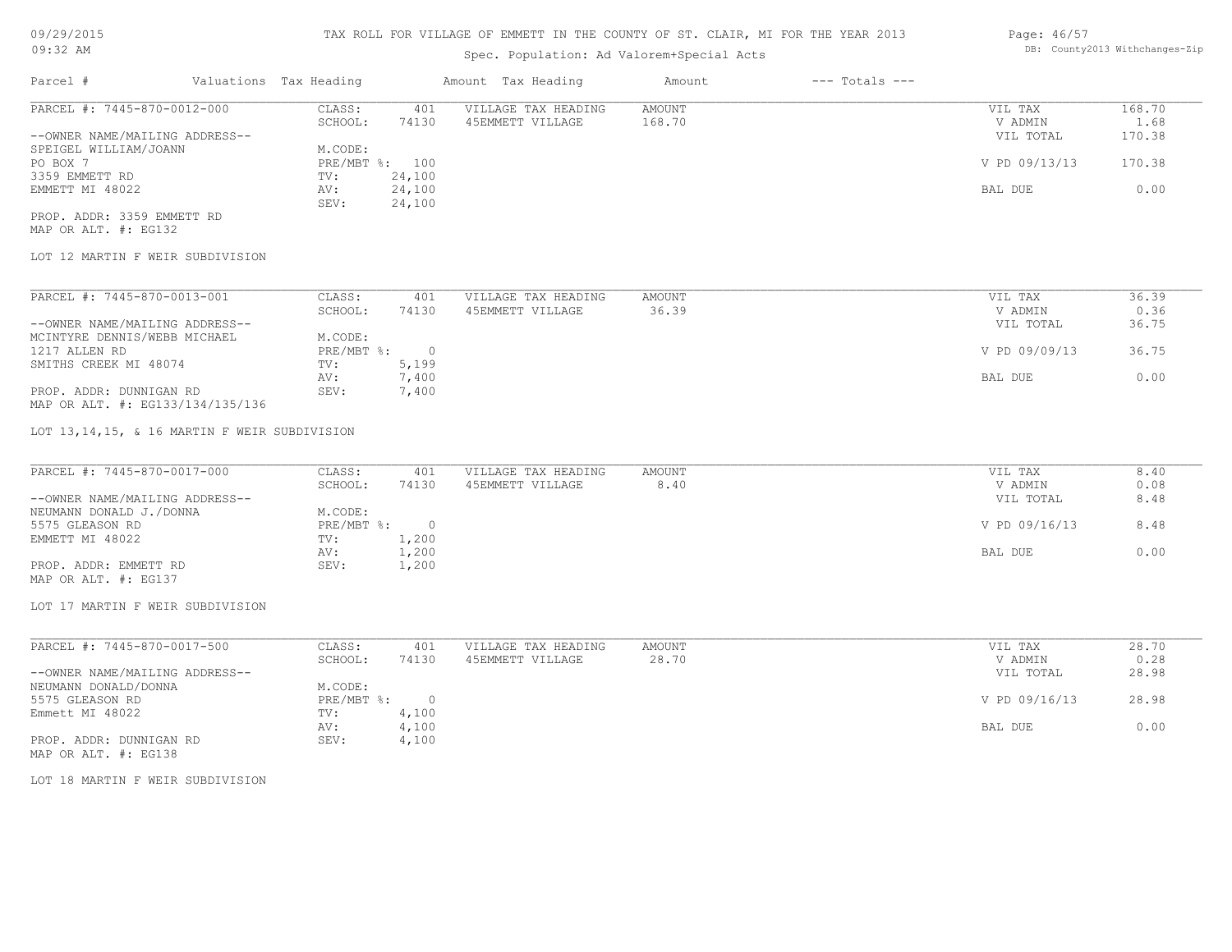# Spec. Population: Ad Valorem+Special Acts

### Page: 46/57 DB: County2013 Withchanges-Zip

| Parcel #                       | Valuations Tax Heading |        | Amount Tax Heading  | Amount | $---$ Totals $---$ |               |        |
|--------------------------------|------------------------|--------|---------------------|--------|--------------------|---------------|--------|
| PARCEL #: 7445-870-0012-000    | CLASS:                 | 401    | VILLAGE TAX HEADING | AMOUNT |                    | VIL TAX       | 168.70 |
|                                | SCHOOL:                | 74130  | 45EMMETT VILLAGE    | 168.70 |                    | V ADMIN       | 1.68   |
| --OWNER NAME/MAILING ADDRESS-- |                        |        |                     |        |                    | VIL TOTAL     | 170.38 |
| SPEIGEL WILLIAM/JOANN          | M.CODE:                |        |                     |        |                    |               |        |
| PO BOX 7                       | PRE/MBT %: 100         |        |                     |        |                    | V PD 09/13/13 | 170.38 |
| 3359 EMMETT RD                 | TV:                    | 24,100 |                     |        |                    |               |        |
| EMMETT MI 48022                | AV:                    | 24,100 |                     |        |                    | BAL DUE       | 0.00   |
|                                | SEV:                   | 24,100 |                     |        |                    |               |        |
| PROP. ADDR: 3359 EMMETT RD     |                        |        |                     |        |                    |               |        |

MAP OR ALT. #: EG132

## LOT 12 MARTIN F WEIR SUBDIVISION

| PARCEL #: 7445-870-0013-001      | CLASS:     | 401    | VILLAGE TAX HEADING | AMOUNT | 36.39<br>VIL TAX       |
|----------------------------------|------------|--------|---------------------|--------|------------------------|
|                                  | SCHOOL:    | 74130  | 45EMMETT VILLAGE    | 36.39  | 0.36<br>V ADMIN        |
| --OWNER NAME/MAILING ADDRESS--   |            |        |                     |        | 36.75<br>VIL TOTAL     |
| MCINTYRE DENNIS/WEBB MICHAEL     | M.CODE:    |        |                     |        |                        |
| 1217 ALLEN RD                    | PRE/MBT %: | $\cap$ |                     |        | V PD 09/09/13<br>36.75 |
| SMITHS CREEK MI 48074            | TV:        | 5,199  |                     |        |                        |
|                                  | AV:        | 7,400  |                     |        | 0.00<br>BAL DUE        |
| PROP. ADDR: DUNNIGAN RD          | SEV:       | 7,400  |                     |        |                        |
| MAP OR ALT. #: EG133/134/135/136 |            |        |                     |        |                        |

LOT 13,14,15, & 16 MARTIN F WEIR SUBDIVISION

| PARCEL #: 7445-870-0017-000    | CLASS:       | 401   | VILLAGE TAX HEADING | AMOUNT | VIL TAX       | 8.40 |
|--------------------------------|--------------|-------|---------------------|--------|---------------|------|
|                                | SCHOOL:      | 74130 | 45EMMETT VILLAGE    | 8.40   | V ADMIN       | 0.08 |
| --OWNER NAME/MAILING ADDRESS-- |              |       |                     |        | VIL TOTAL     | 8.48 |
| NEUMANN DONALD J./DONNA        | M.CODE:      |       |                     |        |               |      |
| 5575 GLEASON RD                | $PRE/MBT$ %: |       |                     |        | V PD 09/16/13 | 8.48 |
| EMMETT MI 48022                | TV:          | 1,200 |                     |        |               |      |
|                                | AV:          | 1,200 |                     |        | BAL DUE       | 0.00 |
| PROP. ADDR: EMMETT RD          | SEV:         | 1,200 |                     |        |               |      |
| MAP OR ALT. #: EG137           |              |       |                     |        |               |      |

LOT 17 MARTIN F WEIR SUBDIVISION

| PARCEL #: 7445-870-0017-500    | CLASS:     | 401   | VILLAGE TAX HEADING | AMOUNT | VIL TAX       | 28.70 |
|--------------------------------|------------|-------|---------------------|--------|---------------|-------|
|                                | SCHOOL:    | 74130 | 45EMMETT VILLAGE    | 28.70  | V ADMIN       | 0.28  |
| --OWNER NAME/MAILING ADDRESS-- |            |       |                     |        | VIL TOTAL     | 28.98 |
| NEUMANN DONALD/DONNA           | M.CODE:    |       |                     |        |               |       |
| 5575 GLEASON RD                | PRE/MBT %: |       |                     |        | V PD 09/16/13 | 28.98 |
| Emmett MI 48022                | TV:        | 4,100 |                     |        |               |       |
|                                | AV:        | 4,100 |                     |        | BAL DUE       | 0.00  |
| PROP. ADDR: DUNNIGAN RD        | SEV:       | 4,100 |                     |        |               |       |
| MAP OR ALT. #: EG138           |            |       |                     |        |               |       |

LOT 18 MARTIN F WEIR SUBDIVISION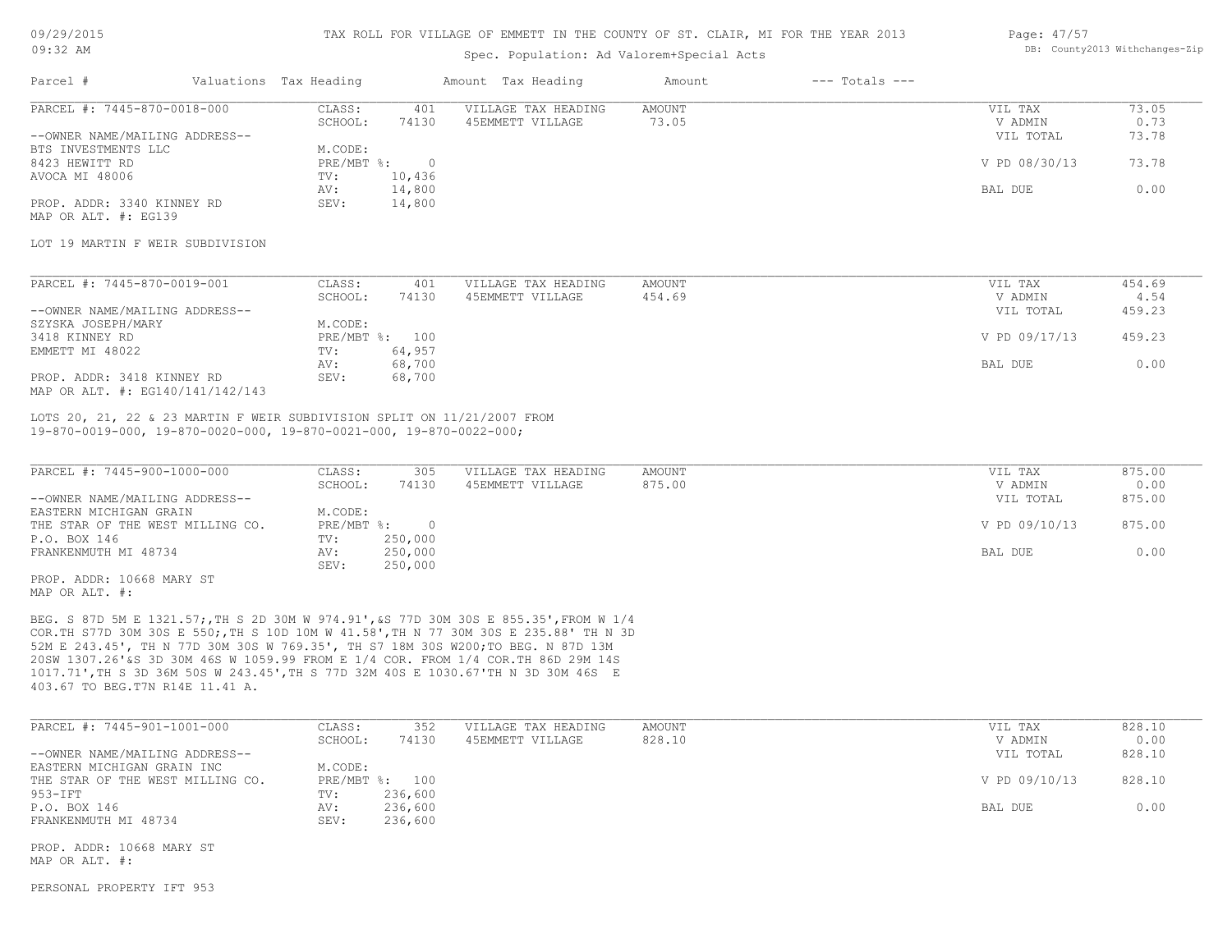## 09/29/2015 09:32 AM

### TAX ROLL FOR VILLAGE OF EMMETT IN THE COUNTY OF ST. CLAIR, MI FOR THE YEAR 2013

## Spec. Population: Ad Valorem+Special Acts

#### Page: 47/57 DB: County2013 Withchanges-Zip

| Parcel #                       |         | Valuations Tax Heading |                  | Amount Tax Heading  | Amount | $---$ Totals $---$ |               |       |
|--------------------------------|---------|------------------------|------------------|---------------------|--------|--------------------|---------------|-------|
| PARCEL #: 7445-870-0018-000    |         | CLASS:                 | 401              | VILLAGE TAX HEADING | AMOUNT |                    | VIL TAX       | 73.05 |
|                                | SCHOOL: | 74130                  | 45EMMETT VILLAGE | 73.05               |        | V ADMIN            | 0.73          |       |
| --OWNER NAME/MAILING ADDRESS-- |         |                        |                  |                     |        |                    | VIL TOTAL     | 73.78 |
| BTS INVESTMENTS LLC            |         | M.CODE:                |                  |                     |        |                    |               |       |
| 8423 HEWITT RD                 |         | $PRE/MBT$ %:           | $\Omega$         |                     |        |                    | V PD 08/30/13 | 73.78 |
| AVOCA MI 48006                 |         | TV:                    | 10,436           |                     |        |                    |               |       |
|                                |         | AV:                    | 14,800           |                     |        |                    | BAL DUE       | 0.00  |
| PROP. ADDR: 3340 KINNEY RD     |         | SEV:                   | 14,800           |                     |        |                    |               |       |
| MAP OR ALT. #: EG139           |         |                        |                  |                     |        |                    |               |       |

## LOT 19 MARTIN F WEIR SUBDIVISION

| PARCEL #: 7445-870-0019-001      | CLASS:  | 401            | VILLAGE TAX HEADING | AMOUNT | VIL TAX       | 454.69 |
|----------------------------------|---------|----------------|---------------------|--------|---------------|--------|
|                                  | SCHOOL: | 74130          | 45EMMETT VILLAGE    | 454.69 | V ADMIN       | 4.54   |
| --OWNER NAME/MAILING ADDRESS--   |         |                |                     |        | VIL TOTAL     | 459.23 |
| SZYSKA JOSEPH/MARY               | M.CODE: |                |                     |        |               |        |
| 3418 KINNEY RD                   |         | PRE/MBT %: 100 |                     |        | V PD 09/17/13 | 459.23 |
| EMMETT MI 48022                  | TV:     | 64,957         |                     |        |               |        |
|                                  | AV:     | 68,700         |                     |        | BAL DUE       | 0.00   |
| PROP. ADDR: 3418 KINNEY RD       | SEV:    | 68,700         |                     |        |               |        |
| MAP OR ALT. #: EG140/141/142/143 |         |                |                     |        |               |        |

19-870-0019-000, 19-870-0020-000, 19-870-0021-000, 19-870-0022-000; LOTS 20, 21, 22 & 23 MARTIN F WEIR SUBDIVISION SPLIT ON 11/21/2007 FROM

| PARCEL #: 7445-900-1000-000      | CLASS:       | 305     | VILLAGE TAX HEADING | AMOUNT | VIL TAX       | 875.00 |
|----------------------------------|--------------|---------|---------------------|--------|---------------|--------|
|                                  | SCHOOL:      | 74130   | 45EMMETT VILLAGE    | 875.00 | V ADMIN       | 0.00   |
| --OWNER NAME/MAILING ADDRESS--   |              |         |                     |        | VIL TOTAL     | 875.00 |
| EASTERN MICHIGAN GRAIN           | M.CODE:      |         |                     |        |               |        |
| THE STAR OF THE WEST MILLING CO. | $PRE/MBT$ %: |         |                     |        | V PD 09/10/13 | 875.00 |
| P.O. BOX 146                     | TV:          | 250,000 |                     |        |               |        |
| FRANKENMUTH MI 48734             | AV:          | 250,000 |                     |        | BAL DUE       | 0.00   |
|                                  | SEV:         | 250,000 |                     |        |               |        |
| PROP. ADDR: 10668 MARY ST        |              |         |                     |        |               |        |

MAP OR ALT. #:

403.67 TO BEG.T7N R14E 11.41 A. 1017.71',TH S 3D 36M 50S W 243.45',TH S 77D 32M 40S E 1030.67'TH N 3D 30M 46S E 20SW 1307.26'&S 3D 30M 46S W 1059.99 FROM E 1/4 COR. FROM 1/4 COR.TH 86D 29M 14S 52M E 243.45', TH N 77D 30M 30S W 769.35', TH S7 18M 30S W200;TO BEG. N 87D 13M COR.TH S77D 30M 30S E 550;,TH S 10D 10M W 41.58',TH N 77 30M 30S E 235.88' TH N 3D BEG. S 87D 5M E 1321.57;,TH S 2D 30M W 974.91',&S 77D 30M 30S E 855.35',FROM W 1/4

| PARCEL #: 7445-901-1001-000      | CLASS:  | 352            | VILLAGE TAX HEADING | AMOUNT | VIL TAX       | 828.10 |
|----------------------------------|---------|----------------|---------------------|--------|---------------|--------|
|                                  | SCHOOL: | 74130          | 45EMMETT VILLAGE    | 828.10 | V ADMIN       | 0.00   |
| --OWNER NAME/MAILING ADDRESS--   |         |                |                     |        | VIL TOTAL     | 828.10 |
| EASTERN MICHIGAN GRAIN INC       | M.CODE: |                |                     |        |               |        |
| THE STAR OF THE WEST MILLING CO. |         | PRE/MBT %: 100 |                     |        | V PD 09/10/13 | 828.10 |
| 953-IFT                          | TV:     | 236,600        |                     |        |               |        |
| P.O. BOX 146                     | AV:     | 236,600        |                     |        | BAL DUE       | 0.00   |
| FRANKENMUTH MI 48734             | SEV:    | 236,600        |                     |        |               |        |

MAP OR ALT. #: PROP. ADDR: 10668 MARY ST

PERSONAL PROPERTY IFT 953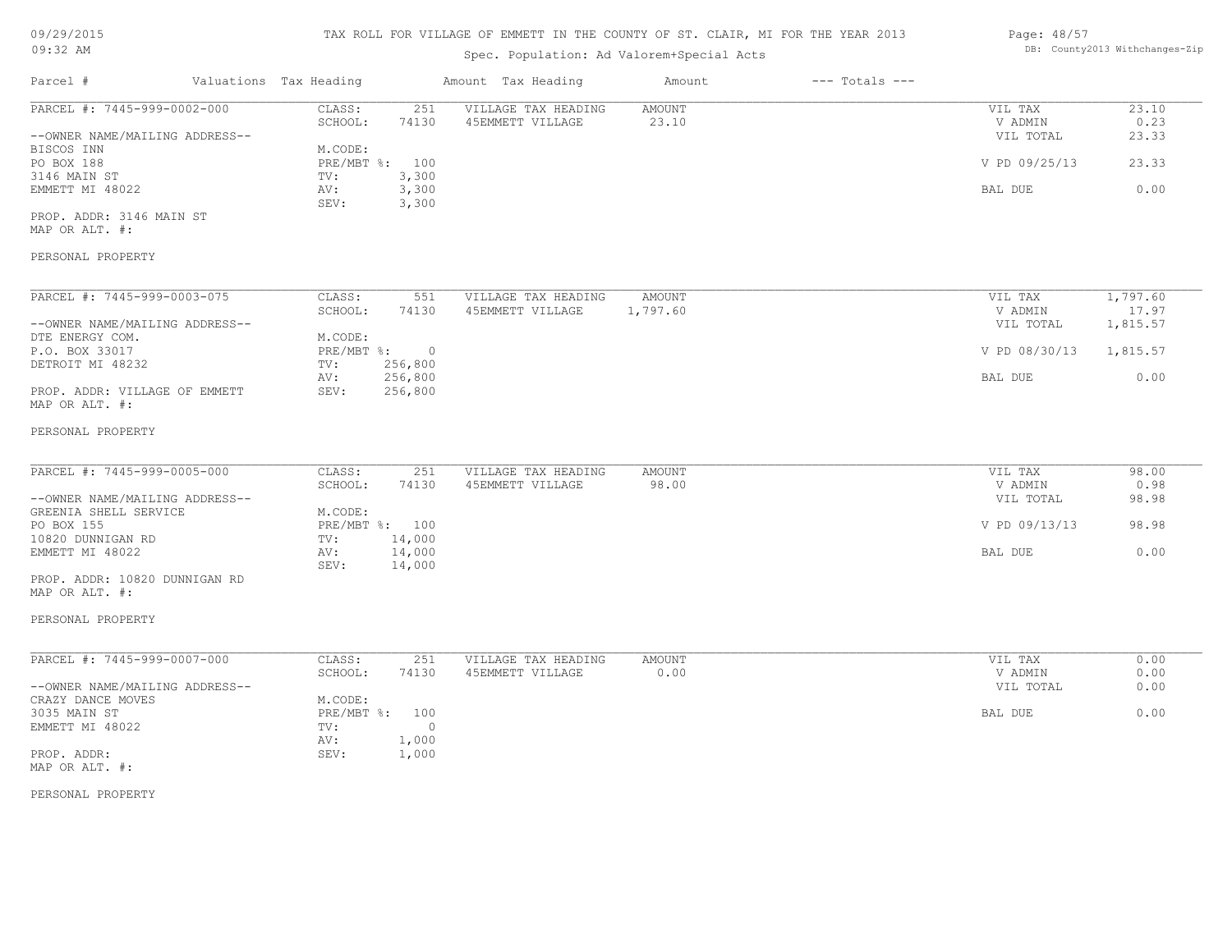| 09:32 AM                                                      |  |                                                | DB: County2013 Withchanges-Zip          |                    |                    |                                 |                        |
|---------------------------------------------------------------|--|------------------------------------------------|-----------------------------------------|--------------------|--------------------|---------------------------------|------------------------|
| Parcel #                                                      |  | Valuations Tax Heading                         | Amount Tax Heading                      | Amount             | $---$ Totals $---$ |                                 |                        |
| PARCEL #: 7445-999-0002-000<br>--OWNER NAME/MAILING ADDRESS-- |  | CLASS:<br>251<br>SCHOOL:<br>74130              | VILLAGE TAX HEADING<br>45EMMETT VILLAGE | AMOUNT<br>23.10    |                    | VIL TAX<br>V ADMIN<br>VIL TOTAL | 23.10<br>0.23<br>23.33 |
| BISCOS INN<br>PO BOX 188                                      |  | M.CODE:<br>PRE/MBT %: 100                      |                                         |                    |                    | V PD 09/25/13                   | 23.33                  |
| 3146 MAIN ST<br>EMMETT MI 48022                               |  | TV:<br>3,300<br>3,300<br>AV:                   |                                         |                    |                    | BAL DUE                         | 0.00                   |
| PROP. ADDR: 3146 MAIN ST<br>MAP OR ALT. #:                    |  | SEV:<br>3,300                                  |                                         |                    |                    |                                 |                        |
| PERSONAL PROPERTY                                             |  |                                                |                                         |                    |                    |                                 |                        |
| PARCEL #: 7445-999-0003-075                                   |  | CLASS:<br>551<br>SCHOOL:<br>74130              | VILLAGE TAX HEADING<br>45EMMETT VILLAGE | AMOUNT<br>1,797.60 |                    | VIL TAX<br>V ADMIN              | 1,797.60<br>17.97      |
| --OWNER NAME/MAILING ADDRESS--<br>DTE ENERGY COM.             |  | M.CODE:                                        |                                         |                    |                    | VIL TOTAL                       | 1,815.57               |
| P.O. BOX 33017<br>DETROIT MI 48232                            |  | PRE/MBT %:<br>$\overline{0}$<br>256,800<br>TV: |                                         |                    |                    | V PD 08/30/13                   | 1,815.57               |
| PROP. ADDR: VILLAGE OF EMMETT<br>MAP OR ALT. #:               |  | 256,800<br>AV:<br>SEV:<br>256,800              |                                         |                    |                    | BAL DUE                         | 0.00                   |
| PERSONAL PROPERTY                                             |  |                                                |                                         |                    |                    |                                 |                        |
| PARCEL #: 7445-999-0005-000                                   |  | CLASS:<br>251                                  | VILLAGE TAX HEADING                     | AMOUNT             |                    | VIL TAX                         | 98.00                  |
| --OWNER NAME/MAILING ADDRESS--<br>GREENIA SHELL SERVICE       |  | SCHOOL:<br>74130<br>M.CODE:                    | 45EMMETT VILLAGE                        | 98.00              |                    | V ADMIN<br>VIL TOTAL            | 0.98<br>98.98          |
| PO BOX 155<br>10820 DUNNIGAN RD                               |  | PRE/MBT %: 100<br>14,000<br>TV:                |                                         |                    |                    | V PD 09/13/13                   | 98.98                  |
| EMMETT MI 48022                                               |  | 14,000<br>AV:<br>14,000<br>SEV:                |                                         |                    |                    | BAL DUE                         | 0.00                   |
| PROP. ADDR: 10820 DUNNIGAN RD<br>MAP OR ALT. #:               |  |                                                |                                         |                    |                    |                                 |                        |
| PERSONAL PROPERTY                                             |  |                                                |                                         |                    |                    |                                 |                        |
| PARCEL #: 7445-999-0007-000                                   |  | CLASS:<br>251<br>SCHOOL:<br>74130              | VILLAGE TAX HEADING<br>45EMMETT VILLAGE | AMOUNT<br>0.00     |                    | VIL TAX<br>V ADMIN              | 0.00<br>0.00           |
| --OWNER NAME/MAILING ADDRESS--<br>CRAZY DANCE MOVES           |  | M.CODE:                                        |                                         |                    |                    | VIL TOTAL                       | 0.00                   |
| 3035 MAIN ST<br>EMMETT MI 48022                               |  | PRE/MBT %: 100<br>$\circ$<br>TV:               |                                         |                    |                    | BAL DUE                         | 0.00                   |
| PROP. ADDR:<br>MAP OR ALT. #:                                 |  | AV: 1,000<br>1,000<br>SEV:                     |                                         |                    |                    |                                 |                        |
| PERSONAL PROPERTY                                             |  |                                                |                                         |                    |                    |                                 |                        |
|                                                               |  |                                                |                                         |                    |                    |                                 |                        |
|                                                               |  |                                                |                                         |                    |                    |                                 |                        |
|                                                               |  |                                                |                                         |                    |                    |                                 |                        |
|                                                               |  |                                                |                                         |                    |                    |                                 |                        |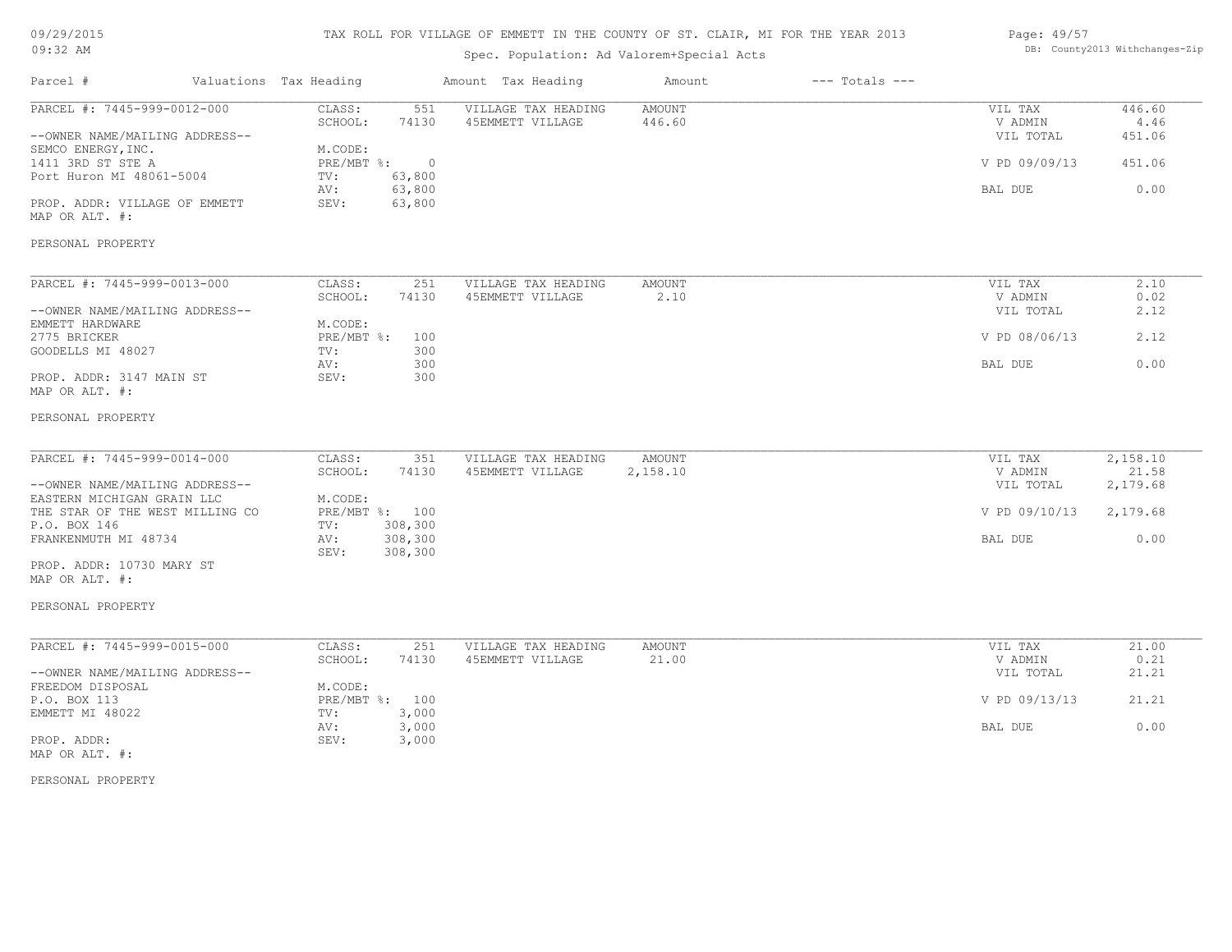## 09/29/2015 09:32 AM

# TAX ROLL FOR VILLAGE OF EMMETT IN THE COUNTY OF ST. CLAIR, MI FOR THE YEAR 2013

# Spec. Population: Ad Valorem+Special Acts

### Page: 49/57 DB: County2013 Withchanges-Zip

| PARCEL #: 7445-999-0012-000<br>VILLAGE TAX HEADING<br>CLASS:<br>551<br>AMOUNT<br>VIL TAX<br>SCHOOL:<br>74130<br>45EMMETT VILLAGE<br>446.60<br>V ADMIN<br>VIL TOTAL<br>--OWNER NAME/MAILING ADDRESS--<br>SEMCO ENERGY, INC.<br>M.CODE:<br>1411 3RD ST STE A<br>$PRE/MBT$ %:<br>$\circ$<br>V PD 09/09/13<br>Port Huron MI 48061-5004<br>63,800<br>TV:<br>63,800<br>AV:<br>BAL DUE<br>PROP. ADDR: VILLAGE OF EMMETT<br>SEV:<br>63,800<br>MAP OR ALT. #:<br>PERSONAL PROPERTY<br>PARCEL #: 7445-999-0013-000<br>CLASS:<br>251<br>VILLAGE TAX HEADING<br>AMOUNT<br>VIL TAX<br>SCHOOL:<br>45EMMETT VILLAGE<br>2.10<br>V ADMIN<br>74130<br>--OWNER NAME/MAILING ADDRESS--<br>VIL TOTAL<br>M.CODE:<br>EMMETT HARDWARE<br>2775 BRICKER<br>PRE/MBT %:<br>V PD 08/06/13<br>100<br>300<br>GOODELLS MI 48027<br>TV:<br>300<br>BAL DUE<br>AV:<br>PROP. ADDR: 3147 MAIN ST<br>SEV:<br>300<br>MAP OR ALT. #:<br>PERSONAL PROPERTY<br>PARCEL #: 7445-999-0014-000<br>CLASS:<br>VILLAGE TAX HEADING<br>AMOUNT<br>351<br>VIL TAX<br>SCHOOL:<br>74130<br>45EMMETT VILLAGE<br>2,158.10<br>V ADMIN<br>--OWNER NAME/MAILING ADDRESS--<br>VIL TOTAL<br>EASTERN MICHIGAN GRAIN LLC<br>M.CODE:<br>THE STAR OF THE WEST MILLING CO<br>PRE/MBT %: 100<br>V PD 09/10/13<br>308,300<br>P.O. BOX 146<br>TV:<br>FRANKENMUTH MI 48734<br>308,300<br>AV:<br>BAL DUE<br>308,300<br>SEV:<br>PROP. ADDR: 10730 MARY ST<br>MAP OR ALT. #:<br>PERSONAL PROPERTY<br>PARCEL #: 7445-999-0015-000<br>CLASS:<br>251<br>VILLAGE TAX HEADING<br>AMOUNT<br>VIL TAX<br>SCHOOL:<br>74130<br>45EMMETT VILLAGE<br>21.00<br>V ADMIN |                | $---$ Totals $---$ | Amount | Amount Tax Heading |  | Valuations Tax Heading | Parcel # |
|----------------------------------------------------------------------------------------------------------------------------------------------------------------------------------------------------------------------------------------------------------------------------------------------------------------------------------------------------------------------------------------------------------------------------------------------------------------------------------------------------------------------------------------------------------------------------------------------------------------------------------------------------------------------------------------------------------------------------------------------------------------------------------------------------------------------------------------------------------------------------------------------------------------------------------------------------------------------------------------------------------------------------------------------------------------------------------------------------------------------------------------------------------------------------------------------------------------------------------------------------------------------------------------------------------------------------------------------------------------------------------------------------------------------------------------------------------------------------------------------------------------------------------------------------------------------------------|----------------|--------------------|--------|--------------------|--|------------------------|----------|
|                                                                                                                                                                                                                                                                                                                                                                                                                                                                                                                                                                                                                                                                                                                                                                                                                                                                                                                                                                                                                                                                                                                                                                                                                                                                                                                                                                                                                                                                                                                                                                                  | 446.60<br>4.46 |                    |        |                    |  |                        |          |
|                                                                                                                                                                                                                                                                                                                                                                                                                                                                                                                                                                                                                                                                                                                                                                                                                                                                                                                                                                                                                                                                                                                                                                                                                                                                                                                                                                                                                                                                                                                                                                                  | 451.06         |                    |        |                    |  |                        |          |
|                                                                                                                                                                                                                                                                                                                                                                                                                                                                                                                                                                                                                                                                                                                                                                                                                                                                                                                                                                                                                                                                                                                                                                                                                                                                                                                                                                                                                                                                                                                                                                                  | 451.06         |                    |        |                    |  |                        |          |
|                                                                                                                                                                                                                                                                                                                                                                                                                                                                                                                                                                                                                                                                                                                                                                                                                                                                                                                                                                                                                                                                                                                                                                                                                                                                                                                                                                                                                                                                                                                                                                                  | 0.00           |                    |        |                    |  |                        |          |
|                                                                                                                                                                                                                                                                                                                                                                                                                                                                                                                                                                                                                                                                                                                                                                                                                                                                                                                                                                                                                                                                                                                                                                                                                                                                                                                                                                                                                                                                                                                                                                                  |                |                    |        |                    |  |                        |          |
|                                                                                                                                                                                                                                                                                                                                                                                                                                                                                                                                                                                                                                                                                                                                                                                                                                                                                                                                                                                                                                                                                                                                                                                                                                                                                                                                                                                                                                                                                                                                                                                  |                |                    |        |                    |  |                        |          |
|                                                                                                                                                                                                                                                                                                                                                                                                                                                                                                                                                                                                                                                                                                                                                                                                                                                                                                                                                                                                                                                                                                                                                                                                                                                                                                                                                                                                                                                                                                                                                                                  | 2.10           |                    |        |                    |  |                        |          |
|                                                                                                                                                                                                                                                                                                                                                                                                                                                                                                                                                                                                                                                                                                                                                                                                                                                                                                                                                                                                                                                                                                                                                                                                                                                                                                                                                                                                                                                                                                                                                                                  | 0.02           |                    |        |                    |  |                        |          |
|                                                                                                                                                                                                                                                                                                                                                                                                                                                                                                                                                                                                                                                                                                                                                                                                                                                                                                                                                                                                                                                                                                                                                                                                                                                                                                                                                                                                                                                                                                                                                                                  | 2.12           |                    |        |                    |  |                        |          |
|                                                                                                                                                                                                                                                                                                                                                                                                                                                                                                                                                                                                                                                                                                                                                                                                                                                                                                                                                                                                                                                                                                                                                                                                                                                                                                                                                                                                                                                                                                                                                                                  |                |                    |        |                    |  |                        |          |
|                                                                                                                                                                                                                                                                                                                                                                                                                                                                                                                                                                                                                                                                                                                                                                                                                                                                                                                                                                                                                                                                                                                                                                                                                                                                                                                                                                                                                                                                                                                                                                                  | 2.12           |                    |        |                    |  |                        |          |
|                                                                                                                                                                                                                                                                                                                                                                                                                                                                                                                                                                                                                                                                                                                                                                                                                                                                                                                                                                                                                                                                                                                                                                                                                                                                                                                                                                                                                                                                                                                                                                                  |                |                    |        |                    |  |                        |          |
|                                                                                                                                                                                                                                                                                                                                                                                                                                                                                                                                                                                                                                                                                                                                                                                                                                                                                                                                                                                                                                                                                                                                                                                                                                                                                                                                                                                                                                                                                                                                                                                  | 0.00           |                    |        |                    |  |                        |          |
|                                                                                                                                                                                                                                                                                                                                                                                                                                                                                                                                                                                                                                                                                                                                                                                                                                                                                                                                                                                                                                                                                                                                                                                                                                                                                                                                                                                                                                                                                                                                                                                  |                |                    |        |                    |  |                        |          |
|                                                                                                                                                                                                                                                                                                                                                                                                                                                                                                                                                                                                                                                                                                                                                                                                                                                                                                                                                                                                                                                                                                                                                                                                                                                                                                                                                                                                                                                                                                                                                                                  |                |                    |        |                    |  |                        |          |
|                                                                                                                                                                                                                                                                                                                                                                                                                                                                                                                                                                                                                                                                                                                                                                                                                                                                                                                                                                                                                                                                                                                                                                                                                                                                                                                                                                                                                                                                                                                                                                                  | 2,158.10       |                    |        |                    |  |                        |          |
|                                                                                                                                                                                                                                                                                                                                                                                                                                                                                                                                                                                                                                                                                                                                                                                                                                                                                                                                                                                                                                                                                                                                                                                                                                                                                                                                                                                                                                                                                                                                                                                  | 21.58          |                    |        |                    |  |                        |          |
|                                                                                                                                                                                                                                                                                                                                                                                                                                                                                                                                                                                                                                                                                                                                                                                                                                                                                                                                                                                                                                                                                                                                                                                                                                                                                                                                                                                                                                                                                                                                                                                  | 2,179.68       |                    |        |                    |  |                        |          |
|                                                                                                                                                                                                                                                                                                                                                                                                                                                                                                                                                                                                                                                                                                                                                                                                                                                                                                                                                                                                                                                                                                                                                                                                                                                                                                                                                                                                                                                                                                                                                                                  |                |                    |        |                    |  |                        |          |
|                                                                                                                                                                                                                                                                                                                                                                                                                                                                                                                                                                                                                                                                                                                                                                                                                                                                                                                                                                                                                                                                                                                                                                                                                                                                                                                                                                                                                                                                                                                                                                                  | 2,179.68       |                    |        |                    |  |                        |          |
|                                                                                                                                                                                                                                                                                                                                                                                                                                                                                                                                                                                                                                                                                                                                                                                                                                                                                                                                                                                                                                                                                                                                                                                                                                                                                                                                                                                                                                                                                                                                                                                  |                |                    |        |                    |  |                        |          |
|                                                                                                                                                                                                                                                                                                                                                                                                                                                                                                                                                                                                                                                                                                                                                                                                                                                                                                                                                                                                                                                                                                                                                                                                                                                                                                                                                                                                                                                                                                                                                                                  | 0.00           |                    |        |                    |  |                        |          |
|                                                                                                                                                                                                                                                                                                                                                                                                                                                                                                                                                                                                                                                                                                                                                                                                                                                                                                                                                                                                                                                                                                                                                                                                                                                                                                                                                                                                                                                                                                                                                                                  |                |                    |        |                    |  |                        |          |
|                                                                                                                                                                                                                                                                                                                                                                                                                                                                                                                                                                                                                                                                                                                                                                                                                                                                                                                                                                                                                                                                                                                                                                                                                                                                                                                                                                                                                                                                                                                                                                                  |                |                    |        |                    |  |                        |          |
|                                                                                                                                                                                                                                                                                                                                                                                                                                                                                                                                                                                                                                                                                                                                                                                                                                                                                                                                                                                                                                                                                                                                                                                                                                                                                                                                                                                                                                                                                                                                                                                  |                |                    |        |                    |  |                        |          |
|                                                                                                                                                                                                                                                                                                                                                                                                                                                                                                                                                                                                                                                                                                                                                                                                                                                                                                                                                                                                                                                                                                                                                                                                                                                                                                                                                                                                                                                                                                                                                                                  | 21.00<br>0.21  |                    |        |                    |  |                        |          |
| --OWNER NAME/MAILING ADDRESS--<br>VIL TOTAL                                                                                                                                                                                                                                                                                                                                                                                                                                                                                                                                                                                                                                                                                                                                                                                                                                                                                                                                                                                                                                                                                                                                                                                                                                                                                                                                                                                                                                                                                                                                      | 21.21          |                    |        |                    |  |                        |          |
| FREEDOM DISPOSAL<br>M.CODE:                                                                                                                                                                                                                                                                                                                                                                                                                                                                                                                                                                                                                                                                                                                                                                                                                                                                                                                                                                                                                                                                                                                                                                                                                                                                                                                                                                                                                                                                                                                                                      |                |                    |        |                    |  |                        |          |
| P.O. BOX 113<br>PRE/MBT %: 100<br>V PD 09/13/13                                                                                                                                                                                                                                                                                                                                                                                                                                                                                                                                                                                                                                                                                                                                                                                                                                                                                                                                                                                                                                                                                                                                                                                                                                                                                                                                                                                                                                                                                                                                  | 21.21          |                    |        |                    |  |                        |          |
| EMMETT MI 48022<br>TV:<br>3,000                                                                                                                                                                                                                                                                                                                                                                                                                                                                                                                                                                                                                                                                                                                                                                                                                                                                                                                                                                                                                                                                                                                                                                                                                                                                                                                                                                                                                                                                                                                                                  |                |                    |        |                    |  |                        |          |
| 3,000<br>BAL DUE<br>AV:                                                                                                                                                                                                                                                                                                                                                                                                                                                                                                                                                                                                                                                                                                                                                                                                                                                                                                                                                                                                                                                                                                                                                                                                                                                                                                                                                                                                                                                                                                                                                          | 0.00           |                    |        |                    |  |                        |          |
| PROP. ADDR:<br>SEV:<br>3,000<br>MAP OR ALT. #:                                                                                                                                                                                                                                                                                                                                                                                                                                                                                                                                                                                                                                                                                                                                                                                                                                                                                                                                                                                                                                                                                                                                                                                                                                                                                                                                                                                                                                                                                                                                   |                |                    |        |                    |  |                        |          |

PERSONAL PROPERTY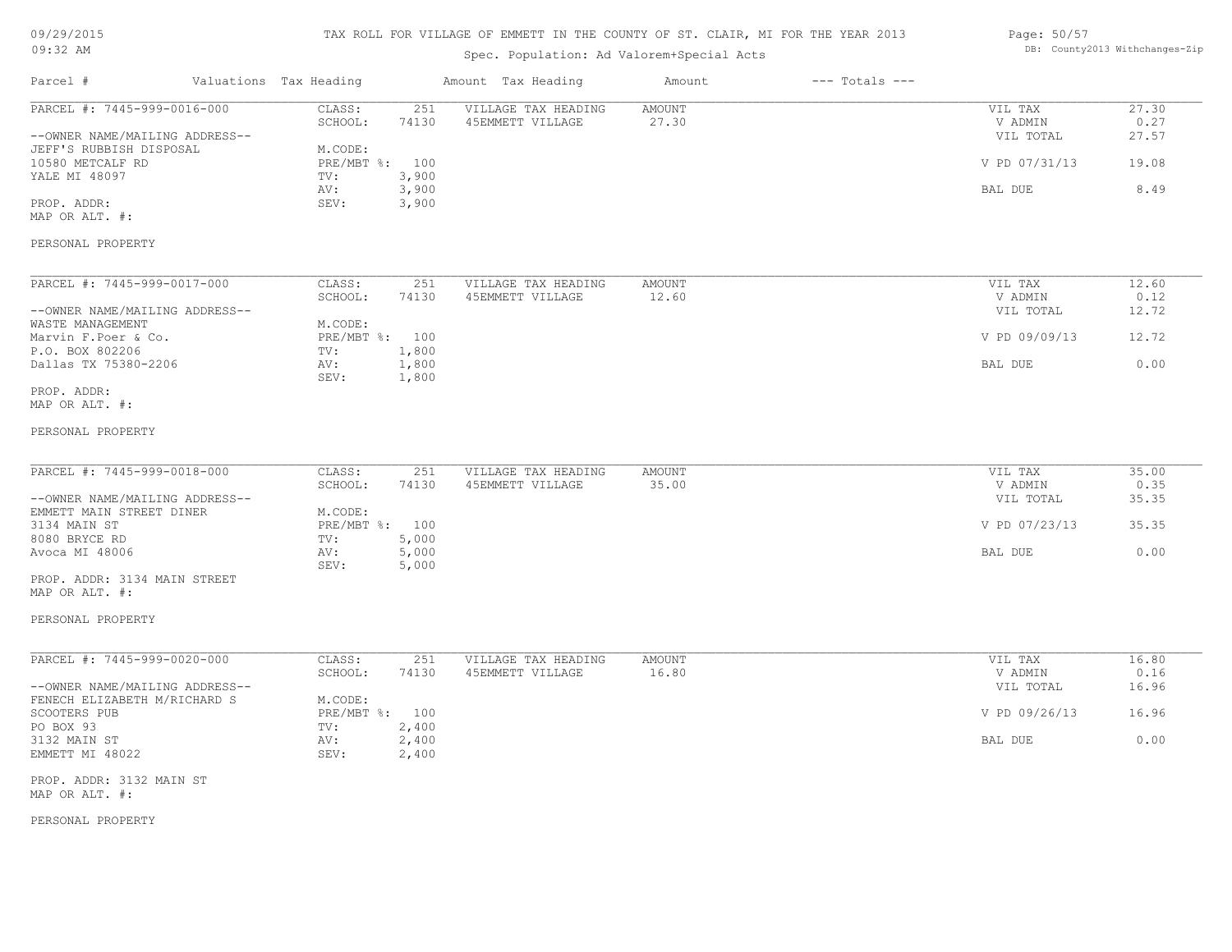| 09/29/2015 |  |
|------------|--|
|------------|--|

## 09:32 AM

# TAX ROLL FOR VILLAGE OF EMMETT IN THE COUNTY OF ST. CLAIR, MI FOR THE YEAR 2013

# Spec. Population: Ad Valorem+Special Acts

### Page: 50/57 DB: County2013 Withchanges-Zip

| Parcel #                                                      | Valuations Tax Heading    |                         | Amount Tax Heading                      | Amount          | $---$ Totals $---$ |                                 |                        |
|---------------------------------------------------------------|---------------------------|-------------------------|-----------------------------------------|-----------------|--------------------|---------------------------------|------------------------|
| PARCEL #: 7445-999-0016-000<br>--OWNER NAME/MAILING ADDRESS-- | CLASS:<br>SCHOOL:         | 251<br>74130            | VILLAGE TAX HEADING<br>45EMMETT VILLAGE | AMOUNT<br>27.30 |                    | VIL TAX<br>V ADMIN<br>VIL TOTAL | 27.30<br>0.27<br>27.57 |
| JEFF'S RUBBISH DISPOSAL<br>10580 METCALF RD                   | M.CODE:<br>PRE/MBT %: 100 |                         |                                         |                 |                    | V PD 07/31/13                   | 19.08                  |
| YALE MI 48097                                                 | TV:<br>AV:                | 3,900<br>3,900          |                                         |                 |                    | BAL DUE                         | 8.49                   |
| PROP. ADDR:<br>MAP OR ALT. #:                                 | SEV:                      | 3,900                   |                                         |                 |                    |                                 |                        |
| PERSONAL PROPERTY                                             |                           |                         |                                         |                 |                    |                                 |                        |
| PARCEL #: 7445-999-0017-000                                   | CLASS:                    | 251                     | VILLAGE TAX HEADING                     | AMOUNT          |                    | VIL TAX                         | 12.60                  |
| --OWNER NAME/MAILING ADDRESS--                                | SCHOOL:                   | 74130                   | 45EMMETT VILLAGE                        | 12.60           |                    | V ADMIN<br>VIL TOTAL            | 0.12<br>12.72          |
| WASTE MANAGEMENT<br>Marvin F. Poer & Co.                      | M.CODE:<br>PRE/MBT %: 100 |                         |                                         |                 |                    | V PD 09/09/13                   | 12.72                  |
| P.O. BOX 802206<br>Dallas TX 75380-2206                       | TV:<br>AV:<br>SEV:        | 1,800<br>1,800<br>1,800 |                                         |                 |                    | BAL DUE                         | 0.00                   |
| PROP. ADDR:<br>MAP OR ALT. #:                                 |                           |                         |                                         |                 |                    |                                 |                        |
| PERSONAL PROPERTY                                             |                           |                         |                                         |                 |                    |                                 |                        |
| PARCEL #: 7445-999-0018-000                                   | CLASS:                    | 251                     | VILLAGE TAX HEADING                     | AMOUNT          |                    | VIL TAX                         | 35.00                  |
| --OWNER NAME/MAILING ADDRESS--                                | SCHOOL:                   | 74130                   | 45EMMETT VILLAGE                        | 35.00           |                    | V ADMIN<br>VIL TOTAL            | 0.35<br>35.35          |
| EMMETT MAIN STREET DINER<br>3134 MAIN ST                      | M.CODE:<br>PRE/MBT %: 100 |                         |                                         |                 |                    | V PD 07/23/13                   | 35.35                  |
| 8080 BRYCE RD<br>Avoca MI 48006                               | TV:<br>AV:                | 5,000<br>5,000          |                                         |                 |                    | BAL DUE                         | 0.00                   |
| PROP. ADDR: 3134 MAIN STREET<br>MAP OR ALT. #:                | SEV:                      | 5,000                   |                                         |                 |                    |                                 |                        |
| PERSONAL PROPERTY                                             |                           |                         |                                         |                 |                    |                                 |                        |
| PARCEL #: 7445-999-0020-000                                   | CLASS:                    | 251                     | VILLAGE TAX HEADING                     | AMOUNT          |                    | VIL TAX                         | 16.80                  |
| --OWNER NAME/MAILING ADDRESS--                                | SCHOOL:                   | 74130                   | 45EMMETT VILLAGE                        | 16.80           |                    | V ADMIN<br>VIL TOTAL            | 0.16<br>16.96          |
| FENECH ELIZABETH M/RICHARD S<br>SCOOTERS PUB                  | M.CODE:<br>PRE/MBT %: 100 |                         |                                         |                 |                    | V PD 09/26/13                   | 16.96                  |
| PO BOX 93<br>3132 MAIN ST<br>EMMETT MI 48022                  | TV:<br>AV:<br>SEV:        | 2,400<br>2,400<br>2,400 |                                         |                 |                    | BAL DUE                         | 0.00                   |
| PROP. ADDR: 3132 MAIN ST                                      |                           |                         |                                         |                 |                    |                                 |                        |
| MAP OR ALT. #:                                                |                           |                         |                                         |                 |                    |                                 |                        |

PERSONAL PROPERTY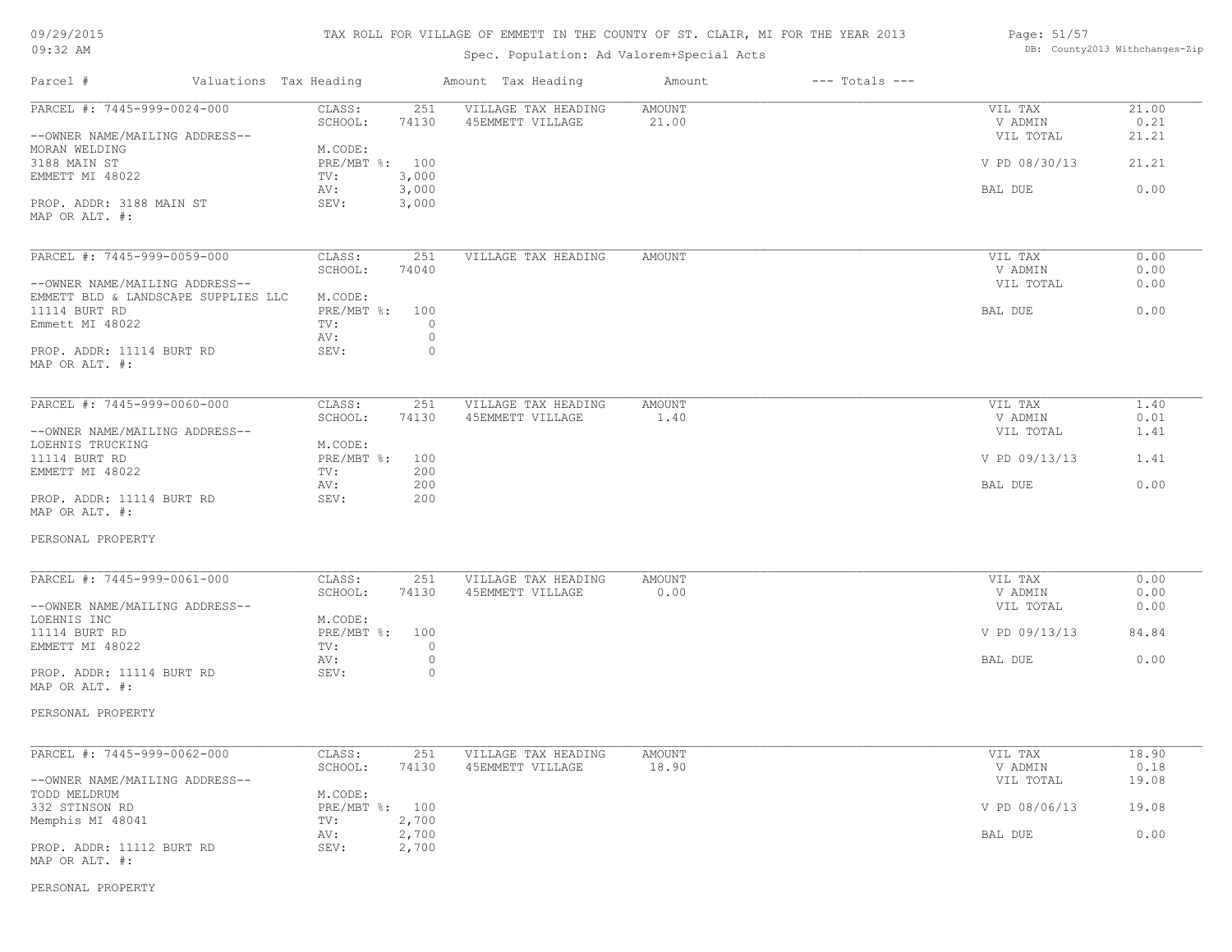| 09/29/2015 |  |
|------------|--|
| $09:32$ AM |  |

# Spec. Population: Ad Valorem+Special Acts

| Page: 51/57 |                                |
|-------------|--------------------------------|
|             | DB: County2013 Withchanges-Zip |

| Parcel #<br>Valuations Tax Heading  |                               | Amount Tax Heading  | Amount        | $---$ Totals $---$ |               |       |
|-------------------------------------|-------------------------------|---------------------|---------------|--------------------|---------------|-------|
| PARCEL #: 7445-999-0024-000         | CLASS:<br>251                 | VILLAGE TAX HEADING | <b>AMOUNT</b> |                    | VIL TAX       | 21.00 |
|                                     | 74130<br>SCHOOL:              | 45EMMETT VILLAGE    | 21.00         |                    | V ADMIN       | 0.21  |
| --OWNER NAME/MAILING ADDRESS--      |                               |                     |               |                    | VIL TOTAL     | 21.21 |
| MORAN WELDING                       | M.CODE:                       |                     |               |                    |               |       |
| 3188 MAIN ST                        | PRE/MBT %: 100                |                     |               |                    | V PD 08/30/13 | 21.21 |
| EMMETT MI 48022                     | 3,000<br>TV:                  |                     |               |                    |               |       |
|                                     | 3,000<br>AV:                  |                     |               |                    | BAL DUE       | 0.00  |
| PROP. ADDR: 3188 MAIN ST            | SEV:<br>3,000                 |                     |               |                    |               |       |
| MAP OR ALT. #:                      |                               |                     |               |                    |               |       |
| PARCEL #: 7445-999-0059-000         | CLASS:<br>251                 | VILLAGE TAX HEADING | AMOUNT        |                    | VIL TAX       | 0.00  |
|                                     | SCHOOL:<br>74040              |                     |               |                    | V ADMIN       | 0.00  |
| --OWNER NAME/MAILING ADDRESS--      |                               |                     |               |                    | VIL TOTAL     | 0.00  |
| EMMETT BLD & LANDSCAPE SUPPLIES LLC | M.CODE:                       |                     |               |                    |               |       |
| 11114 BURT RD                       | $PRE/MBT$ $\div$<br>100       |                     |               |                    | BAL DUE       | 0.00  |
| Emmett MI 48022                     | $\circ$<br>TV:                |                     |               |                    |               |       |
|                                     | $\circ$<br>AV:                |                     |               |                    |               |       |
| PROP. ADDR: 11114 BURT RD           | SEV:<br>$\circ$               |                     |               |                    |               |       |
| MAP OR ALT. #:                      |                               |                     |               |                    |               |       |
|                                     |                               |                     |               |                    |               |       |
| PARCEL #: 7445-999-0060-000         | CLASS:<br>251                 | VILLAGE TAX HEADING | AMOUNT        |                    | VIL TAX       | 1.40  |
|                                     | SCHOOL:<br>74130              | 45EMMETT VILLAGE    | 1.40          |                    | V ADMIN       | 0.01  |
| --OWNER NAME/MAILING ADDRESS--      |                               |                     |               |                    | VIL TOTAL     | 1.41  |
| LOEHNIS TRUCKING                    | M.CODE:                       |                     |               |                    |               |       |
| 11114 BURT RD                       | PRE/MBT %:<br>100             |                     |               |                    | V PD 09/13/13 | 1.41  |
| EMMETT MI 48022                     | 200<br>TV:                    |                     |               |                    |               |       |
|                                     | 200<br>AV:                    |                     |               |                    | BAL DUE       | 0.00  |
| PROP. ADDR: 11114 BURT RD           | 200<br>SEV:                   |                     |               |                    |               |       |
| MAP OR ALT. #:                      |                               |                     |               |                    |               |       |
| PERSONAL PROPERTY                   |                               |                     |               |                    |               |       |
| PARCEL #: 7445-999-0061-000         | CLASS:<br>251                 | VILLAGE TAX HEADING | <b>AMOUNT</b> |                    | VIL TAX       | 0.00  |
|                                     | SCHOOL:<br>74130              | 45EMMETT VILLAGE    | 0.00          |                    | V ADMIN       | 0.00  |
| --OWNER NAME/MAILING ADDRESS--      |                               |                     |               |                    | VIL TOTAL     | 0.00  |
| LOEHNIS INC                         | M.CODE:                       |                     |               |                    |               |       |
| 11114 BURT RD                       | PRE/MBT %:<br>100             |                     |               |                    | V PD 09/13/13 | 84.84 |
| EMMETT MI 48022                     | $\circ$<br>TV:                |                     |               |                    |               |       |
|                                     | $\circ$<br>AV:                |                     |               |                    | BAL DUE       | 0.00  |
| PROP. ADDR: 11114 BURT RD           | SEV:<br>$\circ$               |                     |               |                    |               |       |
| MAP OR ALT. #:                      |                               |                     |               |                    |               |       |
| PERSONAL PROPERTY                   |                               |                     |               |                    |               |       |
|                                     |                               |                     |               |                    |               |       |
| PARCEL #: 7445-999-0062-000         | CLASS:<br>251                 | VILLAGE TAX HEADING | <b>AMOUNT</b> |                    | VIL TAX       | 18.90 |
|                                     | SCHOOL:<br>74130              | 45EMMETT VILLAGE    | 18.90         |                    | V ADMIN       | 0.18  |
| --OWNER NAME/MAILING ADDRESS--      |                               |                     |               |                    | VIL TOTAL     | 19.08 |
| TODD MELDRUM                        | M.CODE:                       |                     |               |                    |               |       |
| 332 STINSON RD                      | PRE/MBT %: 100                |                     |               |                    | V PD 08/06/13 | 19.08 |
| Memphis MI 48041                    | 2,700<br>TV:                  |                     |               |                    |               |       |
| PROP. ADDR: 11112 BURT RD           | 2,700<br>AV:<br>2,700<br>SEV: |                     |               |                    | BAL DUE       | 0.00  |

PERSONAL PROPERTY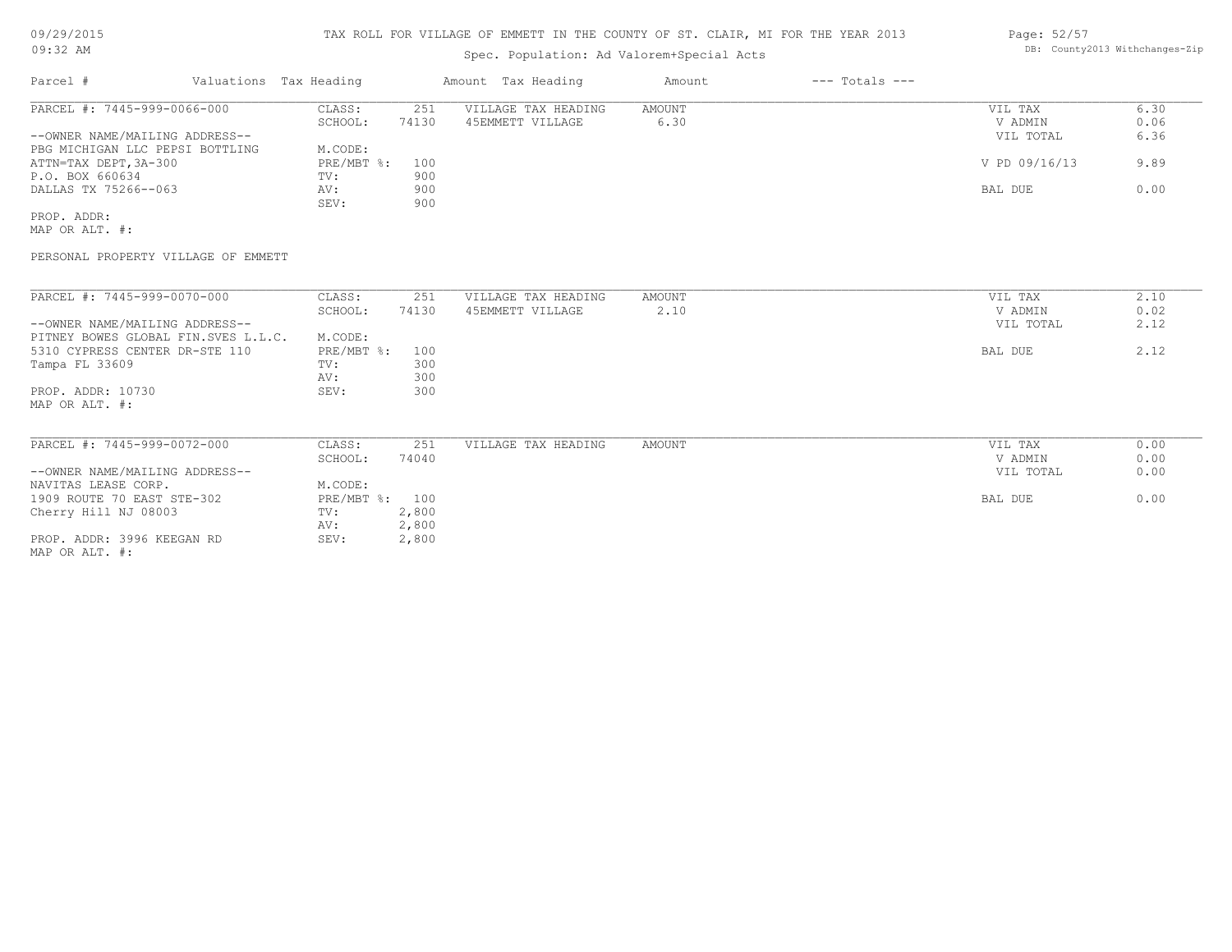# Spec. Population: Ad Valorem+Special Acts

### Page: 52/57 DB: County2013 Withchanges-Zip

| Parcel #                        | Valuations Tax Heading |       | Amount Tax Heading  | Amount | $---$ Totals $---$ |               |      |
|---------------------------------|------------------------|-------|---------------------|--------|--------------------|---------------|------|
| PARCEL #: 7445-999-0066-000     | CLASS:                 | 251   | VILLAGE TAX HEADING | AMOUNT |                    | VIL TAX       | 6.30 |
|                                 | SCHOOL:                | 74130 | 45EMMETT VILLAGE    | 6.30   |                    | V ADMIN       | 0.06 |
| --OWNER NAME/MAILING ADDRESS--  |                        |       |                     |        |                    | VIL TOTAL     | 6.36 |
| PBG MICHIGAN LLC PEPSI BOTTLING | M.CODE:                |       |                     |        |                    |               |      |
| ATTN=TAX DEPT, 3A-300           | PRE/MBT %: 100         |       |                     |        |                    | V PD 09/16/13 | 9.89 |
| P.O. BOX 660634                 | TV:                    | 900   |                     |        |                    |               |      |
| DALLAS TX 75266--063            | AV:                    | 900   |                     |        |                    | BAL DUE       | 0.00 |
|                                 | SEV:                   | 900   |                     |        |                    |               |      |
| PROP. ADDR:                     |                        |       |                     |        |                    |               |      |

MAP OR ALT. #:

PERSONAL PROPERTY VILLAGE OF EMMETT

| PARCEL #: 7445-999-0070-000         | CLASS:       | 251   | VILLAGE TAX HEADING | AMOUNT | VIL TAX   | 2.10 |
|-------------------------------------|--------------|-------|---------------------|--------|-----------|------|
|                                     | SCHOOL:      | 74130 | 45EMMETT VILLAGE    | 2.10   | V ADMIN   | 0.02 |
| --OWNER NAME/MAILING ADDRESS--      |              |       |                     |        | VIL TOTAL | 2.12 |
| PITNEY BOWES GLOBAL FIN.SVES L.L.C. | M.CODE:      |       |                     |        |           |      |
| 5310 CYPRESS CENTER DR-STE 110      | PRE/MBT %:   | 100   |                     |        | BAL DUE   | 2.12 |
| Tampa FL 33609                      | TV:          | 300   |                     |        |           |      |
|                                     | AV:          | 300   |                     |        |           |      |
| PROP. ADDR: 10730                   | SEV:         | 300   |                     |        |           |      |
| MAP OR ALT. #:                      |              |       |                     |        |           |      |
|                                     |              |       |                     |        |           |      |
|                                     |              |       |                     |        |           |      |
| PARCEL #: 7445-999-0072-000         | CLASS:       | 251   | VILLAGE TAX HEADING | AMOUNT | VIL TAX   | 0.00 |
|                                     | SCHOOL:      | 74040 |                     |        | V ADMIN   | 0.00 |
| --OWNER NAME/MAILING ADDRESS--      |              |       |                     |        | VIL TOTAL | 0.00 |
| NAVITAS LEASE CORP.                 | M.CODE:      |       |                     |        |           |      |
| 1909 ROUTE 70 EAST STE-302          | $PRE/MBT$ %: | 100   |                     |        | BAL DUE   | 0.00 |
| Cherry Hill NJ 08003                | TV:          | 2,800 |                     |        |           |      |
|                                     | AV:          | 2,800 |                     |        |           |      |
| PROP. ADDR: 3996 KEEGAN RD          | SEV:         | 2,800 |                     |        |           |      |
|                                     |              |       |                     |        |           |      |

MAP OR ALT. #: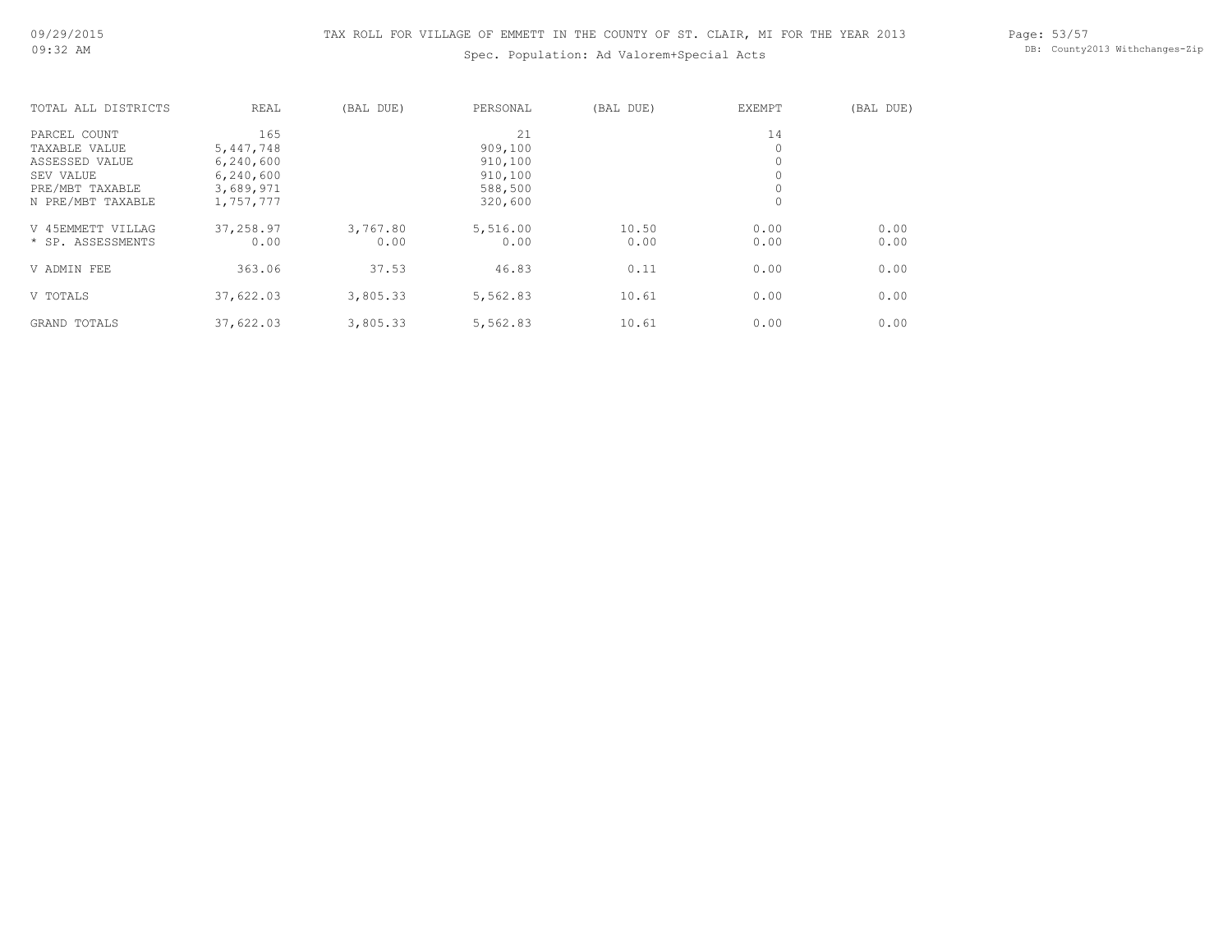Page: 53/57 DB: County2013 Withchanges-Zip

| TOTAL ALL DISTRICTS | <b>REAL</b> | (BAL DUE) | PERSONAL | (BAL DUE) | EXEMPT | (BAL DUE) |
|---------------------|-------------|-----------|----------|-----------|--------|-----------|
| PARCEL COUNT        | 165         |           | 21       |           | 14     |           |
| TAXABLE VALUE       | 5,447,748   |           | 909,100  |           | 0      |           |
| ASSESSED VALUE      | 6,240,600   |           | 910,100  |           | 0      |           |
| SEV VALUE           | 6,240,600   |           | 910,100  |           |        |           |
| PRE/MBT TAXABLE     | 3,689,971   |           | 588,500  |           | 0      |           |
| N PRE/MBT TAXABLE   | 1,757,777   |           | 320,600  |           | 0      |           |
| V 45EMMETT VILLAG   | 37,258.97   | 3,767.80  | 5,516.00 | 10.50     | 0.00   | 0.00      |
| * SP. ASSESSMENTS   | 0.00        | 0.00      | 0.00     | 0.00      | 0.00   | 0.00      |
| V ADMIN FEE         | 363.06      | 37.53     | 46.83    | 0.11      | 0.00   | 0.00      |
| V TOTALS            | 37,622.03   | 3,805.33  | 5,562.83 | 10.61     | 0.00   | 0.00      |
| GRAND TOTALS        | 37,622.03   | 3,805.33  | 5,562.83 | 10.61     | 0.00   | 0.00      |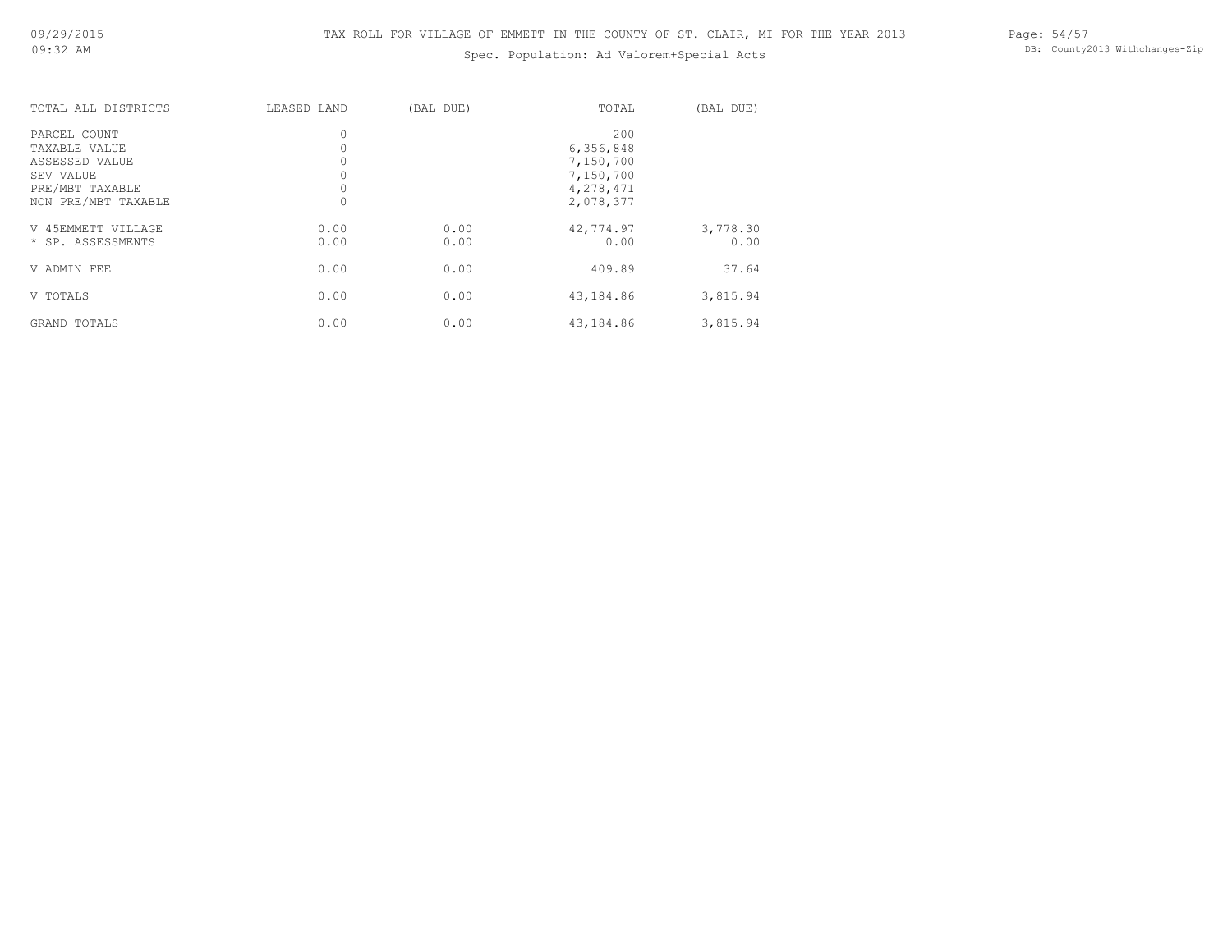Page: 54/57 DB: County2013 Withchanges-Zip

| TOTAL ALL DISTRICTS | LEASED LAND | (BAL DUE) | TOTAL     | (BAL DUE) |
|---------------------|-------------|-----------|-----------|-----------|
| PARCEL COUNT        | $\circ$     |           | 200       |           |
| TAXABLE VALUE       |             |           | 6,356,848 |           |
| ASSESSED VALUE      |             |           | 7,150,700 |           |
| SEV VALUE           |             |           | 7,150,700 |           |
| PRE/MBT TAXABLE     |             |           | 4,278,471 |           |
| NON PRE/MBT TAXABLE |             |           | 2,078,377 |           |
| V 45EMMETT VILLAGE  | 0.00        | 0.00      | 42,774.97 | 3,778.30  |
| * SP. ASSESSMENTS   | 0.00        | 0.00      | 0.00      | 0.00      |
| V ADMIN FEE         | 0.00        | 0.00      | 409.89    | 37.64     |
| V TOTALS            | 0.00        | 0.00      | 43,184.86 | 3,815.94  |
| GRAND TOTALS        | 0.00        | 0.00      | 43,184.86 | 3,815.94  |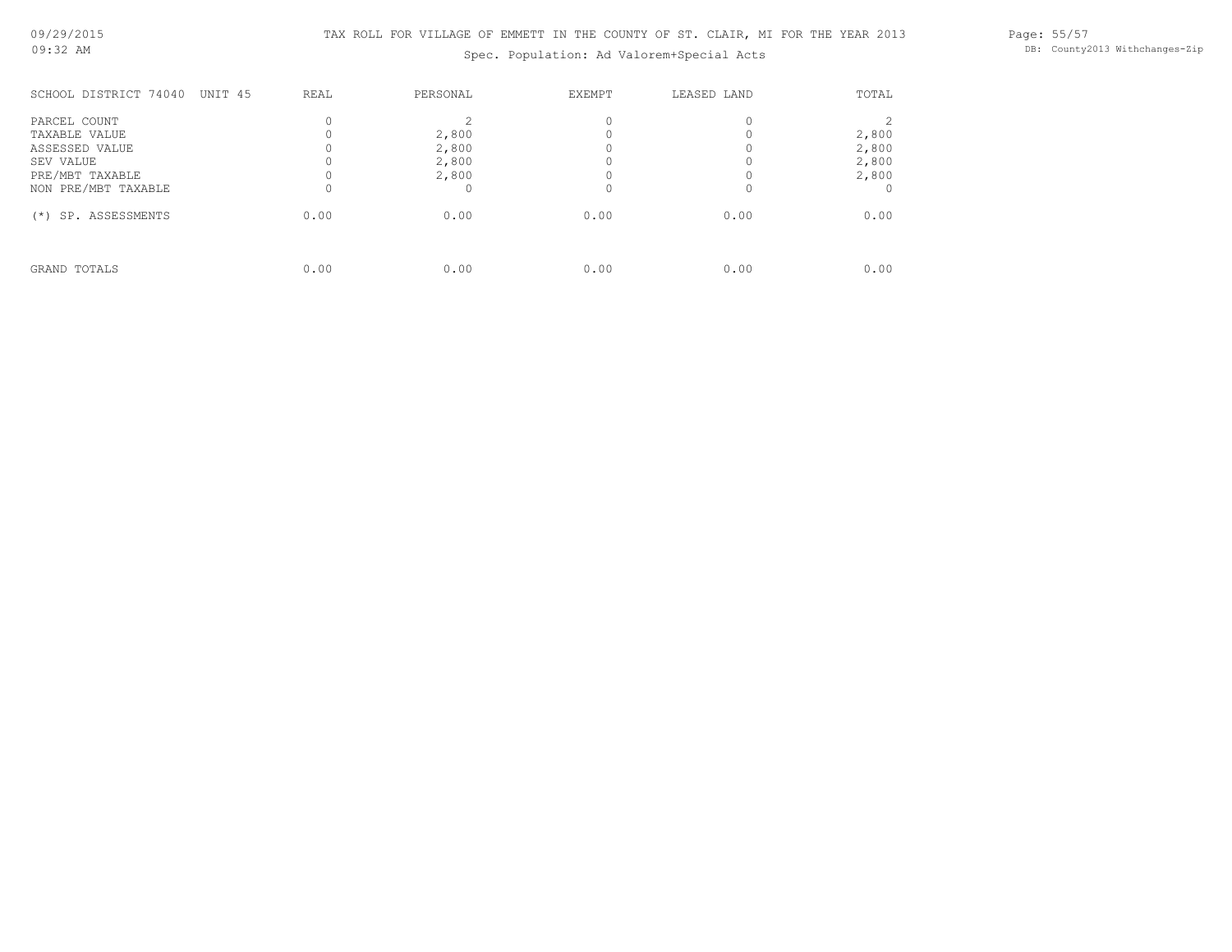Page: 55/57 DB: County2013 Withchanges-Zip

| SCHOOL DISTRICT 74040<br>UNIT 45                                                | REAL | PERSONAL                         | EXEMPT | LEASED LAND | TOTAL                            |
|---------------------------------------------------------------------------------|------|----------------------------------|--------|-------------|----------------------------------|
| PARCEL COUNT<br>TAXABLE VALUE<br>ASSESSED VALUE<br>SEV VALUE<br>PRE/MBT TAXABLE |      | 2,800<br>2,800<br>2,800<br>2,800 |        |             | 2,800<br>2,800<br>2,800<br>2,800 |
| NON PRE/MBT TAXABLE<br>SP. ASSESSMENTS<br>$(*)$                                 | 0.00 | 0.00                             | 0.00   | 0.00        | 0.00                             |
| GRAND TOTALS                                                                    | 0.00 | 0.00                             | 0.00   | 0.00        | 0.00                             |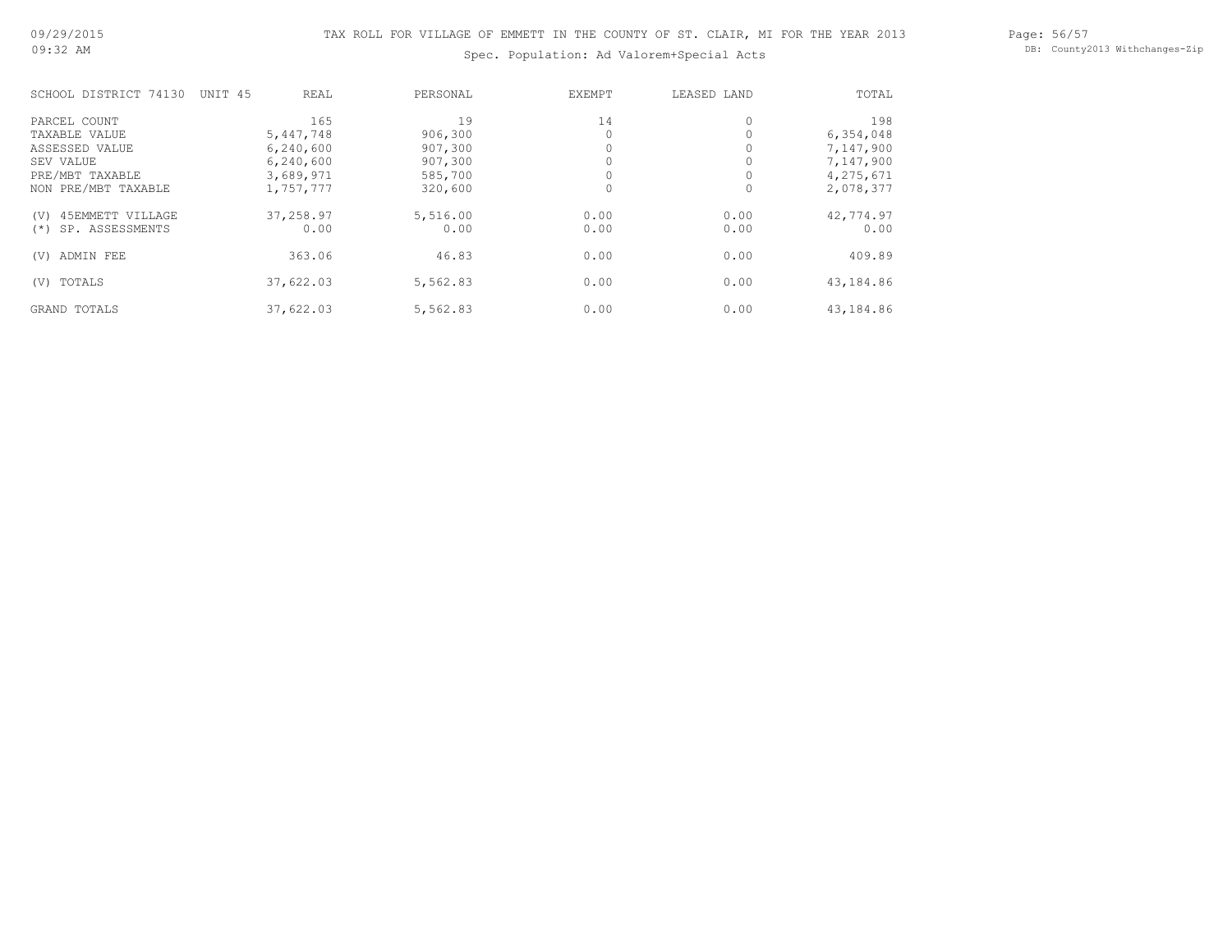Page: 56/57 DB: County2013 Withchanges-Zip

| SCHOOL DISTRICT 74130    | UNIT 45 | REAL      | PERSONAL | <b>EXEMPT</b> | LEASED LAND | TOTAL     |
|--------------------------|---------|-----------|----------|---------------|-------------|-----------|
| PARCEL COUNT             |         | 165       | 19       | 14            |             | 198       |
| TAXABLE VALUE            |         | 5,447,748 | 906,300  |               |             | 6,354,048 |
| ASSESSED VALUE           |         | 6,240,600 | 907,300  |               |             | 7,147,900 |
| SEV VALUE                |         | 6,240,600 | 907,300  |               |             | 7,147,900 |
| PRE/MBT TAXABLE          |         | 3,689,971 | 585,700  |               |             | 4,275,671 |
| NON PRE/MBT TAXABLE      |         | 1,757,777 | 320,600  | 0             | 0           | 2,078,377 |
| 45EMMETT VILLAGE<br>(V)  |         | 37,258.97 | 5,516.00 | 0.00          | 0.00        | 42,774.97 |
| SP. ASSESSMENTS<br>$(*)$ |         | 0.00      | 0.00     | 0.00          | 0.00        | 0.00      |
| ADMIN FEE<br>(V)         |         | 363.06    | 46.83    | 0.00          | 0.00        | 409.89    |
| TOTALS<br>(V)            |         | 37,622.03 | 5,562.83 | 0.00          | 0.00        | 43,184.86 |
| GRAND TOTALS             |         | 37,622.03 | 5,562.83 | 0.00          | 0.00        | 43,184.86 |